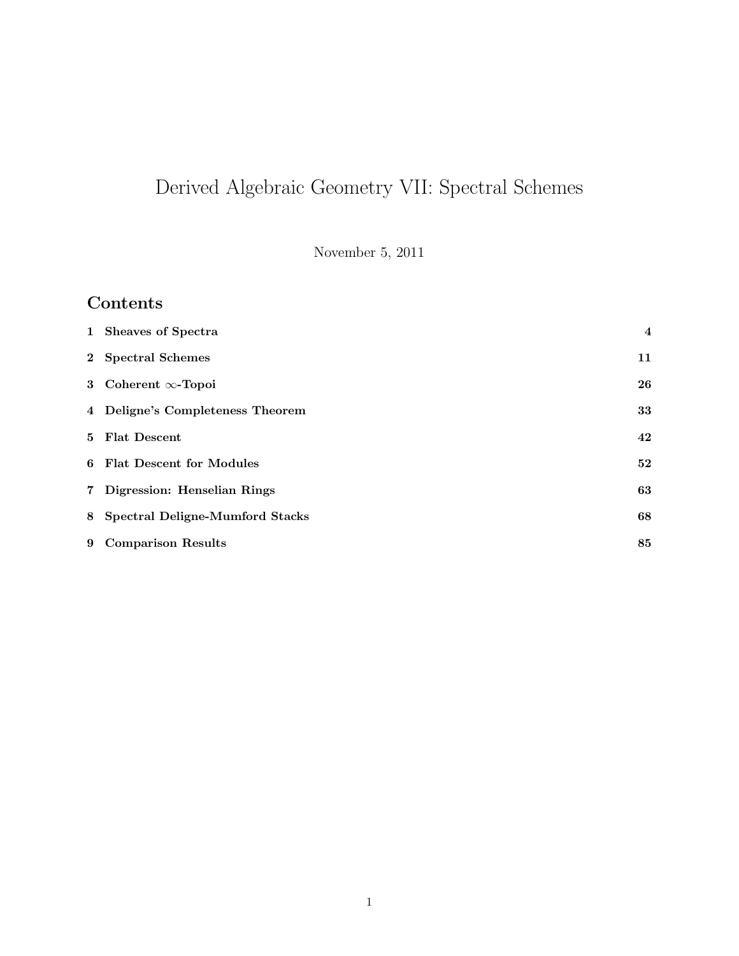# Derived Algebraic Geometry VII: Spectral Schemes

November 5, 2011

# Contents

| 1 Sheaves of Spectra              | $\overline{4}$ |
|-----------------------------------|----------------|
| 2 Spectral Schemes                | 11             |
| 3 Coherent $\infty$ -Topoi        | 26             |
| 4 Deligne's Completeness Theorem  | 33             |
| 5 Flat Descent                    | 42             |
| 6 Flat Descent for Modules        | 52             |
| 7 Digression: Henselian Rings     | 63             |
| 8 Spectral Deligne-Mumford Stacks | 68             |
| 9 Comparison Results              | 85             |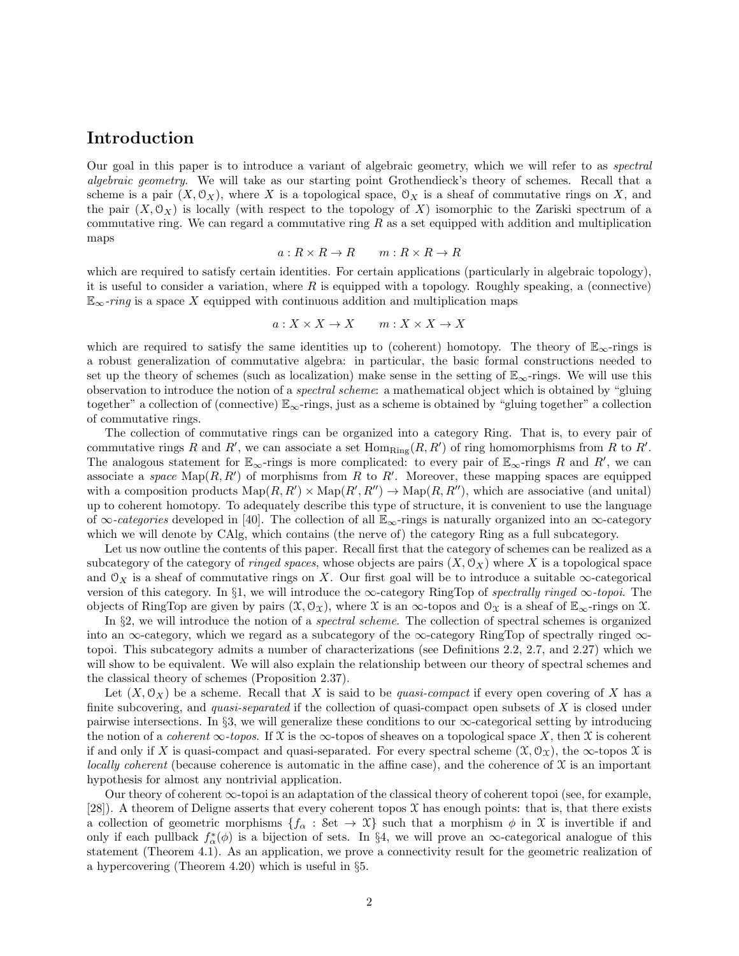### Introduction

Our goal in this paper is to introduce a variant of algebraic geometry, which we will refer to as spectral algebraic geometry. We will take as our starting point Grothendieck's theory of schemes. Recall that a scheme is a pair  $(X, \mathcal{O}_X)$ , where X is a topological space,  $\mathcal{O}_X$  is a sheaf of commutative rings on X, and the pair  $(X, \mathcal{O}_X)$  is locally (with respect to the topology of X) isomorphic to the Zariski spectrum of a commutative ring. We can regard a commutative ring  $R$  as a set equipped with addition and multiplication maps

$$
a: R \times R \to R \qquad m: R \times R \to R
$$

which are required to satisfy certain identities. For certain applications (particularly in algebraic topology), it is useful to consider a variation, where  $R$  is equipped with a topology. Roughly speaking, a (connective)  $\mathbb{E}_{\infty}$ -ring is a space X equipped with continuous addition and multiplication maps

$$
a: X \times X \to X \qquad m: X \times X \to X
$$

which are required to satisfy the same identities up to (coherent) homotopy. The theory of  $\mathbb{E}_{\infty}$ -rings is a robust generalization of commutative algebra: in particular, the basic formal constructions needed to set up the theory of schemes (such as localization) make sense in the setting of  $\mathbb{E}_{\infty}$ -rings. We will use this observation to introduce the notion of a spectral scheme: a mathematical object which is obtained by "gluing together" a collection of (connective)  $\mathbb{E}_{\infty}$ -rings, just as a scheme is obtained by "gluing together" a collection of commutative rings.

The collection of commutative rings can be organized into a category Ring. That is, to every pair of commutative rings R and R', we can associate a set  $\text{Hom}_{\text{Ring}}(R, R')$  of ring homomorphisms from R to R'. The analogous statement for  $\mathbb{E}_{\infty}$ -rings is more complicated: to every pair of  $\mathbb{E}_{\infty}$ -rings R and R', we can associate a space  $\text{Map}(R, R')$  of morphisms from R to R'. Moreover, these mapping spaces are equipped with a composition products  $\text{Map}(R, R') \times \text{Map}(R', R'') \to \text{Map}(R, R'')$ , which are associative (and unital) up to coherent homotopy. To adequately describe this type of structure, it is convenient to use the language of  $\infty$ -categories developed in [40]. The collection of all  $\mathbb{E}_{\infty}$ -rings is naturally organized into an  $\infty$ -category which we will denote by CAlg, which contains (the nerve of) the category Ring as a full subcategory.

Let us now outline the contents of this paper. Recall first that the category of schemes can be realized as a subcategory of the category of *ringed spaces*, whose objects are pairs  $(X, \mathcal{O}_X)$  where X is a topological space and  $\mathcal{O}_X$  is a sheaf of commutative rings on X. Our first goal will be to introduce a suitable  $\infty$ -categorical version of this category. In §1, we will introduce the  $\infty$ -category RingTop of spectrally ringed  $\infty$ -topoi. The objects of RingTop are given by pairs  $(\mathfrak{X}, \mathfrak{O}_{\mathfrak{X}})$ , where X is an  $\infty$ -topos and  $\mathfrak{O}_{\mathfrak{X}}$  is a sheaf of  $\mathbb{E}_{\infty}$ -rings on X.

In §2, we will introduce the notion of a spectral scheme. The collection of spectral schemes is organized into an ∞-category, which we regard as a subcategory of the  $\infty$ -category RingTop of spectrally ringed  $\infty$ topoi. This subcategory admits a number of characterizations (see Definitions 2.2, 2.7, and 2.27) which we will show to be equivalent. We will also explain the relationship between our theory of spectral schemes and the classical theory of schemes (Proposition 2.37).

Let  $(X, \mathcal{O}_X)$  be a scheme. Recall that X is said to be quasi-compact if every open covering of X has a finite subcovering, and *quasi-separated* if the collection of quasi-compact open subsets of  $X$  is closed under pairwise intersections. In §3, we will generalize these conditions to our ∞-categorical setting by introducing the notion of a *coherent*  $\infty$ -topos. If X is the  $\infty$ -topos of sheaves on a topological space X, then X is coherent if and only if X is quasi-compact and quasi-separated. For every spectral scheme  $(\mathfrak{X}, \mathfrak{O}_{\mathfrak{X}})$ , the  $\infty$ -topos X is locally coherent (because coherence is automatic in the affine case), and the coherence of  $\mathfrak X$  is an important hypothesis for almost any nontrivial application.

Our theory of coherent ∞-topoi is an adaptation of the classical theory of coherent topoi (see, for example, [28]). A theorem of Deligne asserts that every coherent topos  $\mathfrak X$  has enough points: that is, that there exists a collection of geometric morphisms  $\{f_\alpha : \mathcal{S}\in\mathcal{X}\}\$  such that a morphism  $\phi$  in X is invertible if and only if each pullback  $f^*_{\alpha}(\phi)$  is a bijection of sets. In §4, we will prove an  $\infty$ -categorical analogue of this statement (Theorem 4.1). As an application, we prove a connectivity result for the geometric realization of a hypercovering (Theorem 4.20) which is useful in §5.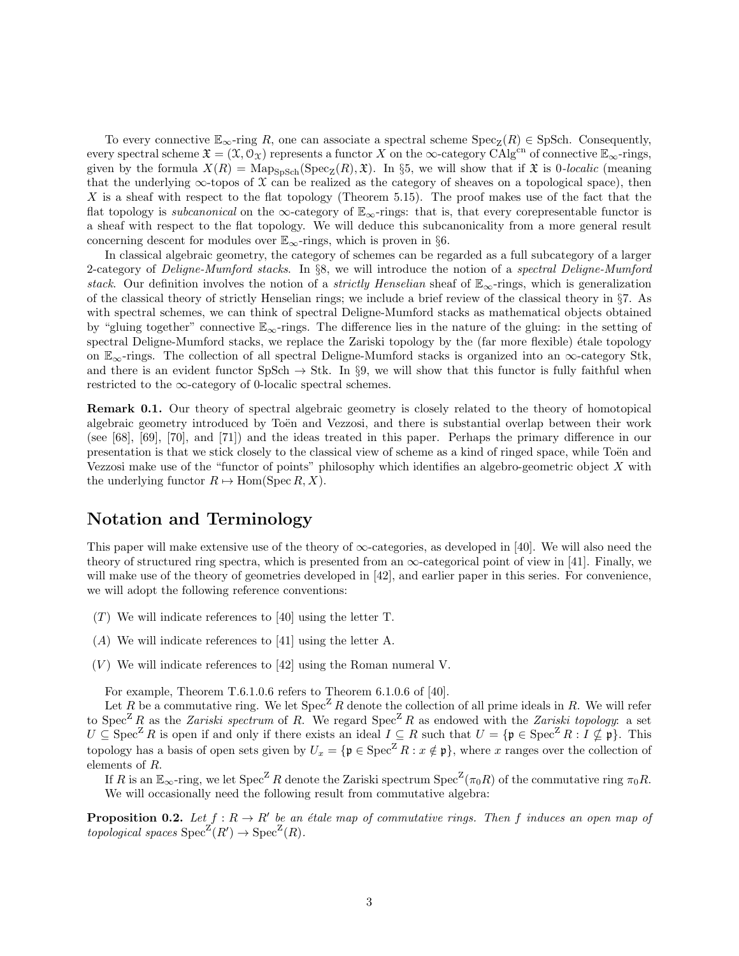To every connective  $\mathbb{E}_{\infty}$ -ring R, one can associate a spectral scheme  $Spec_{\mathbb{Z}}(R) \in SpSch.$  Consequently, every spectral scheme  $\mathfrak{X} = (\mathfrak{X}, \mathfrak{O}_{\mathfrak{X}})$  represents a functor X on the  $\infty$ -category CAlg<sup>cn</sup> of connective  $\mathbb{E}_{\infty}$ -rings, given by the formula  $X(R) = \text{Map}_{\text{SpSch}}(\text{Spec}_Z(R), \mathfrak{X})$ . In §5, we will show that if  $\mathfrak{X}$  is 0-localic (meaning that the underlying  $\infty$ -topos of X can be realized as the category of sheaves on a topological space), then X is a sheaf with respect to the flat topology (Theorem 5.15). The proof makes use of the fact that the flat topology is *subcanonical* on the ∞-category of  $\mathbb{E}_{\infty}$ -rings: that is, that every corepresentable functor is a sheaf with respect to the flat topology. We will deduce this subcanonicality from a more general result concerning descent for modules over  $\mathbb{E}_{\infty}$ -rings, which is proven in §6.

In classical algebraic geometry, the category of schemes can be regarded as a full subcategory of a larger 2-category of Deligne-Mumford stacks. In §8, we will introduce the notion of a spectral Deligne-Mumford stack. Our definition involves the notion of a *strictly Henselian* sheaf of  $\mathbb{E}_{\infty}$ -rings, which is generalization of the classical theory of strictly Henselian rings; we include a brief review of the classical theory in §7. As with spectral schemes, we can think of spectral Deligne-Mumford stacks as mathematical objects obtained by "gluing together" connective  $\mathbb{E}_{\infty}$ -rings. The difference lies in the nature of the gluing: in the setting of spectral Deligne-Mumford stacks, we replace the Zariski topology by the (far more flexible) étale topology on  $\mathbb{E}_{\infty}$ -rings. The collection of all spectral Deligne-Mumford stacks is organized into an  $\infty$ -category Stk, and there is an evident functor  $SpSch \to Stk$ . In §9, we will show that this functor is fully faithful when restricted to the  $\infty$ -category of 0-localic spectral schemes.

Remark 0.1. Our theory of spectral algebraic geometry is closely related to the theory of homotopical algebraic geometry introduced by Toën and Vezzosi, and there is substantial overlap between their work (see [68], [69], [70], and [71]) and the ideas treated in this paper. Perhaps the primary difference in our presentation is that we stick closely to the classical view of scheme as a kind of ringed space, while Toën and Vezzosi make use of the "functor of points" philosophy which identifies an algebro-geometric object  $X$  with the underlying functor  $R \mapsto \text{Hom}(Spec R, X)$ .

### Notation and Terminology

This paper will make extensive use of the theory of  $\infty$ -categories, as developed in [40]. We will also need the theory of structured ring spectra, which is presented from an  $\infty$ -categorical point of view in [41]. Finally, we will make use of the theory of geometries developed in [42], and earlier paper in this series. For convenience, we will adopt the following reference conventions:

- $(T)$  We will indicate references to [40] using the letter T.
- (A) We will indicate references to [41] using the letter A.
- $(V)$  We will indicate references to [42] using the Roman numeral V.

For example, Theorem T.6.1.0.6 refers to Theorem 6.1.0.6 of [40].

Let R be a commutative ring. We let  $Spec^Z R$  denote the collection of all prime ideals in R. We will refer to Spec<sup>Z</sup> R as the Zariski spectrum of R. We regard Spec<sup>Z</sup> R as endowed with the Zariski topology: a set  $U \subseteq \text{Spec}^{\mathbb{Z}} R$  is open if and only if there exists an ideal  $I \subseteq R$  such that  $U = \{ \mathfrak{p} \in \text{Spec}^{\mathbb{Z}} R : I \nsubseteq \mathfrak{p} \}$ . This topology has a basis of open sets given by  $U_x = {\mathfrak{p} \in \mathop{\rm Spec}\nolimits^Z R : x \notin \mathfrak{p}}$ , where x ranges over the collection of elements of R.

If R is an  $\mathbb{E}_{\infty}$ -ring, we let  $\text{Spec}^Z R$  denote the Zariski spectrum  $\text{Spec}^Z(\pi_0 R)$  of the commutative ring  $\pi_0 R$ . We will occasionally need the following result from commutative algebra:

**Proposition 0.2.** Let  $f: R \to R'$  be an étale map of commutative rings. Then f induces an open map of topological spaces  $Spec^Z(R') \to Spec^Z(R)$ .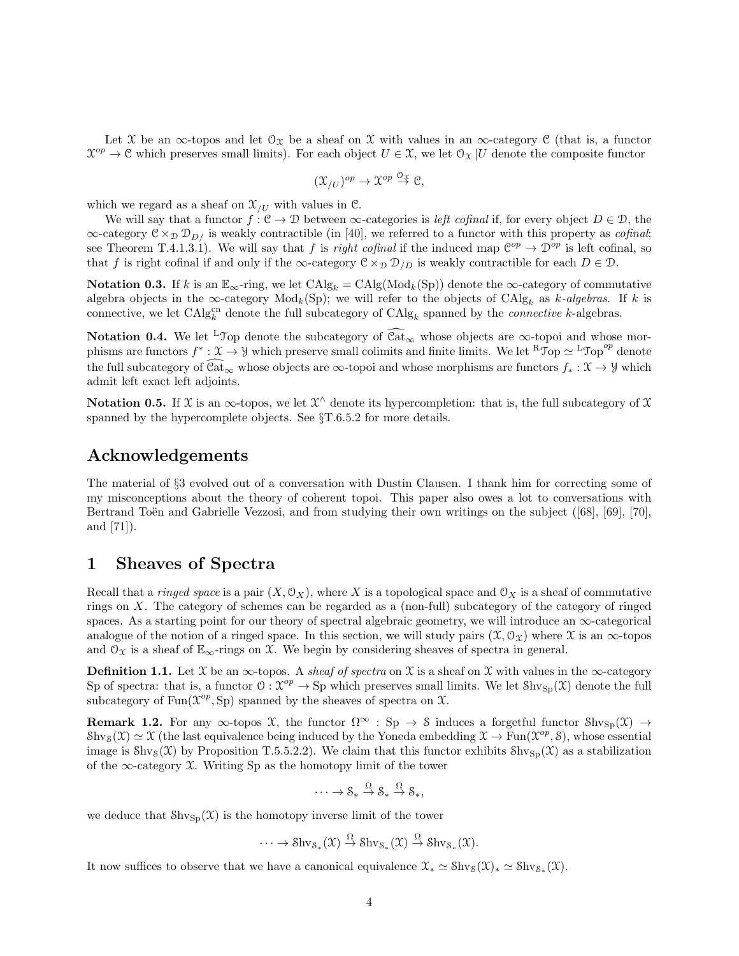Let X be an  $\infty$ -topos and let  $\mathcal{O}_\mathcal{X}$  be a sheaf on X with values in an  $\infty$ -category C (that is, a functor  $\mathcal{X}^{op} \to \mathcal{C}$  which preserves small limits). For each object  $U \in \mathcal{X}$ , we let  $\mathcal{O}_{\mathcal{X}}|U$  denote the composite functor

$$
(\mathfrak{X}_{/U})^{op} \to \mathfrak{X}^{op} \stackrel{\mathcal{O}_{\mathfrak{X}}}{\to} \mathfrak{C},
$$

which we regard as a sheaf on  $\mathfrak{X}_{/U}$  with values in C.

We will say that a functor  $f: \mathcal{C} \to \mathcal{D}$  between  $\infty$ -categories is *left cofinal* if, for every object  $D \in \mathcal{D}$ , the  $\infty$ -category  $C \times_{\mathcal{D}} \mathcal{D}_{D}$  is weakly contractible (in [40], we referred to a functor with this property as *cofinal*; see Theorem T.4.1.3.1). We will say that f is right cofinal if the induced map  $\mathcal{C}^{op} \to \mathcal{D}^{op}$  is left cofinal, so that f is right cofinal if and only if the  $\infty$ -category  $\mathcal{C} \times_{\mathcal{D}} \mathcal{D}_{/D}$  is weakly contractible for each  $D \in \mathcal{D}$ .

Notation 0.3. If k is an  $\mathbb{E}_{\infty}$ -ring, we let  $\text{CAlg}_k = \text{CAlg}(\text{Mod}_k(\text{Sp}))$  denote the  $\infty$ -category of commutative algebra objects in the  $\infty$ -category  $Mod_k(Sp)$ ; we will refer to the objects of  $CAlg_k$  as k-algebras. If k is connective, we let  $\text{CAlg}_{k}^{\text{cn}}$  denote the full subcategory of  $\text{CAlg}_{k}$  spanned by the *connective* k-algebras.

Notation 0.4. We let <sup>L</sup>Top denote the subcategory of  $\widehat{\text{Cat}}_{\infty}$  whose objects are  $\infty$ -topoi and whose morphisms are functors  $f^*: \mathfrak{X} \to \mathcal{Y}$  which preserve small colimits and finite limits. We let  ${}^R\mathcal{T}_{\text{op}} \simeq {}^L\mathcal{T}_{\text{op}}{}^{op}$  denote the full subcategory of  $\hat{Cat}_{\infty}$  whose objects are  $\infty$ -topoi and whose morphisms are functors  $f_* : \mathfrak{X} \to \mathcal{Y}$  which admit left exact left adjoints.

Notation 0.5. If X is an  $\infty$ -topos, we let  $\mathcal{X}^{\wedge}$  denote its hypercompletion: that is, the full subcategory of X spanned by the hypercomplete objects. See §T.6.5.2 for more details.

#### Acknowledgements

The material of §3 evolved out of a conversation with Dustin Clausen. I thank him for correcting some of my misconceptions about the theory of coherent topoi. This paper also owes a lot to conversations with Bertrand Toën and Gabrielle Vezzosi, and from studying their own writings on the subject ([68], [69], [70], and [71]).

# 1 Sheaves of Spectra

Recall that a *ringed space* is a pair  $(X, \mathcal{O}_X)$ , where X is a topological space and  $\mathcal{O}_X$  is a sheaf of commutative rings on X. The category of schemes can be regarded as a (non-full) subcategory of the category of ringed spaces. As a starting point for our theory of spectral algebraic geometry, we will introduce an  $\infty$ -categorical analogue of the notion of a ringed space. In this section, we will study pairs  $(\mathfrak{X}, \mathcal{O}_{\mathfrak{X}})$  where  $\mathfrak{X}$  is an  $\infty$ -topos and  $\mathcal{O}_{\mathfrak{X}}$  is a sheaf of  $\mathbb{E}_{\infty}$ -rings on X. We begin by considering sheaves of spectra in general.

**Definition 1.1.** Let  $\mathcal{X}$  be an  $\infty$ -topos. A sheaf of spectra on  $\mathcal{X}$  is a sheaf on  $\mathcal{X}$  with values in the  $\infty$ -category Sp of spectra: that is, a functor  $\mathcal{O}: \mathcal{X}^{op} \to \text{Sp}$  which preserves small limits. We let  $\text{Shv}_{\text{Sp}}(\mathcal{X})$  denote the full subcategory of  $\text{Fun}(\mathfrak{X}^{op}, \text{Sp})$  spanned by the sheaves of spectra on  $\mathfrak{X}$ .

**Remark 1.2.** For any  $\infty$ -topos X, the functor  $\Omega^{\infty}$  : Sp  $\to$  S induces a forgetful functor Shv<sub>Sp</sub>(X)  $\to$  $\text{Shv}_S(\mathfrak{X}) \simeq \mathfrak{X}$  (the last equivalence being induced by the Yoneda embedding  $\mathfrak{X} \to \text{Fun}(\mathfrak{X}^{op}, \mathcal{S})$ , whose essential image is  $\text{Shv}_S(\mathfrak{X})$  by Proposition T.5.5.2.2). We claim that this functor exhibits  $\text{Shv}_{S_p}(\mathfrak{X})$  as a stabilization of the  $\infty$ -category X. Writing Sp as the homotopy limit of the tower

$$
\cdots \to \mathcal{S}_* \xrightarrow{\Omega} \mathcal{S}_* \xrightarrow{\Omega} \mathcal{S}_*,
$$

we deduce that  $\text{Shv}_{\text{Sp}}(\mathfrak{X})$  is the homotopy inverse limit of the tower

$$
\cdots \to \mathrm{Shv}_{\mathcal{S}_*}(\mathfrak{X}) \stackrel{\Omega}{\to} \mathrm{Shv}_{\mathcal{S}_*}(\mathfrak{X}) \stackrel{\Omega}{\to} \mathrm{Shv}_{\mathcal{S}_*}(\mathfrak{X}).
$$

It now suffices to observe that we have a canonical equivalence  $\mathfrak{X}_* \simeq \mathrm{Shv}_S(\mathfrak{X})_* \simeq \mathrm{Shv}_{S_*}(\mathfrak{X})$ .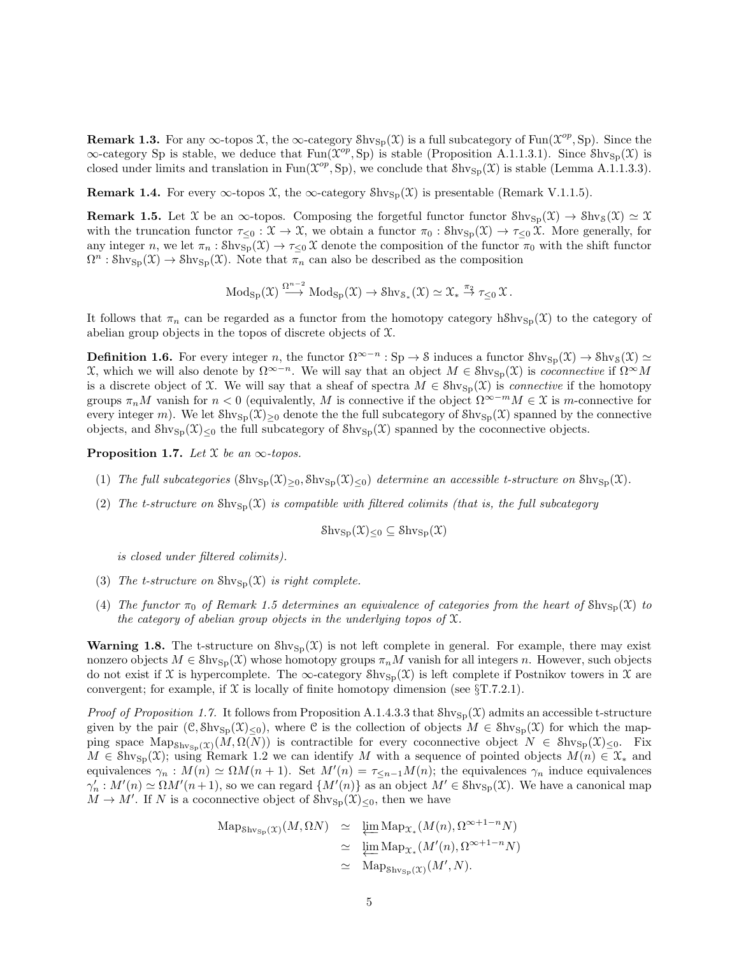**Remark 1.3.** For any  $\infty$ -topos  $\mathfrak{X}$ , the  $\infty$ -category  $\text{Shv}_{\text{Sp}}(\mathfrak{X})$  is a full subcategory of Fun $(\mathfrak{X}^{op}, \text{Sp})$ . Since the  $\infty$ -category Sp is stable, we deduce that Fun( $\mathcal{X}^{op}$ , Sp) is stable (Proposition A.1.1.3.1). Since  $\text{Shv}_{\text{Sp}}(\mathcal{X})$  is closed under limits and translation in Fun( $\mathfrak{X}^{op}$ , Sp), we conclude that  $\text{Shv}_{\text{Sp}}(\mathfrak{X})$  is stable (Lemma A.1.1.3.3).

**Remark 1.4.** For every  $\infty$ -topos X, the  $\infty$ -category  $\text{Shv}_{\text{Sp}}(\mathfrak{X})$  is presentable (Remark V.1.1.5).

**Remark 1.5.** Let X be an  $\infty$ -topos. Composing the forgetful functor functor  $\text{Shv}_{\text{Sp}}(\mathfrak{X}) \to \text{Shv}_{\text{S}}(\mathfrak{X}) \simeq \mathfrak{X}$ with the truncation functor  $\tau_{\leq 0} : \mathfrak{X} \to \mathfrak{X}$ , we obtain a functor  $\pi_0 : \mathrm{Shv}_{\mathrm{Sp}}(\mathfrak{X}) \to \tau_{\leq 0} \mathfrak{X}$ . More generally, for any integer n, we let  $\pi_n : \text{Shv}_{\text{Sp}}(\mathfrak{X}) \to \tau_{\leq 0} \mathfrak{X}$  denote the composition of the functor  $\pi_0$  with the shift functor  $\Omega^n : \text{Shv}_{\text{Sp}}(\mathfrak{X}) \to \text{Shv}_{\text{Sp}}(\mathfrak{X})$ . Note that  $\overline{\pi}_n$  can also be described as the composition

$$
\operatorname{Mod}_{\operatorname{Sp}}(\mathfrak X) \stackrel{\Omega^{n-2}}{\longrightarrow} \operatorname{Mod}_{\operatorname{Sp}}(\mathfrak X) \to \operatorname{Shv}_{\mathcal S_*}(\mathfrak X) \simeq \mathfrak X_* \stackrel{\pi_2}{\to} \tau_{\leq 0} \mathfrak X.
$$

It follows that  $\pi_n$  can be regarded as a functor from the homotopy category hShv<sub>Sp</sub>(X) to the category of abelian group objects in the topos of discrete objects of X.

**Definition 1.6.** For every integer n, the functor  $\Omega^{\infty-n}$  : Sp  $\to$  S induces a functor Shv<sub>Sp</sub>(X)  $\to$  Shv<sub>S</sub>(X)  $\simeq$  $\mathfrak{X}$ , which we will also denote by  $\Omega^{\infty-n}$ . We will say that an object  $M \in \text{Shv}_{\text{Sp}}(\mathfrak{X})$  is *coconnective* if  $\Omega^{\infty}M$ is a discrete object of X. We will say that a sheaf of spectra  $M \in Shv_{\text{Sp}}(\mathfrak{X})$  is *connective* if the homotopy groups  $\pi_n M$  vanish for  $n < 0$  (equivalently, M is connective if the object  $\Omega^{\infty-m} M \in \mathfrak{X}$  is m-connective for every integer m). We let  $\text{Shv}_{\text{Sp}}(\mathfrak{X})_{\geq 0}$  denote the the full subcategory of  $\text{Shv}_{\text{Sp}}(\mathfrak{X})$  spanned by the connective objects, and  $\text{Shv}_{\text{Sp}}(\mathfrak{X})_{\leq 0}$  the full subcategory of  $\text{Shv}_{\text{Sp}}(\mathfrak{X})$  spanned by the coconnective objects.

**Proposition 1.7.** Let  $\mathfrak X$  be an  $\infty$ -topos.

- (1) The full subcategories  $(\text{Shv}_{\text{Sp}}(\mathfrak{X})_{\geq 0}, \text{Shv}_{\text{Sp}}(\mathfrak{X})_{\leq 0})$  determine an accessible t-structure on  $\text{Shv}_{\text{Sp}}(\mathfrak{X})$ .
- (2) The t-structure on  $\text{Shv}_{\text{Sp}}(\mathfrak{X})$  is compatible with filtered colimits (that is, the full subcategory

$$
\mathrm{Shv}_{\mathrm{Sp}}(\mathfrak{X})_{\leq 0} \subseteq \mathrm{Shv}_{\mathrm{Sp}}(\mathfrak{X})
$$

is closed under filtered colimits).

- (3) The t-structure on  $\text{Shv}_{\text{Sp}}(\mathfrak{X})$  is right complete.
- (4) The functor  $\pi_0$  of Remark 1.5 determines an equivalence of categories from the heart of  $\text{Shv}_{\text{Sn}}(\mathfrak{X})$  to the category of abelian group objects in the underlying topos of  $\mathfrak{X}$ .

**Warning 1.8.** The t-structure on  $\text{Shv}_{\text{Sp}}(\mathcal{X})$  is not left complete in general. For example, there may exist nonzero objects  $M \in Shv_{Sp}(\mathfrak{X})$  whose homotopy groups  $\pi_nM$  vanish for all integers n. However, such objects do not exist if X is hypercomplete. The  $\infty$ -category  $\text{Shv}_{\text{Sn}}(\mathcal{X})$  is left complete if Postnikov towers in X are convergent; for example, if  $\mathcal X$  is locally of finite homotopy dimension (see  $\S T.7.2.1$ ).

*Proof of Proposition 1.7.* It follows from Proposition A.1.4.3.3 that  $\text{Shv}_{\text{Sp}}(\mathfrak{X})$  admits an accessible t-structure given by the pair  $(\mathcal{C}, \text{Shv}_{\text{Sp}}(\mathcal{X})_{\leq 0})$ , where  $\mathcal{C}$  is the collection of objects  $M \in \text{Shv}_{\text{Sp}}(\mathcal{X})$  for which the mapping space  $\text{Map}_{\text{Shv}_{\text{Sp}}(\mathfrak{X})}(M,\Omega(N))$  is contractible for every coconnective object  $N \in \text{Shv}_{\text{Sp}}(\mathfrak{X})_{\leq 0}$ . Fix  $M \in \text{Shv}_{\text{Sp}}(\mathfrak{X})$ ; using Remark 1.2 we can identify M with a sequence of pointed objects  $M(n) \in \mathfrak{X}_*$  and equivalences  $\gamma_n : M(n) \simeq \Omega M(n+1)$ . Set  $M'(n) = \tau_{\leq n-1}M(n)$ ; the equivalences  $\gamma_n$  induce equivalences  $\gamma'_n: M'(n) \simeq \Omega M'(n+1)$ , so we can regard  $\{M'(n)\}$  as an object  $M' \in \text{Shv}_{\text{Sp}}(\mathfrak{X})$ . We have a canonical map  $M \to M'$ . If N is a coconnective object of  $\text{Shv}_{\text{Sp}}(\mathfrak{X})_{\leq 0}$ , then we have

$$
\begin{array}{rcl}\n\text{Map}_{\text{Shv}_{\text{Sp}}(\mathfrak{X})}(M,\Omega N) & \simeq & \underleftarrow{\lim}_{\leftarrow} \text{Map}_{\mathfrak{X}_*}(M(n),\Omega^{\infty+1-n}N) \\
& \simeq & \underleftarrow{\lim}_{\leftarrow} \text{Map}_{\mathfrak{X}_*}(M'(n),\Omega^{\infty+1-n}N) \\
& \simeq & \text{Map}_{\text{Shv}_{\text{Sp}}(\mathfrak{X})}(M',N).\n\end{array}
$$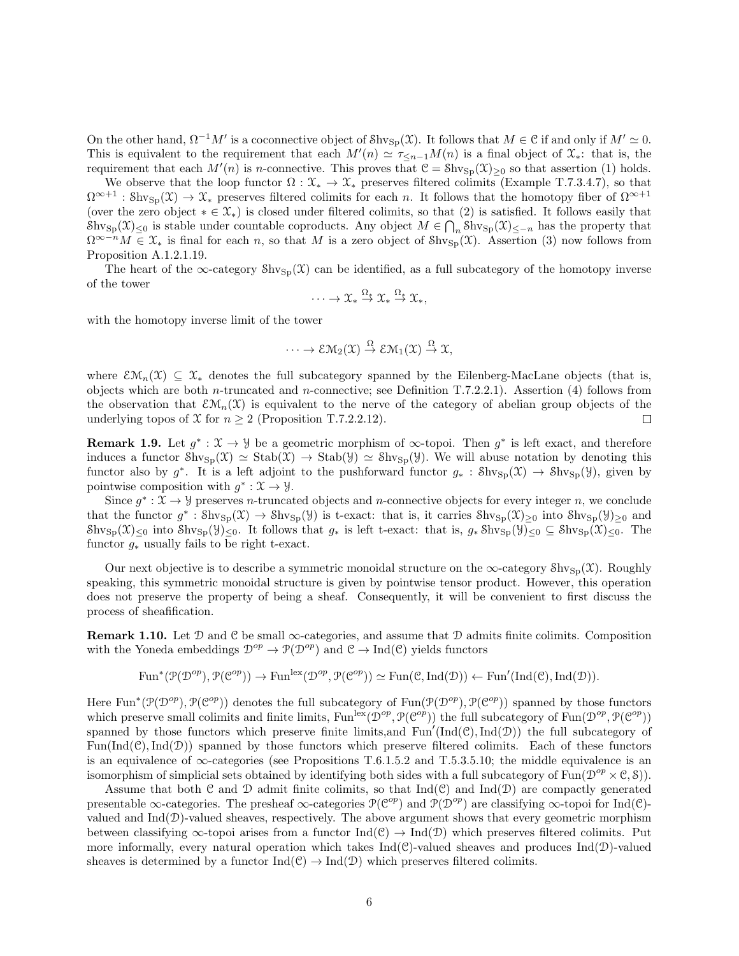On the other hand,  $\Omega^{-1}M'$  is a coconnective object of Shv<sub>Sp</sub>(X). It follows that  $M \in \mathcal{C}$  if and only if  $M' \simeq 0$ . This is equivalent to the requirement that each  $M'(n) \simeq \tau_{\leq n-1}M(n)$  is a final object of  $\mathfrak{X}_*$ : that is, the requirement that each  $M'(n)$  is n-connective. This proves that  $\mathcal{C} = Shv_{Sp}(\mathcal{X})_{\geq 0}$  so that assertion (1) holds.

We observe that the loop functor  $\Omega: \mathfrak{X}_* \to \mathfrak{X}_*$  preserves filtered colimits (Example T.7.3.4.7), so that  $\Omega^{\infty+1}$ : Shv<sub>Sp</sub> $(\mathfrak{X}) \to \mathfrak{X}_*$  preserves filtered colimits for each n. It follows that the homotopy fiber of  $\Omega^{\infty+1}$ (over the zero object  $* \in \mathcal{X}_*$ ) is closed under filtered colimits, so that (2) is satisfied. It follows easily that  $\text{Shv}_{\text{Sp}}(\mathfrak{X})_{\leq 0}$  is stable under countable coproducts. Any object  $M \in \bigcap_n \text{Shv}_{\text{Sp}}(\mathfrak{X})_{\leq -n}$  has the property that  $\Omega^{\infty-n}M \in \mathfrak{X}_*$  is final for each n, so that M is a zero object of  $\text{Shv}_{\text{Sp}}(\mathfrak{X})$ . Assertion (3) now follows from Proposition A.1.2.1.19.

The heart of the ∞-category  $\text{Shv}_{\text{Sp}}(\mathfrak{X})$  can be identified, as a full subcategory of the homotopy inverse of the tower

$$
\cdots \to \mathfrak{X}_* \stackrel{\Omega_*}{\to} \mathfrak{X}_* \stackrel{\Omega_*}{\to} \mathfrak{X}_*,
$$

with the homotopy inverse limit of the tower

$$
\cdots \to \mathcal{EM}_2(\mathfrak{X}) \stackrel{\Omega}{\to} \mathcal{EM}_1(\mathfrak{X}) \stackrel{\Omega}{\to} \mathfrak{X},
$$

where  $\mathcal{E}\mathcal{M}_n(\mathcal{X}) \subseteq \mathcal{X}_*$  denotes the full subcategory spanned by the Eilenberg-MacLane objects (that is, objects which are both *n*-truncated and *n*-connective; see Definition T.7.2.2.1). Assertion (4) follows from the observation that  $\mathcal{EM}_n(\mathfrak{X})$  is equivalent to the nerve of the category of abelian group objects of the underlying topos of X for  $n \geq 2$  (Proposition T.7.2.2.12).  $\Box$ 

**Remark 1.9.** Let  $g^*$ :  $\mathfrak{X} \to \mathcal{Y}$  be a geometric morphism of  $\infty$ -topoi. Then  $g^*$  is left exact, and therefore induces a functor  $\text{Shv}_{\text{Sp}}(\mathfrak{X}) \simeq \text{Stab}(\mathfrak{Y}) \simeq \text{Shv}_{\text{Sp}}(\mathfrak{Y})$ . We will abuse notation by denoting this functor also by  $g^*$ . It is a left adjoint to the pushforward functor  $g_*$ : Shv<sub>Sp</sub>(X)  $\rightarrow$  Shv<sub>Sp</sub>(Y), given by pointwise composition with  $g^* : \mathfrak{X} \to \mathcal{Y}$ .

Since  $g^*: \mathfrak{X} \to \mathcal{Y}$  preserves *n*-truncated objects and *n*-connective objects for every integer *n*, we conclude that the functor  $g^* : \text{Shv}_{\text{Sp}}(\mathfrak{X}) \to \text{Shv}_{\text{Sp}}(\mathfrak{Y})$  is t-exact: that is, it carries  $\text{Shv}_{\text{Sp}}(\mathfrak{X})_{\geq 0}$  into  $\text{Shv}_{\text{Sp}}(\mathfrak{Y})_{\geq 0}$  and  $\text{Shv}_{\text{Sp}}(\mathfrak{X})_{\leq 0}$  into  $\text{Shv}_{\text{Sp}}(\mathfrak{Y})_{\leq 0}$ . It follows that  $g_*$  is left t-exact: that is,  $g_* \text{Shv}_{\text{Sp}}(\mathfrak{Y})_{\leq 0} \subseteq \text{Shv}_{\text{Sp}}(\mathfrak{X})_{\leq 0}$ . The functor  $g_*$  usually fails to be right t-exact.

Our next objective is to describe a symmetric monoidal structure on the  $\infty$ -category Shv<sub>Sp</sub>(X). Roughly speaking, this symmetric monoidal structure is given by pointwise tensor product. However, this operation does not preserve the property of being a sheaf. Consequently, it will be convenient to first discuss the process of sheafification.

**Remark 1.10.** Let D and C be small  $\infty$ -categories, and assume that D admits finite colimits. Composition with the Yoneda embeddings  $\mathcal{D}^{op} \to \mathcal{P}(\mathcal{D}^{op})$  and  $\mathcal{C} \to \text{Ind}(\mathcal{C})$  yields functors

$$
\text{Fun}^*(\mathcal{P}(\mathcal{D}^{op}), \mathcal{P}(\mathcal{C}^{op})) \to \text{Fun}^{\text{lex}}(\mathcal{D}^{op}, \mathcal{P}(\mathcal{C}^{op})) \simeq \text{Fun}(\mathcal{C}, \text{Ind}(\mathcal{D})) \leftarrow \text{Fun}'(\text{Ind}(\mathcal{C}), \text{Ind}(\mathcal{D})).
$$

Here Fun<sup>\*</sup>( $\mathcal{P}(\mathcal{D}^{op})$ ,  $\mathcal{P}(\mathcal{C}^{op})$ ) denotes the full subcategory of Fun( $\mathcal{P}(\mathcal{D}^{op})$ ,  $\mathcal{P}(\mathcal{C}^{op})$ ) spanned by those functors which preserve small colimits and finite limits,  $\text{Fun}^{\text{lex}}(\mathcal{D}^{op}, \mathcal{P}(\mathcal{C}^{op}))$  the full subcategory of  $\text{Fun}(\mathcal{D}^{op}, \mathcal{P}(\mathcal{C}^{op}))$ spanned by those functors which preserve finite limits, and  $Fun'(\text{Ind}(\mathcal{C}), \text{Ind}(\mathcal{D}))$  the full subcategory of  $Fun(Ind(\mathcal{C}),Ind(\mathcal{D}))$  spanned by those functors which preserve filtered colimits. Each of these functors is an equivalence of  $\infty$ -categories (see Propositions T.6.1.5.2 and T.5.3.5.10; the middle equivalence is an isomorphism of simplicial sets obtained by identifying both sides with a full subcategory of Fun( $\mathcal{D}^{op} \times \mathcal{C}, \mathcal{S}$ )).

Assume that both C and D admit finite colimits, so that  $Ind(\mathcal{C})$  and  $Ind(\mathcal{D})$  are compactly generated presentable  $\infty$ -categories. The presheaf  $\infty$ -categories  $\mathcal{P}(\mathcal{C}^{op})$  and  $\mathcal{P}(\mathcal{D}^{op})$  are classifying  $\infty$ -topoi for Ind(C)valued and  $Ind(\mathcal{D})$ -valued sheaves, respectively. The above argument shows that every geometric morphism between classifying  $\infty$ -topoi arises from a functor Ind(C)  $\to$  Ind(D) which preserves filtered colimits. Put more informally, every natural operation which takes  $Ind(\mathcal{C})$ -valued sheaves and produces  $Ind(\mathcal{D})$ -valued sheaves is determined by a functor  $\text{Ind}(\mathcal{C}) \to \text{Ind}(\mathcal{D})$  which preserves filtered colimits.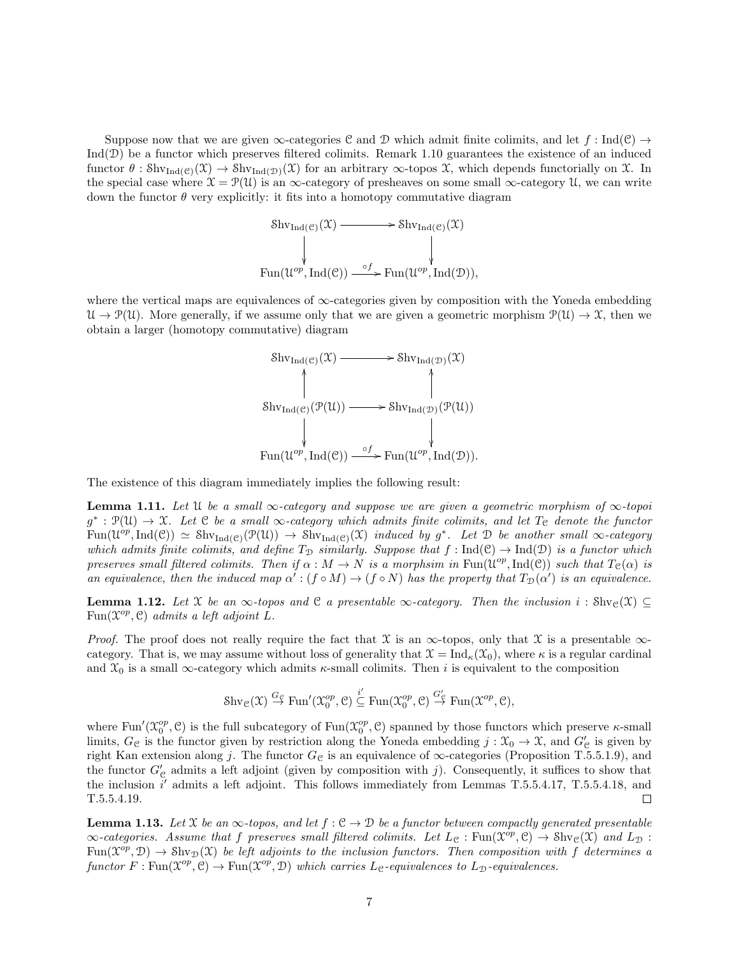Suppose now that we are given  $\infty$ -categories C and D which admit finite colimits, and let f : Ind(C)  $\rightarrow$  $Ind(\mathcal{D})$  be a functor which preserves filtered colimits. Remark 1.10 guarantees the existence of an induced functor  $\theta$ : Shv<sub>Ind(C)</sub>(X)  $\to$  Shv<sub>Ind(D)</sub>(X) for an arbitrary  $\infty$ -topos X, which depends functorially on X. In the special case where  $\mathfrak{X} = \mathcal{P}(\mathfrak{U})$  is an  $\infty$ -category of presheaves on some small  $\infty$ -category  $\mathfrak{U}$ , we can write down the functor  $\theta$  very explicitly: it fits into a homotopy commutative diagram

$$
\begin{array}{ccc}\n\text{Shv}_{\text{Ind}(\mathcal{C})}(\mathcal{X}) & \longrightarrow & \text{Shv}_{\text{Ind}(\mathcal{C})}(\mathcal{X}) \\
\downarrow & & \downarrow \\
\text{Fun}(\mathcal{U}^{op}, \text{Ind}(\mathcal{C})) & \xrightarrow{\circ} f \text{Fun}(\mathcal{U}^{op}, \text{Ind}(\mathcal{D})),\n\end{array}
$$

where the vertical maps are equivalences of  $\infty$ -categories given by composition with the Yoneda embedding  $\mathcal{U} \to \mathcal{P}(\mathcal{U})$ . More generally, if we assume only that we are given a geometric morphism  $\mathcal{P}(\mathcal{U}) \to \mathcal{X}$ , then we obtain a larger (homotopy commutative) diagram



The existence of this diagram immediately implies the following result:

**Lemma 1.11.** Let U be a small  $\infty$ -category and suppose we are given a geometric morphism of  $\infty$ -topoi  $g^* : \mathcal{P}(\mathcal{U}) \to \mathcal{X}$ . Let C be a small  $\infty$ -category which admits finite colimits, and let  $T_{\mathcal{C}}$  denote the functor  $\text{Fun}(\mathcal{U}^{op}, \text{Ind}(\mathcal{C})) \simeq \text{Shv}_{\text{Ind}(\mathcal{C})}(\mathcal{P}(\mathcal{U})) \rightarrow \text{Shv}_{\text{Ind}(\mathcal{C})}(\mathcal{X})$  induced by  $g^*$ . Let  $\mathcal D$  be another small  $\infty$ -category which admits finite colimits, and define  $T_{\mathcal{D}}$  similarly. Suppose that  $f : \text{Ind}(\mathcal{C}) \to \text{Ind}(\mathcal{D})$  is a functor which preserves small filtered colimits. Then if  $\alpha : M \to N$  is a morphsim in  $\text{Fun}(\mathcal{U}^{op}, \text{Ind}(\mathcal{C}))$  such that  $T_{\mathcal{C}}(\alpha)$  is an equivalence, then the induced map  $\alpha': (f \circ M) \to (f \circ N)$  has the property that  $T_D(\alpha')$  is an equivalence.

**Lemma 1.12.** Let X be an  $\infty$ -topos and C a presentable  $\infty$ -category. Then the inclusion  $i : \text{Shv}_c(\mathfrak{X}) \subseteq$ Fun( $\mathcal{X}^{op}$ , C) admits a left adjoint L.

*Proof.* The proof does not really require the fact that  $\mathfrak X$  is an  $\infty$ -topos, only that  $\mathfrak X$  is a presentable  $\infty$ category. That is, we may assume without loss of generality that  $\mathcal{X} = \text{Ind}_{\kappa}(\mathcal{X}_0)$ , where  $\kappa$  is a regular cardinal and  $\mathfrak{X}_0$  is a small  $\infty$ -category which admits  $\kappa$ -small colimits. Then i is equivalent to the composition

$$
\mathrm{Shv}_{\mathcal{C}}(\mathfrak{X}) \stackrel{G_{\mathcal{C}}}{\rightarrow} \mathrm{Fun}'(\mathfrak{X}_0^{op}, \mathcal{C}) \stackrel{i'}{\subseteq} \mathrm{Fun}(\mathfrak{X}_0^{op}, \mathcal{C}) \stackrel{G'_{\mathcal{C}}}{\rightarrow} \mathrm{Fun}(\mathfrak{X}^{op}, \mathcal{C}),
$$

where  $\text{Fun}'(\mathfrak{X}_0^{op}, \mathcal{C})$  is the full subcategory of  $\text{Fun}(\mathfrak{X}_0^{op}, \mathcal{C})$  spanned by those functors which preserve  $\kappa$ -small limits,  $G_{\mathcal{C}}$  is the functor given by restriction along the Yoneda embedding  $j : \mathcal{X}_{0} \to \mathcal{X}$ , and  $G'_{\mathcal{C}}$  is given by right Kan extension along j. The functor  $G_{\mathcal{C}}$  is an equivalence of  $\infty$ -categories (Proposition T.5.5.1.9), and the functor  $G_{\mathcal{C}}'$  admits a left adjoint (given by composition with j). Consequently, it suffices to show that the inclusion  $i'$  admits a left adjoint. This follows immediately from Lemmas T.5.5.4.17, T.5.5.4.18, and T.5.5.4.19.  $\Box$ 

**Lemma 1.13.** Let X be an  $\infty$ -topos, and let  $f : \mathcal{C} \to \mathcal{D}$  be a functor between compactly generated presentable  $\infty$ -categories. Assume that f preserves small filtered colimits. Let  $L_{\mathcal{C}} : \text{Fun}(\mathfrak{X}^{\overline{op}}, \mathfrak{C}) \to \text{Shv}_{\mathcal{C}}(\mathfrak{X})$  and  $L_{\mathcal{D}} :$  $\text{Fun}(\mathfrak X^{\text{op}},\mathfrak D)\to \text{Shv}_{\mathfrak D}(\mathfrak X)$  be left adjoints to the inclusion functors. Then composition with f determines a functor  $F: \text{Fun}(\mathfrak{X}^{op}, \mathfrak{C}) \to \text{Fun}(\mathfrak{X}^{op}, \mathfrak{D})$  which carries  $L_{\mathfrak{C}}$ -equivalences to  $L_{\mathfrak{D}}$ -equivalences.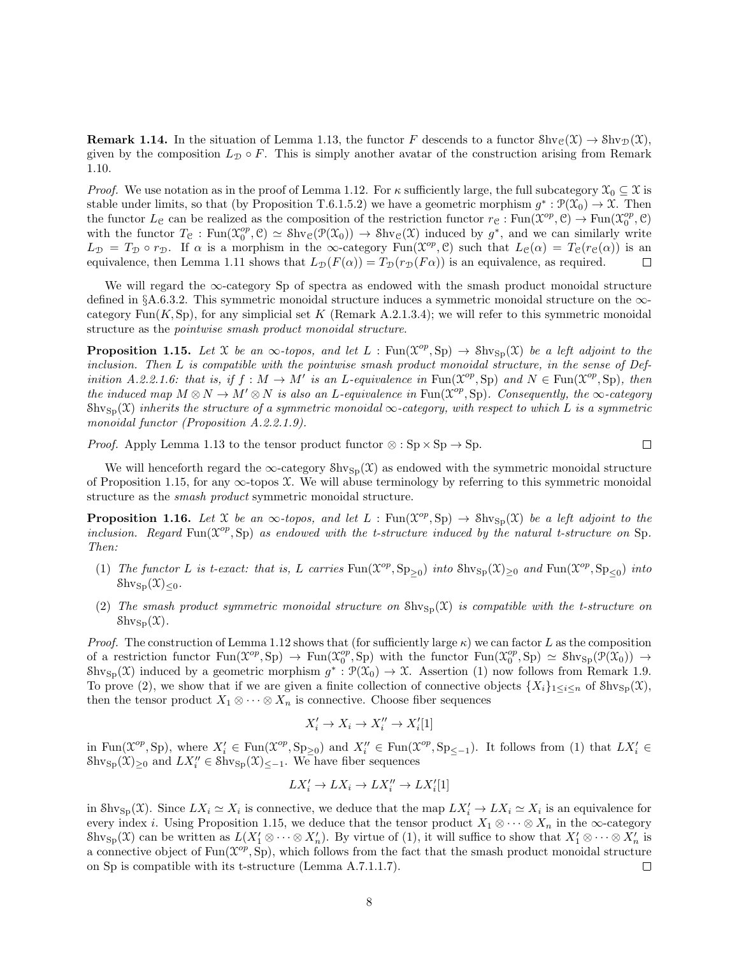**Remark 1.14.** In the situation of Lemma 1.13, the functor F descends to a functor  $\text{Shv}_\mathcal{C}(\mathcal{X}) \to \text{Shv}_\mathcal{D}(\mathcal{X}),$ given by the composition  $L_{\mathcal{D}} \circ F$ . This is simply another avatar of the construction arising from Remark 1.10.

*Proof.* We use notation as in the proof of Lemma 1.12. For  $\kappa$  sufficiently large, the full subcategory  $\mathcal{X}_0 \subseteq \mathcal{X}$  is stable under limits, so that (by Proposition T.6.1.5.2) we have a geometric morphism  $g^*: \mathcal{P}(\mathcal{X}_0) \to \mathcal{X}$ . Then the functor  $L_{\mathcal{C}}$  can be realized as the composition of the restriction functor  $r_{\mathcal{C}} : \text{Fun}(\mathfrak{X}^{op}, \mathcal{C}) \to \text{Fun}(\mathfrak{X}^{op}_{0}, \mathcal{C})$ with the functor  $T_c$ : Fun $(\mathfrak{X}_0^{op}, \mathfrak{C}) \simeq$  Shv $_{\mathfrak{C}}(\mathfrak{P}(\mathfrak{X}_0)) \to$  Shv $_{\mathfrak{C}}(\mathfrak{X})$  induced by  $g^*$ , and we can similarly write  $L_{\mathcal{D}} = T_{\mathcal{D}} \circ r_{\mathcal{D}}$ . If  $\alpha$  is a morphism in the  $\infty$ -category Fun( $\mathcal{X}^{op}, \mathcal{C}$ ) such that  $L_{\mathcal{C}}(\alpha) = T_{\mathcal{C}}(r_{\mathcal{C}}(\alpha))$  is an equivalence, then Lemma 1.11 shows that  $L_{\mathcal{D}}(F(\alpha)) = T_{\mathcal{D}}(r_{\mathcal{D}}(F\alpha))$  is an equivalence, as required. П

We will regard the ∞-category Sp of spectra as endowed with the smash product monoidal structure defined in §A.6.3.2. This symmetric monoidal structure induces a symmetric monoidal structure on the ∞category Fun $(K, Sp)$ , for any simplicial set K (Remark A.2.1.3.4); we will refer to this symmetric monoidal structure as the pointwise smash product monoidal structure.

**Proposition 1.15.** Let X be an  $\infty$ -topos, and let L : Fun( $\mathcal{X}^{op}, Sp$ )  $\to Shv_{Sp}(\mathcal{X})$  be a left adjoint to the inclusion. Then L is compatible with the pointwise smash product monoidal structure, in the sense of Definition A.2.2.1.6: that is, if  $f : M \to M'$  is an L-equivalence in  $\text{Fun}(\mathfrak{X}^{op}, \text{Sp})$  and  $N \in \text{Fun}(\mathfrak{X}^{op}, \text{Sp})$ , then the induced map  $M \otimes N \to M' \otimes N$  is also an L-equivalence in Fun $(\mathcal{X}^{op}, Sp)$ . Consequently, the  $\infty$ -category  $\text{Shv}_{\text{Sh}}(\mathfrak{X})$  inherits the structure of a symmetric monoidal  $\infty$ -category, with respect to which L is a symmetric monoidal functor (Proposition A.2.2.1.9).

*Proof.* Apply Lemma 1.13 to the tensor product functor  $\otimes : Sp \times Sp \to Sp$ .  $\Box$ 

We will henceforth regard the  $\infty$ -category  $\text{Shv}_{\text{Sp}}(\mathfrak{X})$  as endowed with the symmetric monoidal structure of Proposition 1.15, for any  $\infty$ -topos X. We will abuse terminology by referring to this symmetric monoidal structure as the smash product symmetric monoidal structure.

**Proposition 1.16.** Let X be an  $\infty$ -topos, and let L : Fun( $\mathcal{X}^{op}, Sp$ )  $\to Shv_{Sp}(\mathcal{X})$  be a left adjoint to the inclusion. Regard Fun( $\mathcal{X}^{op}$ , Sp) as endowed with the t-structure induced by the natural t-structure on Sp. Then:

- (1) The functor L is t-exact: that is, L carries  $\text{Fun}(\mathfrak{X}^{op}, \text{Sp}_{\geq 0})$  into  $\text{Shv}_{\text{Sp}}(\mathfrak{X})_{\geq 0}$  and  $\text{Fun}(\mathfrak{X}^{op}, \text{Sp}_{\leq 0})$  into  $\mathcal{S}$ hv<sub>Sp</sub> $(\mathfrak{X})_{\leq 0}$ .
- (2) The smash product symmetric monoidal structure on  $\text{Shv}_{\text{Sp}}(\mathfrak{X})$  is compatible with the t-structure on  $\mathcal{S}$ hv<sub>Sp</sub> $(\mathfrak{X})$ .

*Proof.* The construction of Lemma 1.12 shows that (for sufficiently large  $\kappa$ ) we can factor L as the composition of a restriction functor  $\text{Fun}(\mathfrak{X}^{op}, \text{Sp}) \to \text{Fun}(\mathfrak{X}^{op}_0, \text{Sp})$  with the functor  $\text{Fun}(\mathfrak{X}^{op}_0, \text{Sp}) \simeq \text{Shv}_{\text{Sp}}(\mathfrak{P}(\mathfrak{X}_0)) \to$  $\text{Shv}_{\text{Sp}}(\mathfrak{X})$  induced by a geometric morphism  $g^*: \mathfrak{P}(\mathfrak{X}_0) \to \mathfrak{X}$ . Assertion (1) now follows from Remark 1.9. To prove (2), we show that if we are given a finite collection of connective objects  $\{X_i\}_{1\leq i\leq n}$  of  $\text{Shv}_{\text{Sp}}(\mathfrak{X}),$ then the tensor product  $X_1 \otimes \cdots \otimes X_n$  is connective. Choose fiber sequences

$$
X_i' \to X_i \to X_i'' \to X_i'[1]
$$

in Fun( $\mathcal{X}^{op}$ , Sp), where  $X'_i \in \text{Fun}(\mathcal{X}^{op}, \text{Sp}_{\geq 0})$  and  $X''_i \in \text{Fun}(\mathcal{X}^{op}, \text{Sp}_{\leq -1})$ . It follows from (1) that  $LX'_i \in$  $\text{Shv}_{\text{Sp}}(\mathfrak{X})_{\geq 0}$  and  $LX_i'' \in \text{Shv}_{\text{Sp}}(\mathfrak{X})_{\leq -1}$ . We have fiber sequences

$$
LX'_i \to LX_i \to LX''_i \to LX'_i[1]
$$

in  $\text{Shv}_{\text{Sp}}(\mathfrak{X})$ . Since  $L X_i \simeq X_i$  is connective, we deduce that the map  $L X_i' \to L X_i \simeq X_i$  is an equivalence for every index i. Using Proposition 1.15, we deduce that the tensor product  $X_1 \otimes \cdots \otimes X_n$  in the  $\infty$ -category  $\text{Shv}_{\text{Sp}}(\mathfrak{X})$  can be written as  $L(X_1' \otimes \cdots \otimes X_n')$ . By virtue of (1), it will suffice to show that  $X_1' \otimes \cdots \otimes X_n'$  is a connective object of  $\text{Fun}(\mathfrak{X}^{op},\mathop{\mathrm{Sp}})$ , which follows from the fact that the smash product monoidal structure on Sp is compatible with its t-structure (Lemma A.7.1.1.7). □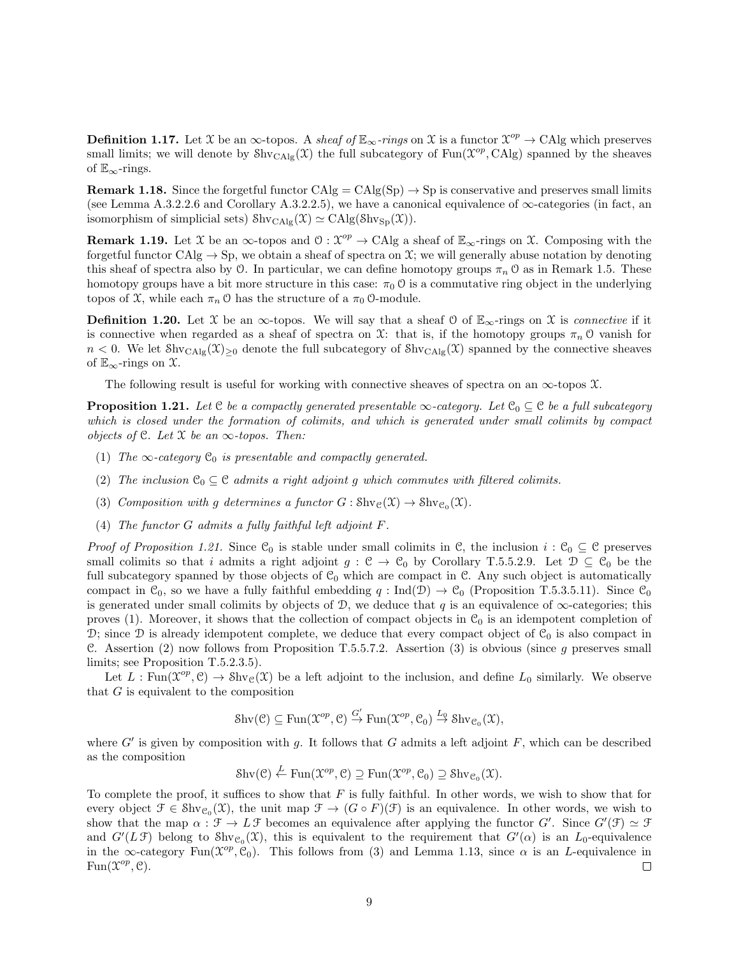**Definition 1.17.** Let X be an  $\infty$ -topos. A sheaf of  $\mathbb{E}_{\infty}$ -rings on X is a functor  $\mathcal{X}^{op} \to \text{CAlg}$  which preserves small limits; we will denote by  $\text{Shv}_{\text{CAlg}}(\mathcal{X})$  the full subcategory of  $\text{Fun}(\mathcal{X}^{op}, \text{CAlg})$  spanned by the sheaves of  $\mathbb{E}_{\infty}$ -rings.

**Remark 1.18.** Since the forgetful functor  $CAlg = CAlg(Sp) \rightarrow Sp$  is conservative and preserves small limits (see Lemma A.3.2.2.6 and Corollary A.3.2.2.5), we have a canonical equivalence of ∞-categories (in fact, an isomorphism of simplicial sets)  $\text{Shv}_{\text{CAlg}}(\mathfrak{X}) \simeq \text{CAlg}(\text{Shv}_{\text{Sp}}(\mathfrak{X})).$ 

**Remark 1.19.** Let X be an  $\infty$ -topos and  $\mathcal{O}: \mathcal{X}^{op} \to \text{CAlg}$  a sheaf of  $\mathbb{E}_{\infty}$ -rings on X. Composing with the forgetful functor CAlg  $\rightarrow$  Sp, we obtain a sheaf of spectra on X; we will generally abuse notation by denoting this sheaf of spectra also by  $\mathcal O$ . In particular, we can define homotopy groups  $\pi_n \mathcal O$  as in Remark 1.5. These homotopy groups have a bit more structure in this case:  $\pi_0$  O is a commutative ring object in the underlying topos of  $\mathfrak{X}$ , while each  $\pi_n \mathfrak{O}$  has the structure of a  $\pi_0 \mathfrak{O}$ -module.

**Definition 1.20.** Let X be an  $\infty$ -topos. We will say that a sheaf 0 of  $\mathbb{E}_{\infty}$ -rings on X is *connective* if it is connective when regarded as a sheaf of spectra on X: that is, if the homotopy groups  $\pi_n$  O vanish for  $n < 0$ . We let Shv<sub>CAlg</sub> $(\mathcal{X})_{\geq 0}$  denote the full subcategory of Shv<sub>CAlg</sub> $(\mathcal{X})$  spanned by the connective sheaves of  $\mathbb{E}_{\infty}$ -rings on  $\mathfrak{X}$ .

The following result is useful for working with connective sheaves of spectra on an  $\infty$ -topos X.

**Proposition 1.21.** Let C be a compactly generated presentable  $\infty$ -category. Let C<sub>0</sub>  $\subseteq$  C be a full subcategory which is closed under the formation of colimits, and which is generated under small colimits by compact objects of  $C$ . Let  $X$  be an  $\infty$ -topos. Then:

- (1) The  $\infty$ -category  $\mathfrak{C}_0$  is presentable and compactly generated.
- (2) The inclusion  $\mathcal{C}_0 \subseteq \mathcal{C}$  admits a right adjoint g which commutes with filtered colimits.
- (3) Composition with g determines a functor  $G: \text{Shv}_{\mathcal{C}}(\mathfrak{X}) \to \text{Shv}_{\mathcal{C}_0}(\mathfrak{X})$ .
- (4) The functor G admits a fully faithful left adjoint F.

*Proof of Proposition 1.21.* Since  $\mathcal{C}_0$  is stable under small colimits in  $\mathcal{C}$ , the inclusion  $i : \mathcal{C}_0 \subseteq \mathcal{C}$  preserves small colimits so that i admits a right adjoint  $g : \mathcal{C} \to \mathcal{C}_0$  by Corollary T.5.5.2.9. Let  $\mathcal{D} \subseteq \mathcal{C}_0$  be the full subcategory spanned by those objects of  $\mathcal{C}_0$  which are compact in  $\mathcal{C}$ . Any such object is automatically compact in  $C_0$ , so we have a fully faithful embedding  $q : \text{Ind}(\mathcal{D}) \to C_0$  (Proposition T.5.3.5.11). Since  $C_0$ is generated under small colimits by objects of  $\mathcal{D}$ , we deduce that q is an equivalence of  $\infty$ -categories; this proves (1). Moreover, it shows that the collection of compact objects in  $\mathcal{C}_0$  is an idempotent completion of D; since D is already idempotent complete, we deduce that every compact object of  $\mathcal{C}_0$  is also compact in C. Assertion (2) now follows from Proposition T.5.5.7.2. Assertion (3) is obvious (since  $g$  preserves small limits; see Proposition T.5.2.3.5).

Let  $L: \text{Fun}(\mathfrak{X}^{op}, \mathfrak{C}) \to \text{Shv}_{\mathfrak{C}}(\mathfrak{X})$  be a left adjoint to the inclusion, and define  $L_0$  similarly. We observe that  $G$  is equivalent to the composition

$$
\mathrm{Shv}(\mathcal{C}) \subseteq \mathrm{Fun}(\mathfrak{X}^{op}, \mathcal{C}) \overset{G'}{\rightarrow} \mathrm{Fun}(\mathfrak{X}^{op}, \mathcal{C}_0) \overset{L_0}{\rightarrow} \mathrm{Shv}_{\mathcal{C}_0}(\mathfrak{X}),
$$

where  $G'$  is given by composition with g. It follows that G admits a left adjoint F, which can be described as the composition

 $\text{Shv}(\mathcal{C}) \stackrel{L}{\leftarrow} \text{Fun}(\mathfrak{X}^{op}, \mathcal{C}) \supseteq \text{Fun}(\mathfrak{X}^{op}, \mathcal{C}_0) \supseteq \text{Shv}_{\mathcal{C}_0}(\mathfrak{X}).$ 

To complete the proof, it suffices to show that  $F$  is fully faithful. In other words, we wish to show that for every object  $\mathcal{F} \in \text{Shv}_{\mathcal{C}_0}(\mathcal{X})$ , the unit map  $\mathcal{F} \to (G \circ F)(\mathcal{F})$  is an equivalence. In other words, we wish to show that the map  $\alpha : \mathcal{F} \to L\mathcal{F}$  becomes an equivalence after applying the functor G'. Since  $G'(\mathcal{F}) \simeq \mathcal{F}$ and  $G'(L\mathcal{F})$  belong to  $\text{Shv}_{\mathcal{C}_0}(\mathcal{X})$ , this is equivalent to the requirement that  $G'(\alpha)$  is an  $L_0$ -equivalence in the  $\infty$ -category Fun( $\mathcal{X}^{op}, \mathcal{C}_0$ ). This follows from (3) and Lemma 1.13, since  $\alpha$  is an L-equivalence in  $Fun(\mathfrak{X}^{op}, \mathfrak{C}).$ □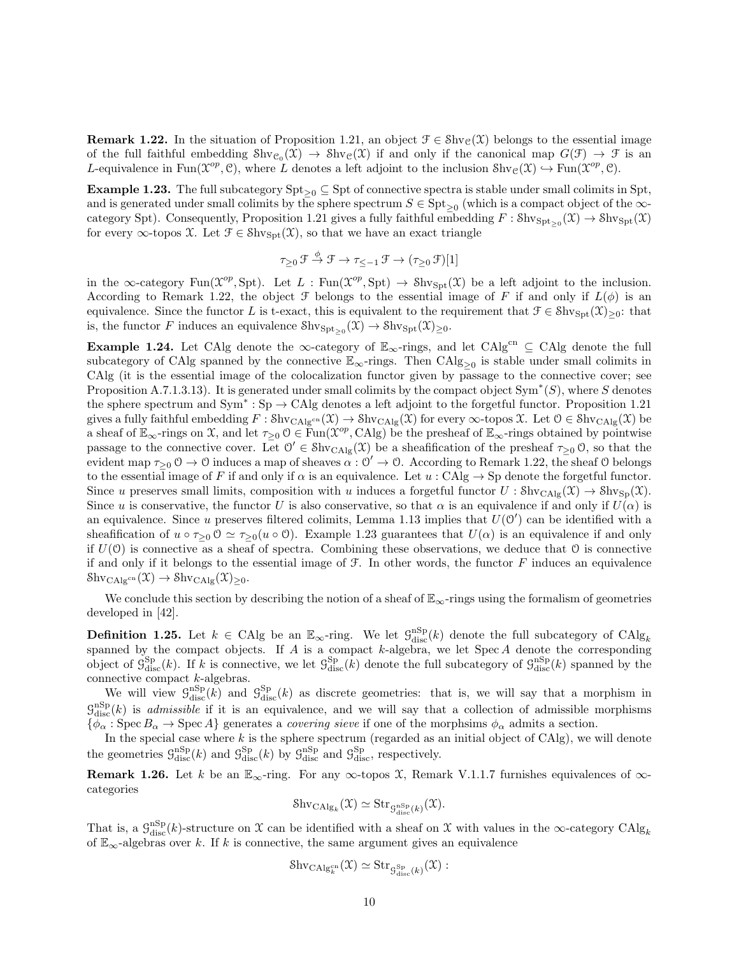**Remark 1.22.** In the situation of Proposition 1.21, an object  $\mathcal{F} \in \text{Shv}_{\mathcal{C}}(\mathcal{X})$  belongs to the essential image of the full faithful embedding  $\text{Shv}_{\mathcal{C}_0}(\mathcal{X}) \to \text{Shv}_{\mathcal{C}}(\mathcal{X})$  if and only if the canonical map  $G(\mathcal{F}) \to \mathcal{F}$  is an L-equivalence in Fun( $\mathcal{X}^{op}, \mathcal{C}$ ), where L denotes a left adjoint to the inclusion  $\text{Shv}_{\mathcal{C}}(\mathcal{X}) \hookrightarrow \text{Fun}(\mathcal{X}^{op}, \mathcal{C})$ .

Example 1.23. The full subcategory  $\text{Spt}_{\geq 0} \subseteq \text{Spt}$  of connective spectra is stable under small colimits in Spt, and is generated under small colimits by the sphere spectrum  $S \in \text{Spt}_{\geq 0}$  (which is a compact object of the  $\infty$ category Spt). Consequently, Proposition 1.21 gives a fully faithful embedding  $F : \text{Shv}_{\text{Spt}\geq 0}(\mathfrak{X}) \to \text{Shv}_{\text{Spt}}(\mathfrak{X})$ for every  $\infty$ -topos X. Let  $\mathcal{F} \in \text{Shv}_{\text{Spt}}(\mathcal{X})$ , so that we have an exact triangle

$$
\tau_{\geq 0} \mathcal{F} \xrightarrow{\phi} \mathcal{F} \to \tau_{\leq -1} \mathcal{F} \to (\tau_{\geq 0} \mathcal{F})[1]
$$

in the  $\infty$ -category Fun( $\mathcal{X}^{op}$ , Spt). Let L : Fun( $\mathcal{X}^{op}$ , Spt)  $\rightarrow$  Shv<sub>Spt</sub>( $\mathcal{X}$ ) be a left adjoint to the inclusion. According to Remark 1.22, the object  $\mathcal F$  belongs to the essential image of F if and only if  $L(\phi)$  is an equivalence. Since the functor L is t-exact, this is equivalent to the requirement that  $\mathcal{F} \in \text{Shv}_{\text{Spt}}(\mathfrak{X})_{\geq 0}$ : that is, the functor F induces an equivalence  $\text{Shv}_{\text{Spt}\geq 0}(\mathfrak{X}) \to \text{Shv}_{\text{Spt}}(\mathfrak{X})_{\geq 0}$ .

Example 1.24. Let CAlg denote the  $\infty$ -category of  $\mathbb{E}_{\infty}$ -rings, and let CAlg<sup>cn</sup>  $\subseteq$  CAlg denote the full subcategory of CAlg spanned by the connective  $\mathbb{E}_{\infty}$ -rings. Then  $\text{CAlg}_{\geq 0}$  is stable under small colimits in CAlg (it is the essential image of the colocalization functor given by passage to the connective cover; see Proposition A.7.1.3.13). It is generated under small colimits by the compact object  $Sym^*(S)$ , where S denotes the sphere spectrum and  $Sym^* : Sp \to CA$ lg denotes a left adjoint to the forgetful functor. Proposition 1.21 gives a fully faithful embedding  $F : \text{Shv}_{\text{CAlg}^{\text{cn}}}(\mathfrak{X}) \to \text{Shv}_{\text{CAlg}}(\mathfrak{X})$  for every  $\infty$ -topos  $\mathfrak{X}$ . Let  $\mathfrak{O} \in \text{Shv}_{\text{CAlg}}(\mathfrak{X})$  be a sheaf of  $\mathbb{E}_{\infty}$ -rings on X, and let  $\tau_{\geq 0}$  O  $\in \text{Fun}(\mathcal{X}^{op}, \text{CAlg})$  be the presheaf of  $\mathbb{E}_{\infty}$ -rings obtained by pointwise passage to the connective cover. Let  $0' \in Shv_{CAlg}(\mathcal{X})$  be a sheafification of the presheaf  $\tau_{\geq 0}$  0, so that the evident map  $\tau_{\geq 0}$   $0 \to 0$  induces a map of sheaves  $\alpha : 0' \to 0$ . According to Remark 1.22, the sheaf 0 belongs to the essential image of F if and only if  $\alpha$  is an equivalence. Let  $u : \mathrm{CAlg} \to \mathrm{Sp}$  denote the forgetful functor. Since u preserves small limits, composition with u induces a forgetful functor  $U : \text{Shv}_{\text{CAlg}}(\mathfrak{X}) \to \text{Shv}_{\text{Sp}}(\mathfrak{X}).$ Since u is conservative, the functor U is also conservative, so that  $\alpha$  is an equivalence if and only if  $U(\alpha)$  is an equivalence. Since u preserves filtered colimits, Lemma 1.13 implies that  $U(0')$  can be identified with a sheafification of  $u \circ \tau_{>0} 0 \simeq \tau_{>0}(u \circ 0)$ . Example 1.23 guarantees that  $U(\alpha)$  is an equivalence if and only if  $U(0)$  is connective as a sheaf of spectra. Combining these observations, we deduce that  $0$  is connective if and only if it belongs to the essential image of  $\mathcal F$ . In other words, the functor  $F$  induces an equivalence  $\text{Shv}_{\text{CAlg}^{\text{cn}}}(\mathfrak{X}) \to \text{Shv}_{\text{CAlg}}(\mathfrak{X})_{\geq 0}.$ 

We conclude this section by describing the notion of a sheaf of  $\mathbb{E}_{\infty}$ -rings using the formalism of geometries developed in [42].

**Definition 1.25.** Let  $k \in \text{CAlg}$  be an  $\mathbb{E}_{\infty}$ -ring. We let  $\mathcal{G}_{\text{disc}}^{\text{nSp}}(k)$  denote the full subcategory of  $\text{CAlg}_k$ spanned by the compact objects. If A is a compact k-algebra, we let  $Spec A$  denote the corresponding object of  $\mathcal{G}_{\text{disc}}^{\text{Sp}}(k)$ . If k is connective, we let  $\mathcal{G}_{\text{disc}}^{\text{Sp}}(k)$  denote the full subcategory of  $\mathcal{G}_{\text{disc}}^{\text{NSp}}(k)$  spanned by the connective compact k-algebras.

We will view  $\mathcal{G}_{\text{disc}}^{\text{1SP}}(k)$  and  $\mathcal{G}_{\text{disc}}^{\text{Sp}}(k)$  as discrete geometries: that is, we will say that a morphism in  $\mathcal{G}_{\text{disc}}^{\text{nSp}}(k)$  is *admissible* if it is an equivalence, and we will say that a collection of admissible morphisms  ${\phi_\alpha : \operatorname{Spec} B_\alpha \to \operatorname{Spec} A}$  generates a *covering sieve* if one of the morphsims  ${\phi_\alpha}$  admits a section.

In the special case where  $k$  is the sphere spectrum (regarded as an initial object of CAlg), we will denote the geometries  $\mathcal{G}_{\text{disc}}^{\text{nSp}}(k)$  and  $\mathcal{G}_{\text{disc}}^{\text{Sp}}(k)$  by  $\mathcal{G}_{\text{disc}}^{\text{nSp}}$  and  $\mathcal{G}_{\text{disc}}^{\text{Sp}}$ , respectively.

Remark 1.26. Let k be an  $\mathbb{E}_{\infty}$ -ring. For any  $\infty$ -topos X, Remark V.1.1.7 furnishes equivalences of  $\infty$ categories

$$
\mathrm{Shv}_{\mathrm{CAlg}_k}(\mathfrak{X}) \simeq \mathrm{Str}_{\mathcal{G}_{\mathrm{disc}}^{\mathrm{nSp}}(k)}(\mathfrak{X}).
$$

That is, a  $\mathcal{G}_{\text{disc}}^{\text{nSp}}(k)$ -structure on X can be identified with a sheaf on X with values in the  $\infty$ -category CAlg<sub>k</sub> of  $\mathbb{E}_{\infty}$ -algebras over k. If k is connective, the same argument gives an equivalence

$$
\mathrm{Shv}_{\mathrm{CAlg}_{k}^{\mathrm{cn}}}(\mathfrak{X}) \simeq \mathrm{Str}_{\mathcal{G}_{\mathrm{disc}}^{\mathrm{Sp}}(k)}(\mathfrak{X}):
$$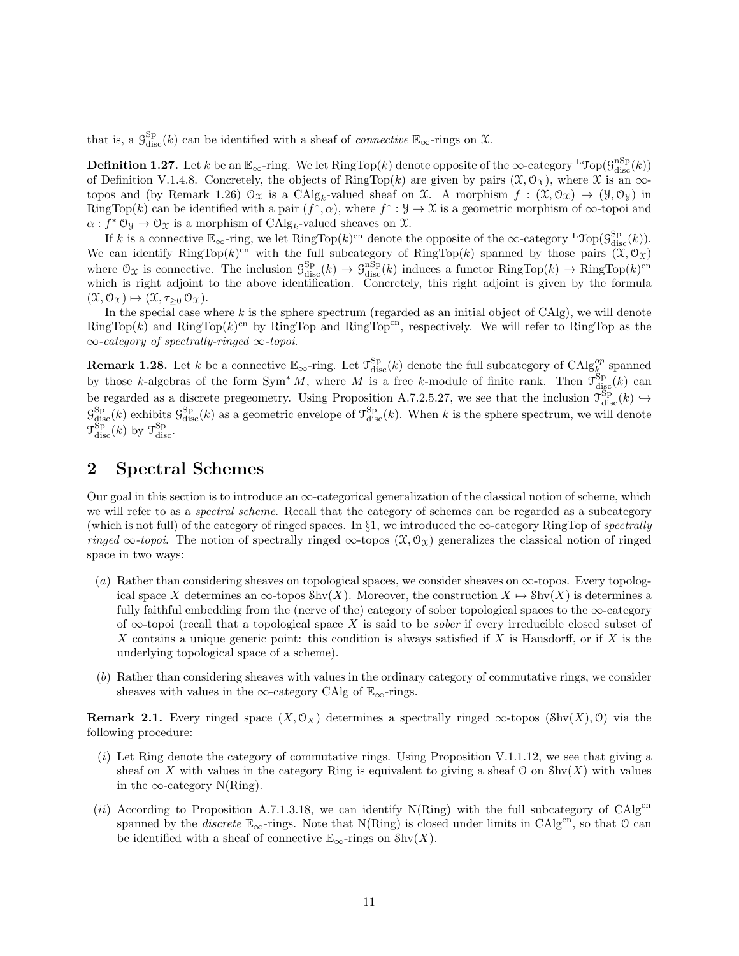that is, a  $\mathcal{G}_{\text{disc}}^{\text{Sp}}(k)$  can be identified with a sheaf of *connective*  $\mathbb{E}_{\infty}$ -rings on  $\mathfrak{X}$ .

**Definition 1.27.** Let k be an  $\mathbb{E}_{\infty}$ -ring. We let  $\text{RingTop}(k)$  denote opposite of the  $\infty$ -category  ${}^{\text{L}}\text{Top}(\mathcal{G}_{\text{disc}}^{\text{nSp}}(k))$ of Definition V.1.4.8. Concretely, the objects of RingTop(k) are given by pairs  $(\mathfrak{X}, \mathfrak{O}_{\mathfrak{X}})$ , where  $\mathfrak{X}$  is an  $\infty$ topos and (by Remark 1.26)  $\mathcal{O}_{\mathfrak{X}}$  is a CAlg<sub>k</sub>-valued sheaf on  $\mathfrak{X}$ . A morphism  $f : (\mathfrak{X}, \mathcal{O}_{\mathfrak{X}}) \to (\mathcal{Y}, \mathcal{O}_{\mathcal{Y}})$  in RingTop(k) can be identified with a pair  $(f^*, \alpha)$ , where  $f^* : \mathcal{Y} \to \mathcal{X}$  is a geometric morphism of  $\infty$ -topoi and  $\alpha: f^* \mathfrak{O}_\mathfrak{Y} \to \mathfrak{O}_\mathfrak{X}$  is a morphism of  $\mathrm{CAlg}_k$ -valued sheaves on  $\mathfrak{X}$ .

If k is a connective  $\mathbb{E}_{\infty}$ -ring, we let RingTop(k)<sup>cn</sup> denote the opposite of the  $\infty$ -category <sup>L</sup>Top( $\mathcal{G}_{disc}^{Sp}(k)$ ). We can identify RingTop(k)<sup>cn</sup> with the full subcategory of RingTop(k) spanned by those pairs  $(\mathfrak{X}, \mathfrak{O}_\mathfrak{X})$ where  $\mathcal{O}_{\mathcal{X}}$  is connective. The inclusion  $\mathcal{G}_{\text{disc}}^{\text{Sp}}(k) \to \mathcal{G}_{\text{disc}}^{\text{nSp}}(k)$  induces a functor  $\text{RingTop}(k) \to \text{RingTop}(k)^{\text{cn}}$ which is right adjoint to the above identification. Concretely, this right adjoint is given by the formula  $(\mathfrak{X}, \mathfrak{O}_{\mathfrak{X}}) \mapsto (\mathfrak{X}, \tau_{\geq 0} \mathfrak{O}_{\mathfrak{X}}).$ 

In the special case where  $k$  is the sphere spectrum (regarded as an initial object of CAlg), we will denote  $RingTop(k)$  and  $RingTop(k)^{cn}$  by RingTop and RingTop<sup>cn</sup>, respectively. We will refer to RingTop as the ∞-category of spectrally-ringed ∞-topoi.

**Remark 1.28.** Let k be a connective  $\mathbb{E}_{\infty}$ -ring. Let  $\mathcal{T}_{\text{disc}}^{\text{Sp}}(k)$  denote the full subcategory of  $\text{CAlg}_{k}^{op}$  spanned by those k-algebras of the form  $Sym^* M$ , where M is a free k-module of finite rank. Then  $\mathcal{T}^{Sp}_{\text{disc}}(k)$  can be regarded as a discrete pregeometry. Using Proposition A.7.2.5.27, we see that the inclusion  $\mathcal{T}^{\text{Sp}}_{\text{disc}}(k) \hookrightarrow$  $\mathcal{G}_{\text{disc}}^{\text{Sp}}(k)$  exhibits  $\mathcal{G}_{\text{disc}}^{\text{Sp}}(k)$  as a geometric envelope of  $\mathcal{T}_{\text{disc}}^{\text{Sp}}(k)$ . When k is the sphere spectrum, we will denote  $\mathcal{T}_{\text{disc}}^{\text{Sp}}(k)$  by  $\mathcal{T}_{\text{disc}}^{\text{Sp}}$ .

# 2 Spectral Schemes

Our goal in this section is to introduce an  $\infty$ -categorical generalization of the classical notion of scheme, which we will refer to as a *spectral scheme*. Recall that the category of schemes can be regarded as a subcategory (which is not full) of the category of ringed spaces. In §1, we introduced the  $\infty$ -category RingTop of spectrally ringed  $\infty$ -topoi. The notion of spectrally ringed  $\infty$ -topos  $(\mathfrak{X}, \mathcal{O}_\mathfrak{X})$  generalizes the classical notion of ringed space in two ways:

- (a) Rather than considering sheaves on topological spaces, we consider sheaves on ∞-topos. Every topological space X determines an  $\infty$ -topos Shv(X). Moreover, the construction  $X \mapsto \text{Shv}(X)$  is determines a fully faithful embedding from the (nerve of the) category of sober topological spaces to the  $\infty$ -category of  $\infty$ -topoi (recall that a topological space X is said to be *sober* if every irreducible closed subset of X contains a unique generic point: this condition is always satisfied if X is Hausdorff, or if X is the underlying topological space of a scheme).
- (b) Rather than considering sheaves with values in the ordinary category of commutative rings, we consider sheaves with values in the ∞-category CAlg of  $\mathbb{E}_{\infty}$ -rings.

**Remark 2.1.** Every ringed space  $(X, \mathcal{O}_X)$  determines a spectrally ringed  $\infty$ -topos (Shv $(X), \mathcal{O}$ ) via the following procedure:

- $(i)$  Let Ring denote the category of commutative rings. Using Proposition V.1.1.12, we see that giving a sheaf on X with values in the category Ring is equivalent to giving a sheaf  $\mathcal O$  on  $\text{Shv}(X)$  with values in the  $\infty$ -category N(Ring).
- (ii) According to Proposition A.7.1.3.18, we can identify  $N(Ring)$  with the full subcategory of CAlg<sup>cn</sup> spanned by the *discrete*  $\mathbb{E}_{\infty}$ -rings. Note that N(Ring) is closed under limits in CAlg<sup>cn</sup>, so that 0 can be identified with a sheaf of connective  $\mathbb{E}_{\infty}$ -rings on  $\text{Shv}(X)$ .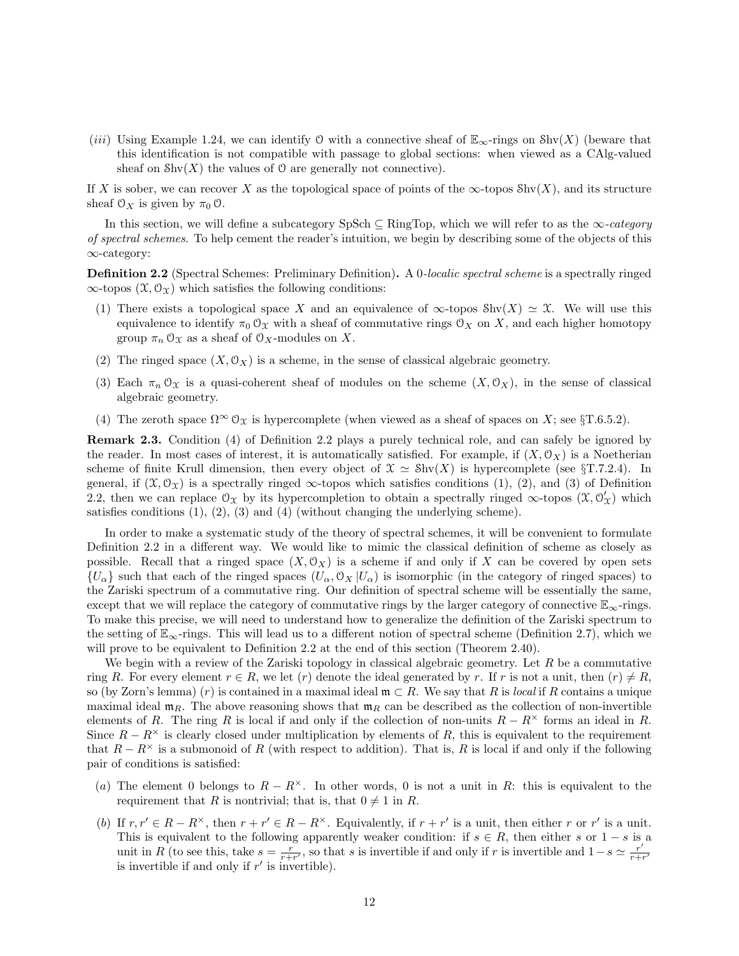(*iii*) Using Example 1.24, we can identify O with a connective sheaf of  $\mathbb{E}_{\infty}$ -rings on Shv(X) (beware that this identification is not compatible with passage to global sections: when viewed as a CAlg-valued sheaf on  $\text{Shv}(X)$  the values of 0 are generally not connective).

If X is sober, we can recover X as the topological space of points of the  $\infty$ -topos Shv(X), and its structure sheaf  $\mathcal{O}_X$  is given by  $\pi_0 \mathcal{O}$ .

In this section, we will define a subcategory SpSch  $\subseteq$  RingTop, which we will refer to as the  $\infty$ -category of spectral schemes. To help cement the reader's intuition, we begin by describing some of the objects of this ∞-category:

Definition 2.2 (Spectral Schemes: Preliminary Definition). A 0-localic spectral scheme is a spectrally ringed  $\infty$ -topos  $(\mathfrak{X}, \mathcal{O}_{\mathfrak{X}})$  which satisfies the following conditions:

- (1) There exists a topological space X and an equivalence of  $\infty$ -topos Shv $(X) \simeq \mathfrak{X}$ . We will use this equivalence to identify  $\pi_0 \mathcal{O}_X$  with a sheaf of commutative rings  $\mathcal{O}_X$  on X, and each higher homotopy group  $\pi_n \mathcal{O}_X$  as a sheaf of  $\mathcal{O}_X$ -modules on X.
- (2) The ringed space  $(X, \mathcal{O}_X)$  is a scheme, in the sense of classical algebraic geometry.
- (3) Each  $\pi_n \mathcal{O}_\mathfrak{X}$  is a quasi-coherent sheaf of modules on the scheme  $(X, \mathcal{O}_X)$ , in the sense of classical algebraic geometry.
- (4) The zeroth space  $\Omega^{\infty} \mathcal{O}_{\mathfrak{X}}$  is hypercomplete (when viewed as a sheaf of spaces on X; see §T.6.5.2).

Remark 2.3. Condition (4) of Definition 2.2 plays a purely technical role, and can safely be ignored by the reader. In most cases of interest, it is automatically satisfied. For example, if  $(X, \mathcal{O}_X)$  is a Noetherian scheme of finite Krull dimension, then every object of  $\mathfrak{X} \simeq \text{Shv}(X)$  is hypercomplete (see §T.7.2.4). In general, if  $(\mathfrak{X}, \mathcal{O}_{\mathfrak{X}})$  is a spectrally ringed  $\infty$ -topos which satisfies conditions (1), (2), and (3) of Definition 2.2, then we can replace  $\mathcal{O}_{\mathfrak{X}}$  by its hypercompletion to obtain a spectrally ringed  $\infty$ -topos  $(\mathfrak{X}, \mathcal{O}'_{\mathfrak{X}})$  which satisfies conditions  $(1), (2), (3)$  and  $(4)$  (without changing the underlying scheme).

In order to make a systematic study of the theory of spectral schemes, it will be convenient to formulate Definition 2.2 in a different way. We would like to mimic the classical definition of scheme as closely as possible. Recall that a ringed space  $(X, \mathcal{O}_X)$  is a scheme if and only if X can be covered by open sets  ${U_\alpha}$  such that each of the ringed spaces  $(U_\alpha, \mathcal{O}_X | U_\alpha)$  is isomorphic (in the category of ringed spaces) to the Zariski spectrum of a commutative ring. Our definition of spectral scheme will be essentially the same, except that we will replace the category of commutative rings by the larger category of connective  $\mathbb{E}_{\infty}$ -rings. To make this precise, we will need to understand how to generalize the definition of the Zariski spectrum to the setting of E∞-rings. This will lead us to a different notion of spectral scheme (Definition 2.7), which we will prove to be equivalent to Definition 2.2 at the end of this section (Theorem 2.40).

We begin with a review of the Zariski topology in classical algebraic geometry. Let  $R$  be a commutative ring R. For every element  $r \in R$ , we let  $(r)$  denote the ideal generated by r. If r is not a unit, then  $(r) \neq R$ , so (by Zorn's lemma) (r) is contained in a maximal ideal  $\mathfrak{m} \subset R$ . We say that R is local if R contains a unique maximal ideal  $m_R$ . The above reasoning shows that  $m_R$  can be described as the collection of non-invertible elements of R. The ring R is local if and only if the collection of non-units  $R - R^{\times}$  forms an ideal in R. Since  $R - R^{\times}$  is clearly closed under multiplication by elements of R, this is equivalent to the requirement that  $R - R^{\times}$  is a submonoid of R (with respect to addition). That is, R is local if and only if the following pair of conditions is satisfied:

- (a) The element 0 belongs to  $R R^{\times}$ . In other words, 0 is not a unit in R: this is equivalent to the requirement that R is nontrivial; that is, that  $0 \neq 1$  in R.
- (b) If  $r, r' \in R R^{\times}$ , then  $r + r' \in R R^{\times}$ . Equivalently, if  $r + r'$  is a unit, then either r or r' is a unit. This is equivalent to the following apparently weaker condition: if  $s \in R$ , then either s or  $1-s$  is a unit in R (to see this, take  $s = \frac{r}{r+r}$ , so that s is invertible if and only if r is invertible and  $1-s \simeq \frac{r'}{r+s}$  $\overline{r+r'}$ is invertible if and only if  $r'$  is invertible).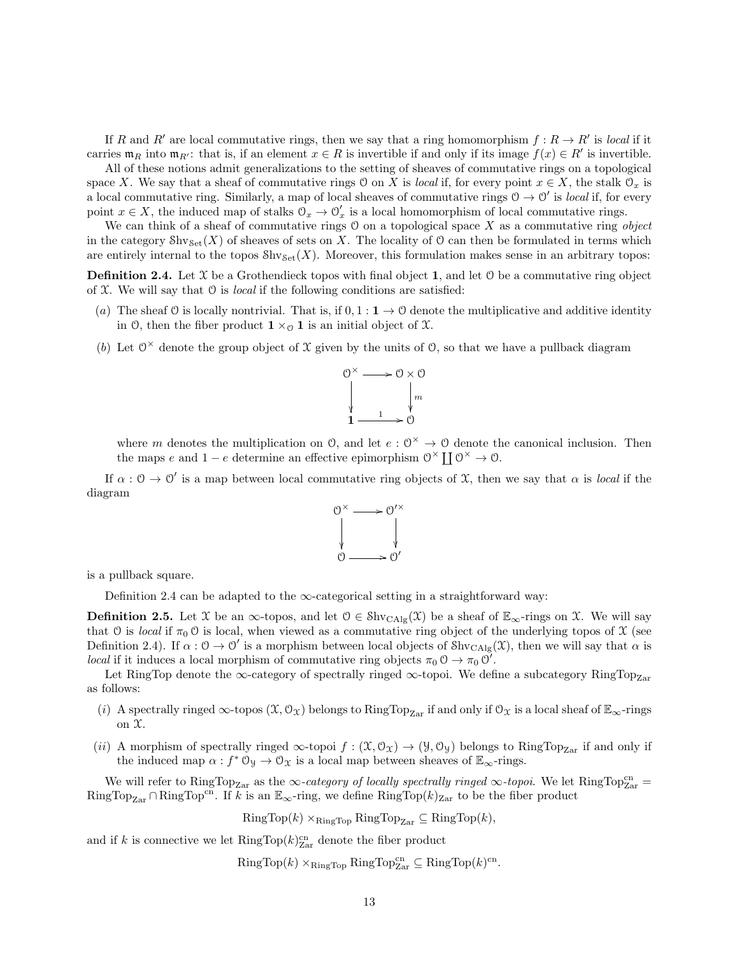If R and R' are local commutative rings, then we say that a ring homomorphism  $f : R \to R'$  is local if it carries  $\mathfrak{m}_R$  into  $\mathfrak{m}_{R'}$ : that is, if an element  $x \in R$  is invertible if and only if its image  $f(x) \in R'$  is invertible.

All of these notions admit generalizations to the setting of sheaves of commutative rings on a topological space X. We say that a sheaf of commutative rings O on X is local if, for every point  $x \in X$ , the stalk  $\mathcal{O}_x$  is a local commutative ring. Similarly, a map of local sheaves of commutative rings  $0 \to 0'$  is local if, for every point  $x \in X$ , the induced map of stalks  $\mathcal{O}_x \to \mathcal{O}'_x$  is a local homomorphism of local commutative rings.

We can think of a sheaf of commutative rings  $\theta$  on a topological space X as a commutative ring object in the category  $\text{Shv}_{\text{Set}}(X)$  of sheaves of sets on X. The locality of O can then be formulated in terms which are entirely internal to the topos  $\text{Shv}_{\text{Set}}(X)$ . Moreover, this formulation makes sense in an arbitrary topos:

**Definition 2.4.** Let  $\mathcal{X}$  be a Grothendieck topos with final object 1, and let  $\mathcal{O}$  be a commutative ring object of  $X$ . We will say that  $\mathcal O$  is *local* if the following conditions are satisfied:

- (a) The sheaf O is locally nontrivial. That is, if  $0, 1 : \mathbf{1} \to \mathbf{0}$  denote the multiplicative and additive identity in 0, then the fiber product  $1 \times_{\mathcal{O}} 1$  is an initial object of X.
- (b) Let  $0^{\times}$  denote the group object of X given by the units of 0, so that we have a pullback diagram



where m denotes the multiplication on  $\mathcal{O}$ , and let  $e : \mathcal{O}^{\times} \to \mathcal{O}$  denote the canonical inclusion. Then the maps e and  $1 - e$  determine an effective epimorphism  $\mathcal{O}^{\times} \coprod \mathcal{O}^{\times} \to \mathcal{O}$ .

If  $\alpha$ :  $0 \to 0'$  is a map between local commutative ring objects of X, then we say that  $\alpha$  is *local* if the diagram



is a pullback square.

Definition 2.4 can be adapted to the  $\infty$ -categorical setting in a straightforward way:

**Definition 2.5.** Let X be an  $\infty$ -topos, and let  $0 \in Shv_{CAlg}(\mathcal{X})$  be a sheaf of  $\mathbb{E}_{\infty}$ -rings on X. We will say that O is local if  $\pi_0$  O is local, when viewed as a commutative ring object of the underlying topos of X (see Definition 2.4). If  $\alpha: \mathcal{O} \to \mathcal{O}'$  is a morphism between local objects of  $\text{Shv}_{\text{CAlg}}(\mathcal{X})$ , then we will say that  $\alpha$  is *local* if it induces a local morphism of commutative ring objects  $\pi_0 \n\circ \rightarrow \pi_0 \n\circ'$ .

Let RingTop denote the  $\infty$ -category of spectrally ringed  $\infty$ -topoi. We define a subcategory RingTop<sub>Zar</sub> as follows:

- (i) A spectrally ringed  $\infty$ -topos  $(\mathfrak{X}, \mathcal{O}_{\mathfrak{X}})$  belongs to RingTop<sub>Zar</sub> if and only if  $\mathcal{O}_{\mathfrak{X}}$  is a local sheaf of  $\mathbb{E}_{\infty}$ -rings on  $\mathfrak{X}.$
- (ii) A morphism of spectrally ringed  $\infty$ -topoi  $f : (\mathfrak{X}, \mathcal{O}_{\mathfrak{X}}) \to (\mathcal{Y}, \mathcal{O}_{\mathfrak{Y}})$  belongs to RingTop<sub>Zar</sub> if and only if the induced map  $\alpha : f^* \mathcal{O}_\mathcal{Y} \to \mathcal{O}_\mathcal{X}$  is a local map between sheaves of  $\mathbb{E}_\infty$ -rings.

We will refer to  $\text{RingTop}_{\text{Zar}}$  as the  $\infty$ -category of locally spectrally ringed  $\infty$ -topoi. We let  $\text{RingTop}_{\text{Zar}}^{\text{cn}}$ RingTop<sub>Zar</sub> ∩ RingTop<sup>cn</sup>. If k is an  $\mathbb{E}_{\infty}$ -ring, we define RingTop(k)<sub>Zar</sub> to be the fiber product

 $RingTop(k) \times_{RingTop} RingTop_{Zar} \subseteq RingTop(k)$ .

and if k is connective we let  $\mathrm{RingTop}(k)_{\mathrm{Zar}}^{\mathrm{cn}}$  denote the fiber product

 $\mathrm{RingTop}(k) \times_{\mathrm{RingTop}} \mathrm{RingTop}^{\mathrm{cn}}_{\mathrm{Zar}} \subseteq \mathrm{RingTop}(k)^{\mathrm{cn}}.$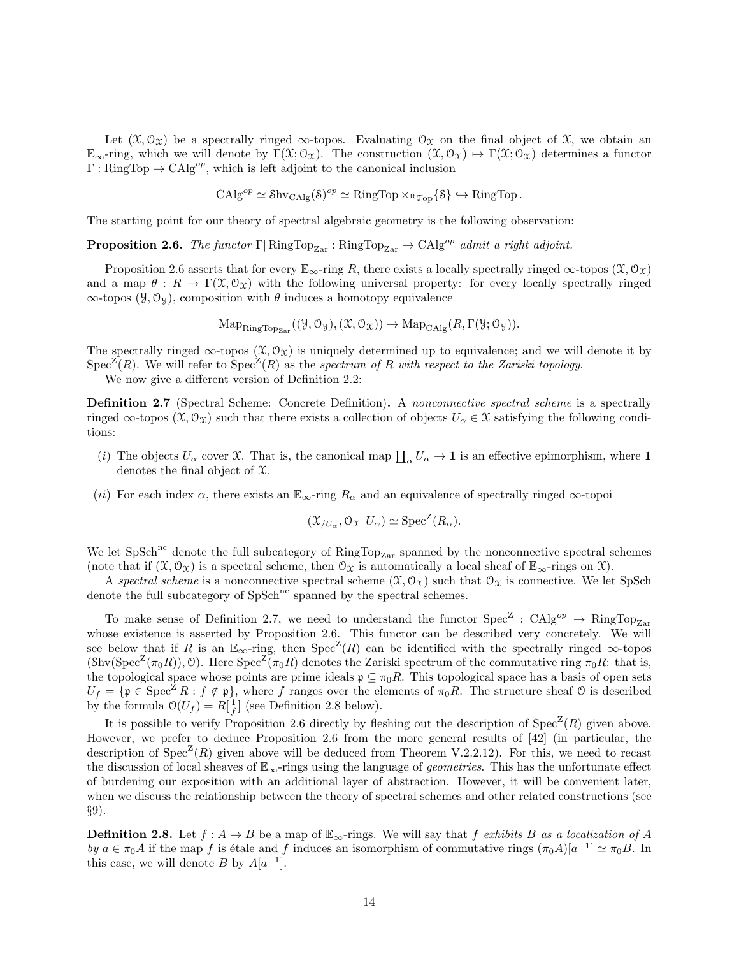Let  $(\mathfrak{X}, \mathfrak{O}_{\mathfrak{X}})$  be a spectrally ringed  $\infty$ -topos. Evaluating  $\mathfrak{O}_{\mathfrak{X}}$  on the final object of  $\mathfrak{X}$ , we obtain an  $\mathbb{E}_{\infty}$ -ring, which we will denote by  $\Gamma(\mathfrak{X}; \mathcal{O}_{\mathfrak{X}})$ . The construction  $(\mathfrak{X}, \mathcal{O}_{\mathfrak{X}}) \mapsto \Gamma(\mathfrak{X}; \mathcal{O}_{\mathfrak{X}})$  determines a functor  $\Gamma : \text{RingTop} \to \text{CAlg}^{op}$ , which is left adjoint to the canonical inclusion

$$
CAlg^{op} \simeq \mathrm{Shv}_{\mathrm{CAlg}}(\mathrm{S})^{op} \simeq \mathrm{RingTop} \times_{\mathrm{RTop}} \{\mathrm{S}\} \hookrightarrow \mathrm{RingTop}.
$$

The starting point for our theory of spectral algebraic geometry is the following observation:

**Proposition 2.6.** The functor  $\Gamma$  RingTop<sub>Zar</sub> : RingTop<sub>Zar</sub>  $\rightarrow$  CAlg<sup>op</sup> admit a right adjoint.

Proposition 2.6 asserts that for every  $\mathbb{E}_{\infty}$ -ring R, there exists a locally spectrally ringed  $\infty$ -topos  $(\mathfrak{X}, \mathcal{O}_{\mathfrak{X}})$ and a map  $\theta : R \to \Gamma(\mathfrak{X}, \mathcal{O}_\mathfrak{X})$  with the following universal property: for every locally spectrally ringed  $\infty$ -topos (y, O<sub>y</sub>), composition with  $\theta$  induces a homotopy equivalence

 $\text{Map}_{\text{RingTop}_{\text{Zar}}}((\mathcal{Y}, \mathcal{O}_{\mathcal{Y}}),(\mathcal{X}, \mathcal{O}_{\mathcal{X}})) \to \text{Map}_{\text{CAlg}}(R, \Gamma(\mathcal{Y}; \mathcal{O}_{\mathcal{Y}})).$ 

The spectrally ringed  $\infty$ -topos  $(\mathfrak{X}, \mathcal{O}_{\mathfrak{X}})$  is uniquely determined up to equivalence; and we will denote it by  $Spec^Z(R)$ . We will refer to  $Spec^Z(R)$  as the spectrum of R with respect to the Zariski topology.

We now give a different version of Definition 2.2:

**Definition 2.7** (Spectral Scheme: Concrete Definition). A nonconnective spectral scheme is a spectrally ringed  $\infty$ -topos  $(\mathfrak{X}, \mathfrak{O}_{\mathfrak{X}})$  such that there exists a collection of objects  $U_{\alpha} \in \mathfrak{X}$  satisfying the following conditions:

- (i) The objects  $U_{\alpha}$  cover X. That is, the canonical map  $\prod_{\alpha} U_{\alpha} \to \mathbf{1}$  is an effective epimorphism, where  $\mathbf{1}$ denotes the final object of X.
- (ii) For each index  $\alpha$ , there exists an  $\mathbb{E}_{\infty}$ -ring  $R_{\alpha}$  and an equivalence of spectrally ringed  $\infty$ -topoi

$$
(\mathfrak{X}_{/U_{\alpha}}, \mathfrak{O}_{\mathfrak{X}} | U_{\alpha}) \simeq \mathrm{Spec}^{\mathbb{Z}}(R_{\alpha}).
$$

We let  $SpSch<sup>nc</sup>$  denote the full subcategory of  $RingTop<sub>Zar</sub>$  spanned by the nonconnective spectral schemes (note that if  $(\mathfrak{X}, \mathcal{O}_{\mathfrak{X}})$  is a spectral scheme, then  $\mathcal{O}_{\mathfrak{X}}$  is automatically a local sheaf of  $\mathbb{E}_{\infty}$ -rings on  $\mathfrak{X}$ ).

A spectral scheme is a nonconnective spectral scheme  $(\mathfrak{X}, \mathcal{O}_{\mathfrak{X}})$  such that  $\mathcal{O}_{\mathfrak{X}}$  is connective. We let SpSch denote the full subcategory of  $SpSch<sup>nc</sup>$  spanned by the spectral schemes.

To make sense of Definition 2.7, we need to understand the functor  $Spec^Z : Calg^{op} \to RingTop_{Zar}$ whose existence is asserted by Proposition 2.6. This functor can be described very concretely. We will see below that if R is an  $\mathbb{E}_{\infty}$ -ring, then  $\text{Spec}^{\mathbb{Z}}(R)$  can be identified with the spectrally ringed  $\infty$ -topos  $(\text{Shv}(Spec^Z(\pi_0 R)), \mathcal{O})$ . Here  $Spec^Z(\pi_0 R)$  denotes the Zariski spectrum of the commutative ring  $\pi_0 R$ : that is, the topological space whose points are prime ideals  $\mathfrak{p} \subseteq \pi_0 R$ . This topological space has a basis of open sets  $U_f = {\mathfrak{p} \in \text{Spec}^Z R : f \notin \mathfrak{p}}$ , where f ranges over the elements of  $\pi_0 R$ . The structure sheaf  $\mathfrak O$  is described by the formula  $\mathcal{O}(U_f) = R[\frac{1}{f}]$  (see Definition 2.8 below).

It is possible to verify Proposition 2.6 directly by fleshing out the description of  $Spec^Z(R)$  given above. However, we prefer to deduce Proposition 2.6 from the more general results of [42] (in particular, the description of  $Spec^Z(R)$  given above will be deduced from Theorem V.2.2.12). For this, we need to recast the discussion of local sheaves of  $\mathbb{E}_{\infty}$ -rings using the language of *geometries*. This has the unfortunate effect of burdening our exposition with an additional layer of abstraction. However, it will be convenient later, when we discuss the relationship between the theory of spectral schemes and other related constructions (see §9).

**Definition 2.8.** Let  $f : A \to B$  be a map of  $\mathbb{E}_{\infty}$ -rings. We will say that f exhibits B as a localization of A by  $a \in \pi_0 A$  if the map f is étale and f induces an isomorphism of commutative rings  $(\pi_0 A)[a^{-1}] \simeq \pi_0 B$ . In this case, we will denote B by  $A[a^{-1}]$ .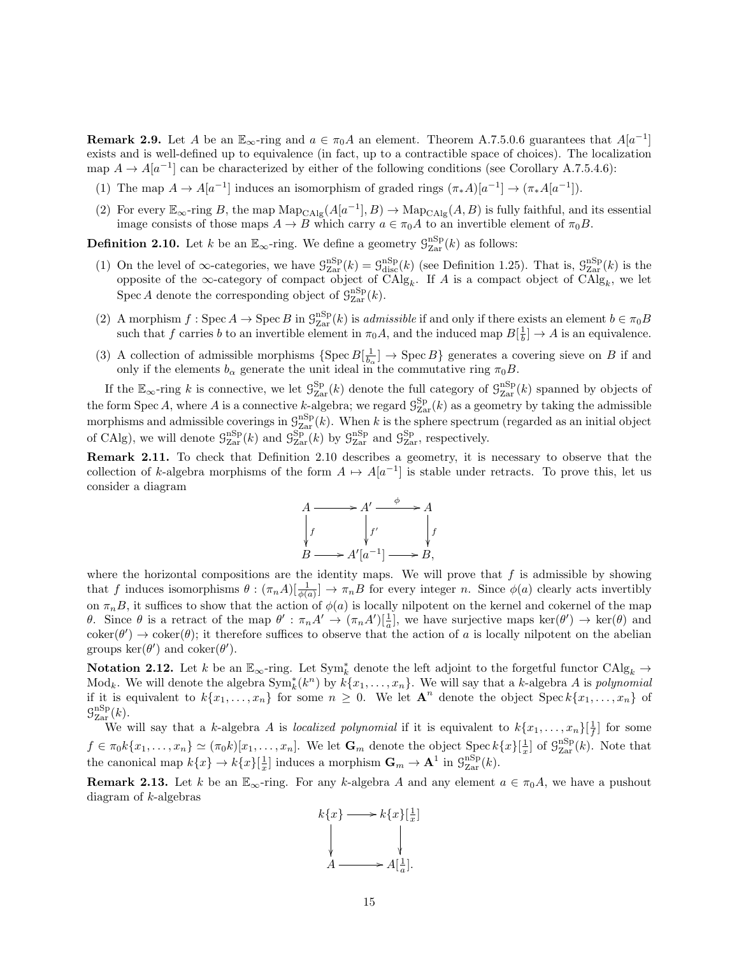**Remark 2.9.** Let A be an  $\mathbb{E}_{\infty}$ -ring and  $a \in \pi_0 A$  an element. Theorem A.7.5.0.6 guarantees that  $A[a^{-1}]$ exists and is well-defined up to equivalence (in fact, up to a contractible space of choices). The localization map  $A \to A[a^{-1}]$  can be characterized by either of the following conditions (see Corollary A.7.5.4.6):

- (1) The map  $A \to A[a^{-1}]$  induces an isomorphism of graded rings  $(\pi_*A)[a^{-1}] \to (\pi_*A[a^{-1}])$ .
- (2) For every  $\mathbb{E}_{\infty}$ -ring B, the map  $\text{Map}_{\text{CAlg}}(A[a^{-1}], B) \to \text{Map}_{\text{CAlg}}(A, B)$  is fully faithful, and its essential image consists of those maps  $A \to B$  which carry  $a \in \pi_0 A$  to an invertible element of  $\pi_0 B$ .

**Definition 2.10.** Let k be an  $\mathbb{E}_{\infty}$ -ring. We define a geometry  $\mathcal{G}_{\text{Zar}}^{\text{nSp}}(k)$  as follows:

- (1) On the level of  $\infty$ -categories, we have  $\mathcal{G}_{\text{Zar}}^{\text{nSp}}(k) = \mathcal{G}_{\text{disc}}^{\text{nSp}}(k)$  (see Definition 1.25). That is,  $\mathcal{G}_{\text{Zar}}^{\text{nSp}}(k)$  is the opposite of the  $\infty$ -category of compact object of  $CAlg_k$ . If A is a compact object of  $CAlg_k$ , we let Spec A denote the corresponding object of  $\mathcal{G}_{\text{Zar}}^{\text{nSp}}(k)$ .
- (2) A morphism  $f: \text{Spec } A \to \text{Spec } B$  in  $\mathcal{G}_{\text{Zar}}^{\text{nSp}}(k)$  is admissible if and only if there exists an element  $b \in \pi_0 B$ such that f carries b to an invertible element in  $\pi_0 A$ , and the induced map  $B[\frac{1}{b}] \to A$  is an equivalence.
- (3) A collection of admissible morphisms  $\{Spec B[\frac{1}{b_{\alpha}}] \to \text{Spec } B\}$  generates a covering sieve on B if and only if the elements  $b_{\alpha}$  generate the unit ideal in the commutative ring  $\pi_0 B$ .

If the  $\mathbb{E}_{\infty}$ -ring k is connective, we let  $\mathcal{G}_{\text{Zar}}^{\text{Sp}}(k)$  denote the full category of  $\mathcal{G}_{\text{Zar}}^{\text{nSp}}(k)$  spanned by objects of the form Spec A, where A is a connective k-algebra; we regard  $\mathcal{G}^{\text{Sp}}_{\text{Zar}}(k)$  as a geometry by taking the admissible morphisms and admissible coverings in  $\mathcal{G}_{\text{Zar}}^{\text{nSp}}(k)$ . When k is the sphere spectrum (regarded as an initial object of CAlg), we will denote  $\mathcal{G}_{\text{Zar}}^{\text{nSp}}(k)$  and  $\mathcal{G}_{\text{Zar}}^{\text{Sp}}(k)$  by  $\mathcal{G}_{\text{Zar}}^{\text{nSp}}$  and  $\mathcal{G}_{\text{Zar}}^{\text{Sp}}$ , respectively.

Remark 2.11. To check that Definition 2.10 describes a geometry, it is necessary to observe that the collection of k-algebra morphisms of the form  $A \mapsto A[a^{-1}]$  is stable under retracts. To prove this, let us consider a diagram



where the horizontal compositions are the identity maps. We will prove that  $f$  is admissible by showing that f induces isomorphisms  $\theta : (\pi_n A) \left[\frac{1}{\phi(a)}\right] \to \pi_n B$  for every integer n. Since  $\phi(a)$  clearly acts invertibly on  $\pi_nB$ , it suffices to show that the action of  $\phi(a)$  is locally nilpotent on the kernel and cokernel of the map θ. Since θ is a retract of the map  $\theta' : \pi_n A' \to (\pi_n A')[\frac{1}{a}],$  we have surjective maps  $\ker(\theta') \to \ker(\theta)$  and  $\operatorname{coker}(\theta') \to \operatorname{coker}(\theta)$ ; it therefore suffices to observe that the action of a is locally nilpotent on the abelian groups  $\ker(\theta')$  and  $\operatorname{coker}(\theta')$ .

Notation 2.12. Let k be an  $\mathbb{E}_{\infty}$ -ring. Let  $\text{Sym}_{k}^{*}$  denote the left adjoint to the forgetful functor  $\text{CAlg}_{k} \to$ Mod<sub>k</sub>. We will denote the algebra  $\text{Sym}_{k}^{*}(k^{n})$  by  $k\{x_{1},...,x_{n}\}$ . We will say that a k-algebra A is polynomial if it is equivalent to  $k\{x_1,\ldots,x_n\}$  for some  $n \geq 0$ . We let  $\mathbf{A}^n$  denote the object  $\text{Spec } k\{x_1,\ldots,x_n\}$  of  $\mathcal{G}^{\rm nSp}_{\rm Zar}(k).$ 

We will say that a k-algebra A is localized polynomial if it is equivalent to  $k\{x_1, \ldots, x_n\}[\frac{1}{f}]$  for some  $f \in \pi_0 k\{x_1,\ldots,x_n\} \simeq (\pi_0 k)[x_1,\ldots,x_n]$ . We let  $\mathbf{G}_m$  denote the object  $\text{Spec } k\{x\}[\frac{1}{x}]$  of  $\mathcal{G}_{\text{Zar}}^{\text{nSp}}(k)$ . Note that the canonical map  $k\{x\} \to k\{x\}[\frac{1}{x}]$  induces a morphism  $\mathbf{G}_m \to \mathbf{A}^1$  in  $\mathcal{G}_{\mathrm{Zar}}^{\mathrm{nSp}}(k)$ .

**Remark 2.13.** Let k be an  $\mathbb{E}_{\infty}$ -ring. For any k-algebra A and any element  $a \in \pi_0 A$ , we have a pushout diagram of  $k$ -algebras

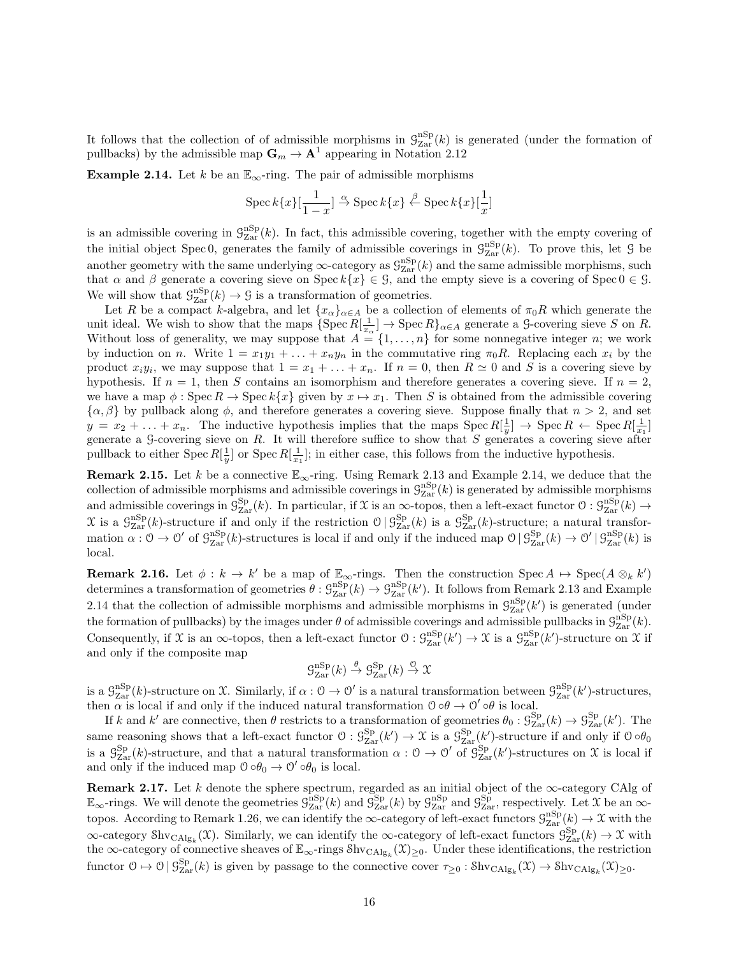It follows that the collection of of admissible morphisms in  $\mathcal{G}_{\text{Zar}}^{\text{nSp}}(k)$  is generated (under the formation of pullbacks) by the admissible map  $\mathbf{G}_m \to \mathbf{A}^1$  appearing in Notation 2.12

**Example 2.14.** Let k be an  $\mathbb{E}_{\infty}$ -ring. The pair of admissible morphisms

$$
\operatorname{Spec} k\{x\}[\frac{1}{1-x}] \stackrel{\alpha}{\to} \operatorname{Spec} k\{x\} \stackrel{\beta}{\leftarrow} \operatorname{Spec} k\{x\}[\frac{1}{x}]
$$

is an admissible covering in  $\mathcal{G}_{\text{Zar}}^{\text{nSp}}(k)$ . In fact, this admissible covering, together with the empty covering of the initial object Spec 0, generates the family of admissible coverings in  $\mathcal{G}_{\text{Zar}}^{\text{nSp}}(k)$ . To prove this, let 9 be another geometry with the same underlying  $\infty$ -category as  $\mathcal{G}_{\rm Zar}^{\rm nSp}(k)$  and the same admissible morphisms, such that  $\alpha$  and  $\beta$  generate a covering sieve on Spec  $k\{x\} \in \mathcal{G}$ , and the empty sieve is a covering of Spec  $0 \in \mathcal{G}$ . We will show that  $\mathcal{G}_{\text{Zar}}^{\text{nSp}}(k) \to \mathcal{G}$  is a transformation of geometries.

Let R be a compact k-algebra, and let  $\{x_\alpha\}_{\alpha\in A}$  be a collection of elements of  $\pi_0R$  which generate the unit ideal. We wish to show that the maps  $\{\text{Spec } R[\frac{1}{x_\alpha}] \to \text{Spec } R\}_{\alpha \in A}$  generate a  $\text{G-covering sieve } S$  on R. Without loss of generality, we may suppose that  $A = \{1, \ldots, n\}$  for some nonnegative integer n; we work by induction on n. Write  $1 = x_1y_1 + \ldots + x_ny_n$  in the commutative ring  $\pi_0R$ . Replacing each  $x_i$  by the product  $x_i y_i$ , we may suppose that  $1 = x_1 + \ldots + x_n$ . If  $n = 0$ , then  $R \simeq 0$  and S is a covering sieve by hypothesis. If  $n = 1$ , then S contains an isomorphism and therefore generates a covering sieve. If  $n = 2$ , we have a map  $\phi$ : Spec  $R \to \text{Spec } k\{x\}$  given by  $x \mapsto x_1$ . Then S is obtained from the admissible covering  $\{\alpha,\beta\}$  by pullback along  $\phi$ , and therefore generates a covering sieve. Suppose finally that  $n > 2$ , and set  $y = x_2 + \ldots + x_n$ . The inductive hypothesis implies that the maps  $\text{Spec } R[\frac{1}{y}] \to \text{Spec } R \leftarrow \text{Spec } R[\frac{1}{x_1}]$ generate a G-covering sieve on  $R$ . It will therefore suffice to show that  $S$  generates a covering sieve after pullback to either Spec  $R[\frac{1}{y}]$  or Spec  $R[\frac{1}{x_1}]$ ; in either case, this follows from the inductive hypothesis.

**Remark 2.15.** Let k be a connective  $\mathbb{E}_{\infty}$ -ring. Using Remark 2.13 and Example 2.14, we deduce that the collection of admissible morphisms and admissible coverings in  $\mathcal{G}_{\text{Zar}}^{\text{nSp}}(k)$  is generated by admissible morphisms and admissible coverings in  $\mathcal{G}^{\text{Sp}}_{\text{Zar}}(k)$ . In particular, if X is an  $\infty$ -topos, then a left-exact functor  $\mathcal{O}: \mathcal{G}^{\text{nSp}}_{\text{Zar}}(k) \to$  $\mathfrak{X}$  is a  $\mathcal{G}_{\text{Zar}}^{\text{nSp}}(k)$ -structure if and only if the restriction  $\mathcal{O}\,|\,\mathcal{G}_{\text{Zar}}^{\text{Sp}}(k)$  is a  $\mathcal{G}_{\text{Zar}}^{\text{Sp}}(k)$ -structure; a natural transformation  $\alpha: \mathcal{O} \to \mathcal{O}'$  of  $\mathcal{G}_{\text{Zar}}^{\text{nSp}}(k)$ -structures is local if and only if the induced map  $\mathcal{O} \mid \mathcal{G}_{\text{Zar}}^{\text{Sp}}(k) \to \mathcal{O}' \mid \mathcal{G}_{\text{Zar}}^{\text{nSp}}(k)$  is local.

**Remark 2.16.** Let  $\phi: k \to k'$  be a map of  $\mathbb{E}_{\infty}$ -rings. Then the construction Spec  $A \mapsto \text{Spec}(A \otimes_k k')$ determines a transformation of geometries  $\theta$  :  $\mathcal{G}_{\text{Zar}}^{\text{nSp}}(k) \to \mathcal{G}_{\text{Zar}}^{\text{nSp}}(k')$ . It follows from Remark 2.13 and Example 2.14 that the collection of admissible morphisms and admissible morphisms in  $\mathcal{G}_{\rm Zar}^{\rm nSp}(k')$  is generated (under the formation of pullbacks) by the images under  $\theta$  of admissible coverings and admissible pullbacks in  $\mathcal{G}_{\text{Zar}}^{\text{nSp}}(k)$ . Consequently, if X is an  $\infty$ -topos, then a left-exact functor  $\mathcal{O}: \mathcal{G}_{\mathrm{Zar}}^{\mathrm{nSp}}(k') \to \mathcal{X}$  is a  $\mathcal{G}_{\mathrm{Zar}}^{\mathrm{nSp}}(k')$ -structure on X if and only if the composite map

$$
\mathcal{G}^{\mathrm{nSp}}_{\mathrm{Zar}}(k) \xrightarrow{\theta} \mathcal{G}^{\mathrm{Sp}}_{\mathrm{Zar}}(k) \xrightarrow{\mathcal{O}} \mathcal{X}
$$

is a  $\mathcal{G}_{\mathrm{Zar}}^{\mathrm{nSp}}(k)$ -structure on X. Similarly, if  $\alpha: \mathcal{O} \to \mathcal{O}'$  is a natural transformation between  $\mathcal{G}_{\mathrm{Zar}}^{\mathrm{nSp}}(k')$ -structures, then  $\alpha$  is local if and only if the induced natural transformation  $\theta \circ \theta \to \theta' \circ \theta$  is local.

If k and k' are connective, then  $\theta$  restricts to a transformation of geometries  $\theta_0: \mathcal{G}_{\text{Zar}}^{\text{Sp}}(k) \to \mathcal{G}_{\text{Zar}}^{\text{Sp}}(k')$ . The same reasoning shows that a left-exact functor  $\mathcal{O}: \mathcal{G}_{\text{Zar}}^{\text{Sp}}(k') \to \mathcal{X}$  is a  $\mathcal{G}_{\text{Zar}}^{\text{Sp}}(k')$ -structure if and only if  $\mathcal{O} \circ \theta_0$ is a  $\mathcal{G}_{\text{Zar}}^{\text{Sp}}(k)$ -structure, and that a natural transformation  $\alpha: \mathcal{O} \to \mathcal{O}'$  of  $\mathcal{G}_{\text{Zar}}^{\text{Sp}}(k')$ -structures on X is local if and only if the induced map  $0 \circ \theta_0 \to 0' \circ \theta_0$  is local.

**Remark 2.17.** Let k denote the sphere spectrum, regarded as an initial object of the  $\infty$ -category CAlg of  $\mathbb{E}_{\infty}$ -rings. We will denote the geometries  $\mathcal{G}_{\rm Zar}^{\rm nSp}(k)$  and  $\mathcal{G}_{\rm Zar}^{\rm Sp}(k)$  by  $\mathcal{G}_{\rm Zar}^{\rm nSp}$  and  $\mathcal{G}_{\rm Zar}^{\rm Sp}$ , respectively. Let X be an  $\infty$ topos. According to Remark 1.26, we can identify the  $\infty$ -category of left-exact functors  $\mathcal{G}_{\text{Zar}}^{\text{nSp}}(k) \to \mathcal{X}$  with the  $\infty$ -category Shv<sub>CAlg<sub>k</sub></sub>(X). Similarly, we can identify the  $\infty$ -category of left-exact functors  $\mathcal{G}_{\text{Zar}}^{\text{Sp}}(k) \to \mathcal{X}$  with the  $\infty$ -category of connective sheaves of  $\mathbb{E}_{\infty}$ -rings  $\hat{\text{Shv}}_{\text{CAlg}_k}(\mathfrak{X})_{\geq 0}$ . Under these identifications, the restriction functor  $0 \mapsto 0 \mid \mathcal{G}_{\text{Zar}}^{\text{Sp}}(k)$  is given by passage to the connective cover  $\tau_{\geq 0} : \text{Shv}_{\text{CAlg}_k}(\mathfrak{X}) \to \text{Shv}_{\text{CAlg}_k}(\mathfrak{X})_{\geq 0}$ .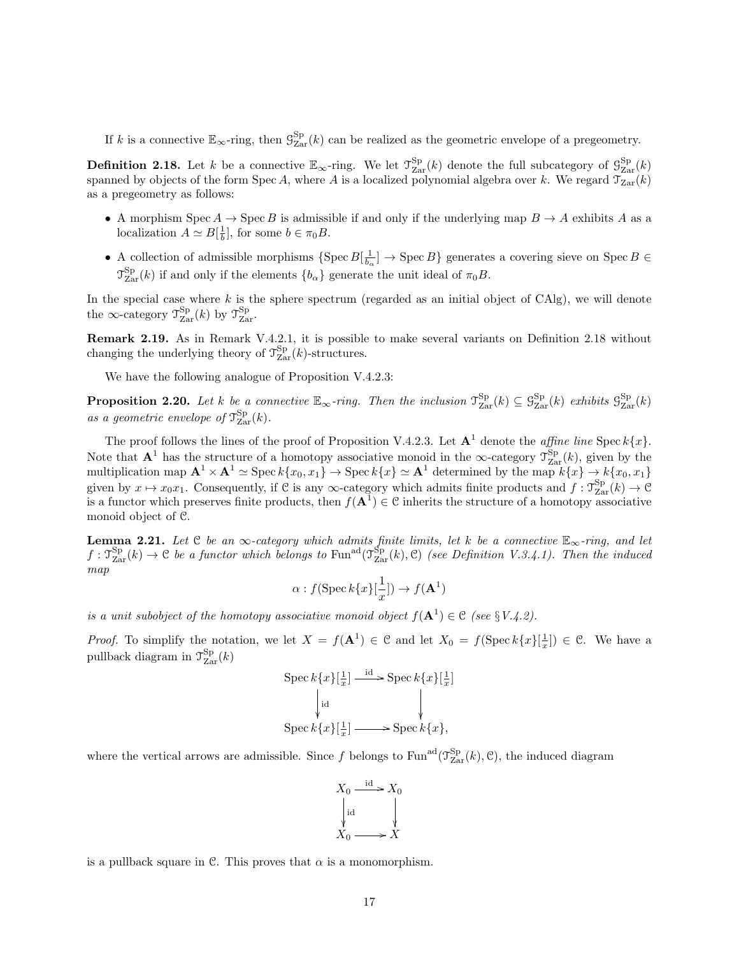If k is a connective  $\mathbb{E}_{\infty}$ -ring, then  $\mathcal{G}_{\text{Zar}}^{\text{Sp}}(k)$  can be realized as the geometric envelope of a pregeometry.

**Definition 2.18.** Let k be a connective  $\mathbb{E}_{\infty}$ -ring. We let  $\mathcal{T}_{\text{Zar}}^{\text{Sp}}(k)$  denote the full subcategory of  $\mathcal{G}_{\text{Zar}}^{\text{Sp}}(k)$ spanned by objects of the form Spec A, where A is a localized polynomial algebra over k. We regard  $\mathcal{T}_{\text{Zar}}(k)$ as a pregeometry as follows:

- A morphism Spec  $A \to \text{Spec } B$  is admissible if and only if the underlying map  $B \to A$  exhibits A as a localization  $A \simeq B[\frac{1}{b}]$ , for some  $b \in \pi_0 B$ .
- A collection of admissible morphisms  $\{Spec\ B[\frac{1}{b_{\alpha}}] \to \text{Spec}\ B\}$  generates a covering sieve on  $Spec\ B \in$  $\mathcal{T}_{\text{Zar}}^{\text{Sp}}(k)$  if and only if the elements  $\{b_{\alpha}\}\$  generate the unit ideal of  $\pi_0 B$ .

In the special case where  $k$  is the sphere spectrum (regarded as an initial object of CAlg), we will denote the  $\infty$ -category  $\mathcal{T}_{\text{Zar}}^{\text{Sp}}(k)$  by  $\mathcal{T}_{\text{Zar}}^{\text{Sp}}$ .

Remark 2.19. As in Remark V.4.2.1, it is possible to make several variants on Definition 2.18 without changing the underlying theory of  $\mathcal{T}_{\text{Zar}}^{\text{Sp}}(k)$ -structures.

We have the following analogue of Proposition V.4.2.3:

**Proposition 2.20.** Let k be a connective  $\mathbb{E}_{\infty}$ -ring. Then the inclusion  $\mathcal{T}_{\text{Zar}}^{\text{Sp}}(k) \subseteq \mathcal{G}_{\text{Zar}}^{\text{Sp}}(k)$  exhibits  $\mathcal{G}_{\text{Zar}}^{\text{Sp}}(k)$ as a geometric envelope of  $\mathcal{T}_{\text{Zar}}^{\text{Sp}}(k)$ .

The proof follows the lines of the proof of Proposition V.4.2.3. Let  $A^1$  denote the *affine line* Spec  $k\{x\}$ . Note that  $\mathbf{A}^1$  has the structure of a homotopy associative monoid in the  $\infty$ -category  $\mathcal{T}_{\text{Zar}}^{\text{Sp}}(k)$ , given by the multiplication map  $\mathbf{A}^1 \times \mathbf{A}^1 \simeq \operatorname{Spec} k\{x_0, x_1\} \to \operatorname{Spec} k\{x\} \simeq \mathbf{A}^1$  determined by the map  $k\{x\} \to k\{x_0, x_1\}$ given by  $x \mapsto x_0x_1$ . Consequently, if C is any  $\infty$ -category which admits finite products and  $f : \mathcal{T}_{\text{Zar}}^{\text{Sp}}(k) \to \mathcal{C}$ is a functor which preserves finite products, then  $f(A^1) \in \mathcal{C}$  inherits the structure of a homotopy associative monoid object of C.

**Lemma 2.21.** Let C be an  $\infty$ -category which admits finite limits, let k be a connective  $\mathbb{E}_{\infty}$ -ring, and let  $f: \mathcal{T}_{\text{Zar}}^{\text{Sp}}(k) \to \mathcal{C}$  be a functor which belongs to  $\text{Fun}^{\text{ad}}(\mathcal{T}_{\text{Zar}}^{\text{Sp}}(k), \mathcal{C})$  (see Definition V.3.4.1). Then the induced map

$$
\alpha: f(\operatorname{Spec} k\{x\}[\frac{1}{x}]) \to f(\mathbf{A}^1)
$$

is a unit subobject of the homotopy associative monoid object  $f(\mathbf{A}^1) \in \mathcal{C}$  (see §V.4.2).

*Proof.* To simplify the notation, we let  $X = f(\mathbf{A}^1) \in \mathcal{C}$  and let  $X_0 = f(\text{Spec } k\{x\}[\frac{1}{x}]) \in \mathcal{C}$ . We have a pullback diagram in  $\mathcal{T}^{\text{Sp}}_{\text{Zar}}(k)$ 

$$
\begin{aligned} \text{Spec } k\{x\}[\frac{1}{x}] &\xrightarrow{\text{id}} \text{Spec } k\{x\}[\frac{1}{x}] \\ &\downarrow \text{id} &\downarrow \\ \text{Spec } k\{x\}[\frac{1}{x}] &\xrightarrow{\text{Spec } k\{x\}}, \end{aligned}
$$

where the vertical arrows are admissible. Since f belongs to  $\text{Fun}^{\text{ad}}(\mathcal{T}_{\text{Zar}}^{\text{Sp}}(k), \mathcal{C})$ , the induced diagram

$$
X_0 \xrightarrow{\text{id}} X_0
$$
  
\n
$$
\downarrow \text{id}
$$
  
\n
$$
X_0 \xrightarrow{\text{id}} X
$$

is a pullback square in C. This proves that  $\alpha$  is a monomorphism.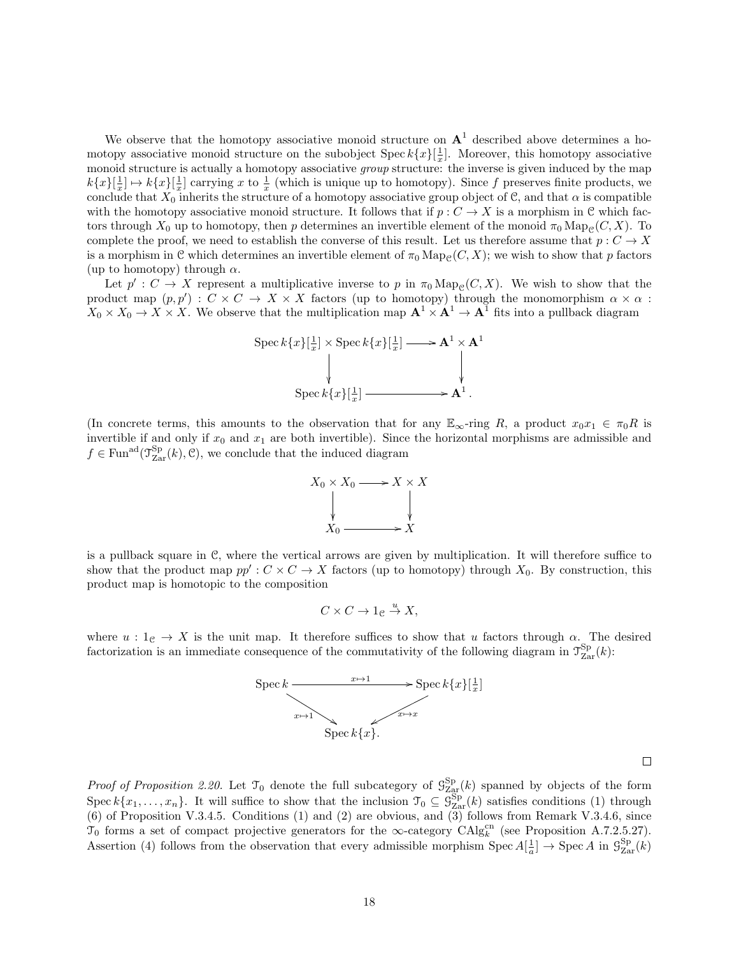We observe that the homotopy associative monoid structure on  $A<sup>1</sup>$  described above determines a homotopy associative monoid structure on the subobject Spec  $k\{x\}[\frac{1}{x}]$ . Moreover, this homotopy associative monoid structure is actually a homotopy associative group structure: the inverse is given induced by the map  $k\{x\}[\frac{1}{x}] \mapsto k\{x\}[\frac{1}{x}]$  carrying x to  $\frac{1}{x}$  (which is unique up to homotopy). Since f preserves finite products, we conclude that  $X_0$  inherits the structure of a homotopy associative group object of C, and that  $\alpha$  is compatible with the homotopy associative monoid structure. It follows that if  $p: C \to X$  is a morphism in C which factors through  $X_0$  up to homotopy, then p determines an invertible element of the monoid  $\pi_0 \text{Map}_{\mathcal{C}}(C, X)$ . To complete the proof, we need to establish the converse of this result. Let us therefore assume that  $p: C \to X$ is a morphism in C which determines an invertible element of  $\pi_0 \text{Map}_{\mathcal{C}}(C, X)$ ; we wish to show that p factors (up to homotopy) through  $\alpha$ .

Let  $p': C \to X$  represent a multiplicative inverse to p in  $\pi_0 \text{Map}_{\mathcal{C}}(C, X)$ . We wish to show that the product map  $(p, p') : C \times C \to X \times X$  factors (up to homotopy) through the monomorphism  $\alpha \times \alpha$ :  $X_0 \times X_0 \to X \times X$ . We observe that the multiplication map  $\mathbf{A}^1 \times \mathbf{A}^1 \to \mathbf{A}^1$  fits into a pullback diagram



(In concrete terms, this amounts to the observation that for any  $\mathbb{E}_{\infty}$ -ring R, a product  $x_0x_1 \in \pi_0R$  is invertible if and only if  $x_0$  and  $x_1$  are both invertible). Since the horizontal morphisms are admissible and  $f \in \text{Fun}^{\text{ad}}(\mathcal{T}_{\text{Zar}}^{\text{Sp}}(k), \mathcal{C}),$  we conclude that the induced diagram



is a pullback square in C, where the vertical arrows are given by multiplication. It will therefore suffice to show that the product map  $pp': C \times C \to X$  factors (up to homotopy) through  $X_0$ . By construction, this product map is homotopic to the composition

$$
C \times C \to 1_{\mathcal{C}} \stackrel{u}{\to} X,
$$

where  $u: 1_{\mathcal{C}} \to X$  is the unit map. It therefore suffices to show that u factors through  $\alpha$ . The desired factorization is an immediate consequence of the commutativity of the following diagram in  $\mathcal{T}^{\text{Sp}}_{\text{Zar}}(k)$ :



 $\Box$ 

*Proof of Proposition 2.20.* Let  $\mathcal{T}_0$  denote the full subcategory of  $\mathcal{G}_{\text{Zar}}^{\text{Sp}}(k)$  spanned by objects of the form Spec  $k\{x_1,\ldots,x_n\}$ . It will suffice to show that the inclusion  $\mathcal{T}_0 \subseteq \mathcal{G}_{\text{Zar}}^{\text{Sp}}(k)$  satisfies conditions (1) through (6) of Proposition V.3.4.5. Conditions (1) and (2) are obvious, and (3) follows from Remark V.3.4.6, since  $\mathcal{T}_0$  forms a set of compact projective generators for the  $\infty$ -category  $\mathrm{CAlg}_k^{\mathrm{cn}}$  (see Proposition A.7.2.5.27). Assertion (4) follows from the observation that every admissible morphism  $Spec A[\frac{1}{a}] \rightarrow Spec A$  in  $\mathcal{G}_{Zar}^{Sp}(k)$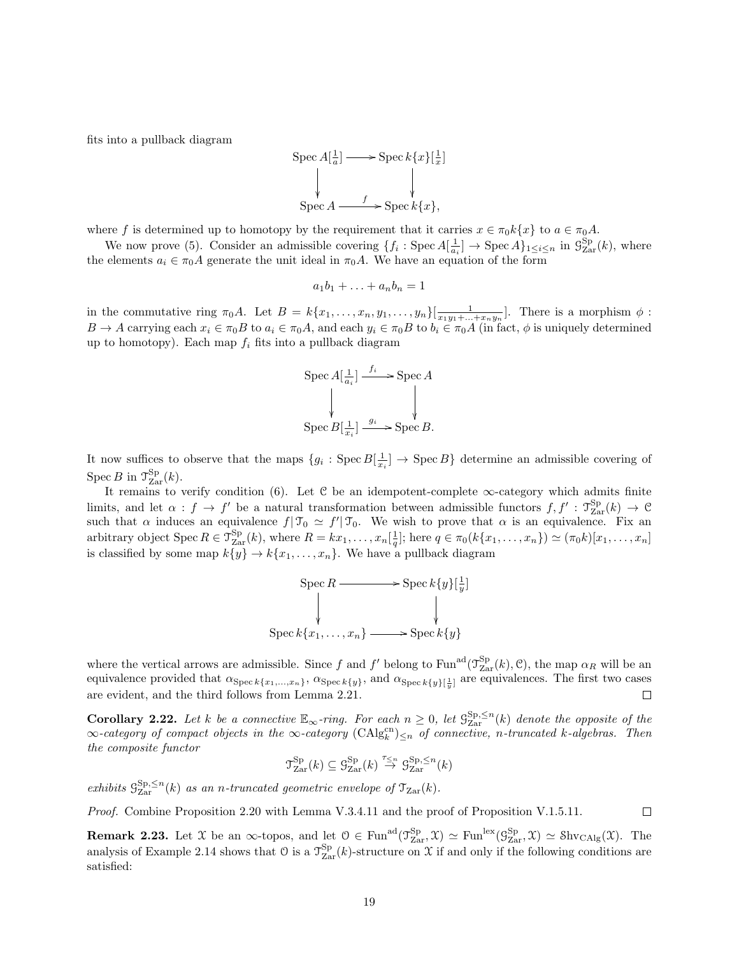fits into a pullback diagram



where f is determined up to homotopy by the requirement that it carries  $x \in \pi_0 k\{x\}$  to  $a \in \pi_0 A$ .

We now prove (5). Consider an admissible covering  $\{f_i: \text{Spec } A[\frac{1}{a_i}] \to \text{Spec } A\}_{1 \leq i \leq n}$  in  $\mathcal{G}_{\text{Zar}}^{\text{Sp}}(k)$ , where the elements  $a_i \in \pi_0 A$  generate the unit ideal in  $\pi_0 A$ . We have an equation of the form

$$
a_1b_1+\ldots+a_nb_n=1
$$

in the commutative ring  $\pi_0 A$ . Let  $B = k\{x_1, \ldots, x_n, y_1, \ldots, y_n\}[\frac{1}{x_1y_1 + \ldots + x_ny_n}]$ . There is a morphism  $\phi$ :  $B \to A$  carrying each  $x_i \in \pi_0 B$  to  $a_i \in \pi_0 A$ , and each  $y_i \in \pi_0 B$  to  $b_i \in \pi_0 A$  (in fact,  $\phi$  is uniquely determined up to homotopy). Each map  $f_i$  fits into a pullback diagram

$$
\begin{aligned}\n\text{Spec } A[\frac{1}{a_i}] &\xrightarrow{f_i} \text{Spec } A \\
&\downarrow \qquad \qquad \downarrow \\
\text{Spec } B[\frac{1}{x_i}] &\xrightarrow{g_i} \text{Spec } B.\n\end{aligned}
$$

It now suffices to observe that the maps  $\{g_i: \text{Spec } B[\frac{1}{x_i}] \to \text{Spec } B\}$  determine an admissible covering of Spec B in  $\mathcal{T}_{\text{Zar}}^{\text{Sp}}(k)$ .

It remains to verify condition (6). Let  $C$  be an idempotent-complete  $\infty$ -category which admits finite limits, and let  $\alpha : f \to f'$  be a natural transformation between admissible functors  $f, f' : \mathcal{T}_{\text{Zar}}^{\text{Sp}}(k) \to \mathcal{C}$ such that  $\alpha$  induces an equivalence  $f| \mathcal{T}_0 \simeq f' | \mathcal{T}_0$ . We wish to prove that  $\alpha$  is an equivalence. Fix an arbitrary object Spec  $R \in \mathcal{T}_{\text{Zar}}^{\text{Sp}}(k)$ , where  $R = kx_1, \ldots, x_n \left[\frac{1}{q}\right]$ ; here  $q \in \pi_0(k\{x_1, \ldots, x_n\}) \simeq (\pi_0 k)[x_1, \ldots, x_n]$ is classified by some map  $k\{y\} \rightarrow k\{x_1, \ldots, x_n\}$ . We have a pullback diagram

$$
\operatorname{Spec} R \longrightarrow \operatorname{Spec} k\{y\}[\frac{1}{y}]
$$
  
 
$$
\downarrow \qquad \qquad \downarrow
$$
  
\n
$$
\operatorname{Spec} k\{x_1, \ldots, x_n\} \longrightarrow \operatorname{Spec} k\{y\}
$$

where the vertical arrows are admissible. Since f and f' belong to  $\text{Fun}^{\text{ad}}(\mathcal{T}_{\text{Zar}}^{\text{Sp}}(k), \mathcal{C})$ , the map  $\alpha_R$  will be an equivalence provided that  $\alpha_{\text{Spec }k\{x_1,\ldots,x_n\}}$ ,  $\alpha_{\text{Spec }k\{y\}}$ , and  $\alpha_{\text{Spec }k\{y\}\left[\frac{1}{y}\right]}$  are equivalences. The first two cases are evident, and the third follows from Lemma 2.21.  $\Box$ 

**Corollary 2.22.** Let k be a connective  $\mathbb{E}_{\infty}$ -ring. For each  $n \geq 0$ , let  $\mathcal{G}_{\text{Zar}}^{\text{Sp},\leq n}(k)$  denote the opposite of the  $\infty$ -category of compact objects in the  $\infty$ -category  $(\text{CAlg}_{k}^{\text{cn}})_{\leq n}$  of connective, n-truncated k-algebras. Then the composite functor

$$
\mathfrak{T}^{\mathrm{Sp}}_{\mathrm{Zar}}(k) \subseteq \mathfrak{G}^{\mathrm{Sp}}_{\mathrm{Zar}}(k) \stackrel{\tau_{\leq n}}{\rightarrow} \mathfrak{G}^{\mathrm{Sp},\leq n}_{\mathrm{Zar}}(k)
$$

exhibits  $\mathcal{G}^{\text{Sp},\leq n}_{\text{Zar}}(k)$  as an n-truncated geometric envelope of  $\mathfrak{T}_{\text{Zar}}(k)$ .

Proof. Combine Proposition 2.20 with Lemma V.3.4.11 and the proof of Proposition V.1.5.11.

**Remark 2.23.** Let X be an  $\infty$ -topos, and let  $0 \in \text{Fun}^{\text{ad}}(\mathcal{T}_{\text{Zar}}^{\text{Sp}}, \mathcal{X}) \simeq \text{Fun}^{\text{lex}}(\mathcal{G}_{\text{Zar}}^{\text{Sp}}, \mathcal{X}) \simeq \text{Shv}_{\text{CAlg}}(\mathcal{X})$ . The analysis of Example 2.14 shows that  $\mathcal{O}$  is a  $\mathcal{T}_{\text{Zar}}^{\text{Sp}}(k)$ -structure on X if and only if the following conditions are satisfied:

 $\Box$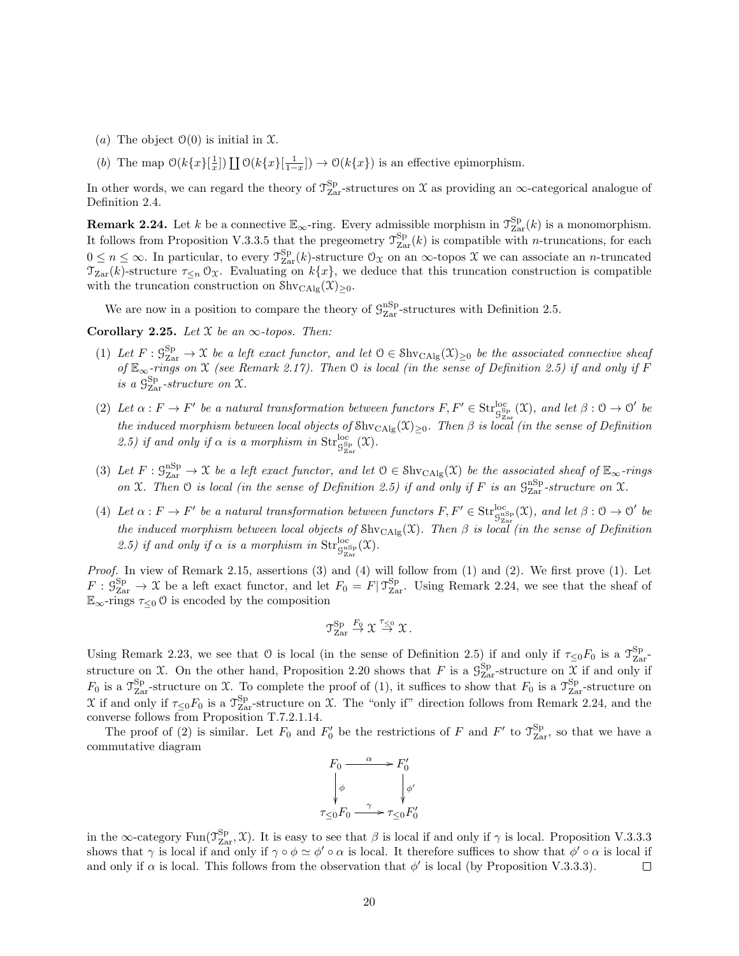- (a) The object  $\mathcal{O}(0)$  is initial in X.
- (b) The map  $\mathcal{O}(k\{x\}[\frac{1}{x}]) \coprod \mathcal{O}(k\{x\}[\frac{1}{1-x}]) \to \mathcal{O}(k\{x\})$  is an effective epimorphism.

In other words, we can regard the theory of  $\mathcal{T}_{\rm Zar}^{\rm Sp}$ -structures on X as providing an  $\infty$ -categorical analogue of Definition 2.4.

**Remark 2.24.** Let k be a connective  $\mathbb{E}_{\infty}$ -ring. Every admissible morphism in  $\mathcal{T}_{\text{Zar}}^{\text{Sp}}(k)$  is a monomorphism. It follows from Proposition V.3.3.5 that the pregeometry  $\mathcal{T}_{\text{Zar}}^{\text{Sp}}(k)$  is compatible with *n*-truncations, for each  $0 \leq n \leq \infty$ . In particular, to every  $\mathcal{T}_{\text{Zar}}^{\text{Sp}}(k)$ -structure  $\mathcal{O}_{\mathcal{X}}$  on an  $\infty$ -topos  $\mathcal{X}$  we can associate an *n*-truncated  $\mathcal{T}_{\text{Zar}}(k)$ -structure  $\tau_{\leq n} \mathcal{O}_{\mathfrak{X}}$ . Evaluating on  $k\{x\}$ , we deduce that this truncation construction is compatible with the truncation construction on  $\text{Shv}_{\text{CAlg}}(\mathfrak{X})_{\geq 0}$ .

We are now in a position to compare the theory of  $\mathcal{G}_{\rm Zar}^{\rm nSp}$ -structures with Definition 2.5.

Corollary 2.25. Let  $X$  be an  $\infty$ -topos. Then:

- (1) Let  $F: \mathcal{G}_{\mathrm{Zar}}^{\mathrm{Sp}} \to \mathfrak{X}$  be a left exact functor, and let  $\mathfrak{O} \in \mathrm{Shv}_{\mathrm{CAlg}}(\mathfrak{X})_{\geq 0}$  be the associated connective sheaf of  $\mathbb{E}_{\infty}$ -rings on X (see Remark 2.17). Then  $\mathcal O$  is local (in the sense of Definition 2.5) if and only if F is a  $\mathcal{G}^{\text{Sp}}_{\text{Zar}}$ -structure on X.
- (2) Let  $\alpha: F \to F'$  be a natural transformation between functors  $F, F' \in Str_{S_{\text{Zar}}^{\text{Sep}}}^{loc}(\mathfrak{X})$ , and let  $\beta: \mathfrak{O} \to \mathfrak{O}'$  be the induced morphism between local objects of  $\text{Shv}_{\text{CAlg}}(\mathfrak{X})_{\geq 0}$ . Then  $\beta$  is local (in the sense of Definition 2.5) if and only if  $\alpha$  is a morphism in  $\mathrm{Str}_{\mathcal{G}^{\mathrm{Sp}}_{\mathrm{Zar}}}^{\mathrm{loc}}(\mathfrak{X})$ .
- (3) Let  $F: \mathcal{G}_{\text{Zar}}^{\text{nSp}} \to \mathcal{X}$  be a left exact functor, and let  $\mathcal{O} \in \text{Shv}_{\text{CAlg}}(\mathcal{X})$  be the associated sheaf of  $\mathbb{E}_{\infty}$ -rings on X. Then  $\mathfrak O$  is local (in the sense of Definition 2.5) if and only if F is an  $\mathcal G^{\text{nSp}}_{\text{Zar}}$ -structure on X.
- (4) Let  $\alpha : F \to F'$  be a natural transformation between functors  $F, F' \in Str_{\mathcal{G}^{\text{ns}}_{\text{Zar}}}^{\text{loc}}(\mathfrak{X})$ , and let  $\beta : \mathfrak{O} \to \mathfrak{O}'$  be the induced morphism between local objects of  $\text{Shv}_{\text{CAlg}}(\mathfrak{X})$ . Then  $\beta$  is local (in the sense of Definition 2.5) if and only if  $\alpha$  is a morphism in  $\mathrm{Str}_{\mathcal{G}^{\mathrm{as}}_{\mathrm{Zar}}}^{\mathrm{loc}}(\mathfrak{X})$ .

Proof. In view of Remark 2.15, assertions (3) and (4) will follow from (1) and (2). We first prove (1). Let  $F: \mathcal{G}_{\mathrm{Zar}}^{\mathrm{Sp}} \to \mathcal{X}$  be a left exact functor, and let  $F_0 = F | \mathcal{T}_{\mathrm{Zar}}^{\mathrm{Sp}}$ . Using Remark 2.24, we see that the sheaf of  $\mathbb{E}_{\infty}$ -rings  $\tau_{\leq 0}$  O is encoded by the composition

$$
\mathfrak{T}^{\mathrm{Sp}}_{\mathrm{Zar}} \overset{F_0}{\rightarrow} \mathfrak{X} \overset{\tau_{\leq 0}}{\rightarrow} \mathfrak{X} \, .
$$

Using Remark 2.23, we see that O is local (in the sense of Definition 2.5) if and only if  $\tau \le 0F_0$  is a  $\mathcal{T}_{\rm Zar}^{\rm Sp}$ structure on  $\mathfrak X$ . On the other hand, Proposition 2.20 shows that F is a  $\mathcal G_{\rm Zar}^{\rm Sp}$ -structure on  $\mathfrak X$  if and only if  $F_0$  is a  $\mathcal{T}_{\text{Zar}}^{\text{Sp}}$ -structure on X. To complete the proof of (1), it suffices to show that  $F_0$  is a  $\mathcal{T}_{\text{Zar}}^{\text{Sp}}$ -structure on X if and only if  $\tau_{\leq 0} F_0$  is a  $\mathcal{T}_{\rm Zar}^{\rm Sp}$ -structure on X. The "only if" direction follows from Remark 2.24, and the converse follows from Proposition T.7.2.1.14.

The proof of (2) is similar. Let  $F_0$  and  $F'_0$  be the restrictions of F and F' to  $\mathcal{T}_{\text{Zar}}^{\text{Sp}}$ , so that we have a commutative diagram



in the ∞-category Fun( $\mathcal{T}_{\text{Zar}}^{\text{Sp}}, \mathcal{X}$ ). It is easy to see that  $\beta$  is local if and only if  $\gamma$  is local. Proposition V.3.3.3 shows that  $\gamma$  is local if and only if  $\gamma \circ \phi \simeq \phi' \circ \alpha$  is local. It therefore suffices to show that  $\phi' \circ \alpha$  is local if and only if  $\alpha$  is local. This follows from the observation that  $\phi'$  is local (by Proposition V.3.3.3).  $\Box$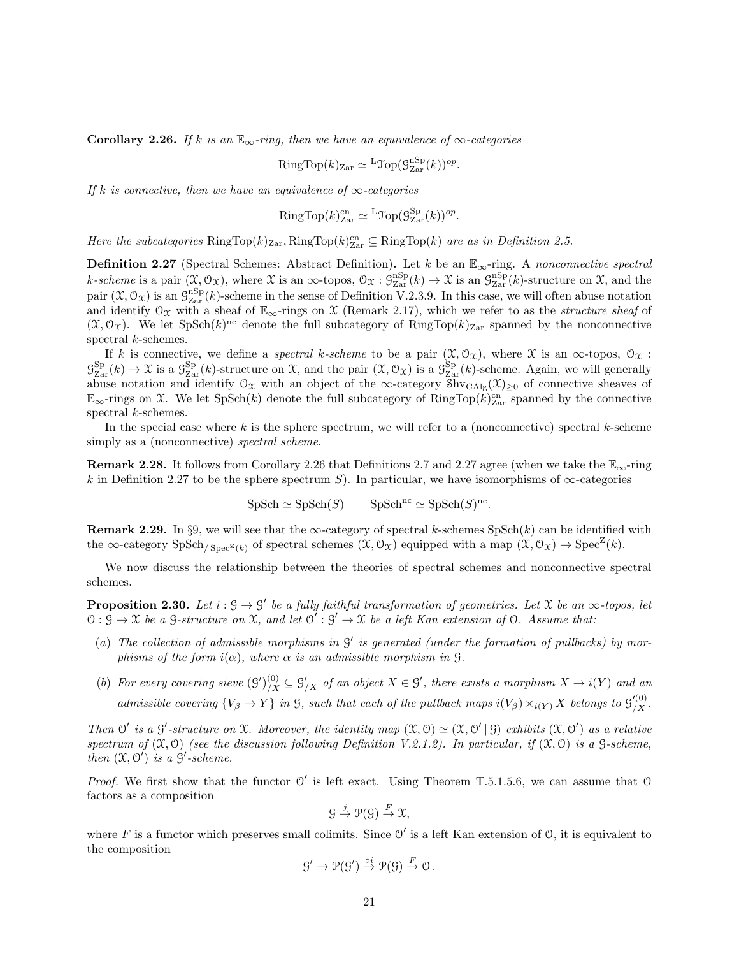Corollary 2.26. If k is an  $\mathbb{E}_{\infty}$ -ring, then we have an equivalence of  $\infty$ -categories

RingTop
$$
(k)_{\text{Zar}} \simeq {}^{\text{L}}\text{Top}(\mathcal{G}_{\text{Zar}}^{\text{nSp}}(k))^{op}
$$

.

If k is connective, then we have an equivalence of  $\infty$ -categories

RingTop
$$
(k)_{\text{Zar}}^{\text{cn}} \simeq {}^{\text{L}}\text{Top}(\mathcal{G}_{\text{Zar}}^{\text{Sp}}(k))^{\text{op}}. \mathbb{R}
$$

Here the subcategories  $\text{RingTop}(k)_{\text{Zar}}$ ,  $\text{RingTop}(k)_{\text{Zar}} \subseteq \text{RingTop}(k)$  are as in Definition 2.5.

**Definition 2.27** (Spectral Schemes: Abstract Definition). Let k be an  $\mathbb{E}_{\infty}$ -ring. A nonconnective spectral k-scheme is a pair  $(\mathfrak{X}, \mathfrak{O}_{\mathfrak{X}})$ , where  $\mathfrak{X}$  is an  $\infty$ -topos,  $\mathfrak{O}_{\mathfrak{X}} : \mathfrak{G}_{\rm Zar}^{\rm nSp}(k) \to \mathfrak{X}$  is an  $\mathfrak{G}_{\rm Zar}^{\rm nSp}(k)$ -structure on  $\mathfrak{X}$ , and the pair  $(\mathfrak{X}, \mathcal{O}_{\mathfrak{X}})$  is an  $\mathcal{G}_{\mathrm{Zar}}^{\mathrm{nSp}}(k)$ -scheme in the sense of Definition V.2.3.9. In this case, we will often abuse notation and identify  $\mathcal{O}_\mathfrak{X}$  with a sheaf of  $\mathbb{E}_{\infty}$ -rings on X (Remark 2.17), which we refer to as the *structure sheaf* of  $(\mathfrak{X}, \mathcal{O}_{\mathfrak{X}})$ . We let SpSch $(k)$ <sup>nc</sup> denote the full subcategory of RingTop $(k)_{\text{Zar}}$  spanned by the nonconnective spectral k-schemes.

If k is connective, we define a *spectral k-scheme* to be a pair  $(\mathfrak{X}, \mathcal{O}_{\mathfrak{X}})$ , where  $\mathfrak{X}$  is an  $\infty$ -topos,  $\mathcal{O}_{\mathfrak{X}}$ :  $\mathcal{G}_{\text{Zar}}^{\text{Sp}}(k) \to \mathfrak{X}$  is a  $\mathcal{G}_{\text{Zar}}^{\text{Sp}}(k)$ -structure on  $\mathfrak{X}$ , and the pair  $(\mathfrak{X}, \mathcal{O}_{\mathfrak{X}})$  is a  $\mathcal{G}_{\text{Zar}}^{\text{Sp}}(k)$ -scheme. Again, we will generally abuse notation and identify  $\mathcal{O}_\mathfrak{X}$  with an object of the  $\infty$ -category  $\overline{\text{Shv}}_{\text{CAlg}}(\mathfrak{X})_{\geq 0}$  of connective sheaves of  $\mathbb{E}_{\infty}$ -rings on X. We let SpSch(k) denote the full subcategory of RingTop( $\widehat{k}|_{\text{Zar}}^{cn}$  spanned by the connective spectral k-schemes.

In the special case where k is the sphere spectrum, we will refer to a (nonconnective) spectral k-scheme simply as a (nonconnective) *spectral scheme*.

**Remark 2.28.** It follows from Corollary 2.26 that Definitions 2.7 and 2.27 agree (when we take the  $\mathbb{E}_{\infty}$ -ring k in Definition 2.27 to be the sphere spectrum S). In particular, we have isomorphisms of  $\infty$ -categories

 $\text{SpSch} \simeq \text{SpSch}(S) \qquad \text{SpSch}^{\text{nc}} \simeq \text{SpSch}(S)^{\text{nc}}.$ 

Remark 2.29. In §9, we will see that the  $\infty$ -category of spectral k-schemes SpSch(k) can be identified with the  $\infty$ -category  $SpSch_{/Spec^{\mathbb{Z}}(k)}$  of spectral schemes  $(\mathfrak{X}, \mathcal{O}_{\mathfrak{X}})$  equipped with a map  $(\mathfrak{X}, \mathcal{O}_{\mathfrak{X}}) \to Spec^{\mathbb{Z}}(k)$ .

We now discuss the relationship between the theories of spectral schemes and nonconnective spectral schemes.

**Proposition 2.30.** Let  $i : \mathcal{G} \to \mathcal{G}'$  be a fully faithful transformation of geometries. Let X be an  $\infty$ -topos, let  $0: \overline{S} \to \mathfrak{X}$  be a  $S$ -structure on  $\mathfrak{X}$ , and let  $0' : S' \to \mathfrak{X}$  be a left Kan extension of 0. Assume that:

- (a) The collection of admissible morphisms in  $G'$  is generated (under the formation of pullbacks) by morphisms of the form  $i(\alpha)$ , where  $\alpha$  is an admissible morphism in  $\mathcal{G}$ .
- (b) For every covering sieve  $(g')_{/X}^{(0)} \subseteq g'_{/X}$  of an object  $X \in \mathcal{G}'$ , there exists a morphism  $X \to i(Y)$  and an admissible covering  ${V_\beta \to Y}$  in G, such that each of the pullback maps  $i(V_\beta) \times i(Y) X$  belongs to  $\mathcal{G}'^{(0)}_{/X}$ .

Then  $\mathcal{O}'$  is a  $\mathcal{G}'$ -structure on X. Moreover, the identity map  $(\mathfrak{X}, \mathcal{O}) \simeq (\mathfrak{X}, \mathcal{O}' | \mathfrak{H})$  exhibits  $(\mathfrak{X}, \mathcal{O}')$  as a relative spectrum of  $(\mathfrak{X},0)$  (see the discussion following Definition V.2.1.2). In particular, if  $(\mathfrak{X},0)$  is a  $\mathfrak{S}\text{-scheme}$ , then  $(\mathfrak{X}, \mathfrak{O}')$  is a  $\mathfrak{S}'$ -scheme.

*Proof.* We first show that the functor  $O'$  is left exact. Using Theorem T.5.1.5.6, we can assume that  $O$ factors as a composition

$$
\mathcal{G} \stackrel{j}{\to} \mathcal{P}(\mathcal{G}) \stackrel{F}{\to} \mathcal{X},
$$

where F is a functor which preserves small colimits. Since  $\mathcal{O}'$  is a left Kan extension of  $\mathcal{O}$ , it is equivalent to the composition

$$
\mathcal{G}' \to \mathcal{P}(\mathcal{G}') \stackrel{\circ i}{\to} \mathcal{P}(\mathcal{G}) \stackrel{F}{\to} \mathcal{O}.
$$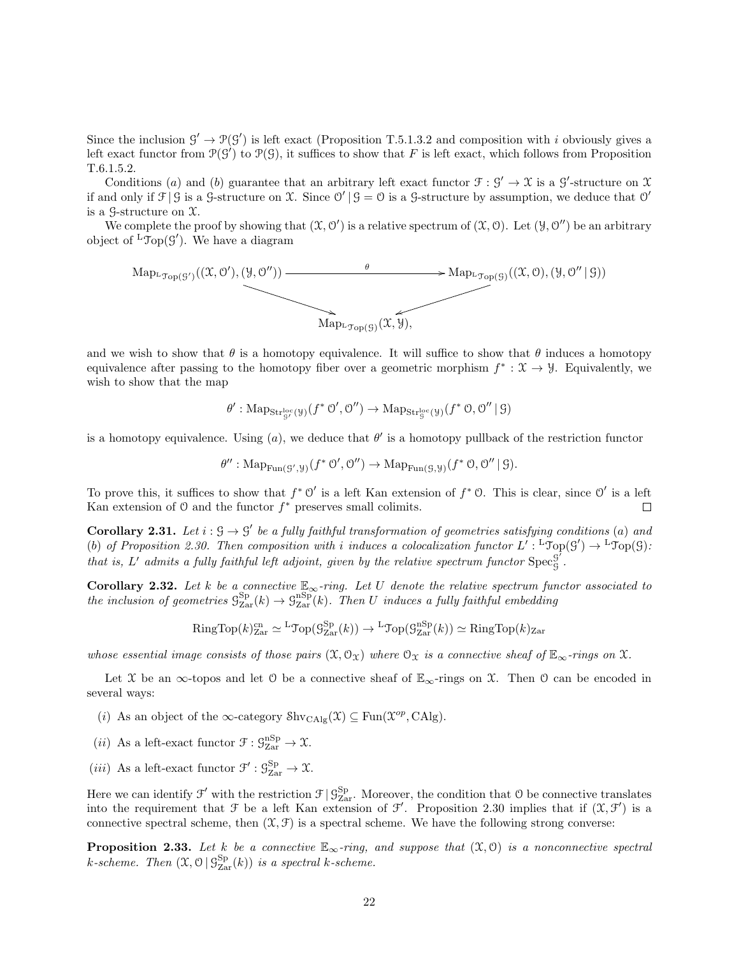Since the inclusion  $\mathcal{G}' \to \mathcal{P}(\mathcal{G}')$  is left exact (Proposition T.5.1.3.2 and composition with i obviously gives a left exact functor from  $\mathcal{P}(\mathcal{G}')$  to  $\mathcal{P}(\mathcal{G})$ , it suffices to show that F is left exact, which follows from Proposition T.6.1.5.2.

Conditions (a) and (b) guarantee that an arbitrary left exact functor  $\mathcal{F}: \mathcal{G}' \to \mathcal{X}$  is a  $\mathcal{G}'$ -structure on X if and only if  $\mathcal{F} | \mathcal{G}$  is a  $\mathcal{G}$ -structure on X. Since  $\mathcal{O}' | \mathcal{G} = \mathcal{O}$  is a  $\mathcal{G}$ -structure by assumption, we deduce that  $\mathcal{O}'$ is a  $\mathcal{G}\text{-structure on }\mathfrak{X}.$ 

We complete the proof by showing that  $(\mathfrak{X}, \mathfrak{O}')$  is a relative spectrum of  $(\mathfrak{X}, \mathfrak{O})$ . Let  $(\mathcal{Y}, \mathfrak{O}'')$  be an arbitrary object of  ${}^{\mathsf{L}}\mathcal{T}\mathrm{op}(\mathcal{G}')$ . We have a diagram



and we wish to show that  $\theta$  is a homotopy equivalence. It will suffice to show that  $\theta$  induces a homotopy equivalence after passing to the homotopy fiber over a geometric morphism  $f^* : \mathfrak{X} \to \mathcal{Y}$ . Equivalently, we wish to show that the map

$$
\theta':\mathrm{Map}_{\mathbf{Str}^\mathrm{loc}_\mathcal{G}(\mathcal{Y})}(f^*\,\mathcal{O}',\mathcal{O}'')\to\mathrm{Map}_{\mathbf{Str}^\mathrm{loc}_\mathcal{G}(\mathcal{Y})}(f^*\,\mathcal{O},\mathcal{O}''\,|\,\mathcal{G})
$$

is a homotopy equivalence. Using  $(a)$ , we deduce that  $\theta'$  is a homotopy pullback of the restriction functor

$$
\theta'': \mathrm{Map}_{\mathrm{Fun}(\mathcal{G}', \mathcal{Y})}(f^* \circ \mathcal{O}', \mathcal{O}'') \to \mathrm{Map}_{\mathrm{Fun}(\mathcal{G}, \mathcal{Y})}(f^* \circ \mathcal{O}, \mathcal{O}'' \mid \mathcal{G}).
$$

To prove this, it suffices to show that  $f^* \mathcal{O}'$  is a left Kan extension of  $f^* \mathcal{O}$ . This is clear, since  $\mathcal{O}'$  is a left Kan extension of  $\mathcal O$  and the functor  $f^*$  preserves small colimits.  $\Box$ 

**Corollary 2.31.** Let  $i : \mathcal{G} \to \mathcal{G}'$  be a fully faithful transformation of geometries satisfying conditions (a) and (b) of Proposition 2.30. Then composition with i induces a colocalization functor  $L' : {}^{\mathsf{L}}\mathfrak{Top}(\mathcal{G}') \to {}^{\mathsf{L}}\mathfrak{Top}(\mathcal{G})$ : that is, L' admits a fully faithful left adjoint, given by the relative spectrum functor  $Spec_G^{\mathcal{G}}$ G .

Corollary 2.32. Let k be a connective  $\mathbb{E}_{\infty}$ -ring. Let U denote the relative spectrum functor associated to the inclusion of geometries  $\mathcal{G}^{\text{Sp}}_{\text{Zar}}(k) \to \mathcal{G}^{\text{nSp}}_{\text{Zar}}(k)$ . Then U induces a fully faithful embedding

RingTop(
$$
k
$$
)<sup>cn</sup><sub>Zar</sub>  $\simeq$ <sup>L</sup>Top( $\mathcal{G}_{\text{Zar}}^{\text{Sp}}(k)$ )  $\rightarrow$ <sup>L</sup>Top( $\mathcal{G}_{\text{Zar}}^{\text{nSp}}(k)$ )  $\simeq$  RingTop( $k$ )<sub>Zar</sub>

whose essential image consists of those pairs  $(\mathfrak{X}, \mathcal{O}_{\mathfrak{X}})$  where  $\mathcal{O}_{\mathfrak{X}}$  is a connective sheaf of  $\mathbb{E}_{\infty}$ -rings on X.

Let X be an ∞-topos and let O be a connective sheaf of  $\mathbb{E}_{\infty}$ -rings on X. Then O can be encoded in several ways:

- (i) As an object of the  $\infty$ -category  $\text{Shv}_{\text{CAlg}}(\mathfrak{X}) \subseteq \text{Fun}(\mathfrak{X}^{op}, \text{CAlg}).$
- (*ii*) As a left-exact functor  $\mathcal{F}: \mathcal{G}_{\text{Zar}}^{\text{nSp}} \to \mathcal{X}$ .
- (*iii*) As a left-exact functor  $\mathcal{F}' : \mathcal{G}_{\text{Zar}}^{\text{Sp}} \to \mathcal{X}$ .

Here we can identify  $\mathcal{F}'$  with the restriction  $\mathcal{F} | \mathcal{G}_{\text{Zar}}^{\text{Sp}}$ . Moreover, the condition that  $\mathcal{O}$  be connective translates into the requirement that  $\mathcal F$  be a left Kan extension of  $\mathcal F'$ . Proposition 2.30 implies that if  $(\mathfrak X,\mathcal F')$  is a connective spectral scheme, then  $(\mathfrak{X}, \mathfrak{F})$  is a spectral scheme. We have the following strong converse:

**Proposition 2.33.** Let k be a connective  $\mathbb{E}_{\infty}$ -ring, and suppose that  $(\mathfrak{X},0)$  is a nonconnective spectral k-scheme. Then  $(\mathfrak{X}, \mathfrak{O} \mid \mathcal{G}^{\text{Sp}}_{\text{Zar}}(k))$  is a spectral k-scheme.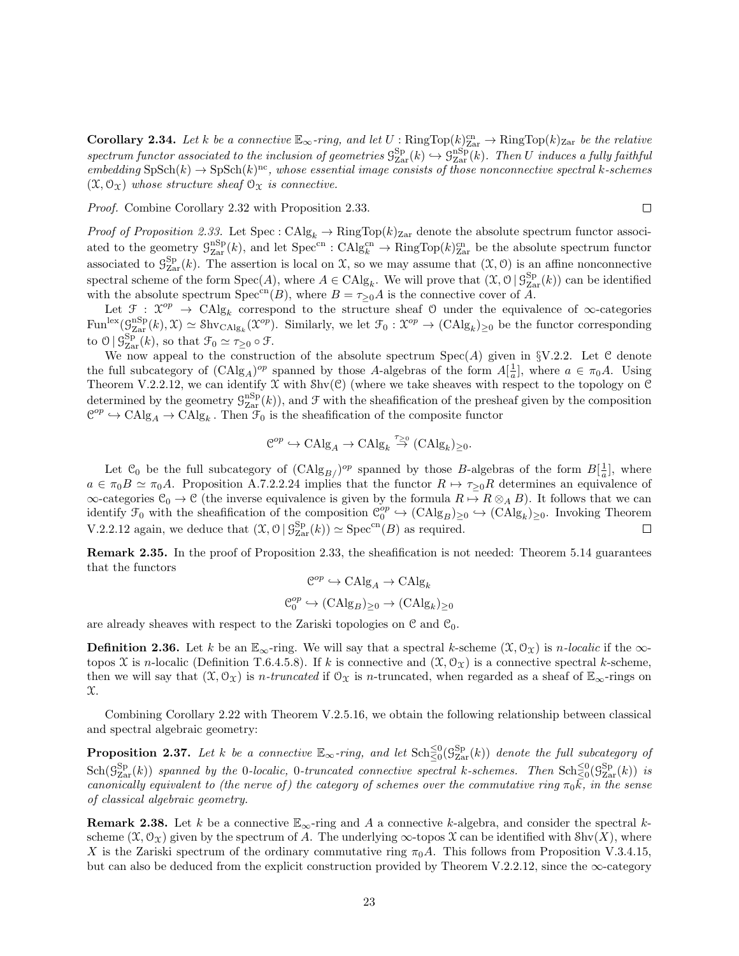**Corollary 2.34.** Let k be a connective  $\mathbb{E}_{\infty}$ -ring, and let U:  $\text{RingTop}(k)_{\text{Zar}}^{\text{cn}} \to \text{RingTop}(k)_{\text{Zar}}$  be the relative  $spectrum\ function\ associated\ to\ the\ inclusion\ of\ geometries\ S_{\rm Zar}^{\rm Sp}(k)\hookrightarrow S_{\rm Zar}^{\rm nSp}(k).$  Then U induces a fully faithful  $embedding SpSch(k) \rightarrow SpSch(k)^{nc}$ , whose essential image consists of those nonconnective spectral k-schemes  $(\mathfrak{X}, \mathcal{O}_{\mathfrak{X}})$  whose structure sheaf  $\mathcal{O}_{\mathfrak{X}}$  is connective.

Proof. Combine Corollary 2.32 with Proposition 2.33.

$$
\Box
$$

Proof of Proposition 2.33. Let  $Spec: CAlg_k \to RingTop(k)_{Zar}$  denote the absolute spectrum functor associated to the geometry  $\mathcal{G}_{\text{Zar}}^{\text{nSp}}(k)$ , and let  $\text{Spec}^{\text{cn}} : \text{CAlg}_{k}^{\text{cn}} \to \text{RingTop}(k)_{\text{Zar}}^{\text{cn}}$  be the absolute spectrum functor associated to  $\mathcal{G}^{\text{Sp}}_{\text{Zar}}(k)$ . The assertion is local on X, so we may assume that  $(\mathfrak{X}, \mathfrak{O})$  is an affine nonconnective spectral scheme of the form  $Spec(A)$ , where  $A \in CAlg_k$ . We will prove that  $(\mathfrak{X}, \mathcal{O} \mid \mathcal{G}^{Sp}_{Zar}(k))$  can be identified with the absolute spectrum  $Spec^{cn}(B)$ , where  $B = \tau_{\geq 0}A$  is the connective cover of  $\overline{A}$ .

Let  $\mathcal{F}: \mathcal{X}^{op} \to \text{CAlg}_k$  correspond to the structure sheaf O under the equivalence of  $\infty$ -categories  $\text{Fun}^{\text{lex}}(\mathcal{G}_{\text{Zar}}^{\text{nSp}}(k),\mathfrak{X})\simeq \text{Shv}_{\text{CAlg}_k}(\mathfrak{X}^{op}).$  Similarly, we let  $\mathcal{F}_0:\mathfrak{X}^{op}\to (\text{CAlg}_k)_{\geq 0}$  be the functor corresponding to  $\mathcal{O} \mid \mathcal{G}_{\text{Zar}}^{\text{Sp}}(k)$ , so that  $\mathcal{F}_0 \simeq \tau_{\geq 0} \circ \mathcal{F}$ .

We now appeal to the construction of the absolute spectrum  $Spec(A)$  given in §V.2.2. Let C denote the full subcategory of  $(CAlg_A)^{op}$  spanned by those A-algebras of the form  $A[\frac{1}{a}]$ , where  $a \in \pi_0 A$ . Using Theorem V.2.2.12, we can identify  $\mathfrak X$  with  $\text{Shv}(\mathcal{C})$  (where we take sheaves with respect to the topology on  $\mathfrak C$ determined by the geometry  $\mathcal{G}_{\text{Zar}}^{\text{nSp}}(k)$ , and  $\mathcal F$  with the sheafification of the presheaf given by the composition  $\mathbb{C}^{op} \hookrightarrow \mathrm{CAlg}_A \to \mathrm{CAlg}_k$ . Then  $\mathcal{F}_0$  is the sheafification of the composite functor

$$
\mathcal{C}^{op} \hookrightarrow \mathrm{CAlg}_A \to \mathrm{CAlg}_k \overset{\tau_{\geq 0}}{\to} (\mathrm{CAlg}_k)_{\geq 0}.
$$

Let  $\mathcal{C}_0$  be the full subcategory of  $(\text{CAlg}_{B}/\text{P}^p)$  spanned by those B-algebras of the form  $B[\frac{1}{a}]$ , where  $a \in \pi_0 B \simeq \pi_0 A$ . Proposition A.7.2.2.24 implies that the functor  $R \mapsto \tau_{\geq 0} R$  determines an equivalence of  $\infty$ -categories  $\mathcal{C}_0 \to \mathcal{C}$  (the inverse equivalence is given by the formula  $R \mapsto R \otimes_A B$ ). It follows that we can identify  $\mathcal{F}_0$  with the sheafification of the composition  $\mathcal{C}_0^{op} \hookrightarrow (\mathrm{CAlg}_B)_{\geq 0} \hookrightarrow (\mathrm{CAlg}_k)_{\geq 0}$ . Invoking Theorem V.2.2.12 again, we deduce that  $(\mathfrak{X}, \mathcal{O} \mid \mathcal{G}_{\text{Zar}}^{\text{Sp}}(k)) \simeq \text{Spec}^{\text{cn}}(B)$  as required.  $\Box$ 

Remark 2.35. In the proof of Proposition 2.33, the sheafification is not needed: Theorem 5.14 guarantees that the functors

$$
\mathcal{C}^{op} \hookrightarrow \mathrm{CAlg}_A \to \mathrm{CAlg}_k
$$
  

$$
\mathcal{C}_0^{op} \hookrightarrow (\mathrm{CAlg}_B)_{\geq 0} \to (\mathrm{CAlg}_k)_{\geq 0}
$$

are already sheaves with respect to the Zariski topologies on  $\mathcal C$  and  $\mathcal C_0$ .

**Definition 2.36.** Let k be an  $\mathbb{E}_{\infty}$ -ring. We will say that a spectral k-scheme  $(\mathfrak{X}, \mathcal{O}_{\mathfrak{X}})$  is n-localic if the  $\infty$ topos X is n-localic (Definition T.6.4.5.8). If k is connective and  $(\mathfrak{X}, \mathcal{O}_{\mathfrak{X}})$  is a connective spectral k-scheme, then we will say that  $(\mathfrak{X}, \mathcal{O}_{\mathfrak{X}})$  is *n*-truncated if  $\mathcal{O}_{\mathfrak{X}}$  is *n*-truncated, when regarded as a sheaf of  $\mathbb{E}_{\infty}$ -rings on X.

Combining Corollary 2.22 with Theorem V.2.5.16, we obtain the following relationship between classical and spectral algebraic geometry:

**Proposition 2.37.** Let k be a connective  $\mathbb{E}_{\infty}$ -ring, and let  $\text{Sch}^{\leq 0}_{\leq 0}(\mathcal{G}^{\text{Sp}}_{\text{Zar}}(k))$  denote the full subcategory of  $\text{Sch}(\mathcal{G}_{\text{Zar}}^{\text{Sp}}(k))$  spanned by the 0-localic, 0-truncated connective spectral k-schemes. Then  $\text{Sch}^{\leq 0}_{\leq 0}(\mathcal{G}_{\text{Zar}}^{\text{Sp}}(k))$  is canonically equivalent to (the nerve of) the category of schemes over the commutative ring  $\pi_0\overline{k}$ , in the sense of classical algebraic geometry.

**Remark 2.38.** Let k be a connective  $\mathbb{E}_{\infty}$ -ring and A a connective k-algebra, and consider the spectral kscheme  $(\mathfrak{X}, \mathcal{O}_{\mathfrak{X}})$  given by the spectrum of A. The underlying  $\infty$ -topos  $\mathfrak{X}$  can be identified with Shv $(X)$ , where X is the Zariski spectrum of the ordinary commutative ring  $\pi_0 A$ . This follows from Proposition V.3.4.15, but can also be deduced from the explicit construction provided by Theorem V.2.2.12, since the  $\infty$ -category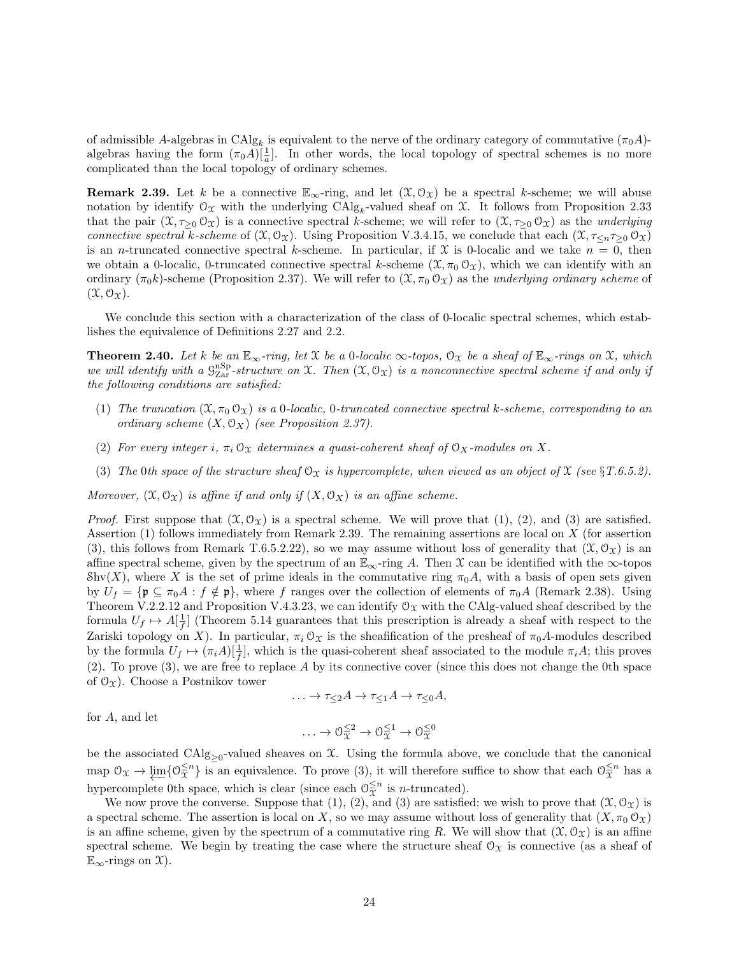of admissible A-algebras in  $CAlg_k$  is equivalent to the nerve of the ordinary category of commutative  $(\pi_0 A)$ algebras having the form  $(\pi_0 A) \left[\frac{1}{a}\right]$ . In other words, the local topology of spectral schemes is no more complicated than the local topology of ordinary schemes.

**Remark 2.39.** Let k be a connective  $\mathbb{E}_{\infty}$ -ring, and let  $(\mathcal{X}, \mathcal{O}_{\mathcal{X}})$  be a spectral k-scheme; we will abuse notation by identify  $\mathcal{O}_{\mathcal{X}}$  with the underlying  $\text{CAlg}_k$ -valued sheaf on  $\mathcal{X}$ . It follows from Proposition 2.33 that the pair  $(\mathfrak{X}, \tau_{>0} \mathcal{O}_{\mathfrak{X}})$  is a connective spectral k-scheme; we will refer to  $(\mathfrak{X}, \tau_{>0} \mathcal{O}_{\mathfrak{X}})$  as the *underlying* connective spectral k-scheme of  $(\mathfrak{X}, \mathfrak{O}_{\mathfrak{X}})$ . Using Proposition V.3.4.15, we conclude that each  $(\mathfrak{X}, \tau_{\leq n} \tau_{\geq 0} \mathfrak{O}_{\mathfrak{X}})$ is an *n*-truncated connective spectral k-scheme. In particular, if X is 0-localic and we take  $n = 0$ , then we obtain a 0-localic, 0-truncated connective spectral k-scheme  $(\mathfrak{X}, \pi_0 \mathfrak{O}_{\mathfrak{X}})$ , which we can identify with an ordinary  $(\pi_0 k)$ -scheme (Proposition 2.37). We will refer to  $(\mathfrak{X}, \pi_0 \mathfrak{O}_{\mathfrak{X}})$  as the underlying ordinary scheme of  $(\mathfrak{X}, \mathfrak{O}_{\mathfrak{X}}).$ 

We conclude this section with a characterization of the class of 0-localic spectral schemes, which establishes the equivalence of Definitions 2.27 and 2.2.

**Theorem 2.40.** Let k be an  $\mathbb{E}_{\infty}$ -ring, let X be a 0-localic  $\infty$ -topos,  $\mathcal{O}_{\mathfrak{X}}$  be a sheaf of  $\mathbb{E}_{\infty}$ -rings on X, which we will identify with a  $\mathcal{G}_{\rm Zar}^{\rm nSp}$ -structure on X. Then  $(\mathfrak{X},\mathcal{O}_{\mathfrak{X}})$  is a nonconnective spectral scheme if and only if the following conditions are satisfied:

- (1) The truncation  $(\mathfrak{X}, \pi_0 \mathfrak{O}_{\mathfrak{X}})$  is a 0-localic, 0-truncated connective spectral k-scheme, corresponding to an ordinary scheme  $(X, \mathcal{O}_X)$  (see Proposition 2.37).
- (2) For every integer i,  $\pi_i \mathcal{O}_X$  determines a quasi-coherent sheaf of  $\mathcal{O}_X$ -modules on X.
- (3) The 0th space of the structure sheaf  $\mathcal{O}_X$  is hypercomplete, when viewed as an object of X (see §T.6.5.2).

Moreover,  $(\mathfrak{X}, \mathcal{O}_{\mathfrak{X}})$  is affine if and only if  $(X, \mathcal{O}_{X})$  is an affine scheme.

*Proof.* First suppose that  $(\mathfrak{X}, \mathcal{O}_{\mathfrak{X}})$  is a spectral scheme. We will prove that  $(1), (2),$  and  $(3)$  are satisfied. Assertion (1) follows immediately from Remark 2.39. The remaining assertions are local on X (for assertion (3), this follows from Remark T.6.5.2.22), so we may assume without loss of generality that  $(\mathfrak{X}, \mathfrak{O}_{\mathfrak{X}})$  is an affine spectral scheme, given by the spectrum of an  $\mathbb{E}_{\infty}$ -ring A. Then X can be identified with the  $\infty$ -topos Shv(X), where X is the set of prime ideals in the commutative ring  $\pi_0 A$ , with a basis of open sets given by  $U_f = {\mathfrak{p} \subseteq \pi_0 A : f \notin \mathfrak{p}}$ , where f ranges over the collection of elements of  $\pi_0 A$  (Remark 2.38). Using Theorem V.2.2.12 and Proposition V.4.3.23, we can identify  $\mathcal{O}_{\mathfrak{X}}$  with the CAlg-valued sheaf described by the formula  $U_f \mapsto A[\frac{1}{f}]$  (Theorem 5.14 guarantees that this prescription is already a sheaf with respect to the Zariski topology on X). In particular,  $\pi_i \mathcal{O}_\mathcal{X}$  is the sheafification of the presheaf of  $\pi_0 A$ -modules described by the formula  $U_f \mapsto (\pi_i A)[\frac{1}{f}],$  which is the quasi-coherent sheaf associated to the module  $\pi_i A$ ; this proves (2). To prove (3), we are free to replace A by its connective cover (since this does not change the 0th space of  $\mathcal{O}_{\Upsilon}$ . Choose a Postnikov tower

$$
\ldots \to \tau_{\leq 2}A \to \tau_{\leq 1}A \to \tau_{\leq 0}A,
$$

for A, and let

$$
\ldots \to \mathcal{O}_{\mathfrak{X}}^{\leq 2} \to \mathcal{O}_{\mathfrak{X}}^{\leq 1} \to \mathcal{O}_{\mathfrak{X}}^{\leq 0}
$$

be the associated  $\text{CAlg}_{\geq 0}$ -valued sheaves on X. Using the formula above, we conclude that the canonical map  $\mathcal{O}_{\mathfrak{X}} \to \varprojlim \{ \mathcal{O}_{\mathfrak{X}}^{\leq n} \}$  is an equivalence. To prove (3), it will therefore suffice to show that each  $\mathcal{O}_{\mathfrak{X}}^{\leq n}$  has a hypercomplete 0th space, which is clear (since each  $\mathcal{O}_{\overline{x}}^{\leq n}$  is *n*-truncated).

We now prove the converse. Suppose that (1), (2), and (3) are satisfied; we wish to prove that  $(\mathfrak{X}, \mathcal{O}_{\mathfrak{X}})$  is a spectral scheme. The assertion is local on X, so we may assume without loss of generality that  $(X, \pi_0 \mathcal{O}_X)$ is an affine scheme, given by the spectrum of a commutative ring R. We will show that  $(\mathfrak{X}, \mathfrak{O}_{\mathfrak{X}})$  is an affine spectral scheme. We begin by treating the case where the structure sheaf  $\mathcal{O}_{\mathcal{X}}$  is connective (as a sheaf of  $\mathbb{E}_{\infty}$ -rings on  $\mathfrak{X}$ ).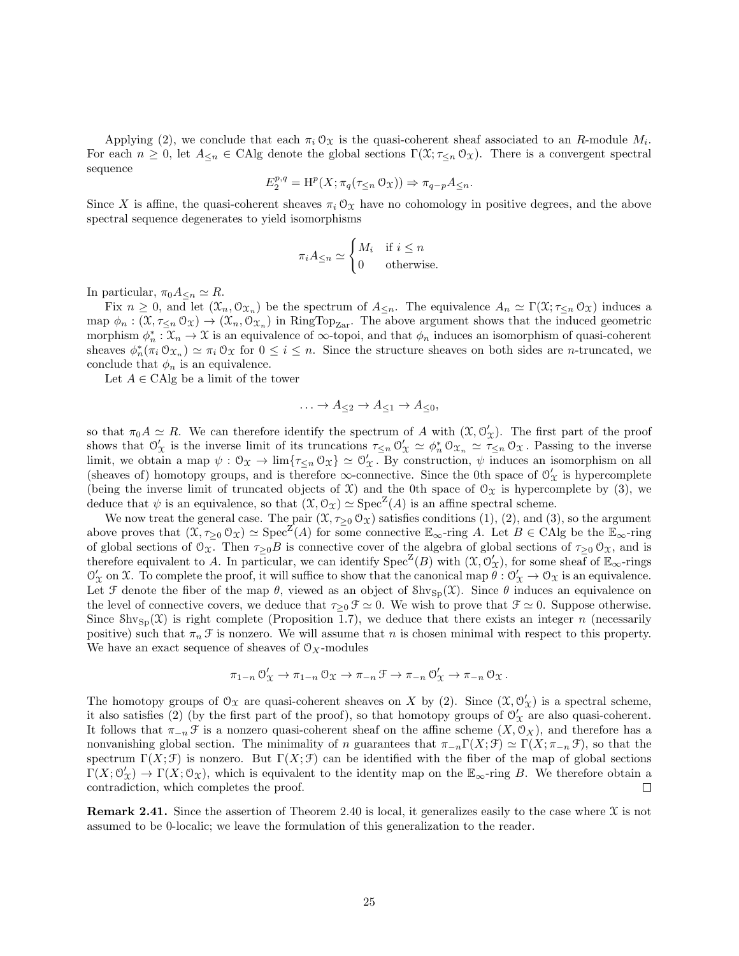Applying (2), we conclude that each  $\pi_i \mathcal{O}_{\mathfrak{X}}$  is the quasi-coherent sheaf associated to an R-module  $M_i$ . For each  $n \geq 0$ , let  $A_{\leq n} \in \text{CAlg}$  denote the global sections  $\Gamma(\mathfrak{X}; \tau_{\leq n} \mathfrak{O}_{\mathfrak{X}})$ . There is a convergent spectral sequence

$$
E_2^{p,q} = \mathrm{H}^p(X; \pi_q(\tau_{\leq n} \mathcal{O}_X)) \Rightarrow \pi_{q-p} A_{\leq n}.
$$

Since X is affine, the quasi-coherent sheaves  $\pi_i \mathcal{O}_X$  have no cohomology in positive degrees, and the above spectral sequence degenerates to yield isomorphisms

$$
\pi_i A_{\leq n} \simeq \begin{cases} M_i & \text{if } i \leq n \\ 0 & \text{otherwise.} \end{cases}
$$

In particular,  $\pi_0 A_{\leq n} \simeq R$ .

Fix  $n \geq 0$ , and let  $(\mathfrak{X}_n, \mathfrak{O}_{\mathfrak{X}_n})$  be the spectrum of  $A_{\leq n}$ . The equivalence  $A_n \simeq \Gamma(\mathfrak{X}; \tau_{\leq n} \mathfrak{O}_{\mathfrak{X}})$  induces a map  $\phi_n: (\mathfrak{X}, \tau_{\leq n} \mathfrak{O}_{\mathfrak{X}}) \to (\mathfrak{X}_n, \mathfrak{O}_{\mathfrak{X}_n})$  in RingTop<sub>Zar</sub>. The above argument shows that the induced geometric morphism  $\phi_n^* : \mathcal{X}_n \to \mathcal{X}$  is an equivalence of  $\infty$ -topoi, and that  $\phi_n$  induces an isomorphism of quasi-coherent sheaves  $\phi_n^*(\pi_i \mathcal{O}_{\mathfrak{X}_n}) \simeq \pi_i \mathcal{O}_{\mathfrak{X}}$  for  $0 \leq i \leq n$ . Since the structure sheaves on both sides are *n*-truncated, we conclude that  $\phi_n$  is an equivalence.

Let  $A \in \mathrm{CAlg}$  be a limit of the tower

$$
\ldots \to A_{\leq 2} \to A_{\leq 1} \to A_{\leq 0},
$$

so that  $\pi_0 A \simeq R$ . We can therefore identify the spectrum of A with  $(\mathfrak{X}, \mathcal{O}'_{\mathfrak{X}})$ . The first part of the proof shows that  $\mathcal{O}'_{\mathcal{X}}$  is the inverse limit of its truncations  $\tau_{\leq n} \mathcal{O}'_{\mathcal{X}} \simeq \phi_n^* \mathcal{O}_{\mathcal{X}_n} \simeq \tau_{\leq n} \mathcal{O}_{\mathcal{X}}$ . Passing to the inverse limit, we obtain a map  $\psi : \mathcal{O}_{\mathfrak{X}} \to \lim \{ \tau_{\leq n} \mathcal{O}_{\mathfrak{X}} \} \simeq \mathcal{O}_{\mathfrak{X}}'$ . By construction,  $\psi$  induces an isomorphism on all (sheaves of) homotopy groups, and is therefore  $\infty$ -connective. Since the 0th space of  $\mathcal{O}'_{\mathcal{X}}$  is hypercomplete (being the inverse limit of truncated objects of  $\mathfrak{X}$ ) and the 0th space of  $\mathfrak{O}_{\mathfrak{X}}$  is hypercomplete by (3), we deduce that  $\psi$  is an equivalence, so that  $(\mathfrak{X}, \mathfrak{O}_{\mathfrak{X}}) \simeq \text{Spec}^{\mathbb{Z}}(A)$  is an affine spectral scheme.

We now treat the general case. The pair  $(\mathfrak{X}, \tau_{\geq 0} \mathfrak{O}_{\mathfrak{X}})$  satisfies conditions  $(1), (2),$  and  $(3),$  so the argument above proves that  $(\mathfrak{X}, \tau_{\geq 0} \mathfrak{O}_{\mathfrak{X}}) \simeq \text{Spec}^{\mathbb{Z}}(A)$  for some connective  $\mathbb{E}_{\infty}$ -ring A. Let  $B \in \text{CAlg}$  be the  $\mathbb{E}_{\infty}$ -ring of global sections of  $\mathcal{O}_{\mathfrak{X}}$ . Then  $\tau_{\geq 0}B$  is connective cover of the algebra of global sections of  $\tau_{\geq 0}\mathcal{O}_{\mathfrak{X}}$ , and is therefore equivalent to A. In particular, we can identify  $Spec^Z(B)$  with  $(\mathfrak{X}, \mathcal{O}'_{\mathfrak{X}})$ , for some sheaf of  $\mathbb{E}_{\infty}$ -rings  $\mathcal{O}'_{\mathcal{X}}$  on X. To complete the proof, it will suffice to show that the canonical map  $\tilde{\theta}: \mathcal{O}'_{\mathcal{X}} \to \mathcal{O}_{\mathcal{X}}$  is an equivalence. Let F denote the fiber of the map  $\theta$ , viewed as an object of  $\text{Shv}_{\text{Sp}}(\mathfrak{X})$ . Since  $\theta$  induces an equivalence on the level of connective covers, we deduce that  $\tau_{\geq 0} \mathcal{F} \simeq 0$ . We wish to prove that  $\mathcal{F} \simeq 0$ . Suppose otherwise. Since  $\text{Shv}_{\text{Sp}}(\mathfrak{X})$  is right complete (Proposition 1.7), we deduce that there exists an integer n (necessarily positive) such that  $\pi_n \mathcal{F}$  is nonzero. We will assume that n is chosen minimal with respect to this property. We have an exact sequence of sheaves of  $\mathcal{O}_X$ -modules

$$
\pi_{1-n} \circlearrowleft_{\mathcal{X}}' \to \pi_{1-n} \circlearrowleft_{\mathcal{X}} \to \pi_{-n} \circlearrowleft \to \pi_{-n} \circlearrowleft_{\mathcal{X}}' \to \pi_{-n} \circlearrowleft_{\mathcal{X}}.
$$

The homotopy groups of  $\mathcal{O}_{\mathfrak{X}}$  are quasi-coherent sheaves on X by (2). Since  $(\mathfrak{X}, \mathcal{O}'_{\mathfrak{X}})$  is a spectral scheme, it also satisfies (2) (by the first part of the proof), so that homotopy groups of  $\mathcal{O}'_{\mathcal{X}}$  are also quasi-coherent. It follows that  $\pi_{-n} \mathcal{F}$  is a nonzero quasi-coherent sheaf on the affine scheme  $(X, \mathcal{O}_X)$ , and therefore has a nonvanishing global section. The minimality of n guarantees that  $\pi_{-n}\Gamma(X;\mathcal{F}) \simeq \Gamma(X;\pi_{-n}\mathcal{F})$ , so that the spectrum  $\Gamma(X; \mathcal{F})$  is nonzero. But  $\Gamma(X; \mathcal{F})$  can be identified with the fiber of the map of global sections  $\Gamma(X; \mathcal{O}'_{X}) \to \Gamma(X; \mathcal{O}_{X})$ , which is equivalent to the identity map on the  $\mathbb{E}_{\infty}$ -ring B. We therefore obtain a contradiction, which completes the proof.  $\Box$ 

**Remark 2.41.** Since the assertion of Theorem 2.40 is local, it generalizes easily to the case where  $\mathfrak X$  is not assumed to be 0-localic; we leave the formulation of this generalization to the reader.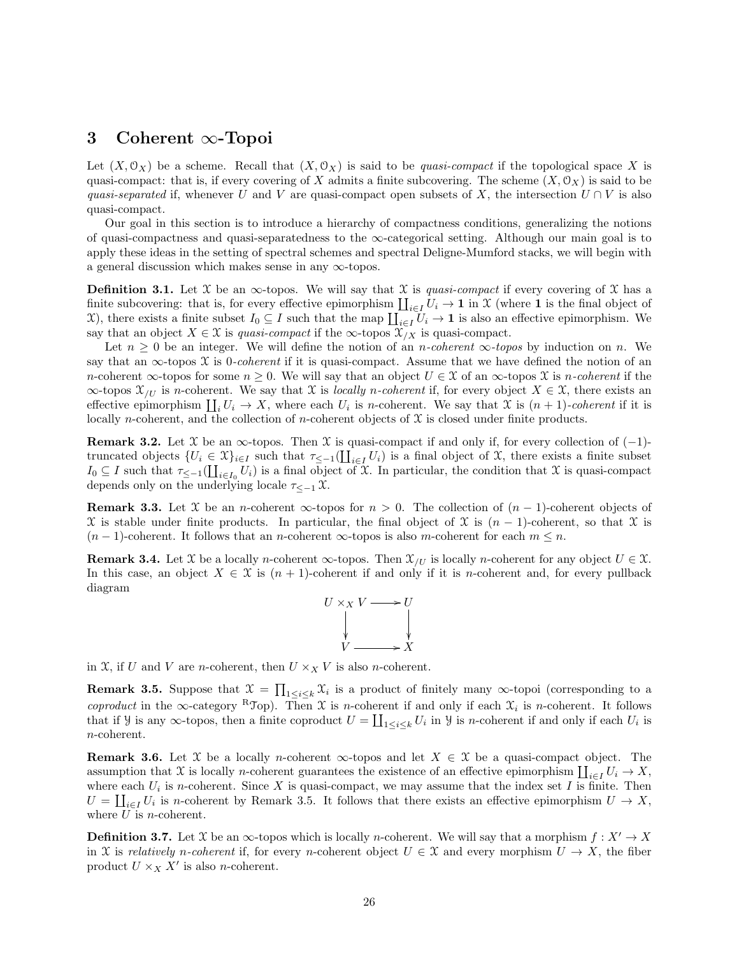# 3 Coherent ∞-Topoi

Let  $(X, \mathcal{O}_X)$  be a scheme. Recall that  $(X, \mathcal{O}_X)$  is said to be quasi-compact if the topological space X is quasi-compact: that is, if every covering of X admits a finite subcovering. The scheme  $(X, \mathcal{O}_X)$  is said to be quasi-separated if, whenever U and V are quasi-compact open subsets of X, the intersection  $U \cap V$  is also quasi-compact.

Our goal in this section is to introduce a hierarchy of compactness conditions, generalizing the notions of quasi-compactness and quasi-separatedness to the ∞-categorical setting. Although our main goal is to apply these ideas in the setting of spectral schemes and spectral Deligne-Mumford stacks, we will begin with a general discussion which makes sense in any  $\infty$ -topos.

**Definition 3.1.** Let X be an  $\infty$ -topos. We will say that X is quasi-compact if every covering of X has a finite subcovering: that is, for every effective epimorphism  $\coprod_{i\in I} U_i \to \mathbf{1}$  in X (where  $\mathbf{1}$  is the final object of X), there exists a finite subset  $I_0 \subseteq I$  such that the map  $\prod_{i\in I} U_i \to \mathbf{1}$  is also an effective epimorphism. We say that an object  $X \in \mathcal{X}$  is quasi-compact if the  $\infty$ -topos  $\mathcal{X}_{X}$  is quasi-compact.

Let  $n \geq 0$  be an integer. We will define the notion of an *n*-coherent  $\infty$ -topos by induction on *n*. We say that an  $\infty$ -topos X is 0-coherent if it is quasi-compact. Assume that we have defined the notion of an n-coherent  $\infty$ -topos for some  $n \geq 0$ . We will say that an object  $U \in \mathcal{X}$  of an  $\infty$ -topos  $\mathcal{X}$  is n-coherent if the  $\infty$ -topos  $\mathcal{X}_{U}$  is n-coherent. We say that X is locally n-coherent if, for every object  $X \in \mathcal{X}$ , there exists an effective epimorphism  $\coprod_i U_i \to X$ , where each  $U_i$  is *n*-coherent. We say that X is  $(n + 1)$ -coherent if it is locally n-coherent, and the collection of n-coherent objects of  $X$  is closed under finite products.

**Remark 3.2.** Let X be an  $\infty$ -topos. Then X is quasi-compact if and only if, for every collection of (-1)truncated objects  $\{U_i \in \mathfrak{X}\}_{i \in I}$  such that  $\tau_{\leq -1}(\coprod_{i \in I} U_i)$  is a final object of X, there exists a finite subset  $I_0 \subseteq I$  such that  $\tau_{\le-1}(\coprod_{i\in I_0} U_i)$  is a final object of X. In particular, the condition that X is quasi-compact depends only on the underlying locale  $\tau \lt_{-1} \mathfrak{X}$ .

**Remark 3.3.** Let X be an n-coherent  $\infty$ -topos for  $n > 0$ . The collection of  $(n - 1)$ -coherent objects of  $\mathfrak X$  is stable under finite products. In particular, the final object of  $\mathfrak X$  is  $(n-1)$ -coherent, so that  $\mathfrak X$  is  $(n-1)$ -coherent. It follows that an n-coherent  $\infty$ -topos is also m-coherent for each  $m \leq n$ .

**Remark 3.4.** Let X be a locally n-coherent  $\infty$ -topos. Then  $\mathcal{X}_{/U}$  is locally n-coherent for any object  $U \in \mathcal{X}$ . In this case, an object  $X \in \mathfrak{X}$  is  $(n + 1)$ -coherent if and only if it is *n*-coherent and, for every pullback diagram



in X, if U and V are *n*-coherent, then  $U \times_X V$  is also *n*-coherent.

**Remark 3.5.** Suppose that  $\mathcal{X} = \prod_{1 \leq i \leq k} \mathcal{X}_i$  is a product of finitely many  $\infty$ -topoi (corresponding to a coproduct in the  $\infty$ -category <sup>R</sup>Top). Then X is n-coherent if and only if each  $\mathfrak{X}_i$  is n-coherent. It follows that if *y* is any  $\infty$ -topos, then a finite coproduct  $U = \coprod_{1 \leq i \leq k} U_i$  in *y* is *n*-coherent if and only if each  $U_i$  is n-coherent.

**Remark 3.6.** Let X be a locally *n*-coherent  $\infty$ -topos and let  $X \in \mathcal{X}$  be a quasi-compact object. The assumption that X is locally *n*-coherent guarantees the existence of an effective epimorphism  $\coprod_{i\in I} U_i \to X$ , where each  $U_i$  is n-coherent. Since X is quasi-compact, we may assume that the index set I is finite. Then  $U = \coprod_{i \in I} U_i$  is n-coherent by Remark 3.5. It follows that there exists an effective epimorphism  $U \to X$ , where  $U$  is *n*-coherent.

**Definition 3.7.** Let X be an  $\infty$ -topos which is locally *n*-coherent. We will say that a morphism  $f : X' \to X$ in X is relatively n-coherent if, for every n-coherent object  $U \in \mathcal{X}$  and every morphism  $U \to X$ , the fiber product  $U \times_X X'$  is also *n*-coherent.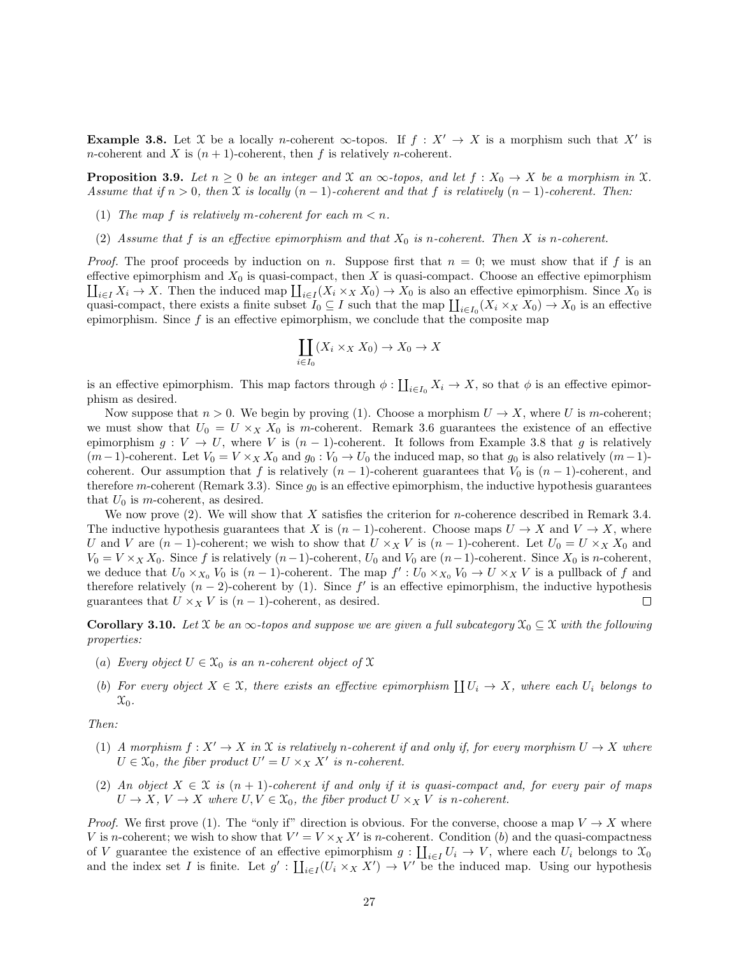**Example 3.8.** Let X be a locally *n*-coherent  $\infty$ -topos. If  $f : X' \to X$  is a morphism such that X' is *n*-coherent and X is  $(n + 1)$ -coherent, then f is relatively *n*-coherent.

**Proposition 3.9.** Let  $n \geq 0$  be an integer and X an  $\infty$ -topos, and let  $f : X_0 \to X$  be a morphism in X. Assume that if  $n > 0$ , then  $\mathfrak X$  is locally  $(n - 1)$ -coherent and that f is relatively  $(n - 1)$ -coherent. Then:

- (1) The map f is relatively m-coherent for each  $m < n$ .
- (2) Assume that f is an effective epimorphism and that  $X_0$  is n-coherent. Then X is n-coherent.

*Proof.* The proof proceeds by induction on n. Suppose first that  $n = 0$ ; we must show that if f is an effective epimorphism and  $X_0$  is quasi-compact, then X is quasi-compact. Choose an effective epimorphism  $\prod_{i\in I} X_i \to X$ . Then the induced map  $\prod_{i\in I} (X_i \times_X X_0) \to X_0$  is also an effective epimorphism. Since  $X_0$  is quasi-compact, there exists a finite subset  $I_0 \subseteq I$  such that the map  $\coprod_{i\in I_0} (X_i \times_X X_0) \to X_0$  is an effective epimorphism. Since  $f$  is an effective epimorphism, we conclude that the composite map

$$
\coprod_{i \in I_0} (X_i \times_X X_0) \to X_0 \to X
$$

is an effective epimorphism. This map factors through  $\phi: \coprod_{i\in I_0} X_i \to X$ , so that  $\phi$  is an effective epimorphism as desired.

Now suppose that  $n > 0$ . We begin by proving (1). Choose a morphism  $U \to X$ , where U is m-coherent; we must show that  $U_0 = U \times_X X_0$  is m-coherent. Remark 3.6 guarantees the existence of an effective epimorphism  $g: V \to U$ , where V is  $(n-1)$ -coherent. It follows from Example 3.8 that g is relatively  $(m-1)$ -coherent. Let  $V_0 = V \times_X X_0$  and  $g_0 : V_0 \to U_0$  the induced map, so that  $g_0$  is also relatively  $(m-1)$ coherent. Our assumption that f is relatively  $(n-1)$ -coherent guarantees that  $V_0$  is  $(n-1)$ -coherent, and therefore m-coherent (Remark 3.3). Since  $g_0$  is an effective epimorphism, the inductive hypothesis guarantees that  $U_0$  is m-coherent, as desired.

We now prove  $(2)$ . We will show that X satisfies the criterion for *n*-coherence described in Remark 3.4. The inductive hypothesis guarantees that X is  $(n-1)$ -coherent. Choose maps  $U \to X$  and  $V \to X$ , where U and V are  $(n-1)$ -coherent; we wish to show that  $U \times_X V$  is  $(n-1)$ -coherent. Let  $U_0 = U \times_X X_0$  and  $V_0 = V \times_X X_0$ . Since f is relatively  $(n-1)$ -coherent,  $U_0$  and  $V_0$  are  $(n-1)$ -coherent. Since  $X_0$  is n-coherent, we deduce that  $U_0 \times_{X_0} V_0$  is  $(n-1)$ -coherent. The map  $f': U_0 \times_{X_0} V_0 \to U \times_X V$  is a pullback of f and therefore relatively  $(n-2)$ -coherent by (1). Since f' is an effective epimorphism, the inductive hypothesis guarantees that  $U \times_X V$  is  $(n-1)$ -coherent, as desired. П

**Corollary 3.10.** Let X be an  $\infty$ -topos and suppose we are given a full subcategory  $\mathcal{X}_0 \subseteq \mathcal{X}$  with the following properties:

- (a) Every object  $U \in \mathfrak{X}_0$  is an n-coherent object of  $\mathfrak X$
- (b) For every object  $X \in \mathcal{X}$ , there exists an effective epimorphism  $\coprod U_i \to X$ , where each  $U_i$  belongs to  $\mathfrak{X}_0$ .

Then:

- (1) A morphism  $f: X' \to X$  in X is relatively n-coherent if and only if, for every morphism  $U \to X$  where  $U \in \mathfrak{X}_0$ , the fiber product  $U' = U \times_X X'$  is n-coherent.
- (2) An object  $X \in \mathcal{X}$  is  $(n+1)$ -coherent if and only if it is quasi-compact and, for every pair of maps  $U \to X$ ,  $V \to X$  where  $U, V \in \mathfrak{X}_0$ , the fiber product  $U \times_X V$  is n-coherent.

*Proof.* We first prove (1). The "only if" direction is obvious. For the converse, choose a map  $V \to X$  where V is n-coherent; we wish to show that  $V' = V \times_X X'$  is n-coherent. Condition (b) and the quasi-compactness of V guarantee the existence of an effective epimorphism  $g: \coprod_{i\in I} U_i \to V$ , where each  $U_i$  belongs to  $\mathcal{X}_0$ and the index set I is finite. Let  $g' : \coprod_{i \in I} (U_i \times_X X') \to V'$  be the induced map. Using our hypothesis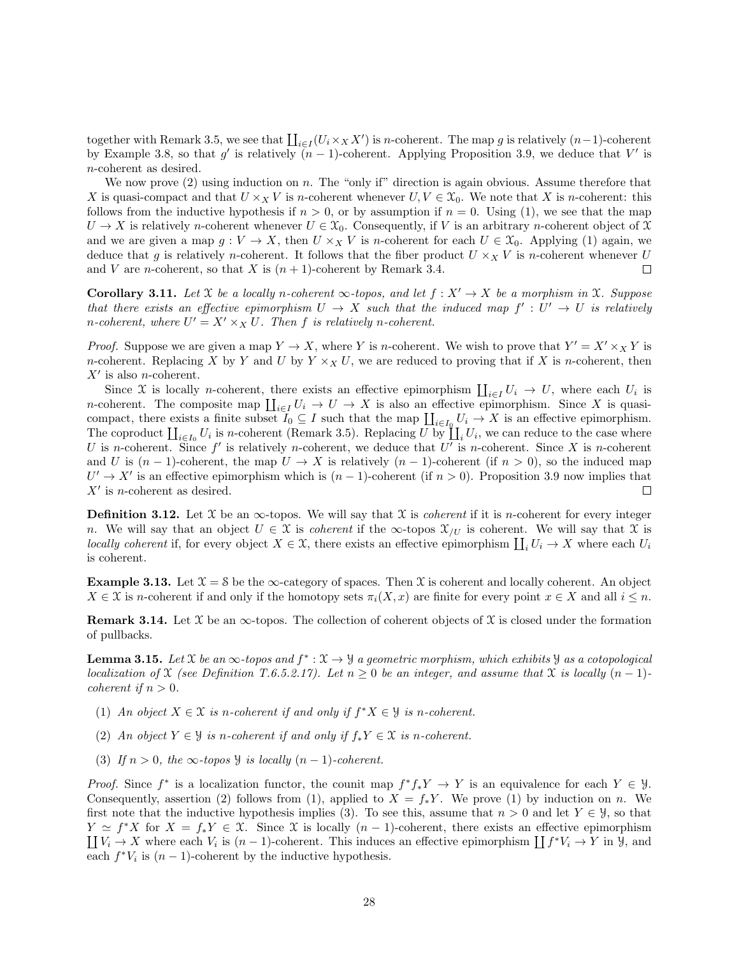together with Remark 3.5, we see that  $\prod_{i\in I} (U_i \times_X X')$  is n-coherent. The map g is relatively  $(n-1)$ -coherent by Example 3.8, so that g' is relatively  $(n-1)$ -coherent. Applying Proposition 3.9, we deduce that V' is n-coherent as desired.

We now prove  $(2)$  using induction on n. The "only if" direction is again obvious. Assume therefore that X is quasi-compact and that  $U \times_X V$  is n-coherent whenever  $U, V \in \mathcal{X}_0$ . We note that X is n-coherent: this follows from the inductive hypothesis if  $n > 0$ , or by assumption if  $n = 0$ . Using (1), we see that the map  $U \to X$  is relatively n-coherent whenever  $U \in \mathfrak{X}_0$ . Consequently, if V is an arbitrary n-coherent object of X and we are given a map  $g: V \to X$ , then  $U \times_X V$  is n-coherent for each  $U \in \mathfrak{X}_0$ . Applying (1) again, we deduce that g is relatively n-coherent. It follows that the fiber product  $U \times_X V$  is n-coherent whenever U and V are *n*-coherent, so that X is  $(n + 1)$ -coherent by Remark 3.4.  $\Box$ 

**Corollary 3.11.** Let X be a locally n-coherent  $\infty$ -topos, and let  $f : X' \to X$  be a morphism in X. Suppose that there exists an effective epimorphism  $U \to X$  such that the induced map  $f' : U' \to U$  is relatively *n*-coherent, where  $U' = X' \times_X U$ . Then f is relatively *n*-coherent.

*Proof.* Suppose we are given a map  $Y \to X$ , where Y is n-coherent. We wish to prove that  $Y' = X' \times_X Y$  is n-coherent. Replacing X by Y and U by  $Y \times_X U$ , we are reduced to proving that if X is n-coherent, then  $X'$  is also *n*-coherent.

Since X is locally *n*-coherent, there exists an effective epimorphism  $\prod_{i\in I} U_i \to U$ , where each  $U_i$  is *n*-coherent. The composite map  $\prod_{i\in I} U_i \to U \to X$  is also an effective epimorphism. Since X is quasicompact, there exists a finite subset  $I_0 \subseteq I$  such that the map  $\coprod_{i\in I_0} U_i \to X$  is an effective epimorphism. The coproduct  $\coprod_{i\in I_0} U_i$  is *n*-coherent (Remark 3.5). Replacing U by  $\coprod_i U_i$ , we can reduce to the case where U is n-coherent. Since  $f'$  is relatively n-coherent, we deduce that U' is n-coherent. Since X is n-coherent and U is  $(n-1)$ -coherent, the map  $U \to X$  is relatively  $(n-1)$ -coherent (if  $n > 0$ ), so the induced map  $U' \rightarrow X'$  is an effective epimorphism which is  $(n-1)$ -coherent (if  $n > 0$ ). Proposition 3.9 now implies that  $X'$  is *n*-coherent as desired.  $\Box$ 

**Definition 3.12.** Let  $\mathcal{X}$  be an  $\infty$ -topos. We will say that  $\mathcal{X}$  is *coherent* if it is *n*-coherent for every integer n. We will say that an object  $U \in \mathfrak{X}$  is coherent if the  $\infty$ -topos  $\mathfrak{X}_{/U}$  is coherent. We will say that X is locally coherent if, for every object  $X \in \mathcal{X}$ , there exists an effective epimorphism  $\prod_i U_i \to X$  where each  $U_i$ is coherent.

**Example 3.13.** Let  $\mathcal{X} = \mathcal{S}$  be the  $\infty$ -category of spaces. Then  $\mathcal{X}$  is coherent and locally coherent. An object  $X \in \mathcal{X}$  is n-coherent if and only if the homotopy sets  $\pi_i(X, x)$  are finite for every point  $x \in X$  and all  $i \leq n$ .

**Remark 3.14.** Let  $\mathcal{X}$  be an  $\infty$ -topos. The collection of coherent objects of  $\mathcal{X}$  is closed under the formation of pullbacks.

**Lemma 3.15.** Let X be an  $\infty$ -topos and  $f^*: \mathcal{X} \to \mathcal{Y}$  a geometric morphism, which exhibits  $\mathcal{Y}$  as a cotopological localization of X (see Definition T.6.5.2.17). Let  $n \geq 0$  be an integer, and assume that X is locally  $(n-1)$ coherent if  $n > 0$ .

- (1) An object  $X \in \mathcal{X}$  is n-coherent if and only if  $f^*X \in \mathcal{Y}$  is n-coherent.
- (2) An object  $Y \in \mathcal{Y}$  is n-coherent if and only if  $f_*Y \in \mathcal{X}$  is n-coherent.
- (3) If  $n > 0$ , the ∞-topos y is locally  $(n 1)$ -coherent.

*Proof.* Since  $f^*$  is a localization functor, the counit map  $f^*f_*Y \to Y$  is an equivalence for each  $Y \in \mathcal{Y}$ . Consequently, assertion (2) follows from (1), applied to  $X = f_*Y$ . We prove (1) by induction on n. We first note that the inductive hypothesis implies (3). To see this, assume that  $n > 0$  and let  $Y \in \mathcal{Y}$ , so that  $Y \simeq f^*X$  for  $X = f_*Y \in \mathfrak{X}$ . Since X is locally  $(n-1)$ -coherent, there exists an effective epimorphism  $\prod V_i \to X$  where each  $V_i$  is  $(n-1)$ -coherent. This induces an effective epimorphism  $\prod f^*V_i \to Y$  in  $\mathcal{Y}$ , and each  $f^*V_i$  is  $(n-1)$ -coherent by the inductive hypothesis.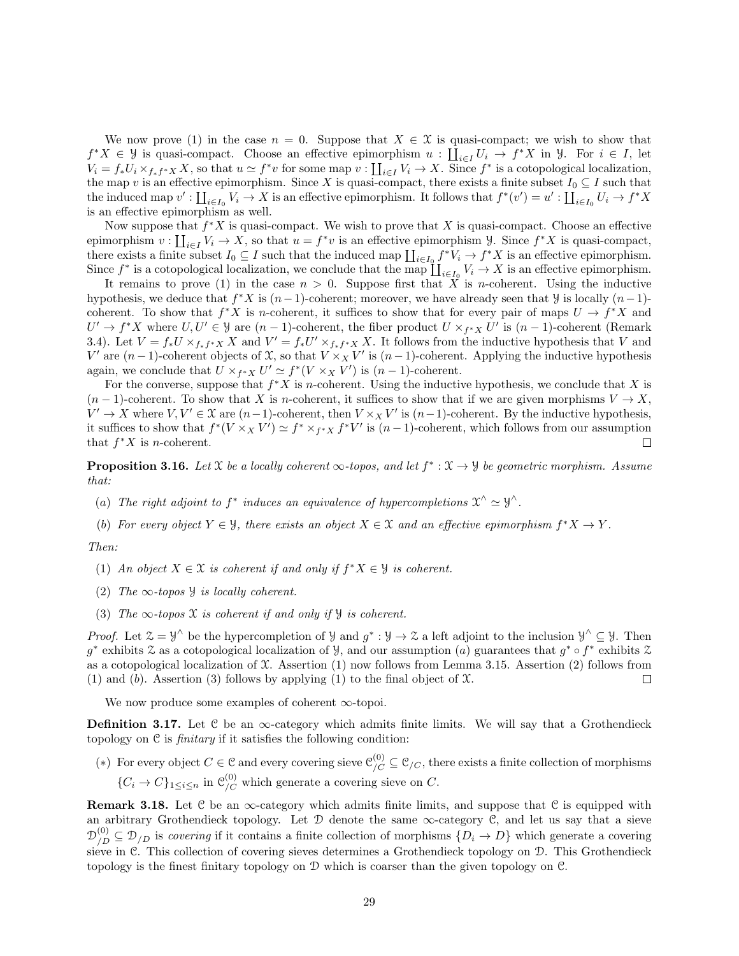We now prove (1) in the case  $n = 0$ . Suppose that  $X \in \mathcal{X}$  is quasi-compact; we wish to show that  $f^*X \in \mathcal{Y}$  is quasi-compact. Choose an effective epimorphism  $u: \coprod_{i \in I} U_i \to f^*X$  in  $\mathcal{Y}$ . For  $i \in I$ , let  $V_i = f_* U_i \times_{f_*f^*X} X$ , so that  $u \simeq f^* v$  for some map  $v : \coprod_{i \in I} V_i \to X$ . Since  $f^*$  is a cotopological localization, the map v is an effective epimorphism. Since X is quasi-compact, there exists a finite subset  $I_0 \subseteq I$  such that the induced map  $v' : \coprod_{i \in I_0} V_i \to X$  is an effective epimorphism. It follows that  $f^*(v') = u' : \coprod_{i \in I_0} U_i \to f^*X$ is an effective epimorphism as well.

Now suppose that  $f^*X$  is quasi-compact. We wish to prove that X is quasi-compact. Choose an effective epimorphism  $v: \coprod_{i\in I} V_i \to X$ , so that  $u = f^*v$  is an effective epimorphism  $\mathcal{Y}$ . Since  $f^*X$  is quasi-compact, there exists a finite subset  $I_0 \subseteq I$  such that the induced map  $\coprod_{i\in I_0} f^*V_i \to f^*X$  is an effective epimorphism. Since  $f^*$  is a cotopological localization, we conclude that the map  $\coprod_{i\in I_0} V_i \to X$  is an effective epimorphism.

It remains to prove (1) in the case  $n > 0$ . Suppose first that X is *n*-coherent. Using the inductive hypothesis, we deduce that  $f^*X$  is  $(n-1)$ -coherent; moreover, we have already seen that *y* is locally  $(n-1)$ coherent. To show that  $f^*X$  is *n*-coherent, it suffices to show that for every pair of maps  $U \to f^*X$  and  $U' \to f^*X$  where  $U, U' \in \mathcal{Y}$  are  $(n-1)$ -coherent, the fiber product  $U \times_{f^*X} U'$  is  $(n-1)$ -coherent (Remark 3.4). Let  $V = f_* U \times_{f_*f^*X} X$  and  $V' = f_* U' \times_{f_*f^*X} X$ . It follows from the inductive hypothesis that V and V' are  $(n-1)$ -coherent objects of X, so that  $V \times_X V'$  is  $(n-1)$ -coherent. Applying the inductive hypothesis again, we conclude that  $U \times_{f^*X} U' \simeq f^*(V \times_X V')$  is  $(n-1)$ -coherent.

For the converse, suppose that  $f^*X$  is *n*-coherent. Using the inductive hypothesis, we conclude that X is  $(n-1)$ -coherent. To show that X is n-coherent, it suffices to show that if we are given morphisms  $V \to X$ ,  $V' \to X$  where  $V, V' \in \mathfrak{X}$  are  $(n-1)$ -coherent, then  $V \times_X V'$  is  $(n-1)$ -coherent. By the inductive hypothesis, it suffices to show that  $f^*(V \times_X V') \simeq f^* \times_{f^*X} f^*V'$  is  $(n-1)$ -coherent, which follows from our assumption that  $f^*X$  is *n*-coherent.  $\Box$ 

**Proposition 3.16.** Let X be a locally coherent  $\infty$ -topos, and let  $f^* : \mathcal{X} \to \mathcal{Y}$  be geometric morphism. Assume that:

- (a) The right adjoint to  $f^*$  induces an equivalence of hypercompletions  $\mathfrak{X}^{\wedge} \simeq \mathfrak{Y}^{\wedge}$ .
- (b) For every object  $Y \in \mathcal{Y}$ , there exists an object  $X \in \mathcal{X}$  and an effective epimorphism  $f^*X \to Y$ .

Then:

- (1) An object  $X \in \mathcal{X}$  is coherent if and only if  $f^*X \in \mathcal{Y}$  is coherent.
- (2) The  $\infty$ -topos  $\mathcal Y$  is locally coherent.
- (3) The  $\infty$ -topos X is coherent if and only if *Y* is coherent.

*Proof.* Let  $\mathcal{Z} = \mathcal{Y}^{\wedge}$  be the hypercompletion of  $\mathcal{Y}$  and  $g^* : \mathcal{Y} \to \mathcal{Z}$  a left adjoint to the inclusion  $\mathcal{Y}^{\wedge} \subseteq \mathcal{Y}$ . Then g<sup>\*</sup> exhibits  $\mathcal Z$  as a cotopological localization of  $\mathcal Y$ , and our assumption (a) guarantees that  $g^* \circ f^*$  exhibits  $\mathcal Z$ as a cotopological localization of  $\mathfrak X$ . Assertion (1) now follows from Lemma 3.15. Assertion (2) follows from (1) and (b). Assertion (3) follows by applying (1) to the final object of  $\mathfrak{X}$ .  $\Box$ 

We now produce some examples of coherent ∞-topoi.

**Definition 3.17.** Let  $C$  be an  $\infty$ -category which admits finite limits. We will say that a Grothendieck topology on  $\mathfrak C$  is *finitary* if it satisfies the following condition:

(\*) For every object  $C \in \mathcal{C}$  and every covering sieve  $\mathcal{C}_{/C}^{(0)} \subseteq \mathcal{C}_{/C}$ , there exists a finite collection of morphisms  ${C_i \rightarrow C}_{1 \leq i \leq n}$  in  $\mathcal{C}_{/C}^{(0)}$  which generate a covering sieve on C.

Remark 3.18. Let  $C$  be an  $\infty$ -category which admits finite limits, and suppose that  $C$  is equipped with an arbitrary Grothendieck topology. Let  $D$  denote the same  $\infty$ -category C, and let us say that a sieve  $\mathcal{D}_{/D}^{(0)} \subseteq \mathcal{D}_{/D}$  is covering if it contains a finite collection of morphisms  $\{D_i \to D\}$  which generate a covering sieve in C. This collection of covering sieves determines a Grothendieck topology on D. This Grothendieck topology is the finest finitary topology on D which is coarser than the given topology on C.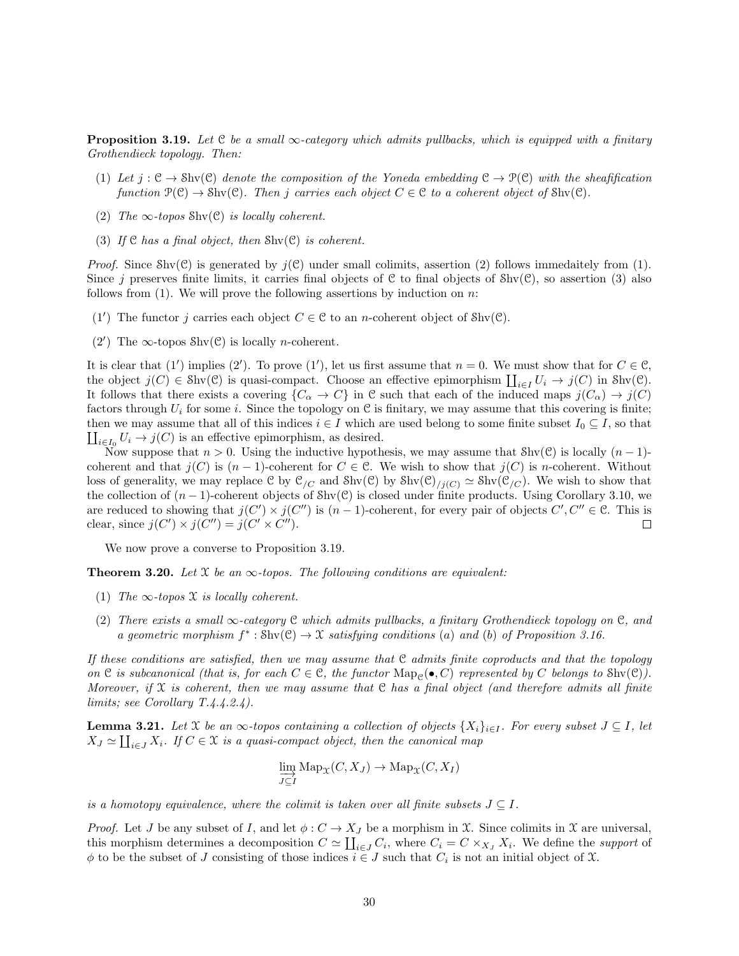**Proposition 3.19.** Let C be a small  $\infty$ -category which admits pullbacks, which is equipped with a finitary Grothendieck topology. Then:

- (1) Let  $j: \mathcal{C} \to \text{Shv}(\mathcal{C})$  denote the composition of the Yoneda embedding  $\mathcal{C} \to \mathcal{P}(\mathcal{C})$  with the sheafification function  $\mathcal{P}(\mathcal{C}) \to \text{Shv}(\mathcal{C})$ . Then j carries each object  $C \in \mathcal{C}$  to a coherent object of  $\text{Shv}(\mathcal{C})$ .
- (2) The  $\infty$ -topos Shv(C) is locally coherent.
- (3) If  $\mathcal C$  has a final object, then  $\text{Shv}(\mathcal C)$  is coherent.

*Proof.* Since Shv(C) is generated by  $j(\mathcal{C})$  under small colimits, assertion (2) follows immedaitely from (1). Since j preserves finite limits, it carries final objects of  $C$  to final objects of  $\text{Shv}(C)$ , so assertion (3) also follows from  $(1)$ . We will prove the following assertions by induction on n:

- (1') The functor j carries each object  $C \in \mathcal{C}$  to an n-coherent object of  $\text{Shv}(\mathcal{C})$ .
- (2') The  $\infty$ -topos Shv(C) is locally *n*-coherent.

It is clear that (1') implies (2'). To prove (1'), let us first assume that  $n = 0$ . We must show that for  $C \in \mathcal{C}$ , the object  $j(C) \in Shv(\mathcal{C})$  is quasi-compact. Choose an effective epimorphism  $\coprod_{i\in I} U_i \to j(C)$  in Shv $(\mathcal{C})$ . It follows that there exists a covering  $\{C_{\alpha} \to C\}$  in C such that each of the induced maps  $j(C_{\alpha}) \to j(C)$ factors through  $U_i$  for some i. Since the topology on C is finitary, we may assume that this covering is finite; then we may assume that all of this indices  $i \in I$  which are used belong to some finite subset  $I_0 \subseteq I$ , so that  $\coprod_{i\in I_0} U_i \to j(C)$  is an effective epimorphism, as desired.

Now suppose that  $n > 0$ . Using the inductive hypothesis, we may assume that Shv(C) is locally  $(n - 1)$ coherent and that  $j(C)$  is  $(n-1)$ -coherent for  $C \in \mathcal{C}$ . We wish to show that  $j(C)$  is n-coherent. Without loss of generality, we may replace C by  $\mathcal{C}_{/C}$  and  $\text{Shv}(\mathcal{C})$  by  $\text{Shv}(\mathcal{C})_{/j(C)} \simeq \text{Shv}(\mathcal{C}_{/C})$ . We wish to show that the collection of  $(n-1)$ -coherent objects of Shv $(\mathcal{C})$  is closed under finite products. Using Corollary 3.10, we are reduced to showing that  $j(C') \times j(C'')$  is  $(n-1)$ -coherent, for every pair of objects  $C', C'' \in \mathcal{C}$ . This is clear, since  $j(C') \times j(C'') = j(C' \times C'')$ .  $\Box$ 

We now prove a converse to Proposition 3.19.

**Theorem 3.20.** Let X be an  $\infty$ -topos. The following conditions are equivalent:

- (1) The  $\infty$ -topos X is locally coherent.
- (2) There exists a small  $\infty$ -category C which admits pullbacks, a finitary Grothendieck topology on C, and a geometric morphism  $f^* : \text{Shv}(\mathcal{C}) \to \mathcal{X}$  satisfying conditions (a) and (b) of Proposition 3.16.

If these conditions are satisfied, then we may assume that  $\mathfrak C$  admits finite coproducts and that the topology on C is subcanonical (that is, for each  $C \in \mathcal{C}$ , the functor  $\text{Map}_{\mathcal{C}}(\bullet, C)$  represented by C belongs to  $\text{Shv}(\mathcal{C})$ ). Moreover, if X is coherent, then we may assume that C has a final object (and therefore admits all finite limits; see Corollary T.4.4.2.4).

**Lemma 3.21.** Let X be an  $\infty$ -topos containing a collection of objects  $\{X_i\}_{i\in I}$ . For every subset  $J \subseteq I$ , let  $X_J \simeq \coprod_{i \in J} X_i$ . If  $C \in \mathfrak{X}$  is a quasi-compact object, then the canonical map

$$
\varinjlim_{J \subseteq I} \mathrm{Map}_{\mathfrak{X}}(C, X_J) \to \mathrm{Map}_{\mathfrak{X}}(C, X_I)
$$

is a homotopy equivalence, where the colimit is taken over all finite subsets  $J \subseteq I$ .

*Proof.* Let J be any subset of I, and let  $\phi: C \to X_J$  be a morphism in X. Since colimits in X are universal, this morphism determines a decomposition  $C \simeq \coprod_{i \in J} C_i$ , where  $C_i = C \times_{X_J} X_i$ . We define the support of  $\phi$  to be the subset of J consisting of those indices  $i \in J$  such that  $C_i$  is not an initial object of X.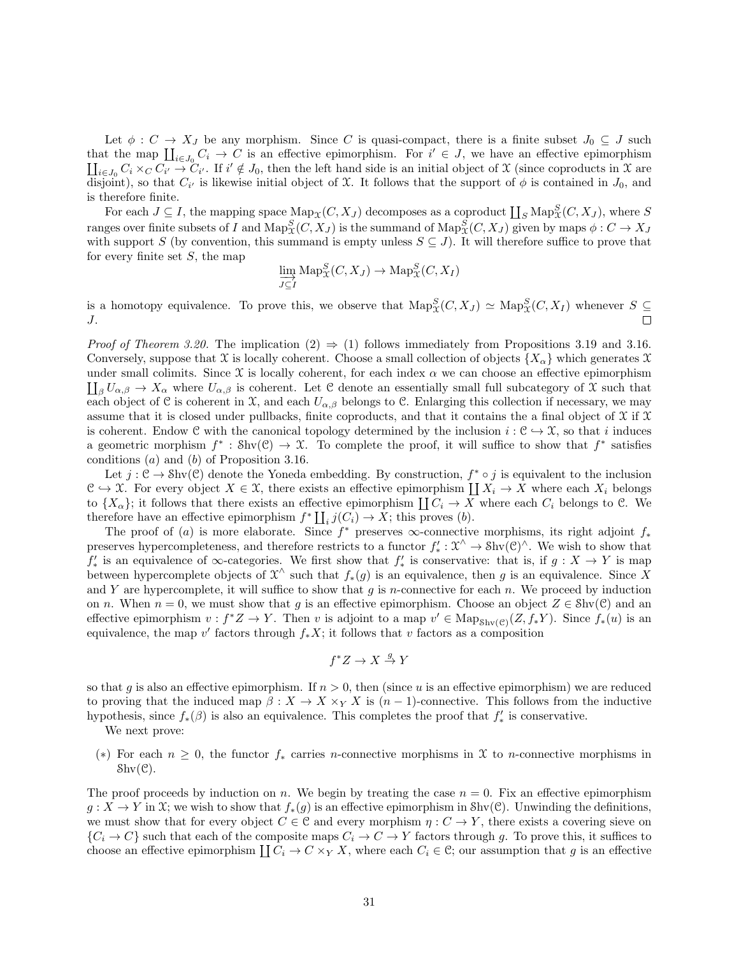Let  $\phi : C \to X_J$  be any morphism. Since C is quasi-compact, there is a finite subset  $J_0 \subseteq J$  such that the map  $\prod_{i\in J_0} C_i \to C$  is an effective epimorphism. For  $i' \in J$ , we have an effective epimorphism  $\coprod_{i\in J_0} C_i \times_C C_{i'} \to C_{i'}$ . If  $i' \notin J_0$ , then the left hand side is an initial object of X (since coproducts in X are disjoint), so that  $C_{i'}$  is likewise initial object of X. It follows that the support of  $\phi$  is contained in  $J_0$ , and is therefore finite.

For each  $J \subseteq I$ , the mapping space  $\text{Map}_{\mathcal{X}}(C, X_J)$  decomposes as a coproduct  $\coprod_S \text{Map}^S_{\mathcal{X}}(C, X_J)$ , where S ranges over finite subsets of I and  $\mathrm{Map}^S_\mathfrak{X}(C,X_J)$  is the summand of  $\mathrm{Map}^S_\mathfrak{X}(C,X_J)$  given by maps  $\phi: C \to X_J$ with support S (by convention, this summand is empty unless  $S \subseteq J$ ). It will therefore suffice to prove that for every finite set  $S$ , the map

$$
\varinjlim_{J \subseteq I} \mathrm{Map}^S_{\mathfrak{X}}(C, X_J) \to \mathrm{Map}^S_{\mathfrak{X}}(C, X_I)
$$

is a homotopy equivalence. To prove this, we observe that  $\text{Map}^S_{\mathcal{X}}(C, X_J) \simeq \text{Map}^S_{\mathcal{X}}(C, X_I)$  whenever  $S \subseteq$ J.

*Proof of Theorem 3.20.* The implication  $(2) \Rightarrow (1)$  follows immediately from Propositions 3.19 and 3.16. Conversely, suppose that X is locally coherent. Choose a small collection of objects  $\{X_{\alpha}\}\$ which generates X  $\prod_{\beta} U_{\alpha,\beta} \to X_{\alpha}$  where  $U_{\alpha,\beta}$  is coherent. Let C denote an essentially small full subcategory of X such that under small colimits. Since  $\mathfrak X$  is locally coherent, for each index  $\alpha$  we can choose an effective epimorphism each object of C is coherent in X, and each  $U_{\alpha,\beta}$  belongs to C. Enlarging this collection if necessary, we may assume that it is closed under pullbacks, finite coproducts, and that it contains the a final object of  $\mathfrak X$  if  $\mathfrak X$ is coherent. Endow C with the canonical topology determined by the inclusion  $i : \mathcal{C} \to \mathcal{X}$ , so that i induces a geometric morphism  $f^* : Shv(\mathcal{C}) \to \mathcal{X}$ . To complete the proof, it will suffice to show that  $f^*$  satisfies conditions (a) and (b) of Proposition 3.16.

Let  $j: \mathcal{C} \to \text{Shv}(\mathcal{C})$  denote the Yoneda embedding. By construction,  $f^* \circ j$  is equivalent to the inclusion  $\mathcal{C} \hookrightarrow \mathcal{X}$ . For every object  $X \in \mathcal{X}$ , there exists an effective epimorphism  $\coprod X_i \to X$  where each  $X_i$  belongs to  $\{X_\alpha\}$ ; it follows that there exists an effective epimorphism  $\coprod C_i \to X$  where each  $C_i$  belongs to C. We therefore have an effective epimorphism  $f^* \coprod_i j(C_i) \to X$ ; this proves (b).

The proof of (a) is more elaborate. Since  $f^*$  preserves  $\infty$ -connective morphisms, its right adjoint  $f_*$ preserves hypercompleteness, and therefore restricts to a functor  $f'_* : \mathcal{X}^{\wedge} \to \text{Shv}(\mathcal{C})^{\wedge}$ . We wish to show that  $f'_*$  is an equivalence of  $\infty$ -categories. We first show that  $f'_*$  is conservative: that is, if  $g: X \to Y$  is map between hypercomplete objects of  $\mathfrak{X}^{\wedge}$  such that  $f_*(g)$  is an equivalence, then g is an equivalence. Since X and Y are hypercomplete, it will suffice to show that  $g$  is n-connective for each  $n$ . We proceed by induction on n. When  $n = 0$ , we must show that g is an effective epimorphism. Choose an object  $Z \in Shv(\mathcal{C})$  and an effective epimorphism  $v : f^*Z \to Y$ . Then v is adjoint to a map  $v' \in \text{Map}_{\text{Shv}(\mathcal{C})}(Z, f_*Y)$ . Since  $f_*(u)$  is an equivalence, the map v' factors through  $f_*X$ ; it follows that v factors as a composition

$$
f^*Z \to X \stackrel{g}{\to} Y
$$

so that g is also an effective epimorphism. If  $n > 0$ , then (since u is an effective epimorphism) we are reduced to proving that the induced map  $\beta: X \to X \times_Y X$  is  $(n-1)$ -connective. This follows from the inductive hypothesis, since  $f_*(\beta)$  is also an equivalence. This completes the proof that  $f'_*$  is conservative.

We next prove:

(\*) For each  $n \geq 0$ , the functor  $f_*$  carries *n*-connective morphisms in X to *n*-connective morphisms in  $\text{Shv}(\mathcal{C})$ .

The proof proceeds by induction on n. We begin by treating the case  $n = 0$ . Fix an effective epimorphism  $g: X \to Y$  in X; we wish to show that  $f_*(g)$  is an effective epimorphism in Shv(C). Unwinding the definitions, we must show that for every object  $C \in \mathcal{C}$  and every morphism  $\eta : C \to Y$ , there exists a covering sieve on  $\{C_i \to C\}$  such that each of the composite maps  $C_i \to C \to Y$  factors through g. To prove this, it suffices to choose an effective epimorphism  $\coprod C_i \to C \times_Y X$ , where each  $C_i \in \mathcal{C}$ ; our assumption that g is an effective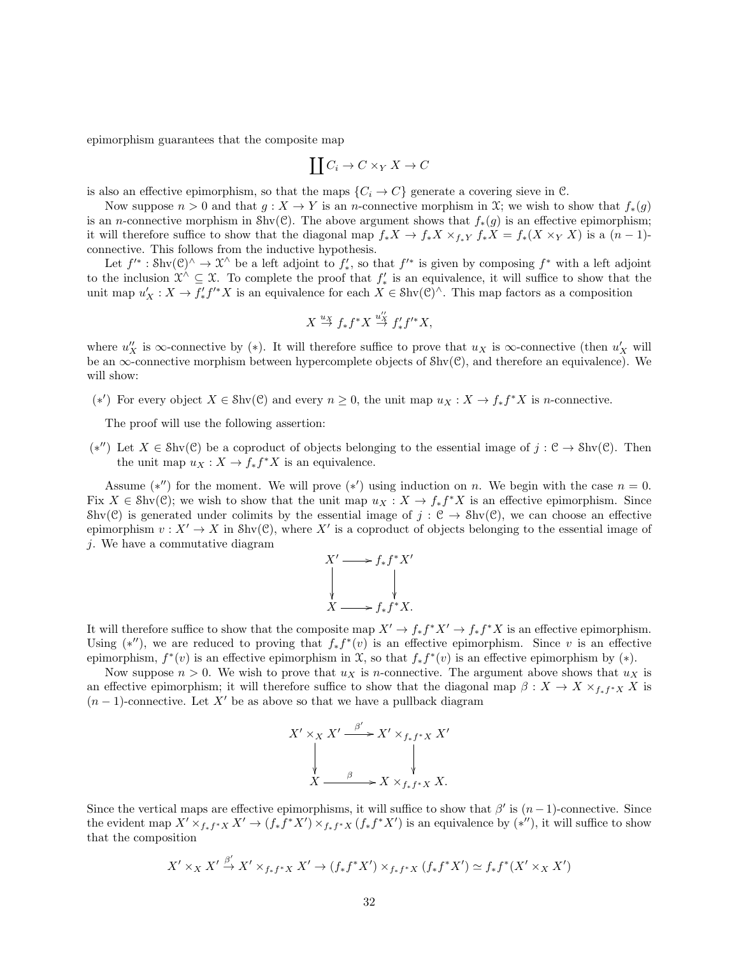epimorphism guarantees that the composite map

$$
\coprod C_i \to C \times_Y X \to C
$$

is also an effective epimorphism, so that the maps  $\{C_i \to C\}$  generate a covering sieve in C.

Now suppose  $n > 0$  and that  $g: X \to Y$  is an *n*-connective morphism in X; we wish to show that  $f_*(g)$ is an *n*-connective morphism in Shv(C). The above argument shows that  $f_*(g)$  is an effective epimorphism; it will therefore suffice to show that the diagonal map  $f_*X \to f_*X \times_{f_*Y} f_*X = f_*(X \times_Y X)$  is a  $(n-1)$ connective. This follows from the inductive hypothesis.

Let  $f'^*: \text{Shv}(\mathcal{C})^{\wedge} \to \mathcal{X}^{\wedge}$  be a left adjoint to  $f'_*,$  so that  $f'^*$  is given by composing  $f^*$  with a left adjoint to the inclusion  $\mathcal{X}^{\wedge} \subseteq \mathcal{X}$ . To complete the proof that  $f'_{*}$  is an equivalence, it will suffice to show that the unit map  $u'_X: X \to f'_* f'^* X$  is an equivalence for each  $X \in Shv(\mathcal{C})^{\wedge}$ . This map factors as a composition

$$
X \stackrel{u_X}{\to} f_* f^* X \stackrel{u''_X}{\to} f'_* f'^* X,
$$

where  $u''_X$  is  $\infty$ -connective by (\*). It will therefore suffice to prove that  $u_X$  is  $\infty$ -connective (then  $u'_X$  will be an  $\infty$ -connective morphism between hypercomplete objects of  $\text{Shv}(\mathcal{C})$ , and therefore an equivalence). We will show:

(\*') For every object  $X \in Shv(\mathcal{C})$  and every  $n \geq 0$ , the unit map  $u_X : X \to f_* f^* X$  is *n*-connective.

The proof will use the following assertion:

(\*'') Let  $X \in Shv(\mathcal{C})$  be a coproduct of objects belonging to the essential image of  $j : \mathcal{C} \to Shv(\mathcal{C})$ . Then the unit map  $u_X: X \to f_* f^* X$  is an equivalence.

Assume (\*'') for the moment. We will prove (\*') using induction on n. We begin with the case  $n = 0$ . Fix  $X \in Shv(\mathcal{C})$ ; we wish to show that the unit map  $u_X : X \to f_* f^* X$  is an effective epimorphism. Since Shv(C) is generated under colimits by the essential image of  $j : \mathcal{C} \to \text{Shv}(\mathcal{C})$ , we can choose an effective epimorphism  $v: X' \to X$  in Shv $(\mathcal{C})$ , where X' is a coproduct of objects belonging to the essential image of j. We have a commutative diagram

$$
X' \longrightarrow f_* f^* X'
$$
  
\n
$$
\downarrow \qquad \qquad \downarrow
$$
  
\n
$$
X \longrightarrow f_* f^* X.
$$

It will therefore suffice to show that the composite map  $X' \to f_* f^* X' \to f_* f^* X$  is an effective epimorphism. Using  $(*'')$ , we are reduced to proving that  $f_* f^*(v)$  is an effective epimorphism. Since v is an effective epimorphism,  $f^*(v)$  is an effective epimorphism in  $\mathfrak X$ , so that  $f_* f^*(v)$  is an effective epimorphism by  $(*)$ .

Now suppose  $n > 0$ . We wish to prove that  $u<sub>X</sub>$  is *n*-connective. The argument above shows that  $u<sub>X</sub>$  is an effective epimorphism; it will therefore suffice to show that the diagonal map  $\beta: X \to X \times_{f_*f^*X} X$  is  $(n-1)$ -connective. Let X' be as above so that we have a pullback diagram

$$
X' \times_X X' \xrightarrow{\beta'} X' \times_{f_* f^* X} X'
$$
  
\n
$$
\downarrow \qquad \qquad \downarrow
$$
  
\n
$$
X \xrightarrow{\beta} X \times_{f_* f^* X} X.
$$

Since the vertical maps are effective epimorphisms, it will suffice to show that  $\beta'$  is  $(n-1)$ -connective. Since the evident map  $X' \times_{f_*f^*X} X' \to (f_*f^*X') \times_{f_*f^*X} (f_*f^*X')$  is an equivalence by  $(*'')$ , it will suffice to show that the composition

$$
X'\times_XX'\stackrel{\beta'}{\to} X'\times_{f_*f^*X}X'\to (f_*f^*X')\times_{f_*f^*X} (f_*f^*X')\simeq f_*f^*(X'\times_XX')
$$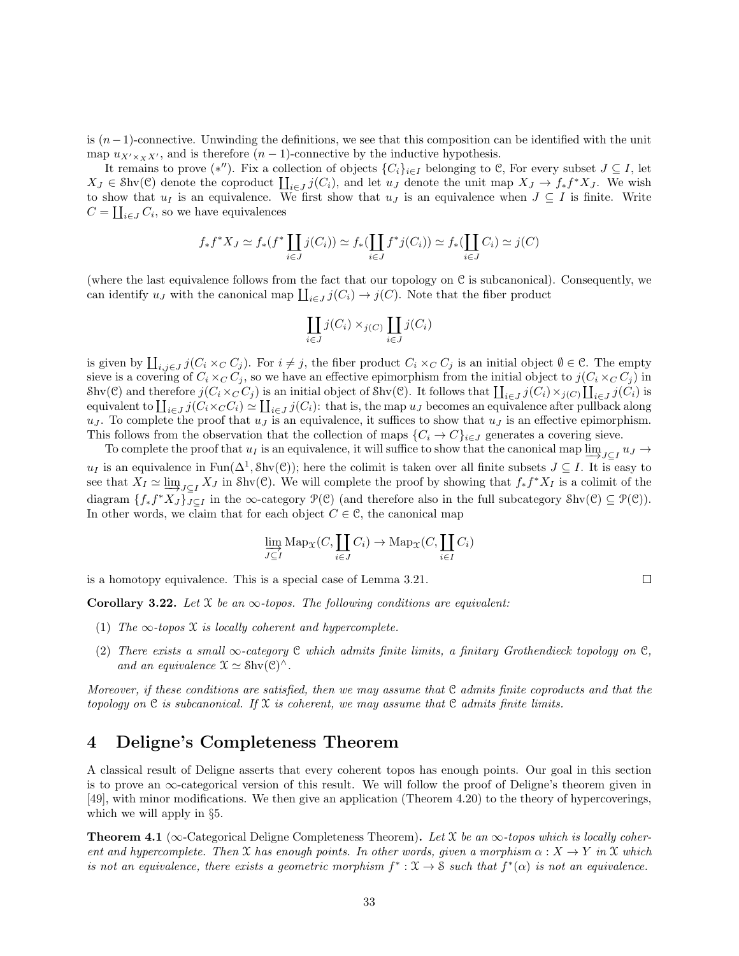is  $(n-1)$ -connective. Unwinding the definitions, we see that this composition can be identified with the unit map  $u_{X'\times_XX'}$ , and is therefore  $(n - 1)$ -connective by the inductive hypothesis.

It remains to prove  $(*'')$ . Fix a collection of objects  $\{C_i\}_{i\in I}$  belonging to C, For every subset  $J \subseteq I$ , let  $X_J \in \text{Shv}(\mathcal{C})$  denote the coproduct  $\prod_{i \in J} j(C_i)$ , and let  $u_J$  denote the unit map  $X_J \to f_* f^* X_J$ . We wish to show that  $u_I$  is an equivalence. We first show that  $u_J$  is an equivalence when  $J \subseteq I$  is finite. Write  $C = \coprod_{i \in J} C_i$ , so we have equivalences

$$
f_* f^* X_J \simeq f_*(f^* \coprod_{i \in J} j(C_i)) \simeq f_* (\coprod_{i \in J} f^* j(C_i)) \simeq f_* (\coprod_{i \in J} C_i) \simeq j(C)
$$

(where the last equivalence follows from the fact that our topology on  $\mathcal C$  is subcanonical). Consequently, we can identify  $u_J$  with the canonical map  $\coprod_{i\in J} j(C_i) \to j(C)$ . Note that the fiber product

$$
\coprod_{i\in J}j(C_i)\times_{j(C)}\coprod_{i\in J}j(C_i)
$$

is given by  $\coprod_{i,j\in J} j(C_i\times_C C_j)$ . For  $i\neq j$ , the fiber product  $C_i\times_C C_j$  is an initial object  $\emptyset \in \mathcal{C}$ . The empty sieve is a covering of  $C_i \times_C C_j$ , so we have an effective epimorphism from the initial object to  $j(C_i \times_C C_j)$  in Shv(C) and therefore  $j(C_i \times_C C_j)$  is an initial object of Shv(C). It follows that  $\prod_{i \in J} j(C_i) \times_{j(C)} \prod_{i \in J} j(C_i)$  is equivalent to  $\prod_{i\in J} j(C_i\times_C C_i) \simeq \prod_{i\in J} j(C_i)$ : that is, the map  $u_J$  becomes an equivalence after pullback along  $u_J$ . To complete the proof that  $u_J$  is an equivalence, it suffices to show that  $u_J$  is an effective epimorphism. This follows from the observation that the collection of maps  ${C_i \rightarrow C_i}_{i \in J}$  generates a covering sieve.

To complete the proof that  $u_I$  is an equivalence, it will suffice to show that the canonical map  $\varinjlim_{J\subseteq I} u_J \to$  $u_I$  is an equivalence in  $\text{Fun}(\Delta^1, \text{Shv}(\mathcal{C}))$ ; here the colimit is taken over all finite subsets  $J \subseteq I$ . It is easy to see that  $X_I \simeq \varinjlim_{J \subseteq I} X_J$  in Shv(C). We will complete the proof by showing that  $f_* f^* X_I$  is a colimit of the diagram  $\{f_*f^*X_J\}_{J\subseteq I}$  in the  $\infty$ -category  $\mathcal{P}(\mathcal{C})$  (and therefore also in the full subcategory  $\text{Shv}(\mathcal{C}) \subseteq \mathcal{P}(\mathcal{C})$ ). In other words, we claim that for each object  $C \in \mathcal{C}$ , the canonical map

$$
\varinjlim_{J\subseteq I}\mathrm{Map}_{\mathfrak{X}}(C,\coprod_{i\in J}C_i)\to\mathrm{Map}_{\mathfrak{X}}(C,\coprod_{i\in I}C_i)
$$

is a homotopy equivalence. This is a special case of Lemma 3.21.

Corollary 3.22. Let X be an  $\infty$ -topos. The following conditions are equivalent:

- (1) The  $\infty$ -topos X is locally coherent and hypercomplete.
- (2) There exists a small  $\infty$ -category C which admits finite limits, a finitary Grothendieck topology on C, and an equivalence  $\mathfrak{X} \simeq \mathrm{Shv}(\mathfrak{C})^{\wedge}$ .

Moreover, if these conditions are satisfied, then we may assume that  $C$  admits finite coproducts and that the topology on C is subcanonical. If X is coherent, we may assume that C admits finite limits.

### 4 Deligne's Completeness Theorem

A classical result of Deligne asserts that every coherent topos has enough points. Our goal in this section is to prove an  $\infty$ -categorical version of this result. We will follow the proof of Deligne's theorem given in [49], with minor modifications. We then give an application (Theorem 4.20) to the theory of hypercoverings, which we will apply in §5.

**Theorem 4.1** ( $\infty$ -Categorical Deligne Completeness Theorem). Let X be an  $\infty$ -topos which is locally coherent and hypercomplete. Then X has enough points. In other words, given a morphism  $\alpha: X \to Y$  in X which is not an equivalence, there exists a geometric morphism  $f^*: \mathfrak{X} \to \mathfrak{S}$  such that  $f^*(\alpha)$  is not an equivalence.

 $\Box$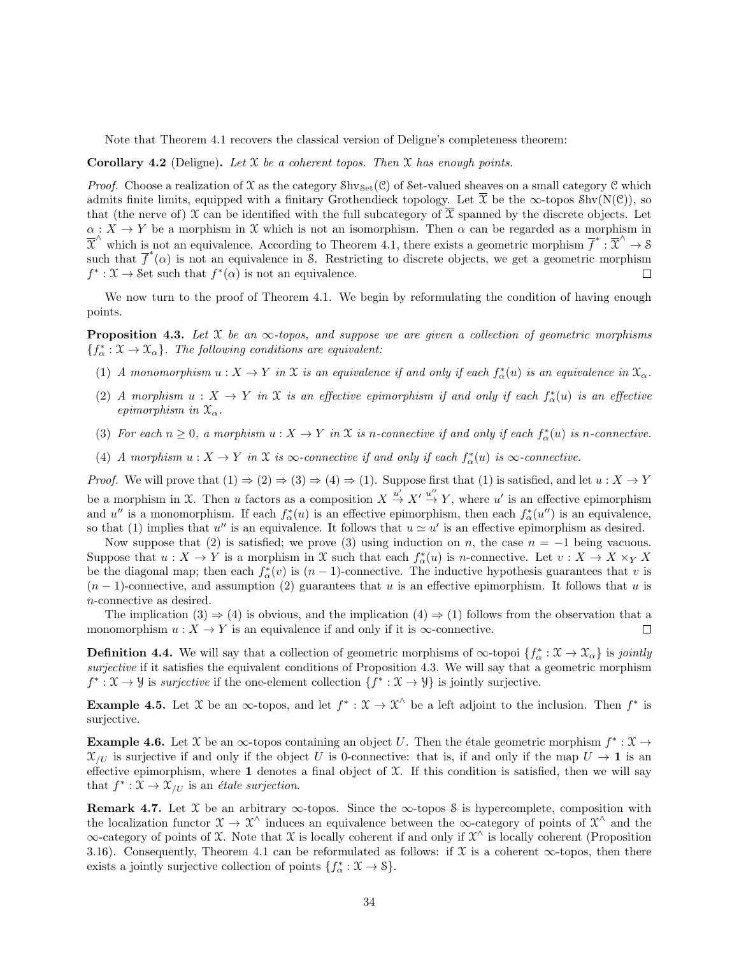Note that Theorem 4.1 recovers the classical version of Deligne's completeness theorem:

#### **Corollary 4.2** (Deligne). Let  $X$  be a coherent topos. Then  $X$  has enough points.

*Proof.* Choose a realization of X as the category  $\text{Shv}_{\text{Set}}(\mathcal{C})$  of Set-valued sheaves on a small category  $\mathcal C$  which admits finite limits, equipped with a finitary Grothendieck topology. Let  $\overline{\mathfrak{X}}$  be the  $\infty$ -topos Shv(N(C)), so that (the nerve of) X can be identified with the full subcategory of  $\bar{x}$  spanned by the discrete objects. Let  $\alpha: X \to Y$  be a morphism in X which is not an isomorphism. Then  $\alpha$  can be regarded as a morphism in  $\overline{X}^{\wedge}$  which is not an equivalence. According to Theorem 4.1, there exists a geometric morphism  $\overline{f}^* : \overline{X}^{\wedge} \to \mathcal{S}$ such that  $\overline{f}^*(\alpha)$  is not an equivalence in S. Restricting to discrete objects, we get a geometric morphism  $f^* : \mathfrak{X} \to \mathcal{S}$ et such that  $f^*(\alpha)$  is not an equivalence.

We now turn to the proof of Theorem 4.1. We begin by reformulating the condition of having enough points.

**Proposition 4.3.** Let X be an  $\infty$ -topos, and suppose we are given a collection of geometric morphisms  ${f^*_{\alpha}: \mathfrak{X} \to \mathfrak{X}_{\alpha}}$ . The following conditions are equivalent:

- (1) A monomorphism  $u: X \to Y$  in X is an equivalence if and only if each  $f^*_{\alpha}(u)$  is an equivalence in  $\mathfrak{X}_{\alpha}$ .
- (2) A morphism  $u: X \to Y$  in X is an effective epimorphism if and only if each  $f^*_{\alpha}(u)$  is an effective epimorphism in  $\mathfrak{X}_{\alpha}$ .
- (3) For each  $n \geq 0$ , a morphism  $u: X \to Y$  in X is n-connective if and only if each  $f^*_{\alpha}(u)$  is n-connective.
- (4) A morphism  $u: X \to Y$  in  $\mathfrak X$  is  $\infty$ -connective if and only if each  $f^*_{\alpha}(u)$  is  $\infty$ -connective.

*Proof.* We will prove that  $(1) \Rightarrow (2) \Rightarrow (3) \Rightarrow (4) \Rightarrow (1)$ . Suppose first that  $(1)$  is satisfied, and let  $u : X \to Y$ be a morphism in X. Then u factors as a composition  $X \stackrel{u'}{\rightarrow} X' \stackrel{u''}{\rightarrow} Y$ , where u' is an effective epimorphism and u'' is a monomorphism. If each  $f_{\alpha}^*(u)$  is an effective epimorphism, then each  $f_{\alpha}^*(u'')$  is an equivalence, so that (1) implies that u'' is an equivalence. It follows that  $u \simeq u'$  is an effective epimorphism as desired.

Now suppose that (2) is satisfied; we prove (3) using induction on n, the case  $n = -1$  being vacuous. Suppose that  $u: X \to Y$  is a morphism in X such that each  $f^*_{\alpha}(u)$  is *n*-connective. Let  $v: X \to X \times_Y X$ be the diagonal map; then each  $f^*_{\alpha}(v)$  is  $(n-1)$ -connective. The inductive hypothesis guarantees that v is  $(n-1)$ -connective, and assumption (2) guarantees that u is an effective epimorphism. It follows that u is n-connective as desired.

The implication  $(3) \Rightarrow (4)$  is obvious, and the implication  $(4) \Rightarrow (1)$  follows from the observation that a monomorphism  $u: X \to Y$  is an equivalence if and only if it is  $\infty$ -connective.  $\Box$ 

**Definition 4.4.** We will say that a collection of geometric morphisms of  $\infty$ -topoi  $\{f^*_{\alpha}: \mathcal{X} \to \mathcal{X}_{\alpha}\}\$ is jointly surjective if it satisfies the equivalent conditions of Proposition 4.3. We will say that a geometric morphism  $f^* : \mathfrak{X} \to \mathcal{Y}$  is *surjective* if the one-element collection  $\{f^* : \mathfrak{X} \to \mathcal{Y}\}\$ is jointly surjective.

**Example 4.5.** Let X be an  $\infty$ -topos, and let  $f^* : \mathcal{X} \to \mathcal{X}^{\wedge}$  be a left adjoint to the inclusion. Then  $f^*$  is surjective.

**Example 4.6.** Let X be an  $\infty$ -topos containing an object U. Then the étale geometric morphism  $f^* : \mathcal{X} \to$  $\mathfrak{X}_{/U}$  is surjective if and only if the object U is 0-connective: that is, if and only if the map  $U \to \mathbf{1}$  is an effective epimorphism, where 1 denotes a final object of  $X$ . If this condition is satisfied, then we will say that  $f^* : \mathfrak{X} \to \mathfrak{X}_{/U}$  is an *étale surjection*.

Remark 4.7. Let X be an arbitrary  $\infty$ -topos. Since the  $\infty$ -topos S is hypercomplete, composition with the localization functor  $\mathfrak{X} \to \mathfrak{X}^{\wedge}$  induces an equivalence between the  $\infty$ -category of points of  $\mathfrak{X}^{\wedge}$  and the  $\infty$ -category of points of X. Note that X is locally coherent if and only if  $\mathcal{X}^{\wedge}$  is locally coherent (Proposition 3.16). Consequently, Theorem 4.1 can be reformulated as follows: if  $\mathfrak X$  is a coherent  $\infty$ -topos, then there exists a jointly surjective collection of points  $\{f^*_{\alpha}: \mathcal{X} \to \mathcal{S}\}.$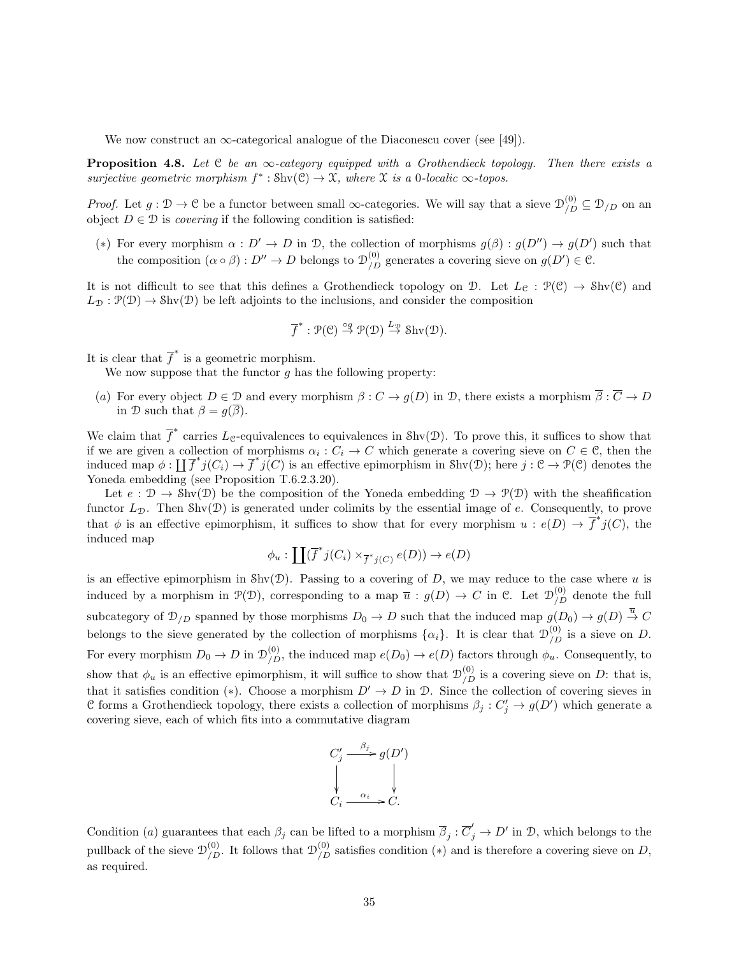We now construct an  $\infty$ -categorical analogue of the Diaconescu cover (see [49]).

**Proposition 4.8.** Let C be an  $\infty$ -category equipped with a Grothendieck topology. Then there exists a surjective geometric morphism  $f^* : \text{Shv}(\mathcal{C}) \to \mathcal{X}$ , where  $\mathcal X$  is a 0-localic  $\infty$ -topos.

*Proof.* Let  $g: \mathcal{D} \to \mathcal{C}$  be a functor between small  $\infty$ -categories. We will say that a sieve  $\mathcal{D}_{/D}^{(0)} \subseteq \mathcal{D}_{/D}$  on an object  $D \in \mathcal{D}$  is *covering* if the following condition is satisfied:

(\*) For every morphism  $\alpha : D' \to D$  in D, the collection of morphisms  $g(\beta) : g(D'') \to g(D')$  such that the composition  $(\alpha \circ \beta) : D'' \to D$  belongs to  $\mathcal{D}_{/D}^{(0)}$  generates a covering sieve on  $g(D') \in \mathcal{C}$ .

It is not difficult to see that this defines a Grothendieck topology on D. Let  $L_{\mathfrak{C}} : \mathcal{P}(\mathfrak{C}) \to \text{Shv}(\mathfrak{C})$  and  $L_{\mathcal{D}} : \mathcal{P}(\mathcal{D}) \to \text{Shv}(\mathcal{D})$  be left adjoints to the inclusions, and consider the composition

$$
\overline{f}^* : \mathcal{P}(\mathcal{C}) \stackrel{\circ g}{\to} \mathcal{P}(\mathcal{D}) \stackrel{L_{\mathcal{D}}}{\to} \text{Shv}(\mathcal{D}).
$$

It is clear that  $\overline{f}^*$  is a geometric morphism.

We now suppose that the functor  $g$  has the following property:

(a) For every object  $D \in \mathcal{D}$  and every morphism  $\beta : C \to g(D)$  in  $\mathcal{D}$ , there exists a morphism  $\overline{\beta} : \overline{C} \to D$ in D such that  $\beta = g(\overline{\beta})$ .

We claim that  $\overline{f}^*$  carries  $L_{\mathcal{C}}$ -equivalences to equivalences in Shv(D). To prove this, it suffices to show that if we are given a collection of morphisms  $\alpha_i : C_i \to C$  which generate a covering sieve on  $C \in \mathcal{C}$ , then the induced map  $\phi : \prod \overline{f}^* j(C_i) \to \overline{f}^* j(C)$  is an effective epimorphism in Shv $(\mathcal{D})$ ; here  $j : \mathcal{C} \to \mathcal{P}(\mathcal{C})$  denotes the Yoneda embedding (see Proposition T.6.2.3.20).

Let  $e : \mathcal{D} \to \text{Shv}(\mathcal{D})$  be the composition of the Yoneda embedding  $\mathcal{D} \to \mathcal{P}(\mathcal{D})$  with the sheafification functor  $L_{\mathcal{D}}$ . Then Shv( $\mathcal{D}$ ) is generated under colimits by the essential image of e. Consequently, to prove that  $\phi$  is an effective epimorphism, it suffices to show that for every morphism  $u : e(D) \to \overline{f}^* j(C)$ , the induced map

$$
\phi_u : \coprod (\overline{f}^*j(C_i) \times_{\overline{f}^*j(C)} e(D)) \to e(D)
$$

is an effective epimorphism in  $\text{Shv}(\mathcal{D})$ . Passing to a covering of D, we may reduce to the case where u is induced by a morphism in  $\mathcal{P}(\mathcal{D})$ , corresponding to a map  $\overline{u} : g(D) \to C$  in C. Let  $\mathcal{D}_{/D}^{(0)}$  denote the full subcategory of  $\mathcal{D}_{/D}$  spanned by those morphisms  $D_0 \to D$  such that the induced map  $g(D_0) \to g(D) \stackrel{\overline{u}}{\to} C$ belongs to the sieve generated by the collection of morphisms  $\{\alpha_i\}$ . It is clear that  $\mathcal{D}_{/D}^{(0)}$  is a sieve on D. For every morphism  $D_0 \to D$  in  $\mathcal{D}_{/D}^{(0)}$ , the induced map  $e(D_0) \to e(D)$  factors through  $\phi_u$ . Consequently, to show that  $\phi_u$  is an effective epimorphism, it will suffice to show that  $\mathcal{D}_{/D}^{(0)}$  is a covering sieve on D: that is, that it satisfies condition (\*). Choose a morphism  $D' \to D$  in D. Since the collection of covering sieves in C forms a Grothendieck topology, there exists a collection of morphisms  $\beta_j : C'_j \to g(D')$  which generate a covering sieve, each of which fits into a commutative diagram

$$
C'_j \xrightarrow{\beta_j} g(D')
$$
  
\n
$$
\downarrow \qquad \qquad \downarrow
$$
  
\n
$$
C_i \xrightarrow{\alpha_i} C.
$$

Condition (a) guarantees that each  $\beta_j$  can be lifted to a morphism  $\overline{\beta}_j : \overline{C}'_j \to D'$  in D, which belongs to the pullback of the sieve  $\mathcal{D}_{/D}^{(0)}$ . It follows that  $\mathcal{D}_{/D}^{(0)}$  satisfies condition  $(*)$  and is therefore a covering sieve on D, as required.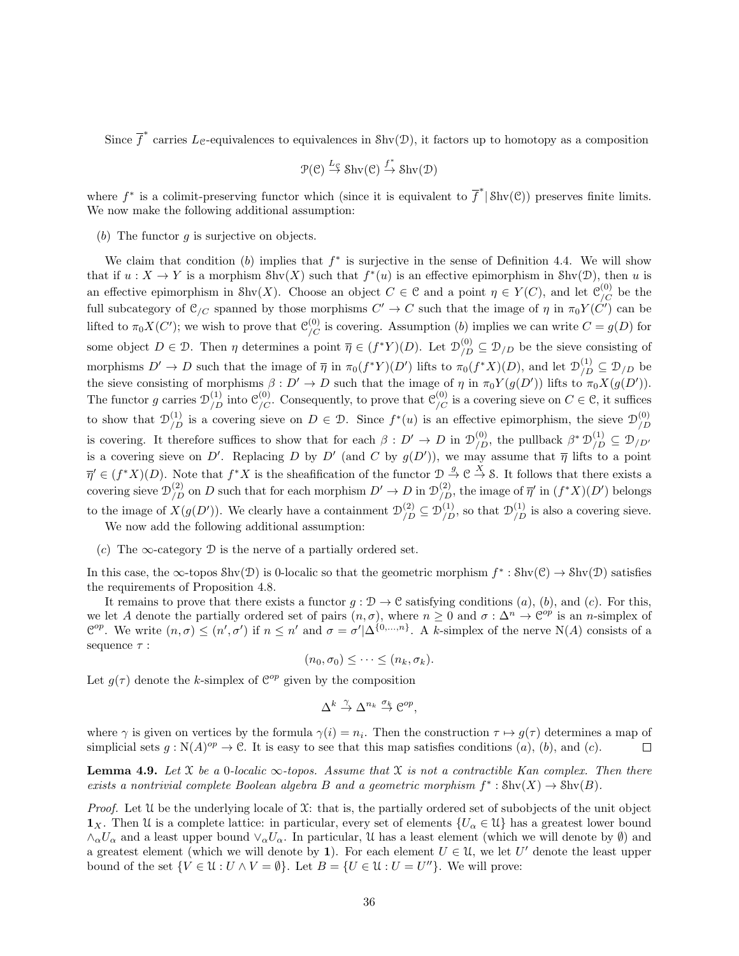Since  $\overline{f}^*$  carries  $L_{\mathcal{C}}$ -equivalences to equivalences in Shv(D), it factors up to homotopy as a composition

$$
\mathcal{P}(\mathcal{C}) \stackrel{L_{\mathcal{C}}}{\to} \operatorname{Shv}(\mathcal{C}) \stackrel{f^*}{\to} \operatorname{Shv}(\mathcal{D})
$$

where  $f^*$  is a colimit-preserving functor which (since it is equivalent to  $\overline{f}^*$   $|\text{Shv}(\mathcal{C})\rangle$ ) preserves finite limits. We now make the following additional assumption:

(b) The functor  $g$  is surjective on objects.

We claim that condition  $(b)$  implies that  $f^*$  is surjective in the sense of Definition 4.4. We will show that if  $u: X \to Y$  is a morphism  $\text{Shv}(X)$  such that  $f^*(u)$  is an effective epimorphism in  $\text{Shv}(\mathcal{D})$ , then u is an effective epimorphism in Shv(X). Choose an object  $C \in \mathcal{C}$  and a point  $\eta \in Y(C)$ , and let  $\mathcal{C}_{/C}^{(0)}$  be the full subcategory of  $\mathcal{C}_{/C}$  spanned by those morphisms  $C' \to C$  such that the image of  $\eta$  in  $\pi_0 Y(C')$  can be lifted to  $\pi_0 X(C')$ ; we wish to prove that  $\mathcal{C}_{/C}^{(0)}$  is covering. Assumption (b) implies we can write  $C = g(D)$  for some object  $D \in \mathcal{D}$ . Then  $\eta$  determines a point  $\overline{\eta} \in (f^*Y)(D)$ . Let  $\mathcal{D}_{/D}^{(0)} \subseteq \mathcal{D}_{/D}$  be the sieve consisting of morphisms  $D' \to D$  such that the image of  $\overline{\eta}$  in  $\pi_0(f^*Y)(D')$  lifts to  $\pi_0(f^*X)(D)$ , and let  $\mathcal{D}_{/D}^{(1)} \subseteq \mathcal{D}_{/D}$  be the sieve consisting of morphisms  $\beta: D' \to D$  such that the image of  $\eta$  in  $\pi_0 Y(g(D'))$  lifts to  $\pi_0 X(g(D'))$ . The functor g carries  $\mathcal{D}_{/D}^{(1)}$  into  $\mathcal{C}_{/C}^{(0)}$ . Consequently, to prove that  $\mathcal{C}_{/C}^{(0)}$  is a covering sieve on  $C \in \mathcal{C}$ , it suffices to show that  $\mathcal{D}_{/D}^{(1)}$  is a covering sieve on  $D \in \mathcal{D}$ . Since  $f^*(u)$  is an effective epimorphism, the sieve  $\mathcal{D}_{/D}^{(0)}$ /D is covering. It therefore suffices to show that for each  $\beta: D' \to D$  in  $\mathcal{D}_{/D}^{(0)}$ , the pullback  $\beta^* \mathcal{D}_{/D}^{(1)} \subseteq \mathcal{D}_{/D'}$ is a covering sieve on D'. Replacing D by D' (and C by  $g(D')$ ), we may assume that  $\overline{\eta}$  lifts to a point  $\overline{\eta}' \in (f^*X)(D)$ . Note that  $f^*X$  is the sheafification of the functor  $\mathcal{D} \stackrel{g}{\to} \mathcal{C} \stackrel{X}{\to} \mathcal{S}$ . It follows that there exists a covering sieve  $\mathcal{D}_{/D}^{(2)}$  on D such that for each morphism  $D' \to D$  in  $\mathcal{D}_{/D}^{(2)}$ , the image of  $\overline{\eta}'$  in  $(f^*X)(D')$  belongs to the image of  $X(g(D'))$ . We clearly have a containment  $\mathcal{D}_{/D}^{(2)} \subseteq \mathcal{D}_{/D}^{(1)}$ , so that  $\mathcal{D}_{/D}^{(1)}$  is also a covering sieve. We now add the following additional assumption:

(c) The  $\infty$ -category  $\mathcal D$  is the nerve of a partially ordered set.

In this case, the  $\infty$ -topos Shv $(\mathcal{D})$  is 0-localic so that the geometric morphism  $f^* : \text{Shv}(\mathcal{C}) \to \text{Shv}(\mathcal{D})$  satisfies the requirements of Proposition 4.8.

It remains to prove that there exists a functor  $g : \mathcal{D} \to \mathcal{C}$  satisfying conditions  $(a)$ ,  $(b)$ , and  $(c)$ . For this, we let A denote the partially ordered set of pairs  $(n, \sigma)$ , where  $n \geq 0$  and  $\sigma : \Delta^n \to \mathbb{C}^{op}$  is an n-simplex of  $\mathcal{C}^{op}$ . We write  $(n,\sigma) \leq (n',\sigma')$  if  $n \leq n'$  and  $\sigma = \sigma'|\Delta^{\{0,\ldots,n\}}$ . A k-simplex of the nerve N(A) consists of a sequence  $\tau$  :

$$
(n_0, \sigma_0) \leq \cdots \leq (n_k, \sigma_k).
$$

Let  $g(\tau)$  denote the k-simplex of  $\mathcal{C}^{op}$  given by the composition

$$
\Delta^k \stackrel{\gamma}{\to} \Delta^{n_k} \stackrel{\sigma_k}{\to} \mathcal{C}^{op},
$$

where  $\gamma$  is given on vertices by the formula  $\gamma(i) = n_i$ . Then the construction  $\tau \mapsto g(\tau)$  determines a map of simplicial sets  $g: \mathbb{N}(A)^{op} \to \mathbb{C}$ . It is easy to see that this map satisfies conditions  $(a)$ ,  $(b)$ , and  $(c)$ .  $\Box$ 

**Lemma 4.9.** Let X be a 0-localic  $\infty$ -topos. Assume that X is not a contractible Kan complex. Then there exists a nontrivial complete Boolean algebra B and a geometric morphism  $f^* : \text{Shv}(X) \to \text{Shv}(B)$ .

*Proof.* Let  $\mathcal U$  be the underlying locale of  $\mathcal X$ : that is, the partially ordered set of subobjects of the unit object  $\mathbf{1}_X$ . Then U is a complete lattice: in particular, every set of elements  $\{U_\alpha \in \mathcal{U}\}\$  has a greatest lower bound  $\wedge_{\alpha} U_{\alpha}$  and a least upper bound  $\vee_{\alpha} U_{\alpha}$ . In particular, U has a least element (which we will denote by Ø) and a greatest element (which we will denote by 1). For each element  $U \in \mathcal{U}$ , we let U' denote the least upper bound of the set  $\{V \in \mathcal{U} : U \wedge V = \emptyset\}$ . Let  $B = \{U \in \mathcal{U} : U = U''\}$ . We will prove: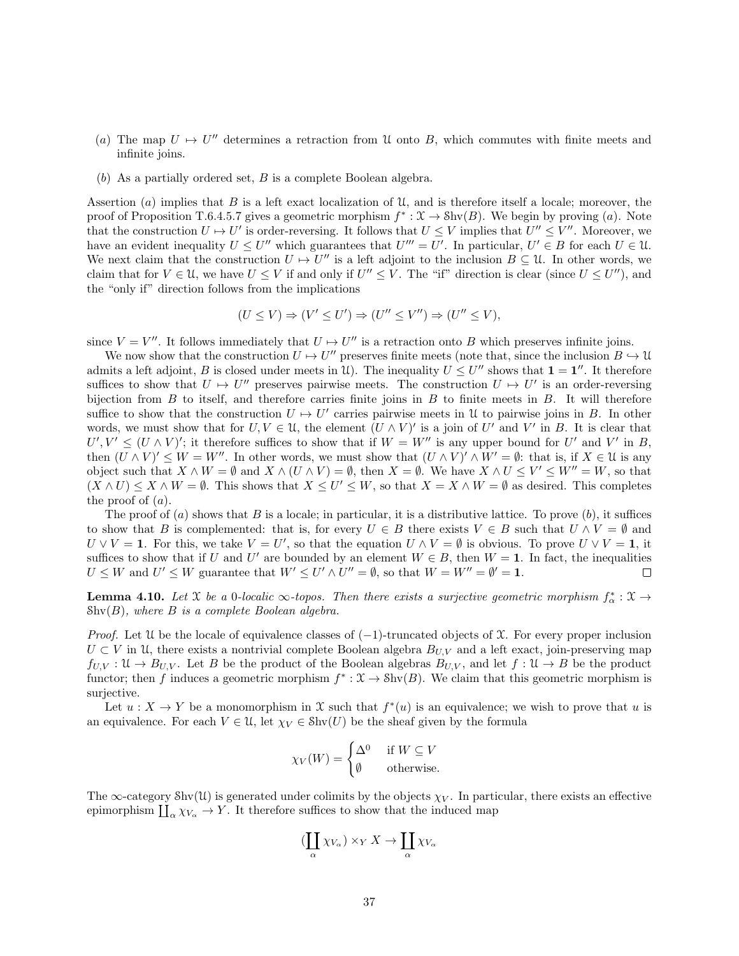- (a) The map  $U \mapsto U''$  determines a retraction from U onto B, which commutes with finite meets and infinite joins.
- (b) As a partially ordered set, B is a complete Boolean algebra.

Assertion (a) implies that B is a left exact localization of  $\mathfrak U$ , and is therefore itself a locale; moreover, the proof of Proposition T.6.4.5.7 gives a geometric morphism  $f^*: \mathfrak{X} \to \text{Shv}(B)$ . We begin by proving (a). Note that the construction  $U \mapsto U'$  is order-reversing. It follows that  $U \leq V$  implies that  $U'' \leq V''$ . Moreover, we have an evident inequality  $U \leq U''$  which guarantees that  $U''' = U'$ . In particular,  $U' \in B$  for each  $U \in \mathcal{U}$ . We next claim that the construction  $U \mapsto U''$  is a left adjoint to the inclusion  $B \subseteq \mathcal{U}$ . In other words, we claim that for  $V \in \mathcal{U}$ , we have  $U \leq V$  if and only if  $U'' \leq V$ . The "if" direction is clear (since  $U \leq U''$ ), and the "only if" direction follows from the implications

$$
(U \le V) \Rightarrow (V' \le U') \Rightarrow (U'' \le V'') \Rightarrow (U'' \le V),
$$

since  $V = V''$ . It follows immediately that  $U \mapsto U''$  is a retraction onto B which preserves infinite joins.

We now show that the construction  $U \mapsto U''$  preserves finite meets (note that, since the inclusion  $B \hookrightarrow \mathcal{U}$ admits a left adjoint, B is closed under meets in U. The inequality  $U \leq U''$  shows that  $1 = 1''$ . It therefore suffices to show that  $U \mapsto U''$  preserves pairwise meets. The construction  $U \mapsto U'$  is an order-reversing bijection from  $B$  to itself, and therefore carries finite joins in  $B$  to finite meets in  $B$ . It will therefore suffice to show that the construction  $U \mapsto U'$  carries pairwise meets in U to pairwise joins in B. In other words, we must show that for  $U, V \in \mathcal{U}$ , the element  $(U \wedge V)'$  is a join of  $U'$  and  $V'$  in  $B$ . It is clear that  $U', V' \leq (U \wedge V)'$ ; it therefore suffices to show that if  $W = W''$  is any upper bound for U' and V' in B, then  $(U \wedge V)' \leq W = W''$ . In other words, we must show that  $(U \wedge V)' \wedge W' = \emptyset$ : that is, if  $X \in \mathcal{U}$  is any object such that  $X \wedge W = \emptyset$  and  $X \wedge (U \wedge V) = \emptyset$ , then  $X = \emptyset$ . We have  $X \wedge U \leq V' \leq W'' = W$ , so that  $(X \wedge U) \leq X \wedge W = \emptyset$ . This shows that  $X \leq U' \leq W$ , so that  $X = X \wedge W = \emptyset$  as desired. This completes the proof of  $(a)$ .

The proof of  $(a)$  shows that B is a locale; in particular, it is a distributive lattice. To prove  $(b)$ , it suffices to show that B is complemented: that is, for every  $U \in B$  there exists  $V \in B$  such that  $U \wedge V = \emptyset$  and  $U \vee V = 1$ . For this, we take  $V = U'$ , so that the equation  $U \wedge V = \emptyset$  is obvious. To prove  $U \vee V = 1$ , it suffices to show that if U and U' are bounded by an element  $W \in B$ , then  $W = 1$ . In fact, the inequalities  $U \leq W$  and  $U' \leq W$  guarantee that  $W' \leq U' \wedge U'' = \emptyset$ , so that  $W = W'' = \emptyset' = \mathbf{1}$ .  $\Box$ 

**Lemma 4.10.** Let X be a 0-localic  $\infty$ -topos. Then there exists a surjective geometric morphism  $f^*_{\alpha}$ :  $\mathfrak{X} \to$  $\text{Shv}(B)$ , where B is a complete Boolean algebra.

*Proof.* Let  $\mathcal U$  be the locale of equivalence classes of  $(-1)$ -truncated objects of  $\mathcal X$ . For every proper inclusion  $U \subset V$  in U, there exists a nontrivial complete Boolean algebra  $B_{U,V}$  and a left exact, join-preserving map  $f_{UV}: \mathfrak{U} \to B_{UV}$ . Let B be the product of the Boolean algebras  $B_{UV}$ , and let  $f: \mathfrak{U} \to B$  be the product functor; then f induces a geometric morphism  $f^*: \mathfrak{X} \to \text{Shv}(B)$ . We claim that this geometric morphism is surjective.

Let  $u: X \to Y$  be a monomorphism in X such that  $f^*(u)$  is an equivalence; we wish to prove that u is an equivalence. For each  $V \in \mathcal{U}$ , let  $\chi_V \in \text{Shv}(U)$  be the sheaf given by the formula

$$
\chi_V(W) = \begin{cases} \Delta^0 & \text{if } W \subseteq V \\ \emptyset & \text{otherwise.} \end{cases}
$$

The  $\infty$ -category Shv(U) is generated under colimits by the objects  $\chi_V$ . In particular, there exists an effective epimorphism  $\coprod_{\alpha} \chi_{V_{\alpha}} \to Y$ . It therefore suffices to show that the induced map

$$
(\coprod_{\alpha}\chi_{V_{\alpha}})\times_{Y}X\to\coprod_{\alpha}\chi_{V_{\alpha}}
$$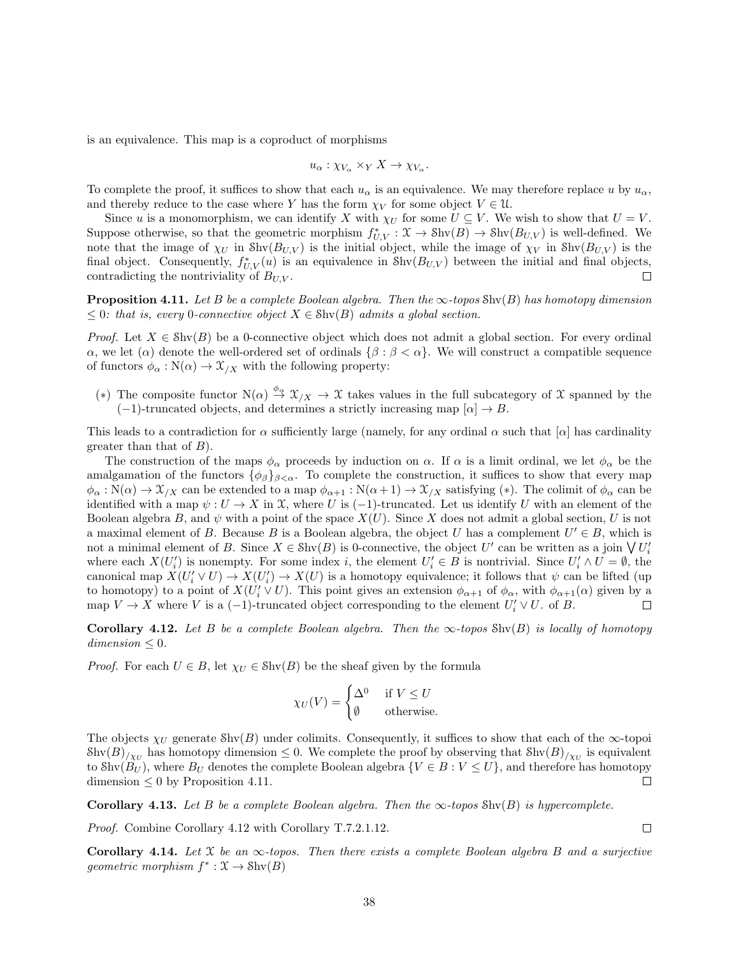is an equivalence. This map is a coproduct of morphisms

$$
u_{\alpha}: \chi_{V_{\alpha}} \times_Y X \to \chi_{V_{\alpha}}.
$$

To complete the proof, it suffices to show that each  $u_{\alpha}$  is an equivalence. We may therefore replace u by  $u_{\alpha}$ , and thereby reduce to the case where Y has the form  $\chi_V$  for some object  $V \in \mathcal{U}$ .

Since u is a monomorphism, we can identify X with  $\chi_U$  for some  $U \subseteq V$ . We wish to show that  $U = V$ . Suppose otherwise, so that the geometric morphism  $f_{U,V}^* : \mathfrak{X} \to \text{Shv}(B) \to \text{Shv}(B_{U,V})$  is well-defined. We note that the image of  $\chi_U$  in Shv $(B_{U,V})$  is the initial object, while the image of  $\chi_V$  in Shv $(B_{U,V})$  is the final object. Consequently,  $f_{U,V}^*(u)$  is an equivalence in  $\text{Shv}(B_{U,V})$  between the initial and final objects, contradicting the nontriviality of  $B_{U,V}$ .

**Proposition 4.11.** Let B be a complete Boolean algebra. Then the  $\infty$ -topos Shv(B) has homotopy dimension  $\leq 0$ : that is, every 0-connective object  $X \in \text{Shv}(B)$  admits a global section.

*Proof.* Let  $X \in Shv(B)$  be a 0-connective object which does not admit a global section. For every ordinal α, we let (α) denote the well-ordered set of ordinals  $\{\beta : \beta < \alpha\}$ . We will construct a compatible sequence of functors  $\phi_{\alpha} : N(\alpha) \to \mathfrak{X}_{X}$  with the following property:

(\*) The composite functor  $N(\alpha) \stackrel{\phi_{\alpha}}{\rightarrow} \mathfrak{X}_{/X} \rightarrow \mathfrak{X}$  takes values in the full subcategory of X spanned by the  $(-1)$ -truncated objects, and determines a strictly increasing map  $[\alpha] \rightarrow B$ .

This leads to a contradiction for  $\alpha$  sufficiently large (namely, for any ordinal  $\alpha$  such that  $[\alpha]$  has cardinality greater than that of  $B$ ).

The construction of the maps  $\phi_{\alpha}$  proceeds by induction on  $\alpha$ . If  $\alpha$  is a limit ordinal, we let  $\phi_{\alpha}$  be the amalgamation of the functors  $\{\phi_\beta\}_{\beta<\alpha}$ . To complete the construction, it suffices to show that every map  $\phi_{\alpha}: N(\alpha) \to \mathfrak{X}_{X}$  can be extended to a map  $\phi_{\alpha+1}: N(\alpha+1) \to \mathfrak{X}_{X}$  satisfying (\*). The colimit of  $\phi_{\alpha}$  can be identified with a map  $\psi: U \to X$  in X, where U is (-1)-truncated. Let us identify U with an element of the Boolean algebra B, and  $\psi$  with a point of the space  $X(U)$ . Since X does not admit a global section, U is not a maximal element of B. Because B is a Boolean algebra, the object U has a complement  $U' \in B$ , which is not a minimal element of B. Since  $X \in Shv(B)$  is 0-connective, the object  $U'$  can be written as a join  $\bigvee U'_i$ where each  $X(U_i')$  is nonempty. For some index i, the element  $U_i' \in B$  is nontrivial. Since  $U_i' \wedge U = \emptyset$ , the canonical map  $X(U'_i \vee U) \to X(U'_i) \to X(U)$  is a homotopy equivalence; it follows that  $\psi$  can be lifted (up to homotopy) to a point of  $X(U'_i \vee U)$ . This point gives an extension  $\phi_{\alpha+1}$  of  $\phi_{\alpha}$ , with  $\phi_{\alpha+1}(\alpha)$  given by a map  $V \to X$  where V is a (-1)-truncated object corresponding to the element  $U_i' \vee U$ . of B. П

Corollary 4.12. Let B be a complete Boolean algebra. Then the  $\infty$ -topos Shv $(B)$  is locally of homotopy  $dimension < 0$ .

*Proof.* For each  $U \in B$ , let  $\chi_U \in Shv(B)$  be the sheaf given by the formula

$$
\chi_U(V) = \begin{cases} \Delta^0 & \text{if } V \le U \\ \emptyset & \text{otherwise.} \end{cases}
$$

The objects  $\chi_U$  generate Shv(B) under colimits. Consequently, it suffices to show that each of the  $\infty$ -topoi  $\frac{\text{Shv}(B)}{\chi_U}$  has homotopy dimension  $\leq 0$ . We complete the proof by observing that  $\frac{\text{Shv}(B)}{\chi_U}$  is equivalent to Shv $(B_U)$ , where  $B_U$  denotes the complete Boolean algebra  $\{V \in B : V \leq U\}$ , and therefore has homotopy  $dimension < 0$  by Proposition 4.11.  $\Box$ 

**Corollary 4.13.** Let B be a complete Boolean algebra. Then the  $\infty$ -topos Shv(B) is hypercomplete.

Proof. Combine Corollary 4.12 with Corollary T.7.2.1.12.

**Corollary 4.14.** Let X be an  $\infty$ -topos. Then there exists a complete Boolean algebra B and a surjective geometric morphism  $f^* : \mathfrak{X} \to \text{Shv}(B)$ 

 $\Box$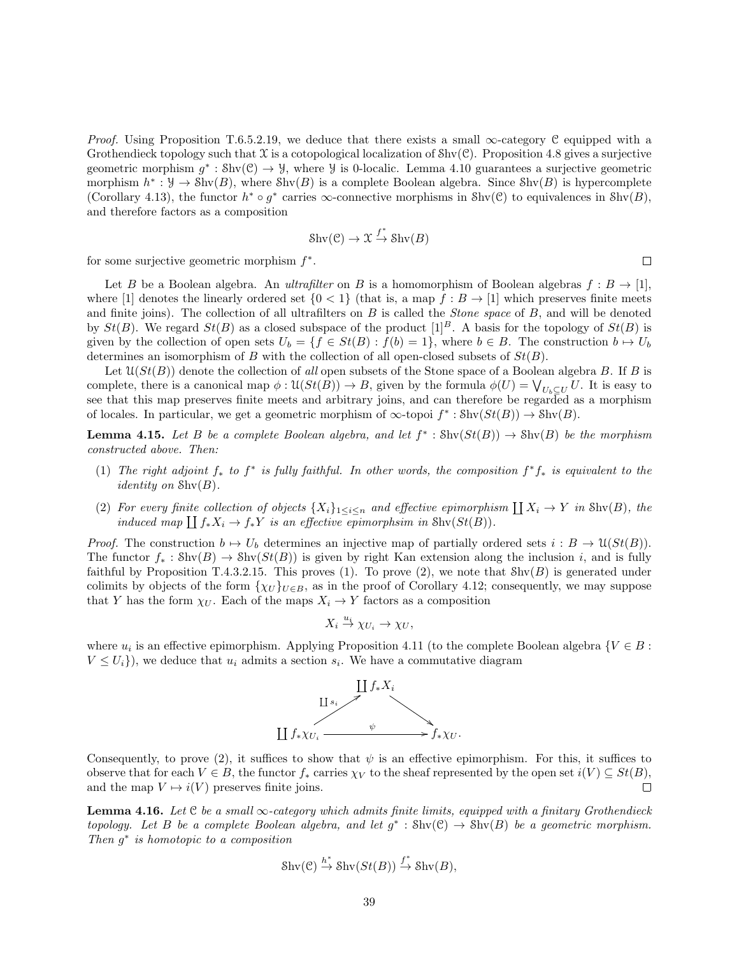*Proof.* Using Proposition T.6.5.2.19, we deduce that there exists a small  $\infty$ -category C equipped with a Grothendieck topology such that  $\mathfrak X$  is a cotopological localization of  $\text{Shv}(\mathcal{C})$ . Proposition 4.8 gives a surjective geometric morphism  $g^* : \text{Shv}(\mathcal{C}) \to \mathcal{Y}$ , where  $\mathcal{Y}$  is 0-localic. Lemma 4.10 guarantees a surjective geometric morphism  $h^*: \mathcal{Y} \to \text{Shv}(B)$ , where  $\text{Shv}(B)$  is a complete Boolean algebra. Since  $\text{Shv}(B)$  is hypercomplete (Corollary 4.13), the functor  $h^* \circ g^*$  carries  $\infty$ -connective morphisms in Shv(C) to equivalences in Shv(B), and therefore factors as a composition

$$
Shv(\mathcal{C}) \to \mathfrak{X} \stackrel{f^*}{\to} Shv(B)
$$

for some surjective geometric morphism  $f^*$ .

Let B be a Boolean algebra. An ultrafilter on B is a homomorphism of Boolean algebras  $f : B \to [1]$ , where [1] denotes the linearly ordered set  $\{0 \leq 1\}$  (that is, a map  $f : B \to [1]$  which preserves finite meets and finite joins). The collection of all ultrafilters on  $B$  is called the *Stone space* of  $B$ , and will be denoted by  $St(B)$ . We regard  $St(B)$  as a closed subspace of the product  $[1]^B$ . A basis for the topology of  $St(B)$  is given by the collection of open sets  $U_b = \{f \in St(B) : f(b) = 1\}$ , where  $b \in B$ . The construction  $b \mapsto U_b$ determines an isomorphism of B with the collection of all open-closed subsets of  $St(B)$ .

Let  $\mathfrak{U}(St(B))$  denote the collection of all open subsets of the Stone space of a Boolean algebra B. If B is complete, there is a canonical map  $\phi: \mathfrak{U}(St(B)) \to B$ , given by the formula  $\phi(U) = \bigvee_{U_b \subseteq U} U$ . It is easy to see that this map preserves finite meets and arbitrary joins, and can therefore be regarded as a morphism of locales. In particular, we get a geometric morphism of  $\infty$ -topoi  $f^* : \text{Shv}(St(B)) \to \text{Shv}(B)$ .

**Lemma 4.15.** Let B be a complete Boolean algebra, and let  $f^* : \text{Shv}(St(B)) \to \text{Shv}(B)$  be the morphism constructed above. Then:

- (1) The right adjoint  $f_*$  to  $f^*$  is fully faithful. In other words, the composition  $f^*f_*$  is equivalent to the *identity on*  $\text{Shv}(B)$ .
- (2) For every finite collection of objects  $\{X_i\}_{1\leq i\leq n}$  and effective epimorphism  $\coprod X_i \to Y$  in Shv $(B)$ , the induced map  $\coprod f_*X_i \to f_*Y$  is an effective epimorphsim in Shv $(St(B))$ .

*Proof.* The construction  $b \mapsto U_b$  determines an injective map of partially ordered sets  $i : B \to \mathcal{U}(St(B)).$ The functor  $f_* : Shv(B) \to Shv(St(B))$  is given by right Kan extension along the inclusion i, and is fully faithful by Proposition T.4.3.2.15. This proves (1). To prove (2), we note that  $\text{Shv}(B)$  is generated under colimits by objects of the form  $\{\chi_U\}_{U\in B}$ , as in the proof of Corollary 4.12; consequently, we may suppose that Y has the form  $\chi_U$ . Each of the maps  $X_i \to Y$  factors as a composition

$$
X_i \stackrel{u_i}{\to} \chi_{U_i} \to \chi_U,
$$

where  $u_i$  is an effective epimorphism. Applying Proposition 4.11 (to the complete Boolean algebra  $\{V \in B :$  $V \leq U_i$ , we deduce that  $u_i$  admits a section  $s_i$ . We have a commutative diagram



Consequently, to prove (2), it suffices to show that  $\psi$  is an effective epimorphism. For this, it suffices to observe that for each  $V \in B$ , the functor  $f_*$  carries  $\chi_V$  to the sheaf represented by the open set  $i(V) \subseteq St(B)$ , and the map  $V \mapsto i(V)$  preserves finite joins.  $\Box$ 

**Lemma 4.16.** Let C be a small  $\infty$ -category which admits finite limits, equipped with a finitary Grothendieck topology. Let B be a complete Boolean algebra, and let  $g^* : Shv(\mathcal{C}) \to Shv(B)$  be a geometric morphism. Then  $g$ <sup>∗</sup> is homotopic to a composition

$$
Shv(\mathcal{C}) \stackrel{h^*}{\to} Shv(St(B)) \stackrel{f^*}{\to} Shv(B),
$$

 $\Box$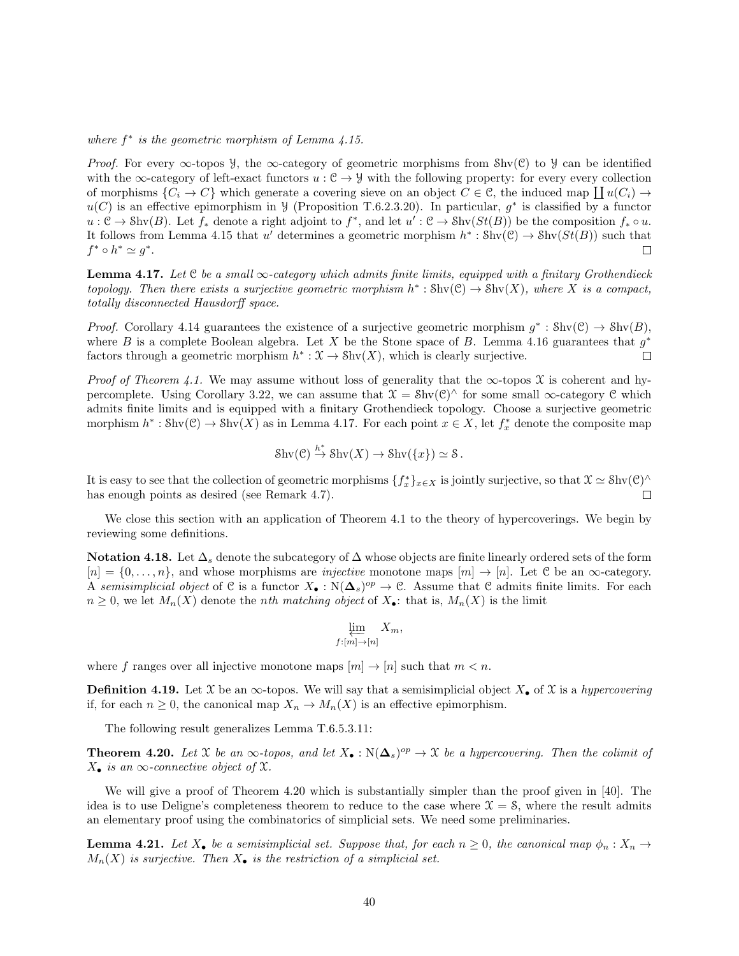where  $f^*$  is the geometric morphism of Lemma  $\ddot{4}.15$ .

*Proof.* For every  $\infty$ -topos *y*, the  $\infty$ -category of geometric morphisms from Shv(C) to *y* can be identified with the  $\infty$ -category of left-exact functors  $u : \mathcal{C} \to \mathcal{Y}$  with the following property: for every every collection of morphisms  $\{C_i \to C\}$  which generate a covering sieve on an object  $C \in \mathcal{C}$ , the induced map  $\coprod u(C_i) \to$  $u(C)$  is an effective epimorphism in  $\mathcal{Y}$  (Proposition T.6.2.3.20). In particular,  $g^*$  is classified by a functor  $u: \mathcal{C} \to \text{Shv}(B)$ . Let  $f_*$  denote a right adjoint to  $f^*$ , and let  $u': \mathcal{C} \to \text{Shv}(St(B))$  be the composition  $f_* \circ u$ . It follows from Lemma 4.15 that u' determines a geometric morphism  $h^* : Shv(\mathcal{C}) \to Shv(St(B))$  such that  $f^* \circ h^* \simeq g^*.$  $\Box$ 

**Lemma 4.17.** Let C be a small  $\infty$ -category which admits finite limits, equipped with a finitary Grothendieck topology. Then there exists a surjective geometric morphism  $h^* : Shv(\mathcal{C}) \to Shv(X)$ , where X is a compact, totally disconnected Hausdorff space.

*Proof.* Corollary 4.14 guarantees the existence of a surjective geometric morphism  $g^* : Shv(\mathcal{C}) \to Shv(B)$ , where B is a complete Boolean algebra. Let X be the Stone space of B. Lemma 4.16 guarantees that  $g^*$ factors through a geometric morphism  $h^*: \mathfrak{X} \to \text{Shv}(X)$ , which is clearly surjective.  $\Box$ 

*Proof of Theorem 4.1.* We may assume without loss of generality that the  $\infty$ -topos X is coherent and hypercomplete. Using Corollary 3.22, we can assume that  $\mathfrak{X} = Shv(\mathfrak{C})^{\wedge}$  for some small  $\infty$ -category  $\mathfrak{C}$  which admits finite limits and is equipped with a finitary Grothendieck topology. Choose a surjective geometric morphism  $h^* : \text{Shv}(\mathcal{C}) \to \text{Shv}(X)$  as in Lemma 4.17. For each point  $x \in X$ , let  $f_x^*$  denote the composite map

$$
Shv(\mathcal{C}) \stackrel{h^*}{\to} Shv(X) \to Shv(\lbrace x \rbrace) \simeq \mathcal{S}.
$$

It is easy to see that the collection of geometric morphisms  $\{f_x^*\}_{x\in X}$  is jointly surjective, so that  $\mathfrak{X} \simeq \text{Shv}(\mathcal{C})^{\wedge}$ has enough points as desired (see Remark 4.7).  $\Box$ 

We close this section with an application of Theorem 4.1 to the theory of hypercoverings. We begin by reviewing some definitions.

Notation 4.18. Let  $\Delta_s$  denote the subcategory of  $\Delta$  whose objects are finite linearly ordered sets of the form  $[n] = \{0, \ldots, n\}$ , and whose morphisms are *injective* monotone maps  $[m] \to [n]$ . Let C be an  $\infty$ -category. A semisimplicial object of C is a functor  $X_{\bullet}: \mathbb{N}(\mathbf{\Delta}_s)^{op} \to \mathbb{C}$ . Assume that C admits finite limits. For each  $n \geq 0$ , we let  $M_n(X)$  denote the *nth matching object* of  $X_{\bullet}$ : that is,  $M_n(X)$  is the limit

$$
\varprojlim_{f:[m]\to[n]} X_m,
$$

where f ranges over all injective monotone maps  $[m] \to [n]$  such that  $m < n$ .

**Definition 4.19.** Let X be an  $\infty$ -topos. We will say that a semisimplicial object  $X_{\bullet}$  of X is a hypercovering if, for each  $n \geq 0$ , the canonical map  $X_n \to M_n(X)$  is an effective epimorphism.

The following result generalizes Lemma T.6.5.3.11:

**Theorem 4.20.** Let X be an  $\infty$ -topos, and let  $X_{\bullet} : N(\Delta_s)^{op} \to \mathfrak{X}$  be a hypercovering. Then the colimit of  $X_{\bullet}$  is an  $\infty$ -connective object of X.

We will give a proof of Theorem 4.20 which is substantially simpler than the proof given in [40]. The idea is to use Deligne's completeness theorem to reduce to the case where  $\mathcal{X} = \mathcal{S}$ , where the result admits an elementary proof using the combinatorics of simplicial sets. We need some preliminaries.

**Lemma 4.21.** Let  $X_{\bullet}$  be a semisimplicial set. Suppose that, for each  $n \geq 0$ , the canonical map  $\phi_n : X_n \to Y$  $M_n(X)$  is surjective. Then  $X_{\bullet}$  is the restriction of a simplicial set.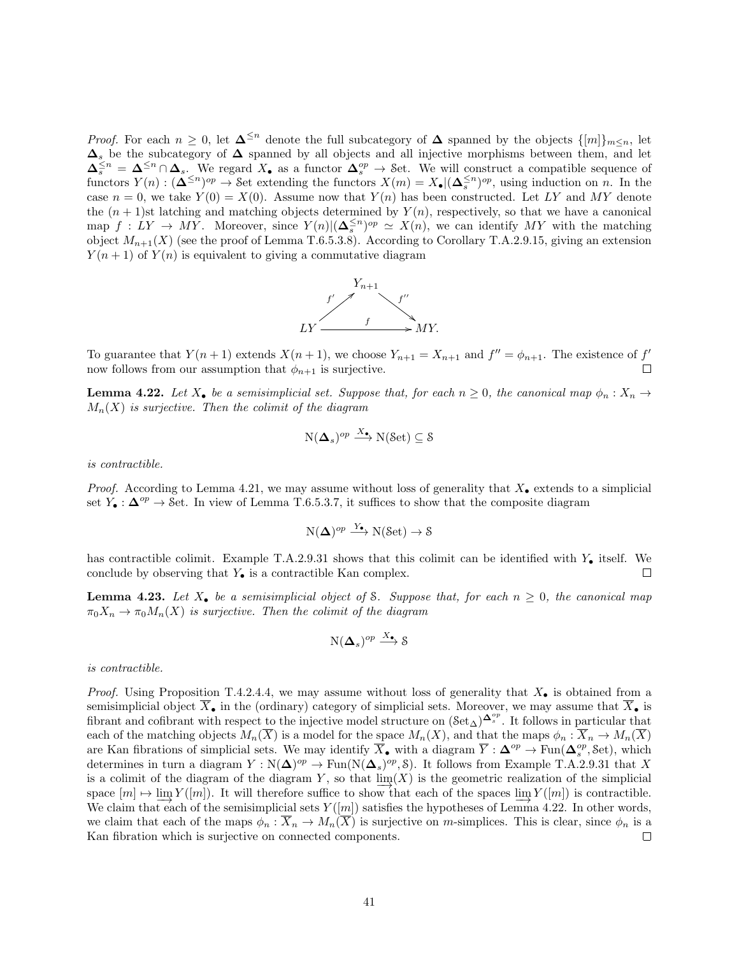*Proof.* For each  $n \geq 0$ , let  $\Delta^{\leq n}$  denote the full subcategory of  $\Delta$  spanned by the objects  $\{[m]\}_{m \leq n}$ , let  $\Delta_s$  be the subcategory of  $\Delta$  spanned by all objects and all injective morphisms between them, and let  $\Delta_s^{\leq n} = \Delta^{\leq n} \cap \Delta_s$ . We regard  $X_{\bullet}$  as a functor  $\Delta_s^{op} \to$  Set. We will construct a compatible sequence of functors  $Y(n) : (\mathbf{\Delta}^{\leq n})^{op} \to \mathcal{S}$ et extending the functors  $X(m) = X_{\bullet} | (\mathbf{\Delta}_s^{\leq n})^{op}$ , using induction on n. In the case  $n = 0$ , we take  $Y(0) = X(0)$ . Assume now that  $Y(n)$  has been constructed. Let LY and MY denote the  $(n + 1)$ st latching and matching objects determined by  $Y(n)$ , respectively, so that we have a canonical map  $f: LY \to MY$ . Moreover, since  $Y(n)|(\Delta_s^{\leq n})^{op} \simeq X(n)$ , we can identify MY with the matching object  $M_{n+1}(X)$  (see the proof of Lemma T.6.5.3.8). According to Corollary T.A.2.9.15, giving an extension  $Y(n + 1)$  of  $Y(n)$  is equivalent to giving a commutative diagram



To guarantee that  $Y(n+1)$  extends  $X(n+1)$ , we choose  $Y_{n+1} = X_{n+1}$  and  $f'' = \phi_{n+1}$ . The existence of  $f'$ now follows from our assumption that  $\phi_{n+1}$  is surjective.

**Lemma 4.22.** Let  $X_{\bullet}$  be a semisimplicial set. Suppose that, for each  $n \geq 0$ , the canonical map  $\phi_n : X_n \to Y$  $M_n(X)$  is surjective. Then the colimit of the diagram

$$
N(\mathbf{\Delta}_{s})^{op} \xrightarrow{X_{\bullet}} N(\text{Set}) \subseteq \mathcal{S}
$$

is contractible.

*Proof.* According to Lemma 4.21, we may assume without loss of generality that  $X_{\bullet}$  extends to a simplicial set  $Y_{\bullet}: \Delta^{op} \to$  Set. In view of Lemma T.6.5.3.7, it suffices to show that the composite diagram

$$
N(\Delta)^{op} \xrightarrow{Y_{\bullet}} N(\text{Set}) \to \mathcal{S}
$$

has contractible colimit. Example T.A.2.9.31 shows that this colimit can be identified with  $Y_{\bullet}$  itself. We conclude by observing that  $Y_{\bullet}$  is a contractible Kan complex. □

**Lemma 4.23.** Let  $X_{\bullet}$  be a semisimplicial object of S. Suppose that, for each  $n \geq 0$ , the canonical map  $\pi_0 X_n \to \pi_0 M_n(X)$  is surjective. Then the colimit of the diagram

$$
N(\mathbf{\Delta}_s)^{op} \stackrel{X_{\bullet}}{\longrightarrow} \mathcal{S}
$$

is contractible.

*Proof.* Using Proposition T.4.2.4.4, we may assume without loss of generality that  $X_{\bullet}$  is obtained from a semisimplicial object  $\overline{X}_{\bullet}$  in the (ordinary) category of simplicial sets. Moreover, we may assume that  $\overline{X}_{\bullet}$  is fibrant and cofibrant with respect to the injective model structure on  $(\text{Set}_{\Delta})^{\Delta_s^{op}}$ . It follows in particular that each of the matching objects  $M_n(\overline{X})$  is a model for the space  $M_n(X)$ , and that the maps  $\phi_n : \overline{X}_n \to M_n(\overline{X})$ are Kan fibrations of simplicial sets. We may identify  $\overline{X}_{\bullet}$  with a diagram  $\overline{Y}$  :  $\Delta^{op} \to \text{Fun}(\Delta_s^{op}, \text{Set})$ , which determines in turn a diagram  $Y : N(\Delta)^{op} \to \text{Fun}(N(\Delta_s)^{op}, \mathcal{S})$ . It follows from Example T.A.2.9.31 that X is a colimit of the diagram of the diagram Y, so that  $\lim_{x \to a} (X)$  is the geometric realization of the simplicial space  $[m] \mapsto \lim_{m \to \infty} Y([m])$ . It will therefore suffice to show that each of the spaces  $\lim_{m \to \infty} Y([m])$  is contractible. We claim that each of the semisimplicial sets  $Y([m])$  satisfies the hypotheses of Lemma 4.22. In other words, we claim that each of the maps  $\phi_n : \overline{X}_n \to M_n(\overline{X})$  is surjective on m-simplices. This is clear, since  $\phi_n$  is a Kan fibration which is surjective on connected components.  $\Box$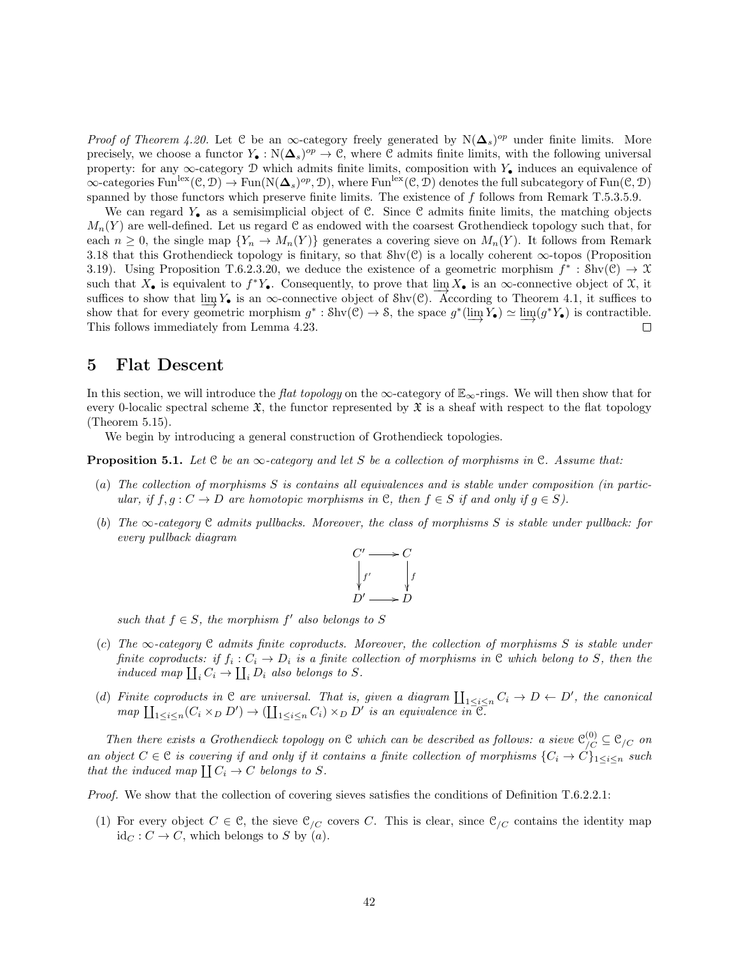*Proof of Theorem 4.20.* Let C be an  $\infty$ -category freely generated by N( $\Delta_s$ )<sup>op</sup> under finite limits. More precisely, we choose a functor  $Y_{\bullet}: \mathbb{N}(\Delta_s)^{op} \to \mathbb{C}$ , where  $\mathbb C$  admits finite limits, with the following universal property: for any  $\infty$ -category D which admits finite limits, composition with Y<sub>•</sub> induces an equivalence of  $\infty$ -categories Fun<sup>lex</sup> $(\mathcal{C}, \mathcal{D}) \to \text{Fun}(\mathrm{N}(\mathbf{\Delta}_s)^{op}, \mathcal{D})$ , where Fun<sup>lex</sup> $(\mathcal{C}, \mathcal{D})$  denotes the full subcategory of Fun $(\mathcal{C}, \mathcal{D})$ spanned by those functors which preserve finite limits. The existence of f follows from Remark T.5.3.5.9.

We can regard  $Y_{\bullet}$  as a semisimplicial object of C. Since C admits finite limits, the matching objects  $M_n(Y)$  are well-defined. Let us regard C as endowed with the coarsest Grothendieck topology such that, for each  $n \geq 0$ , the single map  $\{Y_n \to M_n(Y)\}$  generates a covering sieve on  $M_n(Y)$ . It follows from Remark 3.18 that this Grothendieck topology is finitary, so that  $\text{Shv}(\mathcal{C})$  is a locally coherent  $\infty$ -topos (Proposition 3.19). Using Proposition T.6.2.3.20, we deduce the existence of a geometric morphism  $f^* : Shv(\mathcal{C}) \to \mathcal{X}$ such that  $X_{\bullet}$  is equivalent to  $f^*Y_{\bullet}$ . Consequently, to prove that  $\lim_{\delta \to 0} X_{\bullet}$  is an  $\infty$ -connective object of  $\mathcal{X}$ , it suffices to show that  $\underline{\lim}_{\longrightarrow} Y_{\bullet}$  is an ∞-connective object of Shv(C). According to Theorem 4.1, it suffices to show that for every geometric morphism  $g^* : \text{Shv}(\mathcal{C}) \to \mathcal{S}$ , the space  $g^*(\varinjlim Y_{\bullet}) \simeq \varinjlim (g^*Y_{\bullet})$  is contractible. This follows immediately from Lemma 4.23.  $\Box$ 

### 5 Flat Descent

In this section, we will introduce the flat topology on the  $\infty$ -category of  $\mathbb{E}_{\infty}$ -rings. We will then show that for every 0-localic spectral scheme  $\mathfrak{X}$ , the functor represented by  $\mathfrak{X}$  is a sheaf with respect to the flat topology (Theorem 5.15).

We begin by introducing a general construction of Grothendieck topologies.

**Proposition 5.1.** Let  $C$  be an  $\infty$ -category and let S be a collection of morphisms in  $C$ . Assume that:

- (a) The collection of morphisms S is contains all equivalences and is stable under composition (in particular, if  $f, g: C \to D$  are homotopic morphisms in C, then  $f \in S$  if and only if  $g \in S$ ).
- (b) The  $\infty$ -category C admits pullbacks. Moreover, the class of morphisms S is stable under pullback: for every pullback diagram

$$
\begin{array}{ccc}\nC' & \longrightarrow & C \\
\downarrow & & \downarrow f \\
D' & \longrightarrow & D\n\end{array}
$$

such that  $f \in S$ , the morphism  $f'$  also belongs to S

- (c) The  $\infty$ -category C admits finite coproducts. Moreover, the collection of morphisms S is stable under finite coproducts: if  $f_i: C_i \to D_i$  is a finite collection of morphisms in  $\mathfrak C$  which belong to S, then the induced map  $\coprod_i C_i \to \coprod_i D_i$  also belongs to S.
- (d) Finite coproducts in  $\mathcal C$  are universal. That is, given a diagram  $\coprod_{1\leq i\leq n} C_i \to D \leftarrow D'$ , the canonical  $map \coprod_{1 \leq i \leq n} (C_i \times_D D') \to (\coprod_{1 \leq i \leq n} C_i) \times_D D'$  is an equivalence  $in \overline{C}$ .

Then there exists a Grothendieck topology on C which can be described as follows: a sieve  $\mathcal{C}_{/C}^{(0)} \subseteq \mathcal{C}_{/C}$  on an object  $C \in \mathcal{C}$  is covering if and only if it contains a finite collection of morphisms  $\{C_i \to C\}_{1 \leq i \leq n}$  such that the induced map  $\coprod C_i \to C$  belongs to S.

Proof. We show that the collection of covering sieves satisfies the conditions of Definition T.6.2.2.1:

(1) For every object  $C \in \mathcal{C}$ , the sieve  $\mathcal{C}_{/C}$  covers C. This is clear, since  $\mathcal{C}_{/C}$  contains the identity map  $id_C : C \to C$ , which belongs to S by  $(a)$ .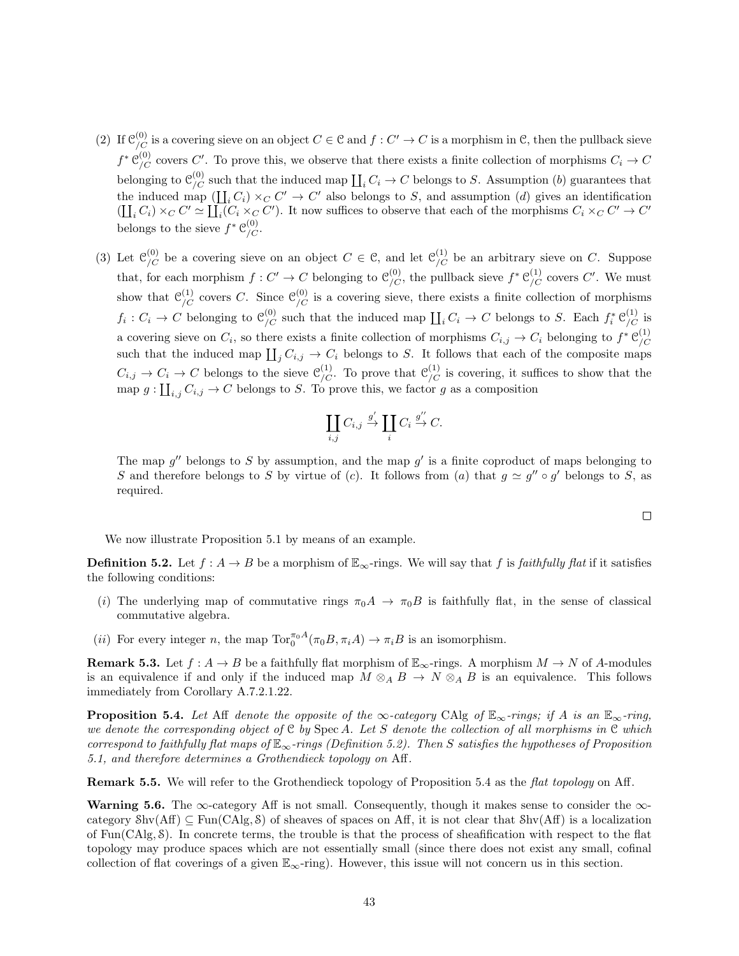- (2) If  $\mathcal{C}_{/C}^{(0)}$  is a covering sieve on an object  $C \in \mathcal{C}$  and  $f: C' \to C$  is a morphism in  $\mathcal{C}$ , then the pullback sieve  $f^* \mathcal{C}_{/C}^{(0)}$  covers C'. To prove this, we observe that there exists a finite collection of morphisms  $C_i \to C$ belonging to  $\mathcal{C}_{/C}^{(0)}$  such that the induced map  $\coprod_i C_i \to C$  belongs to S. Assumption (b) guarantees that the induced map  $(\prod_i C_i) \times_C C' \to C'$  also belongs to S, and assumption (d) gives an identification  $(\prod_i C_i) \times_C C' \simeq \prod_i (C_i \times_C C')$ . It now suffices to observe that each of the morphisms  $C_i \times_C C' \to C'$ belongs to the sieve  $f^* \mathcal{C}_{/C}^{(0)}$ .
- (3) Let  $\mathcal{C}_{/C}^{(0)}$  be a covering sieve on an object  $C \in \mathcal{C}$ , and let  $\mathcal{C}_{/C}^{(1)}$  be an arbitrary sieve on C. Suppose that, for each morphism  $f: C' \to C$  belonging to  $\mathcal{C}_{/C}^{(0)}$ , the pullback sieve  $f^* \mathcal{C}_{/C}^{(1)}$  covers  $C'$ . We must show that  $\mathcal{C}_{/C}^{(1)}$  covers C. Since  $\mathcal{C}_{/C}^{(0)}$  is a covering sieve, there exists a finite collection of morphisms  $f_i: C_i \to C$  belonging to  $\mathcal{C}_{/C}^{(0)}$  such that the induced map  $\coprod_i C_i \to C$  belongs to S. Each  $f_i^* \mathcal{C}_{/C}^{(1)}$  is a covering sieve on  $C_i$ , so there exists a finite collection of morphisms  $C_{i,j} \to C_i$  belonging to  $f^* \mathcal{C}_{/C}^{(1)}$ /C such that the induced map  $\coprod_j C_{i,j} \to C_i$  belongs to S. It follows that each of the composite maps  $C_{i,j} \to C_i \to C$  belongs to the sieve  $\mathcal{C}_{/C}^{(1)}$ . To prove that  $\mathcal{C}_{/C}^{(1)}$  is covering, it suffices to show that the map  $g: \coprod_{i,j} C_{i,j} \to C$  belongs to S. To prove this, we factor g as a composition

$$
\coprod_{i,j} C_{i,j} \xrightarrow{g'} \coprod_i C_i \xrightarrow{g''} C.
$$

The map  $g''$  belongs to S by assumption, and the map  $g'$  is a finite coproduct of maps belonging to S and therefore belongs to S by virtue of (c). It follows from (a) that  $g \simeq g'' \circ g'$  belongs to S, as required.

We now illustrate Proposition 5.1 by means of an example.

**Definition 5.2.** Let  $f : A \to B$  be a morphism of  $\mathbb{E}_{\infty}$ -rings. We will say that f is faithfully flat if it satisfies the following conditions:

- (i) The underlying map of commutative rings  $\pi_0 A \to \pi_0 B$  is faithfully flat, in the sense of classical commutative algebra.
- (*ii*) For every integer *n*, the map  $\text{Tor}_{0}^{\pi_{0}A}(\pi_{0}B, \pi_{i}A) \to \pi_{i}B$  is an isomorphism.

**Remark 5.3.** Let  $f : A \to B$  be a faithfully flat morphism of  $\mathbb{E}_{\infty}$ -rings. A morphism  $M \to N$  of A-modules is an equivalence if and only if the induced map  $M \otimes_A B \to N \otimes_A B$  is an equivalence. This follows immediately from Corollary A.7.2.1.22.

**Proposition 5.4.** Let Aff denote the opposite of the ∞-category CAlg of  $\mathbb{E}_{\infty}$ -rings; if A is an  $\mathbb{E}_{\infty}$ -ring, we denote the corresponding object of  $C$  by Spec A. Let S denote the collection of all morphisms in  $C$  which correspond to faithfully flat maps of  $\mathbb{E}_{\infty}$ -rings (Definition 5.2). Then S satisfies the hypotheses of Proposition 5.1, and therefore determines a Grothendieck topology on Aff.

Remark 5.5. We will refer to the Grothendieck topology of Proposition 5.4 as the *flat topology* on Aff.

Warning 5.6. The  $\infty$ -category Aff is not small. Consequently, though it makes sense to consider the  $\infty$ category  $\text{Shv}(Aff) \subseteq \text{Fun}(CAlg, \mathcal{S})$  of sheaves of spaces on Aff, it is not clear that  $\text{Shv}(Aff)$  is a localization of Fun(CAlg, S). In concrete terms, the trouble is that the process of sheafification with respect to the flat topology may produce spaces which are not essentially small (since there does not exist any small, cofinal collection of flat coverings of a given  $\mathbb{E}_{\infty}$ -ring). However, this issue will not concern us in this section.

 $\Box$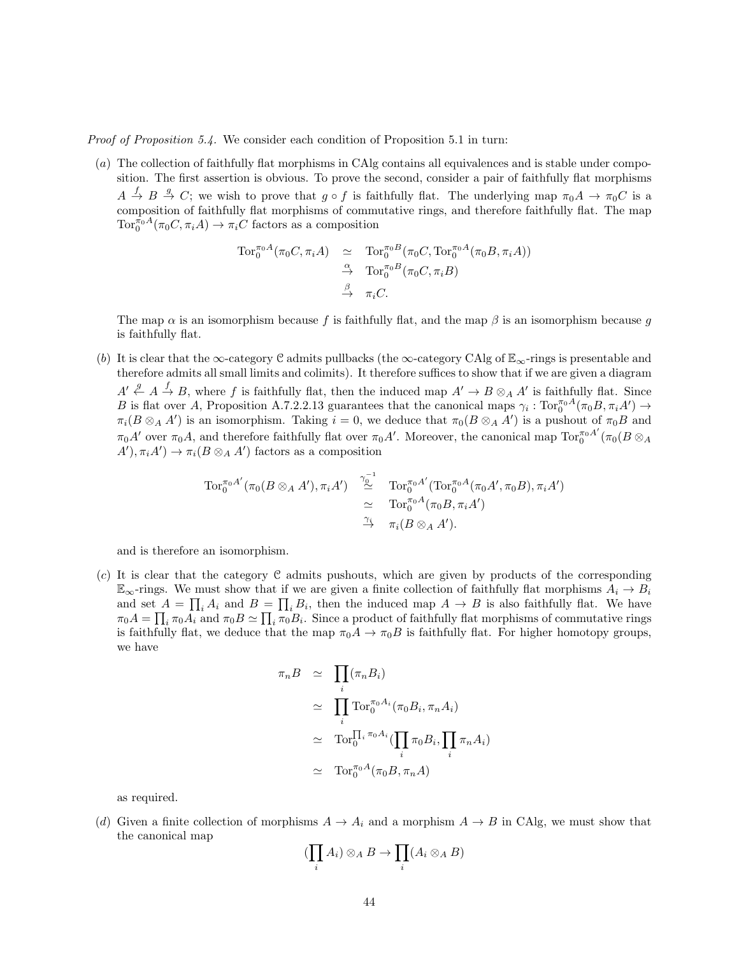Proof of Proposition 5.4. We consider each condition of Proposition 5.1 in turn:

(a) The collection of faithfully flat morphisms in CAlg contains all equivalences and is stable under composition. The first assertion is obvious. To prove the second, consider a pair of faithfully flat morphisms  $A \stackrel{f}{\to} B \stackrel{g}{\to} C$ ; we wish to prove that  $g \circ f$  is faithfully flat. The underlying map  $\pi_0 A \to \pi_0 C$  is a composition of faithfully flat morphisms of commutative rings, and therefore faithfully flat. The map  $\text{Tor}_{0}^{\pi_{0}A}(\pi_{0}C, \pi_{i}A) \to \pi_{i}C$  factors as a composition

$$
\begin{array}{rcl}\n\operatorname{Tor}_0^{\pi_0 A}(\pi_0 C, \pi_i A) & \simeq & \operatorname{Tor}_0^{\pi_0 B}(\pi_0 C, \operatorname{Tor}_0^{\pi_0 A}(\pi_0 B, \pi_i A)) \\
& \xrightarrow{\alpha} & \operatorname{Tor}_0^{\pi_0 B}(\pi_0 C, \pi_i B) \\
& \xrightarrow{\beta} & \pi_i C.\n\end{array}
$$

The map  $\alpha$  is an isomorphism because f is faithfully flat, and the map  $\beta$  is an isomorphism because g is faithfully flat.

(b) It is clear that the ∞-category C admits pullbacks (the ∞-category CAlg of  $\mathbb{E}_{\infty}$ -rings is presentable and therefore admits all small limits and colimits). It therefore suffices to show that if we are given a diagram  $A' \stackrel{g}{\leftarrow} A \stackrel{f}{\rightarrow} B$ , where f is faithfully flat, then the induced map  $A' \rightarrow B \otimes_A A'$  is faithfully flat. Since B is flat over A, Proposition A.7.2.2.13 guarantees that the canonical maps  $\gamma_i : \text{Tor}_0^{\pi_0 A}(\pi_0 B, \pi_i A') \to$  $\pi_i(B \otimes_A A')$  is an isomorphism. Taking  $i = 0$ , we deduce that  $\pi_0(B \otimes_A A')$  is a pushout of  $\pi_0 B$  and  $\pi_0 A'$  over  $\pi_0 A$ , and therefore faithfully flat over  $\pi_0 A'$ . Moreover, the canonical map  $\text{Tor}_0^{\pi_0 A'}$  $_0^{\pi_0A^\cdot}(\pi_0(B\otimes_A$  $A'$ ,  $\pi_i A'$ )  $\rightarrow \pi_i (B \otimes_A A')$  factors as a composition

$$
\begin{array}{rcl}\operatorname{Tor}_0^{\pi_0 A'}(\pi_0(B \otimes_A A'), \pi_i A') & \stackrel{\gamma_0^{-1}}{\simeq} & \operatorname{Tor}_0^{\pi_0 A'}(\operatorname{Tor}_0^{\pi_0 A}(\pi_0 A', \pi_0 B), \pi_i A')\\ & \simeq & \operatorname{Tor}_0^{\pi_0 A}(\pi_0 B, \pi_i A')\\ & \stackrel{\gamma_i}{\to} & \pi_i(B \otimes_A A').\end{array}
$$

and is therefore an isomorphism.

(c) It is clear that the category C admits pushouts, which are given by products of the corresponding  $\mathbb{E}_{\infty}$ -rings. We must show that if we are given a finite collection of faithfully flat morphisms  $A_i \to B_i$ and set  $A = \prod_i A_i$  and  $B = \prod_i B_i$ , then the induced map  $A \to B$  is also faithfully flat. We have  $\pi_0 A = \prod_i \pi_0 A_i$  and  $\pi_0 B \simeq \prod_i \pi_0 B_i$ . Since a product of faithfully flat morphisms of commutative rings is faithfully flat, we deduce that the map  $\pi_0 A \to \pi_0 B$  is faithfully flat. For higher homotopy groups, we have

$$
\pi_n B \simeq \prod_i (\pi_n B_i)
$$
  
\n
$$
\simeq \prod_i \text{Tor}_0^{\pi_0 A_i} (\pi_0 B_i, \pi_n A_i)
$$
  
\n
$$
\simeq \text{Tor}_0^{\prod_i \pi_0 A_i} (\prod_i \pi_0 B_i, \prod_i \pi_n A_i)
$$
  
\n
$$
\simeq \text{Tor}_0^{\pi_0 A} (\pi_0 B, \pi_n A)
$$

as required.

(d) Given a finite collection of morphisms  $A \to A_i$  and a morphism  $A \to B$  in CAlg, we must show that the canonical map

$$
(\prod_i A_i) \otimes_A B \to \prod_i (A_i \otimes_A B)
$$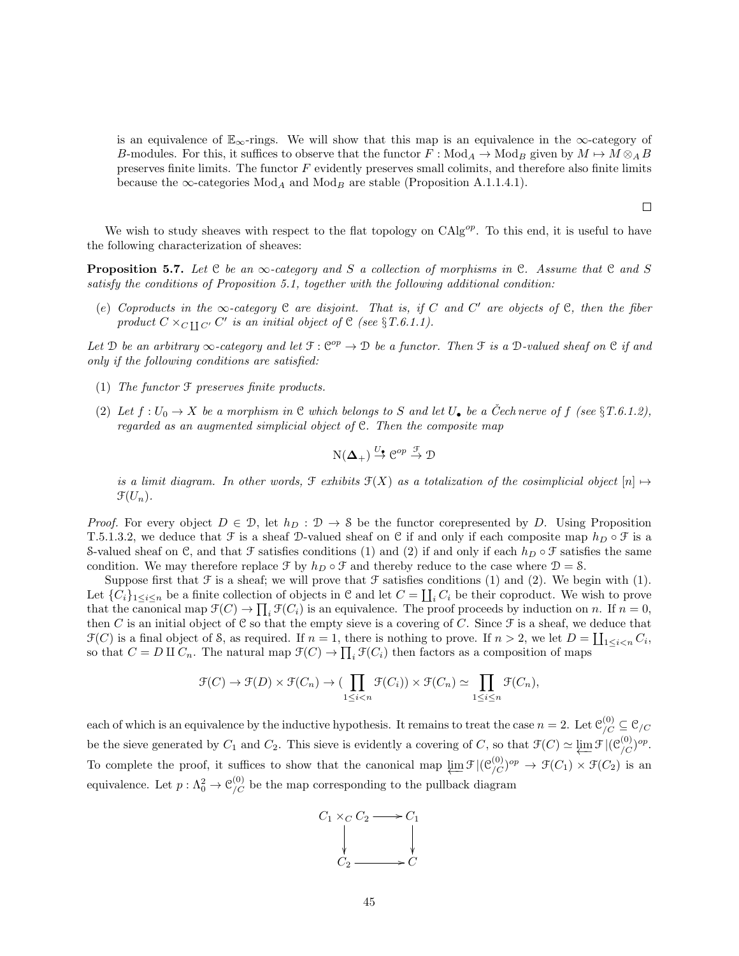is an equivalence of  $\mathbb{E}_{\infty}$ -rings. We will show that this map is an equivalence in the  $\infty$ -category of B-modules. For this, it suffices to observe that the functor  $F : Mod_A \to Mod_B$  given by  $M \to M \otimes_A B$ preserves finite limits. The functor  $F$  evidently preserves small colimits, and therefore also finite limits because the  $\infty$ -categories Mod<sub>A</sub> and Mod<sub>B</sub> are stable (Proposition A.1.1.4.1).

 $\Box$ 

We wish to study sheaves with respect to the flat topology on  $CAlg^{op}$ . To this end, it is useful to have the following characterization of sheaves:

**Proposition 5.7.** Let C be an  $\infty$ -category and S a collection of morphisms in C. Assume that C and S satisfy the conditions of Proposition 5.1, together with the following additional condition:

(e) Coproducts in the  $\infty$ -category  $\mathfrak C$  are disjoint. That is, if C and C' are objects of  $\mathfrak C$ , then the fiber product  $C \times_{C \coprod C'} C'$  is an initial object of  $C$  (see  $\S T.6.1.1$ ).

Let D be an arbitrary  $\infty$ -category and let  $\mathfrak{F} : \mathfrak{C}^{op} \to \mathfrak{D}$  be a functor. Then  $\mathfrak{F}$  is a D-valued sheaf on  $\mathfrak{C}$  if and only if the following conditions are satisfied:

- (1) The functor F preserves finite products.
- (2) Let  $f: U_0 \to X$  be a morphism in C which belongs to S and let  $U_{\bullet}$  be a Cech nerve of f (see §T.6.1.2), regarded as an augmented simplicial object of C. Then the composite map

$$
N(\Delta_+) \stackrel{U_{\bullet}}{\rightarrow} \mathcal{C}^{op} \stackrel{\mathcal{F}}{\rightarrow} \mathcal{D}
$$

is a limit diagram. In other words,  $\mathcal{F}$  exhibits  $\mathcal{F}(X)$  as a totalization of the cosimplicial object  $[n] \mapsto$  $\mathfrak{F}(U_n)$ .

*Proof.* For every object  $D \in \mathcal{D}$ , let  $h_D : \mathcal{D} \to \mathcal{S}$  be the functor corepresented by D. Using Proposition T.5.1.3.2, we deduce that  $\mathcal F$  is a sheaf D-valued sheaf on C if and only if each composite map  $h_D \circ \mathcal F$  is a S-valued sheaf on C, and that F satisfies conditions (1) and (2) if and only if each  $h_D \circ \mathcal{F}$  satisfies the same condition. We may therefore replace  $\mathcal F$  by  $h_D \circ \mathcal F$  and thereby reduce to the case where  $\mathcal D = \mathcal S$ .

Suppose first that  $\mathcal F$  is a sheaf; we will prove that  $\mathcal F$  satisfies conditions (1) and (2). We begin with (1). Let  $\{C_i\}_{1\leq i\leq n}$  be a finite collection of objects in C and let  $C = \coprod_i C_i$  be their coproduct. We wish to prove that the canonical map  $\mathfrak{F}(C) \to \prod_i \mathfrak{F}(C_i)$  is an equivalence. The proof proceeds by induction on n. If  $n = 0$ , then C is an initial object of C so that the empty sieve is a covering of C. Since  $\mathcal F$  is a sheaf, we deduce that  $\mathcal{F}(C)$  is a final object of S, as required. If  $n = 1$ , there is nothing to prove. If  $n > 2$ , we let  $D = \coprod_{1 \leq i < n} C_i$ , so that  $C = D \amalg C_n$ . The natural map  $\mathcal{F}(C) \to \prod_i \mathcal{F}(C_i)$  then factors as a composition of maps

$$
\mathcal{F}(C) \to \mathcal{F}(D) \times \mathcal{F}(C_n) \to \left(\prod_{1 \leq i < n} \mathcal{F}(C_i)\right) \times \mathcal{F}(C_n) \simeq \prod_{1 \leq i \leq n} \mathcal{F}(C_n),
$$

each of which is an equivalence by the inductive hypothesis. It remains to treat the case  $n = 2$ . Let  $\mathcal{C}_{/C}^{(0)} \subseteq \mathcal{C}_{/C}$ be the sieve generated by  $C_1$  and  $C_2$ . This sieve is evidently a covering of C, so that  $\mathcal{F}(C) \simeq \varprojlim \mathcal{F} |(\mathcal{C}_{/C}^{(0)})^{op}$ . To complete the proof, it suffices to show that the canonical map  $\varprojlim \mathcal{F} |(\mathcal{C}_{/C}^{(0)})^{op} \to \mathcal{F}(C_1) \times \mathcal{F}(C_2)$  is an equivalence. Let  $p: \Lambda^2_0 \to \mathcal{C}^{(0)}_{/C}$  be the map corresponding to the pullback diagram

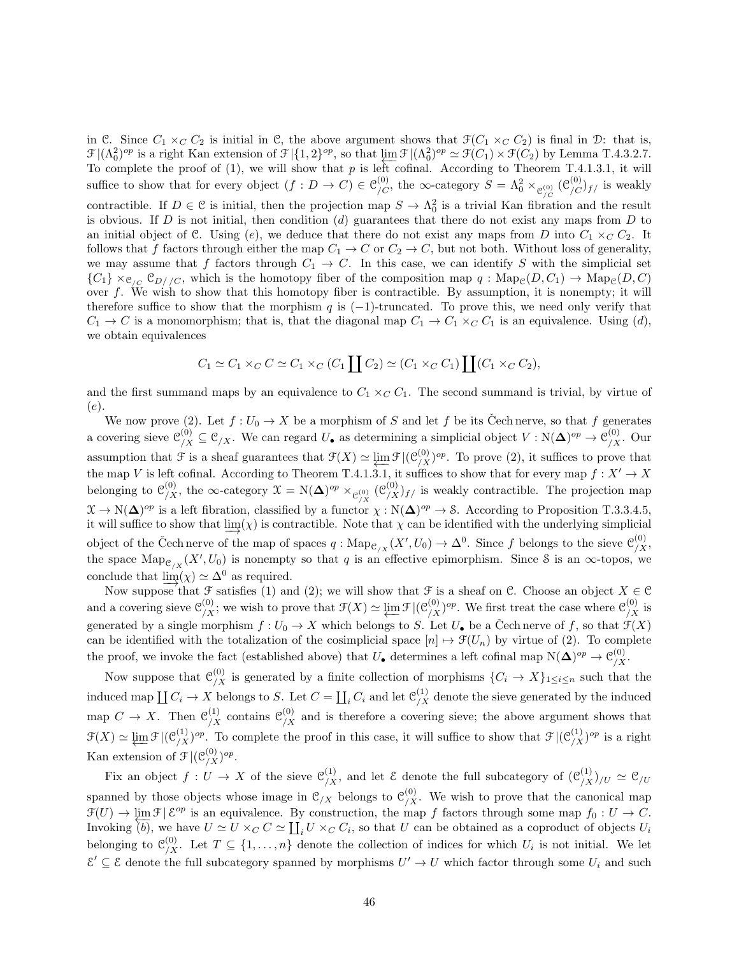in C. Since  $C_1 \times_C C_2$  is initial in C, the above argument shows that  $\mathcal{F}(C_1 \times_C C_2)$  is final in D: that is,  $\mathcal{F} |(\Lambda_0^2)^{op}$  is a right Kan extension of  $\mathcal{F} |{1, 2}^{op}$ , so that  $\varprojlim \mathcal{F} |(\Lambda_0^2)^{op} \simeq \mathcal{F}(C_1) \times \mathcal{F}(C_2)$  by Lemma T.4.3.2.7. To complete the proof of  $(1)$ , we will show that p is left cofinal. According to Theorem T.4.1.3.1, it will suffice to show that for every object  $(f: D \to C) \in \mathcal{C}_{/C}^{(0)}$ , the  $\infty$ -category  $S = \Lambda_0^2 \times_{\mathcal{C}_{/C}^{(0)}} (\mathcal{C}_{/C}^{(0)})_{f/}$  is weakly contractible. If  $D \in \mathcal{C}$  is initial, then the projection map  $S \to \Lambda_0^2$  is a trivial Kan fibration and the result is obvious. If D is not initial, then condition  $(d)$  guarantees that there do not exist any maps from D to an initial object of C. Using (e), we deduce that there do not exist any maps from D into  $C_1 \times_C C_2$ . It follows that f factors through either the map  $C_1 \rightarrow C$  or  $C_2 \rightarrow C$ , but not both. Without loss of generality, we may assume that f factors through  $C_1 \rightarrow C$ . In this case, we can identify S with the simplicial set  ${C_1} \times_{C_{/C}} C_{D//C}$ , which is the homotopy fiber of the composition map  $q : \text{Map}_{\mathcal{C}}(D, C_1) \to \text{Map}_{\mathcal{C}}(D, C)$ over f. We wish to show that this homotopy fiber is contractible. By assumption, it is nonempty; it will therefore suffice to show that the morphism q is  $(-1)$ -truncated. To prove this, we need only verify that  $C_1 \rightarrow C$  is a monomorphism; that is, that the diagonal map  $C_1 \rightarrow C_1 \times_C C_1$  is an equivalence. Using (d), we obtain equivalences

$$
C_1 \simeq C_1 \times_C C \simeq C_1 \times_C (C_1 \coprod C_2) \simeq (C_1 \times_C C_1) \coprod (C_1 \times_C C_2),
$$

and the first summand maps by an equivalence to  $C_1 \times_C C_1$ . The second summand is trivial, by virtue of (e).

We now prove (2). Let  $f: U_0 \to X$  be a morphism of S and let f be its Cech nerve, so that f generates a covering sieve  $\mathcal{C}_{/X}^{(0)} \subseteq \mathcal{C}_{/X}$ . We can regard  $U_{\bullet}$  as determining a simplicial object  $V : \mathcal{N}(\mathbf{\Delta})^{op} \to \mathcal{C}_{/X}^{(0)}$ . Our assumption that  $\mathcal F$  is a sheaf guarantees that  $\mathcal F(X) \simeq \varprojlim \mathcal F |(\mathcal C_{X}^{(0)})^{op}$ . To prove (2), it suffices to prove that the map V is left cofinal. According to Theorem T.4.1.3.1, it suffices to show that for every map  $f: X' \to X$ belonging to  $\mathcal{C}_{X}^{(0)}$ , the  $\infty$ -category  $\mathcal{X} = N(\mathbf{\Delta})^{op} \times_{\mathcal{C}_{X}^{(0)}} (\mathcal{C}_{X}^{(0)})_{f}$  is weakly contractible. The projection map  $\mathfrak{X} \to \mathrm{N}(\Delta)^{op}$  is a left fibration, classified by a functor  $\chi : \mathrm{N}(\Delta)^{op} \to \mathcal{S}$ . According to Proposition T.3.3.4.5, it will suffice to show that  $\varinjlim(\chi)$  is contractible. Note that  $\chi$  can be identified with the underlying simplicial object of the Čech nerve of the map of spaces  $q: \text{Map}_{\mathcal{C}/X}(X', U_0) \to \Delta^0$ . Since f belongs to the sieve  $\mathcal{C}_{/X}^{(0)}$ , the space  $\mathrm{Map}_{\mathcal{C}_{/X}}(X', U_0)$  is nonempty so that q is an effective epimorphism. Since S is an  $\infty$ -topos, we conclude that  $\lim_{x \to 0} (x) \simeq \Delta^0$  as required.

Now suppose that F satisfies (1) and (2); we will show that F is a sheaf on C. Choose an object  $X \in \mathcal{C}$ and a covering sieve  $\mathcal{C}_{/X}^{(0)}$ ; we wish to prove that  $\mathcal{F}(X) \simeq \varprojlim \mathcal{F} |(\mathcal{C}_{/X}^{(0)})^{op}$ . We first treat the case where  $\mathcal{C}_{/X}^{(0)}$  is generated by a single morphism  $f: U_0 \to X$  which belongs to S. Let  $U_{\bullet}$  be a Cech nerve of f, so that  $\mathcal{F}(X)$ can be identified with the totalization of the cosimplicial space  $[n] \mapsto \mathcal{F}(U_n)$  by virtue of (2). To complete the proof, we invoke the fact (established above) that  $U_{\bullet}$  determines a left cofinal map  $N(\Delta)^{op} \to \mathcal{C}_{/X}^{(0)}$ .

Now suppose that  $\mathcal{C}_{/X}^{(0)}$  is generated by a finite collection of morphisms  $\{C_i \to X\}_{1 \leq i \leq n}$  such that the induced map  $\coprod C_i \to X$  belongs to S. Let  $C = \coprod_i C_i$  and let  $\mathcal{C}_{/X}^{(1)}$  denote the sieve generated by the induced map  $C \to X$ . Then  $\mathcal{C}_{/X}^{(1)}$  contains  $\mathcal{C}_{/X}^{(0)}$  and is therefore a covering sieve; the above argument shows that  $\mathcal{F}(X) \simeq \varprojlim \mathcal{F} |(\mathcal{C}_{/X}^{(1)})^{op}$ . To complete the proof in this case, it will suffice to show that  $\mathcal{F} |(\mathcal{C}_{/X}^{(1)})^{op}$  is a right Kan extension of  $\mathcal{F} | (\mathcal{C}_{/X}^{(0)})^{op}.$ 

Fix an object  $f: U \to X$  of the sieve  $\mathcal{C}_{/X}^{(1)}$ , and let  $\mathcal E$  denote the full subcategory of  $(\mathcal{C}_{/X}^{(1)})_{/U} \simeq \mathcal{C}_{/U}$ spanned by those objects whose image in  $\mathcal{C}_{/X}$  belongs to  $\mathcal{C}_{/X}^{(0)}$ . We wish to prove that the canonical map  $\mathcal{F}(U) \to \varprojlim \mathcal{F} | \mathcal{E}^{op}$  is an equivalence. By construction, the map f factors through some map  $f_0 : U \to C$ . Invoking (b), we have  $U \simeq U \times_C C \simeq \coprod_i U \times_C C_i$ , so that U can be obtained as a coproduct of objects  $U_i$ belonging to  $\mathcal{C}_{/X}^{(0)}$ . Let  $T \subseteq \{1, \ldots, n\}$  denote the collection of indices for which  $U_i$  is not initial. We let  $\mathcal{E}' \subseteq \mathcal{E}$  denote the full subcategory spanned by morphisms  $U' \to U$  which factor through some  $U_i$  and such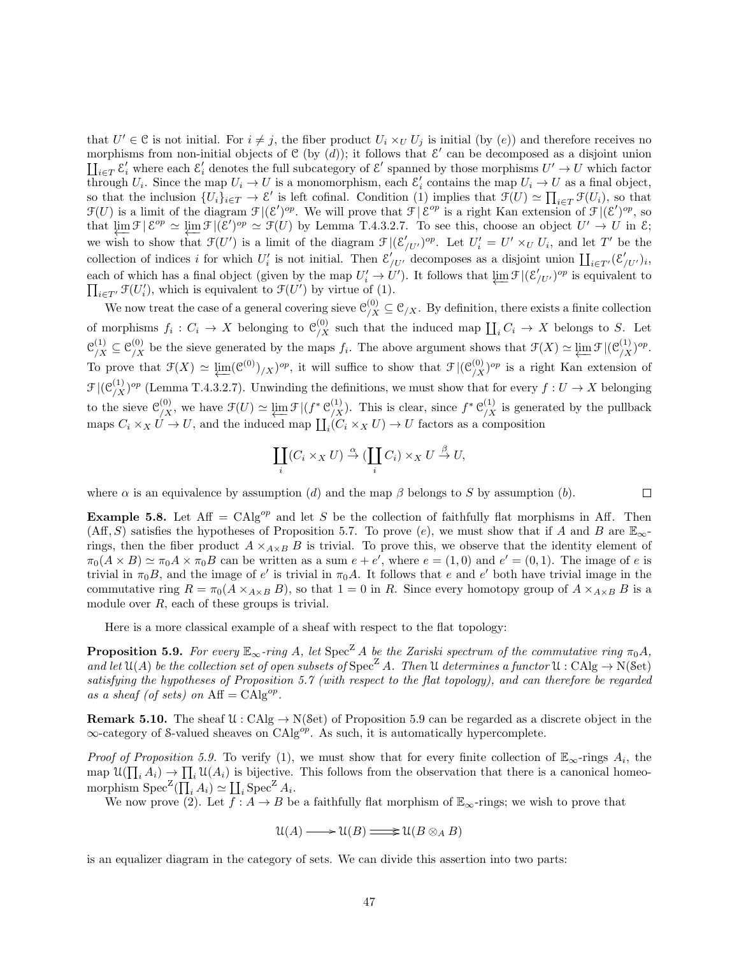that  $U' \in \mathcal{C}$  is not initial. For  $i \neq j$ , the fiber product  $U_i \times_U U_j$  is initial (by  $(e)$ ) and therefore receives no morphisms from non-initial objects of  $C$  (by  $(d)$ ); it follows that  $\mathcal{E}'$  can be decomposed as a disjoint union  $\prod_{i\in T} \mathcal{E}'_i$  where each  $\mathcal{E}'_i$  denotes the full subcategory of  $\mathcal{E}'$  spanned by those morphisms  $U' \to U$  which factor through  $U_i$ . Since the map  $U_i \to U$  is a monomorphism, each  $\mathcal{E}'_i$  contains the map  $U_i \to U$  as a final object, so that the inclusion  $\{U_i\}_{i\in T} \to \mathcal{E}'$  is left cofinal. Condition (1) implies that  $\mathcal{F}(U) \simeq \prod_{i\in T} \mathcal{F}(U_i)$ , so that  $\mathcal{F}(U)$  is a limit of the diagram  $\mathcal{F}|(\mathcal{E}')^{op}$ . We will prove that  $\mathcal{F}|\mathcal{E}^{op}$  is a right Kan extension of  $\mathcal{F}|(\mathcal{E}')^{op}$ , so that  $\lim_{\epsilon \to 0} \mathcal{F} \mid \mathcal{E}^{op} \simeq \lim_{\epsilon \to 0} \mathcal{F} \mid (\mathcal{E}')^{op} \simeq \mathcal{F}(U)$  by Lemma T.4.3.2.7. To see this, choose an object  $U' \to U$  in  $\mathcal{E}$ ; we wish to show that  $\mathcal{F}(U')$  is a limit of the diagram  $\mathcal{F} |(\mathcal{E}'_{/U'})^{op}$ . Let  $U'_i = U' \times_U U_i$ , and let T' be the collection of indices i for which  $U_i'$  is not initial. Then  $\mathcal{E}'_{/U'}$  decomposes as a disjoint union  $\prod_{i\in T'}(\mathcal{E}'_{/U'})_i$ , each of which has a final object (given by the map  $U'_i \to U'$ ). It follows that  $\varprojlim \mathcal{F} |(\mathcal{E}'_{/U'})^{op}$  is equivalent to  $\prod_{i\in T'} \mathfrak{F}(U'_i)$ , which is equivalent to  $\mathfrak{F}(U')$  by virtue of (1).

We now treat the case of a general covering sieve  $\mathcal{C}_{/X}^{(0)} \subseteq \mathcal{C}_{/X}$ . By definition, there exists a finite collection of morphisms  $f_i: C_i \to X$  belonging to  $\mathcal{C}_{/X}^{(0)}$  such that the induced map  $\coprod_i C_i \to X$  belongs to S. Let  $\mathcal{C}_{/X}^{(1)} \subseteq \mathcal{C}_{/X}^{(0)}$  be the sieve generated by the maps  $f_i$ . The above argument shows that  $\mathcal{F}(X) \simeq \varprojlim \mathcal{F} |(\mathcal{C}_{/X}^{(1)})^{op}$ . To prove that  $\mathcal{F}(X) \simeq \underleftarrow{\lim}_{\Delta}(\mathcal{C}^{(0)})_{\Delta}/\mathcal{C}^{(0)},$  it will suffice to show that  $\mathcal{F}|(\mathcal{C}_{\Delta}^{(0)})^{op}$  is a right Kan extension of  $\mathcal{F}$  |( $\mathcal{C}_{X}^{(1)}$ )<sup>op</sup> (Lemma T.4.3.2.7). Unwinding the definitions, we must show that for every  $f: U \to X$  belonging to the sieve  $\mathcal{C}^{(0)}_{/X}$ , we have  $\mathcal{F}(U) \simeq \varprojlim \mathcal{F} |(f^* \mathcal{C}^{(1)}_{/X})$ . This is clear, since  $f^* \mathcal{C}^{(1)}_{/X}$  is generated by the pullback maps  $C_i \times_X U \to U$ , and the induced map  $\coprod_i (C_i \times_X U) \to U$  factors as a composition

$$
\coprod_i (C_i \times_X U) \stackrel{\alpha}{\to} (\coprod_i C_i) \times_X U \stackrel{\beta}{\to} U,
$$

where  $\alpha$  is an equivalence by assumption (d) and the map  $\beta$  belongs to S by assumption (b).

 $\Box$ 

**Example 5.8.** Let Aff = CAlg<sup>op</sup> and let S be the collection of faithfully flat morphisms in Aff. Then  $(Aff, S)$  satisfies the hypotheses of Proposition 5.7. To prove (e), we must show that if A and B are  $\mathbb{E}_{\infty}$ rings, then the fiber product  $A \times_{A \times B} B$  is trivial. To prove this, we observe that the identity element of  $\pi_0(A \times B) \simeq \pi_0 A \times \pi_0 B$  can be written as a sum  $e + e'$ , where  $e = (1,0)$  and  $e' = (0,1)$ . The image of e is trivial in  $\pi_0 B$ , and the image of e' is trivial in  $\pi_0 A$ . It follows that e and e' both have trivial image in the commutative ring  $R = \pi_0(A \times_{A \times B} B)$ , so that  $1 = 0$  in R. Since every homotopy group of  $A \times_{A \times B} B$  is a module over R, each of these groups is trivial.

Here is a more classical example of a sheaf with respect to the flat topology:

**Proposition 5.9.** For every  $\mathbb{E}_{\infty}$ -ring A, let  $\text{Spec}^Z A$  be the Zariski spectrum of the commutative ring  $\pi_0 A$ , and let  $\mathfrak{U}(A)$  be the collection set of open subsets of  $\text{Spec}^{\mathbb{Z}} A$ . Then U determines a functor  $\mathfrak{U}: \text{CAlg} \to \text{N}(\mathcal{S}\text{et})$ satisfying the hypotheses of Proposition 5.7 (with respect to the flat topology), and can therefore be regarded as a sheaf (of sets) on  $\text{Aff} = \text{CAlg}^{op}$ .

**Remark 5.10.** The sheaf  $\mathcal{U}: \text{CAlg} \to \text{N}(\text{Set})$  of Proposition 5.9 can be regarded as a discrete object in the  $\infty$ -category of S-valued sheaves on CAlg<sup>op</sup>. As such, it is automatically hypercomplete.

Proof of Proposition 5.9. To verify (1), we must show that for every finite collection of  $\mathbb{E}_{\infty}$ -rings  $A_i$ , the map  $\mathfrak{U}(\prod_i A_i) \to \prod_i \mathfrak{U}(A_i)$  is bijective. This follows from the observation that there is a canonical homeomorphism  $Spec^Z(\prod_i A_i) \simeq \coprod_i Spec^Z A_i$ .

We now prove (2). Let  $\overline{f}$ :  $A \rightarrow B$  be a faithfully flat morphism of  $\mathbb{E}_{\infty}$ -rings; we wish to prove that

$$
\mathfrak{U}(A) \longrightarrow \mathfrak{U}(B) \mathop{\Longrightarrow}\limits \mathfrak{U}(B \otimes_A B)
$$

is an equalizer diagram in the category of sets. We can divide this assertion into two parts: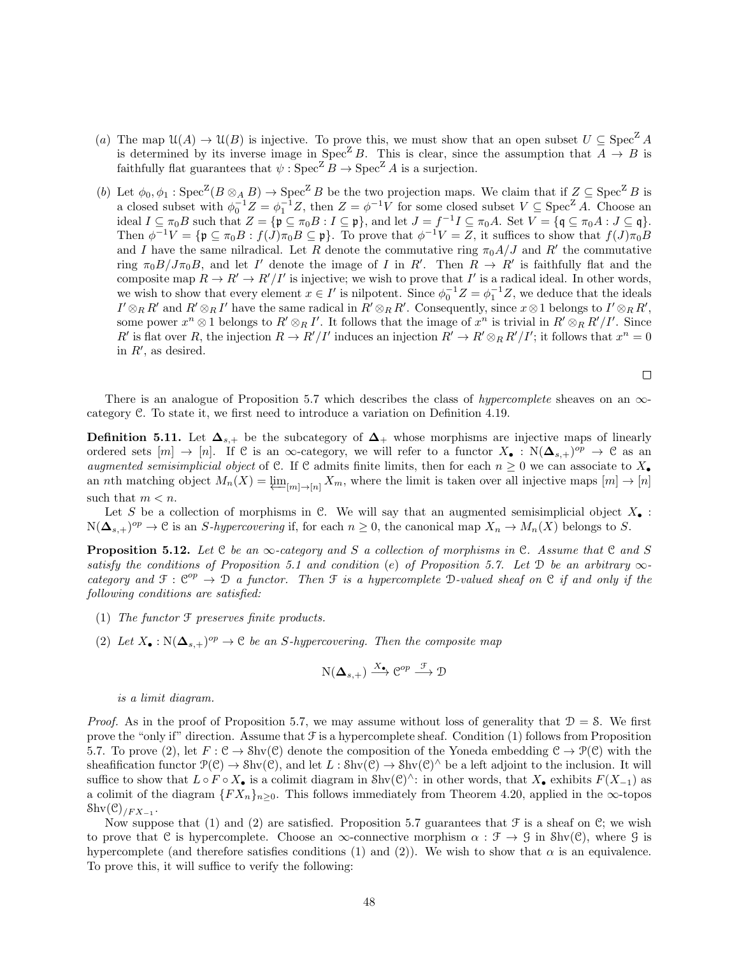- (a) The map  $\mathfrak{U}(A) \to \mathfrak{U}(B)$  is injective. To prove this, we must show that an open subset  $U \subseteq \text{Spec}^Z A$ is determined by its inverse image in Spec<sup>Z</sup> B. This is clear, since the assumption that  $\overline{A} \rightarrow B$  is faithfully flat guarantees that  $\psi$  :  $\text{Spec}^{\mathbb{Z}} B \to \text{Spec}^{\mathbb{Z}} A$  is a surjection.
- (b) Let  $\phi_0, \phi_1 : \text{Spec}^{\mathbb{Z}}(B \otimes_A B) \to \text{Spec}^{\mathbb{Z}}B$  be the two projection maps. We claim that if  $Z \subseteq \text{Spec}^{\mathbb{Z}}B$  is a closed subset with  $\phi_0^{-1}Z = \phi_1^{-1}Z$ , then  $Z = \phi^{-1}V$  for some closed subset  $V \subseteq \text{Spec}^Z A$ . Choose an ideal  $I \subseteq \pi_0 B$  such that  $Z = {\mathfrak{p} \subseteq \pi_0 B : I \subseteq \mathfrak{p}}$ , and let  $J = f^{-1}I \subseteq \pi_0 A$ . Set  $V = {\mathfrak{q} \subseteq \pi_0 A : J \subseteq \mathfrak{q}}$ . Then  $\phi^{-1}V = {\mathfrak{p}} \subseteq \pi_0 B : f(J)\pi_0 B \subseteq \mathfrak{p}$ . To prove that  $\phi^{-1}V = Z$ , it suffices to show that  $f(J)\pi_0 B$ and I have the same nilradical. Let R denote the commutative ring  $\pi_0 A/J$  and R' the commutative ring  $\pi_0 B / J \pi_0 B$ , and let I' denote the image of I in R'. Then  $R \to R'$  is faithfully flat and the composite map  $R \to R' \to R'/I'$  is injective; we wish to prove that I' is a radical ideal. In other words, we wish to show that every element  $x \in I'$  is nilpotent. Since  $\phi_0^{-1}Z = \phi_1^{-1}Z$ , we deduce that the ideals  $I' \otimes_R R'$  and  $R' \otimes_R I'$  have the same radical in  $R' \otimes_R R'$ . Consequently, since  $x \otimes 1$  belongs to  $I' \otimes_R R'$ , some power  $x^n \otimes 1$  belongs to  $R' \otimes_R I'$ . It follows that the image of  $x^n$  is trivial in  $R' \otimes_R R'/I'$ . Since R' is flat over R, the injection  $R \to R'/I'$  induces an injection  $R' \to R' \otimes_R R'/I'$ ; it follows that  $x^n = 0$ in  $R'$ , as desired.

$$
\Box
$$

There is an analogue of Proposition 5.7 which describes the class of *hypercomplete* sheaves on an  $\infty$ category C. To state it, we first need to introduce a variation on Definition 4.19.

**Definition 5.11.** Let  $\mathbf{\Delta}_{s,+}$  be the subcategory of  $\mathbf{\Delta}_{+}$  whose morphisms are injective maps of linearly ordered sets  $[m] \to [n]$ . If C is an  $\infty$ -category, we will refer to a functor  $X_{\bullet} : N(\mathbf{\Delta}_{s,+})^{op} \to \mathbb{C}$  as an augmented semisimplicial object of C. If C admits finite limits, then for each  $n \geq 0$  we can associate to  $X_{\bullet}$ an *n*th matching object  $M_n(X) = \varprojlim_{[m] \to [n]} X_m$ , where the limit is taken over all injective maps  $[m] \to [n]$ such that  $m < n$ .

Let S be a collection of morphisms in C. We will say that an augmented semisimplicial object  $X_{\bullet}$ :  $N(\mathbf{\Delta}_{s,+})^{op} \to \mathcal{C}$  is an S-hypercovering if, for each  $n \geq 0$ , the canonical map  $X_n \to M_n(X)$  belongs to S.

**Proposition 5.12.** Let C be an  $\infty$ -category and S a collection of morphisms in C. Assume that C and S satisfy the conditions of Proposition 5.1 and condition (e) of Proposition 5.7. Let D be an arbitrary  $\infty$ category and  $\mathcal{F}: \mathbb{C}^{op} \to \mathcal{D}$  a functor. Then  $\mathcal{F}$  is a hypercomplete D-valued sheaf on  $\mathcal{C}$  if and only if the following conditions are satisfied:

- (1) The functor F preserves finite products.
- (2) Let  $X_{\bullet}: \mathbb{N}(\Delta_{s,+})^{op} \to \mathfrak{C}$  be an S-hypercovering. Then the composite map

$$
N(\mathbf{\Delta}_{s,+}) \xrightarrow{X_{\bullet}} \mathcal{C}^{op} \xrightarrow{\mathcal{F}} \mathcal{D}
$$

is a limit diagram.

*Proof.* As in the proof of Proposition 5.7, we may assume without loss of generality that  $D = S$ . We first prove the "only if" direction. Assume that  $\mathcal F$  is a hypercomplete sheaf. Condition (1) follows from Proposition 5.7. To prove (2), let  $F: \mathcal{C} \to \text{Shv}(\mathcal{C})$  denote the composition of the Yoneda embedding  $\mathcal{C} \to \mathcal{P}(\mathcal{C})$  with the sheafification functor  $\mathcal{P}(\mathcal{C}) \to \text{Shv}(\mathcal{C})$ , and let  $L : \text{Shv}(\mathcal{C}) \to \text{Shv}(\mathcal{C})^{\wedge}$  be a left adjoint to the inclusion. It will suffice to show that  $L \circ F \circ X_{\bullet}$  is a colimit diagram in Shv $(\mathcal{C})^{\wedge}$ : in other words, that  $X_{\bullet}$  exhibits  $F(X_{-1})$  as a colimit of the diagram  $\{FX_n\}_{n>0}$ . This follows immediately from Theorem 4.20, applied in the  $\infty$ -topos  ${\rm Shv}(\mathcal{C})_{/FX_{-1}}.$ 

Now suppose that (1) and (2) are satisfied. Proposition 5.7 guarantees that  $\mathcal F$  is a sheaf on  $\mathcal C$ ; we wish to prove that C is hypercomplete. Choose an  $\infty$ -connective morphism  $\alpha : \mathcal{F} \to \mathcal{G}$  in Shv(C), where G is hypercomplete (and therefore satisfies conditions (1) and (2)). We wish to show that  $\alpha$  is an equivalence. To prove this, it will suffice to verify the following: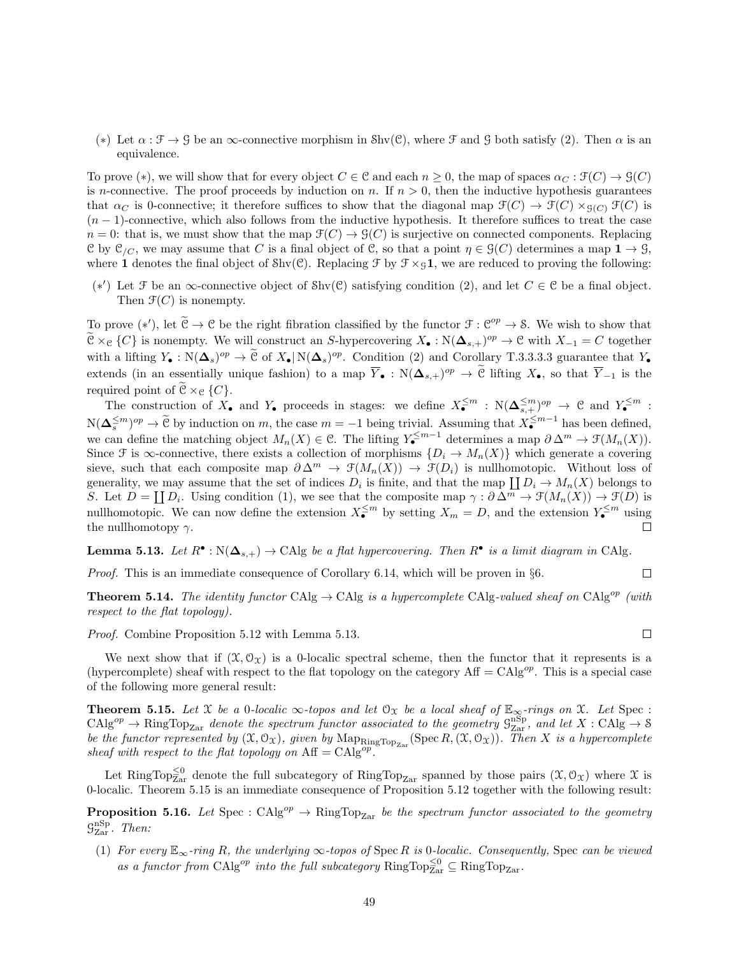(\*) Let  $\alpha : \mathcal{F} \to \mathcal{G}$  be an  $\infty$ -connective morphism in Shv(C), where  $\mathcal{F}$  and  $\mathcal{G}$  both satisfy (2). Then  $\alpha$  is an equivalence.

To prove (\*), we will show that for every object  $C \in \mathcal{C}$  and each  $n \geq 0$ , the map of spaces  $\alpha_C : \mathcal{F}(C) \to \mathcal{G}(C)$ is n-connective. The proof proceeds by induction on n. If  $n > 0$ , then the inductive hypothesis guarantees that  $\alpha_C$  is 0-connective; it therefore suffices to show that the diagonal map  $\mathfrak{F}(C) \to \mathfrak{F}(C) \times_{\mathfrak{G}(C)} \mathfrak{F}(C)$  is  $(n-1)$ -connective, which also follows from the inductive hypothesis. It therefore suffices to treat the case  $n = 0$ : that is, we must show that the map  $\mathcal{F}(C) \to \mathcal{G}(C)$  is surjective on connected components. Replacing C by  $\mathcal{C}_{/C}$ , we may assume that C is a final object of C, so that a point  $\eta \in \mathcal{G}(C)$  determines a map  $1 \to 9$ , where 1 denotes the final object of  $\text{Shv}(\mathcal{C})$ . Replacing  $\mathcal{F}$  by  $\mathcal{F} \times_S \mathbf{1}$ , we are reduced to proving the following:

(\*) Let F be an ∞-connective object of Shv(C) satisfying condition (2), and let  $C \in \mathcal{C}$  be a final object. Then  $\mathfrak{F}(C)$  is nonempty.

To prove  $(*')$ , let  $\tilde{e} \to e$  be the right fibration classified by the functor  $\mathcal{F} : e^{op} \to S$ . We wish to show that  $\mathcal{C} \times_{\mathcal{C}} \{C\}$  is nonempty. We will construct an S-hypercovering  $X_{\bullet}: \mathcal{N}(\mathbf{\Delta}_{s,+})^{op} \to \mathcal{C}$  with  $X_{-1} = C$  together with a lifting  $Y_{\bullet}: \mathcal{N}(\mathbf{\Delta}_s)^{op} \to \widetilde{\mathcal{C}}$  of  $X_{\bullet}|\mathcal{N}(\mathbf{\Delta}_s)^{op}$ . Condition (2) and Corollary T.3.3.3.3 guarantee that  $Y_{\bullet}$ extends (in an essentially unique fashion) to a map  $\overline{Y}_{\bullet} : N(\Delta_{s,+})^{op} \to \mathbb{C}$  lifting  $X_{\bullet}$ , so that  $\overline{Y}_{-1}$  is the required point of  $\mathcal{C} \times_{\mathcal{C}} \{C\}.$ 

The construction of  $X_{\bullet}$  and  $Y_{\bullet}$  proceeds in stages: we define  $X_{\bullet}^{\leq m} : N(\Delta_{s,+}^{\leq m})^{op} \to \mathcal{C}$  and  $Y_{\bullet}^{\leq m}$ :  $N(\mathbf{\Delta}_{s}^{\leq m})^{\text{op}} \to \widetilde{\mathcal{C}}$  by induction on m, the case  $m = -1$  being trivial. Assuming that  $X_{\bullet}^{\leq m-1}$  has been defined, we can define the matching object  $M_n(X) \in \mathcal{C}$ . The lifting  $Y_{\bullet}^{\leq m-1}$  determines a map  $\partial \Delta^m \to \mathcal{F}(M_n(X))$ . Since F is  $\infty$ -connective, there exists a collection of morphisms  $\{D_i \to M_n(X)\}\$  which generate a covering sieve, such that each composite map  $\partial \Delta^m \to \mathcal{F}(M_n(X)) \to \mathcal{F}(D_i)$  is nullhomotopic. Without loss of generality, we may assume that the set of indices  $D_i$  is finite, and that the map  $\coprod D_i \to M_n(X)$  belongs to S. Let  $D = \coprod D_i$ . Using condition (1), we see that the composite map  $\gamma : \partial \Delta^m \to \mathcal{F}(M_n(X)) \to \mathcal{F}(D)$  is nullhomotopic. We can now define the extension  $X_{\bullet}^{\leq m}$  by setting  $X_m = D$ , and the extension  $Y_{\bullet}^{\leq m}$  using the nullhomotopy  $\gamma$ .  $\Box$ 

**Lemma 5.13.** Let  $R^{\bullet} : N(\Delta_{s,+}) \to \text{CAlg}$  be a flat hypercovering. Then  $R^{\bullet}$  is a limit diagram in CAlg.

Proof. This is an immediate consequence of Corollary 6.14, which will be proven in  $\S6$ .

 $\Box$ 

 $\Box$ 

**Theorem 5.14.** The identity functor CAlg  $\rightarrow$  CAlg is a hypercomplete CAlg-valued sheaf on CAlg<sup>op</sup> (with respect to the flat topology).

Proof. Combine Proposition 5.12 with Lemma 5.13.

We next show that if  $(\mathfrak{X}, \mathfrak{O}_{\mathfrak{X}})$  is a 0-localic spectral scheme, then the functor that it represents is a (hypercomplete) sheaf with respect to the flat topology on the category  $\text{Aff} = \text{CAlg}^{op}$ . This is a special case of the following more general result:

**Theorem 5.15.** Let X be a 0-localic  $\infty$ -topos and let  $\mathcal{O}_X$  be a local sheaf of  $\mathbb{E}_{\infty}$ -rings on X. Let Spec :  $\text{CAlg}^{op} \to \text{RingTop}_{\text{Zar}}$  denote the spectrum functor associated to the geometry  $\mathcal{G}_{\text{Zar}}^{\text{nSp}}$ , and let  $X: \text{CAlg} \to \mathcal{S}$ be the functor represented by  $(\mathfrak{X},\mathcal{O}_\mathfrak{X})$ , given by  $\text{Map}_{\text{RingTop}_{\text{Zar}}}(\text{Spec } R,(\mathfrak{X},\mathcal{O}_\mathfrak{X}))$ . Then X is a hypercomplete sheaf with respect to the flat topology on  $\text{Aff} = \text{CAlg}^{op}$ .

Let RingTop<sub> $\bar{\chi}^0$ </sub> denote the full subcategory of RingTop<sub>Zar</sub> spanned by those pairs  $(\mathfrak{X}, \mathcal{O}_{\mathfrak{X}})$  where  $\mathfrak{X}$  is 0-localic. Theorem 5.15 is an immediate consequence of Proposition 5.12 together with the following result:

**Proposition 5.16.** Let Spec :  $CAlg^{op} \to \text{RingTop}_{Zar}$  be the spectrum functor associated to the geometry  $\mathcal{G}^{\mathrm{nSp}}_{\mathrm{Zar}}$ . Then:

(1) For every  $\mathbb{E}_{\infty}$ -ring R, the underlying  $\infty$ -topos of Spec R is 0-localic. Consequently, Spec can be viewed as a functor from CAlg<sup>op</sup> into the full subcategory  $\text{RingTop}_{\text{Zar}}^{\leq 0} \subseteq \text{RingTop}_{\text{Zar}}$ .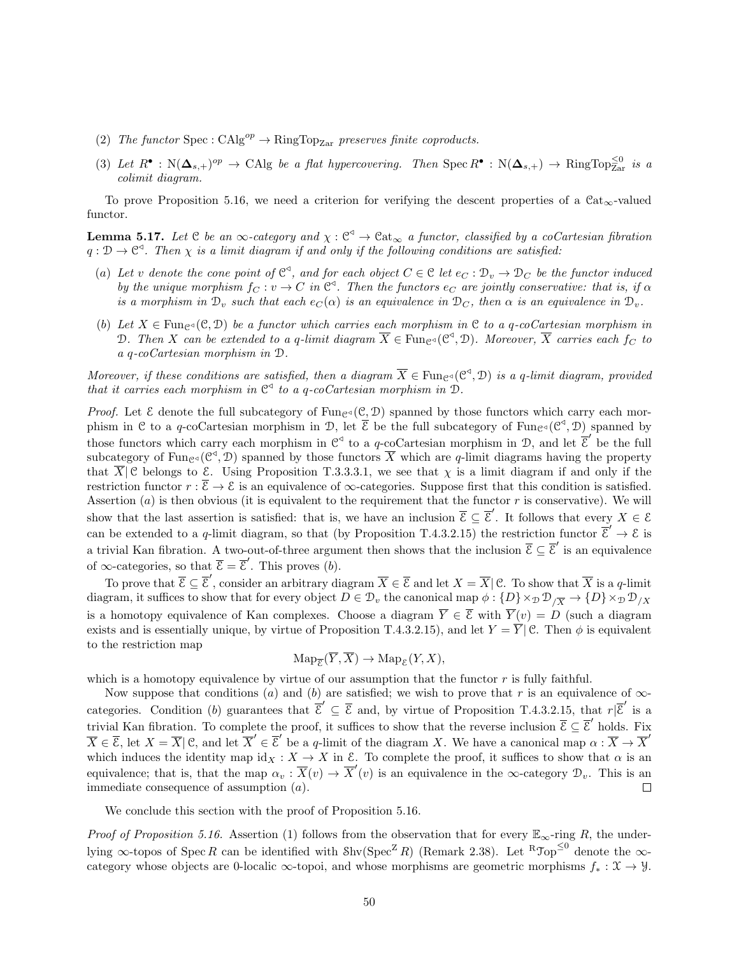- (2) The functor Spec :  $CAlg^{op} \to RingTop_{Zar}$  preserves finite coproducts.
- (3) Let  $R^{\bullet}: \mathbb{N}(\Delta_{s,+})^{op} \to \text{CAlg}$  be a flat hypercovering. Then  $\text{Spec } R^{\bullet}: \mathbb{N}(\Delta_{s,+}) \to \text{RingTop}^{\leq 0}_{\text{Zar}}$  is a colimit diagram.

To prove Proposition 5.16, we need a criterion for verifying the descent properties of a  $\text{Cat}_{\infty}$ -valued functor.

**Lemma 5.17.** Let  $C$  be an  $\infty$ -category and  $\chi : C^{\triangleleft} \to Cat_{\infty}$  a functor, classified by a coCartesian fibration  $q: \mathcal{D} \to \mathcal{C}^3$ . Then  $\chi$  is a limit diagram if and only if the following conditions are satisfied:

- (a) Let v denote the cone point of  $\mathbb{C}^4$ , and for each object  $C \in \mathbb{C}$  let  $e_C : \mathcal{D}_v \to \mathcal{D}_C$  be the functor induced by the unique morphism  $f_C : v \to C$  in  $\mathbb{C}^3$ . Then the functors  $e_C$  are jointly conservative: that is, if  $\alpha$ is a morphism in  $\mathcal{D}_v$  such that each  $e_C(\alpha)$  is an equivalence in  $\mathcal{D}_C$ , then  $\alpha$  is an equivalence in  $\mathcal{D}_v$ .
- (b) Let  $X \in \text{Func}_{\mathcal{C}}(\mathcal{C}, \mathcal{D})$  be a functor which carries each morphism in C to a q-coCartesian morphism in D. Then X can be extended to a q-limit diagram  $\overline{X} \in \text{Fun}_{\mathcal{C}^{\triangleleft}}(\mathcal{C}^{\triangleleft}, \mathcal{D})$ . Moreover,  $\overline{X}$  carries each  $f_C$  to a q-coCartesian morphism in D.

Moreover, if these conditions are satisfied, then a diagram  $\overline{X} \in \text{Fun}_{\mathbb{C}^4}(\mathbb{C}^4, \mathbb{D})$  is a q-limit diagram, provided that it carries each morphism in  $\mathbb{C}^4$  to a q-coCartesian morphism in  $\mathbb{D}$ .

*Proof.* Let  $\mathcal E$  denote the full subcategory of Fungs( $(\mathcal C, \mathcal D)$ ) spanned by those functors which carry each morphism in C to a q-coCartesian morphism in D, let  $\overline{\mathcal{E}}$  be the full subcategory of Func<sup>{</sup>(C<sup>4</sup>, D) spanned by those functors which carry each morphism in  $\mathbb{C}^{\le}$  to a q-coCartesian morphism in D, and let  $\overline{\mathcal{E}}'$  be the full subcategory of Fun<sub>C<sup> $\triangleleft$ </sup> (C<sup> $\triangleleft$ </sup>, D) spanned by those functors  $\overline{X}$  which are q-limit diagrams having the property</sub> that  $\overline{X}$  C belongs to E. Using Proposition T.3.3.3.1, we see that  $\chi$  is a limit diagram if and only if the restriction functor  $r : \overline{\mathcal{E}} \to \mathcal{E}$  is an equivalence of  $\infty$ -categories. Suppose first that this condition is satisfied. Assertion  $(a)$  is then obvious (it is equivalent to the requirement that the functor r is conservative). We will show that the last assertion is satisfied: that is, we have an inclusion  $\overline{\mathcal{E}} \subseteq \overline{\mathcal{E}}'$ . It follows that every  $X \in \mathcal{E}$ can be extended to a q-limit diagram, so that (by Proposition T.4.3.2.15) the restriction functor  $\vec{\xi}' \to \xi$  is a trivial Kan fibration. A two-out-of-three argument then shows that the inclusion  $\overline{\mathcal{E}} \subseteq \overline{\mathcal{E}}'$  is an equivalence of  $\infty$ -categories, so that  $\overline{\mathcal{E}} = \overline{\mathcal{E}}'$ . This proves (b).

To prove that  $\overline{\mathcal{E}} \subseteq \overline{\mathcal{E}}'$ , consider an arbitrary diagram  $\overline{X} \in \overline{\mathcal{E}}$  and let  $X = \overline{X} | \mathcal{C}$ . To show that  $\overline{X}$  is a q-limit diagram, it suffices to show that for every object  $D \in \mathcal{D}_v$  the canonical map  $\phi: \{D\} \times_{\mathcal{D}} \mathcal{D}_{/\overline{X}} \to \{D\} \times_{\mathcal{D}} \mathcal{D}_{/X}$ is a homotopy equivalence of Kan complexes. Choose a diagram  $\overline{Y} \in \overline{\mathcal{E}}$  with  $\overline{Y}(v) = D$  (such a diagram exists and is essentially unique, by virtue of Proposition T.4.3.2.15), and let  $Y = \overline{Y} \mid \mathcal{C}$ . Then  $\phi$  is equivalent to the restriction map

$$
\operatorname{Map}_{\overline{\mathcal{E}}}(\overline{Y}, \overline{X}) \to \operatorname{Map}_{\mathcal{E}}(Y, X),
$$

which is a homotopy equivalence by virtue of our assumption that the functor r is fully faithful.

Now suppose that conditions (a) and (b) are satisfied; we wish to prove that r is an equivalence of  $\infty$ categories. Condition (b) guarantees that  $\overline{\mathcal{E}}' \subseteq \overline{\mathcal{E}}$  and, by virtue of Proposition T.4.3.2.15, that  $r|\overline{\mathcal{E}}'$  is a trivial Kan fibration. To complete the proof, it suffices to show that the reverse inclusion  $\overline{\mathcal{E}} \subseteq \overline{\mathcal{E}}'$  holds. Fix  $\overline{X} \in \overline{\mathcal{E}}$ , let  $X = \overline{X} \mid \mathcal{C}$ , and let  $\overline{X}' \in \overline{\mathcal{E}}'$  be a q-limit of the diagram X. We have a canonical map  $\alpha : \overline{X} \to \overline{X}'$ which induces the identity map  $id_X : X \to X$  in  $\mathcal{E}$ . To complete the proof, it suffices to show that  $\alpha$  is an equivalence; that is, that the map  $\alpha_v : \overline{X}(v) \to \overline{X}'(v)$  is an equivalence in the  $\infty$ -category  $\mathcal{D}_v$ . This is an immediate consequence of assumption (a).  $\Box$ 

We conclude this section with the proof of Proposition 5.16.

*Proof of Proposition 5.16.* Assertion (1) follows from the observation that for every  $\mathbb{E}_{\infty}$ -ring R, the underlying  $\infty$ -topos of Spec R can be identified with Shv(Spec<sup>Z</sup>R) (Remark 2.38). Let <sup>R</sup>Jop<sup>≤0</sup> denote the  $\infty$ category whose objects are 0-localic  $\infty$ -topoi, and whose morphisms are geometric morphisms  $f_* : \mathfrak{X} \to \mathcal{Y}$ .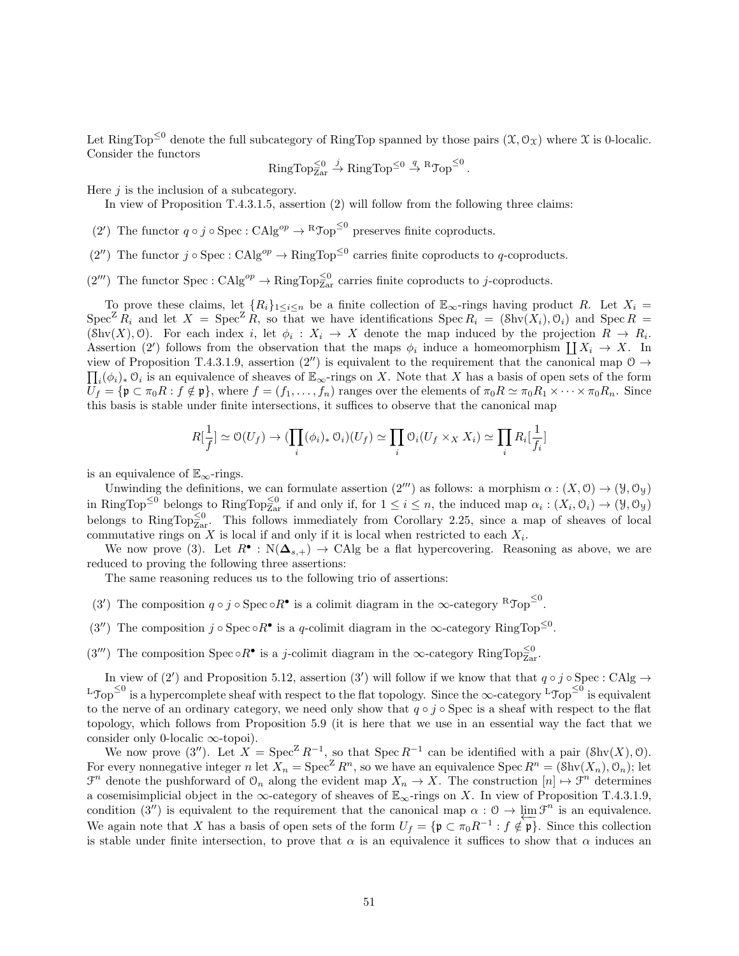Let RingTop<sup> $\leq 0$ </sup> denote the full subcategory of RingTop spanned by those pairs  $(\mathfrak{X}, \mathcal{O}_{\mathfrak{X}})$  where  $\mathfrak{X}$  is 0-localic. Consider the functors

 $\operatorname{RingTop}^{\leq 0}_{\operatorname{Zar}} \xrightarrow{j} \operatorname{RingTop}^{\leq 0} \xrightarrow{q} \operatorname{RTop}^{\leq 0}.$ 

Here  $j$  is the inclusion of a subcategory.

In view of Proposition T.4.3.1.5, assertion (2) will follow from the following three claims:

- (2') The functor  $q \circ j \circ \text{Spec} : \text{CAlg}^{op} \to {}^R\mathcal{T}_{op}^{\leq 0}$  preserves finite coproducts.
- $(2'')$  The functor  $j \circ \text{Spec}: \text{CAlg}^{op} \to \text{RingTop}^{\leq 0}$  carries finite coproducts to q-coproducts.
- $(2<sup>'''</sup>)$  The functor Spec : CAlg<sup>op</sup>  $\rightarrow$  RingTop<sup> $\leq 0$ </sup> carries finite coproducts to j-coproducts.

To prove these claims, let  ${R_i}_{1\leq i\leq n}$  be a finite collection of  $\mathbb{E}_{\infty}$ -rings having product R. Let  $X_i$  $Spec^Z R_i$  and let  $X = Spec^Z R$ , so that we have identifications  $Spec R_i = (Shv(X_i), O_i)$  and  $Spec R =$  $(\text{Shv}(X), \mathcal{O})$ . For each index i, let  $\phi_i : X_i \to X$  denote the map induced by the projection  $R \to R_i$ . Assertion (2') follows from the observation that the maps  $\phi_i$  induce a homeomorphism  $\coprod X_i \to X$ . In view of Proposition T.4.3.1.9, assertion  $(2'')$  is equivalent to the requirement that the canonical map  $\mathcal{O} \rightarrow$  $\prod_i(\phi_i)_*\mathfrak{O}_i$  is an equivalence of sheaves of  $\mathbb{E}_{\infty}$ -rings on X. Note that X has a basis of open sets of the form  $U_f = \{ \mathfrak{p} \subset \pi_0 R : f \notin \mathfrak{p} \},\$  where  $f = (f_1, \ldots, f_n)$  ranges over the elements of  $\pi_0 R \simeq \pi_0 R_1 \times \cdots \times \pi_0 R_n$ . Since this basis is stable under finite intersections, it suffices to observe that the canonical map

$$
R[\frac{1}{f}] \simeq \mathcal{O}(U_f) \to (\prod_i (\phi_i)_* \mathcal{O}_i)(U_f) \simeq \prod_i \mathcal{O}_i(U_f \times_X X_i) \simeq \prod_i R_i[\frac{1}{f_i}]
$$

is an equivalence of  $\mathbb{E}_{\infty}$ -rings.

Unwinding the definitions, we can formulate assertion  $(2<sup>m</sup>)$  as follows: a morphism  $\alpha : (X, 0) \to (Y, 0_Y)$ in RingTop<sup> $\leq 0$ </sup> belongs to RingTop $\leq 0$  if and only if, for  $1 \leq i \leq n$ , the induced map  $\alpha_i : (X_i, \mathcal{O}_i) \to (\mathcal{Y}, \mathcal{O}_{\mathcal{Y}})$ belongs to RingTop $\frac{\leq 0}{\leq a}$ . This follows immediately from Corollary 2.25, since a map of sheaves of local commutative rings on X is local if and only if it is local when restricted to each  $X_i$ .

We now prove (3). Let  $R^{\bullet}: N(\Delta_{s,+}) \to \text{CAlg}$  be a flat hypercovering. Reasoning as above, we are reduced to proving the following three assertions:

The same reasoning reduces us to the following trio of assertions:

- (3') The composition  $q \circ j \circ \text{Spec} \circ R^{\bullet}$  is a colimit diagram in the  $\infty$ -category  ${}^R\mathcal{Top}^{\leq 0}$ .
- (3") The composition  $j \circ \text{Spec} \circ R^{\bullet}$  is a q-colimit diagram in the  $\infty$ -category RingTop<sup> $\leq 0$ </sup>.
- (3<sup>*m*</sup>) The composition Spec  $\circ R^{\bullet}$  is a *j*-colimit diagram in the  $\infty$ -category RingTop<sup> $\leq 0$ </sup><sub>Zar</sub>.

In view of (2') and Proposition 5.12, assertion (3') will follow if we know that that  $q \circ j \circ \text{Spec} : \text{CAlg} \to$ L $\text{Top}^{\leq 0}$  is a hypercomplete sheaf with respect to the flat topology. Since the  $\infty$ -category L $\text{Top}^{\leq 0}$  is equivalent to the nerve of an ordinary category, we need only show that  $q \circ j \circ \text{Spec}$  is a sheaf with respect to the flat topology, which follows from Proposition 5.9 (it is here that we use in an essential way the fact that we consider only 0-localic ∞-topoi).

We now prove (3"). Let  $X = \text{Spec}^Z R^{-1}$ , so that  $\text{Spec } R^{-1}$  can be identified with a pair (Shv(X), 0). For every nonnegative integer n let  $X_n = \text{Spec}^Z R^n$ , so we have an equivalence  $\text{Spec } R^n = (\text{Shv}(X_n), \mathcal{O}_n)$ ; let  $\mathcal{F}^n$  denote the pushforward of  $\mathcal{O}_n$  along the evident map  $X_n \to X$ . The construction  $[n] \mapsto \mathcal{F}^n$  determines a cosemisimplicial object in the  $\infty$ -category of sheaves of  $\mathbb{E}_{\infty}$ -rings on X. In view of Proposition T.4.3.1.9, condition (3'') is equivalent to the requirement that the canonical map  $\alpha: \mathcal{O} \to \lim \mathcal{F}^n$  is an equivalence. We again note that X has a basis of open sets of the form  $U_f = \{ \mathfrak{p} \subset \pi_0 R^{-1} : f \notin \mathfrak{p} \}$ . Since this collection is stable under finite intersection, to prove that  $\alpha$  is an equivalence it suffices to show that  $\alpha$  induces an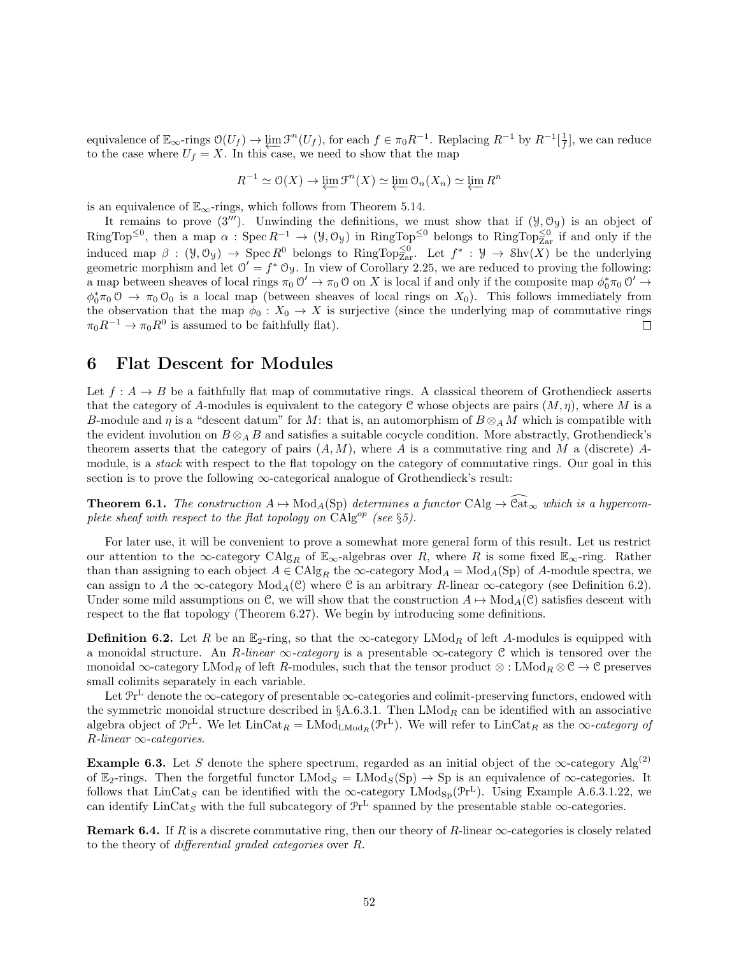equivalence of  $\mathbb{E}_{\infty}$ -rings  $\mathcal{O}(U_f) \to \varprojlim \mathcal{F}^n(U_f)$ , for each  $f \in \pi_0 R^{-1}$ . Replacing  $R^{-1}$  by  $R^{-1}[\frac{1}{f}]$ , we can reduce to the case where  $U_f = X$ . In this case, we need to show that the map

$$
R^{-1} \simeq \mathcal{O}(X) \to \varprojlim \mathcal{F}^n(X) \simeq \varprojlim \mathcal{O}_n(X_n) \simeq \varprojlim R^n
$$

is an equivalence of  $\mathbb{E}_{\infty}$ -rings, which follows from Theorem 5.14.

It remains to prove  $(3'')$ . Unwinding the definitions, we must show that if  $(3', 0_3)$  is an object of  $RingTop^{\leq 0}$ , then a map  $\alpha: Spec R^{-1} \to (\mathcal{Y}, \mathcal{O}_{\mathcal{Y}})$  in  $RingTop^{\leq 0}$  belongs to  $RingTop^{\leq 0}_{Zar}$  if and only if the induced map  $\beta : (\mathcal{Y}, \mathcal{O}_{\mathcal{Y}}) \to \operatorname{Spec} R^0$  belongs to RingTop $_{Zar}^{\leq 0}$ . Let  $f^* : \mathcal{Y} \to \operatorname{Shv}(X)$  be the underlying geometric morphism and let  $0' = f^* 0_y$ . In view of Corollary 2.25, we are reduced to proving the following: a map between sheaves of local rings  $\pi_0 \circ \mathcal{O}' \to \pi_0 \circ \mathcal{O}$  on X is local if and only if the composite map  $\phi_0^* \pi_0 \circ \mathcal{O}' \to$  $\phi_0^*\pi_0\otimes \to \pi_0\otimes_0$  is a local map (between sheaves of local rings on  $X_0$ ). This follows immediately from the observation that the map  $\phi_0 : X_0 \to X$  is surjective (since the underlying map of commutative rings  $\pi_0 R^{-1} \to \pi_0 R^0$  is assumed to be faithfully flat).  $\Box$ 

## 6 Flat Descent for Modules

Let  $f : A \to B$  be a faithfully flat map of commutative rings. A classical theorem of Grothendieck asserts that the category of A-modules is equivalent to the category C whose objects are pairs  $(M, \eta)$ , where M is a B-module and  $\eta$  is a "descent datum" for M: that is, an automorphism of  $B \otimes_A M$  which is compatible with the evident involution on  $B \otimes_A B$  and satisfies a suitable cocycle condition. More abstractly, Grothendieck's theorem asserts that the category of pairs  $(A, M)$ , where A is a commutative ring and M a (discrete) Amodule, is a *stack* with respect to the flat topology on the category of commutative rings. Our goal in this section is to prove the following  $\infty$ -categorical analogue of Grothendieck's result:

**Theorem 6.1.** The construction  $A \mapsto Mod_A(Sp)$  determines a functor  $CAlg \to \mathbb{C}at_{\infty}$  which is a hypercomplete sheaf with respect to the flat topology on  $\text{CAlg}^{op}$  (see §5).

For later use, it will be convenient to prove a somewhat more general form of this result. Let us restrict our attention to the  $\infty$ -category CAlg<sub>R</sub> of  $\mathbb{E}_{\infty}$ -algebras over R, where R is some fixed  $\mathbb{E}_{\infty}$ -ring. Rather than than assigning to each object  $A \in \text{CAlg}_R$  the  $\infty$ -category  $\text{Mod}_A = \text{Mod}_A(\text{Sp})$  of A-module spectra, we can assign to A the ∞-category  $Mod_A(\mathcal{C})$  where  $\mathcal C$  is an arbitrary R-linear ∞-category (see Definition 6.2). Under some mild assumptions on C, we will show that the construction  $A \mapsto Mod_A(\mathcal{C})$  satisfies descent with respect to the flat topology (Theorem 6.27). We begin by introducing some definitions.

**Definition 6.2.** Let R be an  $\mathbb{E}_2$ -ring, so that the  $\infty$ -category LMod<sub>R</sub> of left A-modules is equipped with a monoidal structure. An R-linear  $\infty$ -category is a presentable  $\infty$ -category C which is tensored over the monoidal ∞-category LMod<sub>R</sub> of left R-modules, such that the tensor product ⊗ : LMod<sub>R</sub> ⊗ C → C preserves small colimits separately in each variable.

Let  $\mathcal{P}r^L$  denote the  $\infty$ -category of presentable  $\infty$ -categories and colimit-preserving functors, endowed with the symmetric monoidal structure described in  $\S$ A.6.3.1. Then LMod<sub>R</sub> can be identified with an associative algebra object of  $\Pr^L$ . We let  $\text{LinCat}_R = \text{LMod}_{\text{LMod}_R}(\Pr^L)$ . We will refer to  $\text{LinCat}_R$  as the  $\infty$ -category of  $R$ -linear  $\infty$ -categories.

**Example 6.3.** Let S denote the sphere spectrum, regarded as an initial object of the  $\infty$ -category Alg<sup>(2)</sup> of  $\mathbb{E}_2$ -rings. Then the forgetful functor  $\text{LMod}_S = \text{LMod}_S(S_p) \rightarrow Sp$  is an equivalence of  $\infty$ -categories. It follows that  $\text{LinCat}_S$  can be identified with the  $\infty$ -category  $\text{LMod}_{\text{Sp}}(\mathcal{P}r^L)$ . Using Example A.6.3.1.22, we can identify  $\text{LinCat}_S$  with the full subcategory of  $\mathcal{P}r^L$  spanned by the presentable stable  $\infty$ -categories.

**Remark 6.4.** If R is a discrete commutative ring, then our theory of R-linear  $\infty$ -categories is closely related to the theory of differential graded categories over R.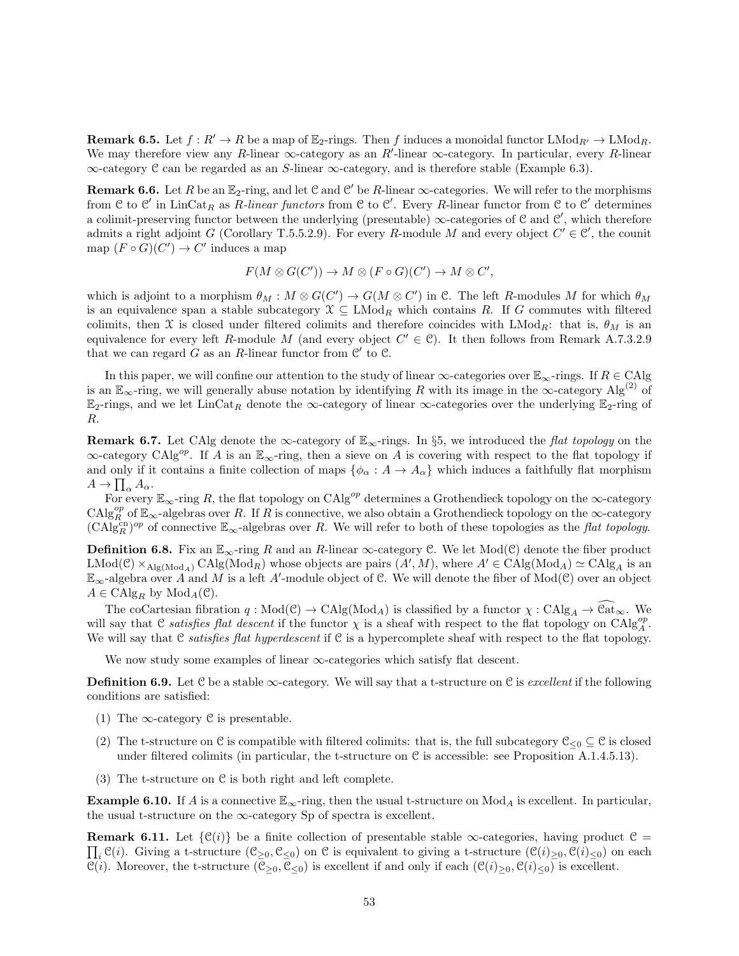**Remark 6.5.** Let  $f : R' \to R$  be a map of  $\mathbb{E}_2$ -rings. Then f induces a monoidal functor  $\text{LMod}_{R'} \to \text{LMod}_{R}$ . We may therefore view any R-linear  $\infty$ -category as an R'-linear  $\infty$ -category. In particular, every R-linear ∞-category C can be regarded as an S-linear ∞-category, and is therefore stable (Example 6.3).

**Remark 6.6.** Let R be an  $\mathbb{E}_2$ -ring, and let C and C' be R-linear  $\infty$ -categories. We will refer to the morphisms from C to C' in LinCat<sub>R</sub> as R-linear functors from C to C'. Every R-linear functor from C to C' determines a colimit-preserving functor between the underlying (presentable)  $\infty$ -categories of C and C', which therefore admits a right adjoint G (Corollary T.5.5.2.9). For every R-module M and every object  $C' \in \mathcal{C}'$ , the counit map  $(F \circ G)(C') \to C'$  induces a map

$$
F(M \otimes G(C')) \to M \otimes (F \circ G)(C') \to M \otimes C',
$$

which is adjoint to a morphism  $\theta_M : M \otimes G(C') \to G(M \otimes C')$  in C. The left R-modules M for which  $\theta_M$ is an equivalence span a stable subcategory  $\mathfrak{X} \subseteq \text{LMod}_R$  which contains R. If G commutes with filtered colimits, then X is closed under filtered colimits and therefore coincides with  $\text{LMod}_R$ : that is,  $\theta_M$  is an equivalence for every left R-module M (and every object  $C' \in \mathcal{C}$ ). It then follows from Remark A.7.3.2.9 that we can regard  $G$  as an  $R$ -linear functor from  $\mathcal{C}'$  to  $\mathcal{C}$ .

In this paper, we will confine our attention to the study of linear  $\infty$ -categories over  $\mathbb{E}_{\infty}$ -rings. If  $R \in CA|g$ is an  $\mathbb{E}_{\infty}$ -ring, we will generally abuse notation by identifying R with its image in the  $\infty$ -category Alg<sup>(2)</sup> of  $\mathbb{E}_2$ -rings, and we let LinCat<sub>R</sub> denote the ∞-category of linear ∞-categories over the underlying  $\mathbb{E}_2$ -ring of R.

**Remark 6.7.** Let CAlg denote the ∞-category of  $\mathbb{E}_{\infty}$ -rings. In §5, we introduced the *flat topology* on the  $\infty$ -category CAlg<sup>op</sup>. If A is an  $\mathbb{E}_{\infty}$ -ring, then a sieve on A is covering with respect to the flat topology if and only if it contains a finite collection of maps  $\{\phi_{\alpha}: A \to A_{\alpha}\}\$  which induces a faithfully flat morphism  $A \to \prod_{\alpha} A_{\alpha}.$ 

For every  $\mathbb{E}_{\infty}$ -ring R, the flat topology on CAlg<sup>op</sup> determines a Grothendieck topology on the  $\infty$ -category  $\text{CAlg}_{R}^{op}$  of  $\mathbb{E}_{\infty}$ -algebras over R. If R is connective, we also obtain a Grothendieck topology on the  $\infty$ -category  $(\text{CAlg}_{R}^{\text{cn}})^{op}$  of connective  $\mathbb{E}_{\infty}$ -algebras over R. We will refer to both of these topologies as the *flat topology*.

**Definition 6.8.** Fix an  $\mathbb{E}_{\infty}$ -ring R and an R-linear  $\infty$ -category C. We let Mod(C) denote the fiber product  $\text{LMod}(\mathcal{C}) \times_{\text{Alg}(\text{Mod}_A)} \text{CAlg}(\text{Mod}_R)$  whose objects are pairs  $(A', M)$ , where  $A' \in \text{CAlg}(\text{Mod}_A) \simeq \text{CAlg}_A$  is an  $\mathbb{E}_{\infty}$ -algebra over A and M is a left A'-module object of C. We will denote the fiber of Mod(C) over an object  $A \in \mathrm{CAlg}_R$  by  $\mathrm{Mod}_A(\mathcal{C})$ .

The coCartesian fibration  $q : Mod(\mathcal{C}) \to CalgMod_A)$  is classified by a functor  $\chi : Cd \mathcal{C}alg_A \to \mathcal{C}at_{\infty}$ . We will say that C satisfies flat descent if the functor  $\chi$  is a sheaf with respect to the flat topology on CAlg<sub>A</sub>. We will say that C satisfies flat hyperdescent if C is a hypercomplete sheaf with respect to the flat topology.

We now study some examples of linear  $\infty$ -categories which satisfy flat descent.

**Definition 6.9.** Let C be a stable  $\infty$ -category. We will say that a t-structure on C is *excellent* if the following conditions are satisfied:

- (1) The  $\infty$ -category C is presentable.
- (2) The t-structure on C is compatible with filtered colimits: that is, the full subcategory  $\mathfrak{C}_{\leq 0} \subseteq \mathfrak{C}$  is closed under filtered colimits (in particular, the t-structure on  $\mathcal C$  is accessible: see Proposition A.1.4.5.13).
- (3) The t-structure on C is both right and left complete.

**Example 6.10.** If A is a connective  $\mathbb{E}_{\infty}$ -ring, then the usual t-structure on  $\text{Mod}_A$  is excellent. In particular, the usual t-structure on the  $\infty$ -category Sp of spectra is excellent.

 $\prod_i \mathcal{C}(i)$ . Giving a t-structure  $(\mathcal{C}_{\geq 0}, \mathcal{C}_{\leq 0})$  on  $\mathcal C$  is equivalent to giving a t-structure  $(\mathcal{C}(i)_{\geq 0}, \mathcal{C}(i)_{\leq 0})$  on each **Remark 6.11.** Let  $\{\mathcal{C}(i)\}\$  be a finite collection of presentable stable  $\infty$ -categories, having product  $\mathcal{C} =$  $\mathcal{C}(i)$ . Moreover, the t-structure  $(\mathcal{C}_{>0}, \mathcal{C}_{<0})$  is excellent if and only if each  $(\mathcal{C}(i)_{\geq 0}, \mathcal{C}(i)_{\leq 0})$  is excellent.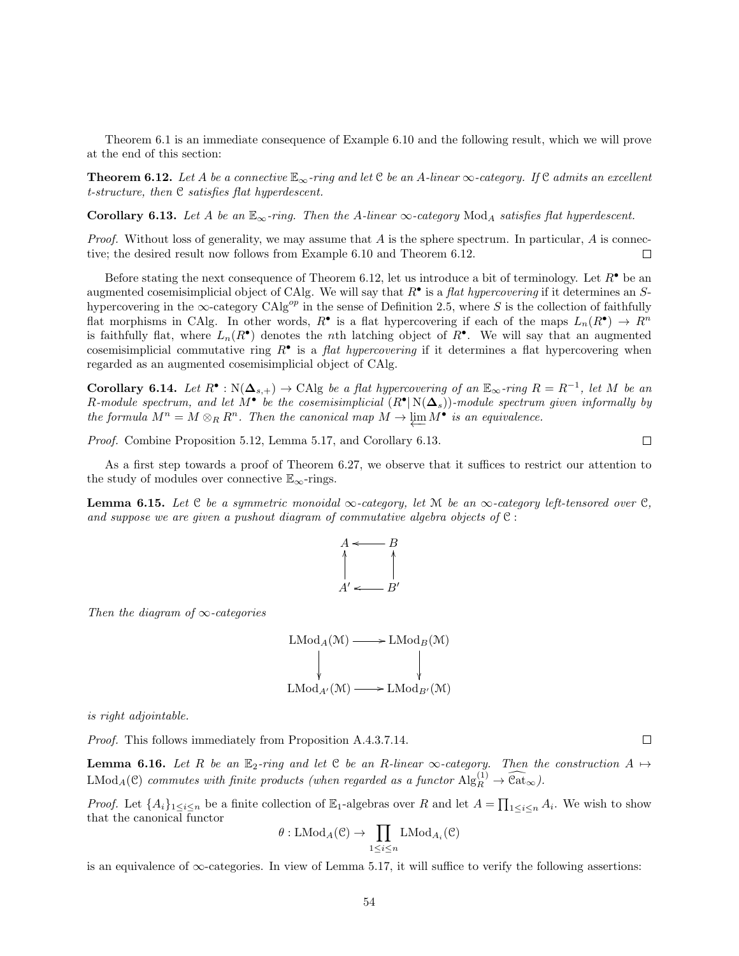Theorem 6.1 is an immediate consequence of Example 6.10 and the following result, which we will prove at the end of this section:

**Theorem 6.12.** Let A be a connective  $\mathbb{E}_{\infty}$ -ring and let C be an A-linear  $\infty$ -category. If C admits an excellent t-structure, then C satisfies flat hyperdescent.

Corollary 6.13. Let A be an  $\mathbb{E}_{\infty}$ -ring. Then the A-linear  $\infty$ -category Mod<sub>A</sub> satisfies flat hyperdescent.

*Proof.* Without loss of generality, we may assume that  $A$  is the sphere spectrum. In particular,  $A$  is connective; the desired result now follows from Example 6.10 and Theorem 6.12.  $\Box$ 

Before stating the next consequence of Theorem 6.12, let us introduce a bit of terminology. Let  $R^{\bullet}$  be an augmented cosemisimplicial object of CAlg. We will say that  $R^{\bullet}$  is a flat hypercovering if it determines an Shypercovering in the  $\infty$ -category CAlg<sup>op</sup> in the sense of Definition 2.5, where S is the collection of faithfully flat morphisms in CAlg. In other words,  $R^{\bullet}$  is a flat hypercovering if each of the maps  $L_n(R^{\bullet}) \to R^n$ is faithfully flat, where  $L_n(R^{\bullet})$  denotes the nth latching object of  $R^{\bullet}$ . We will say that an augmented cosemisimplicial commutative ring  $R^{\bullet}$  is a *flat hypercovering* if it determines a flat hypercovering when regarded as an augmented cosemisimplicial object of CAlg.

**Corollary 6.14.** Let  $R^{\bullet}: \mathbb{N}(\Delta_{s,+}) \to \text{CAlg}$  be a flat hypercovering of an  $\mathbb{E}_{\infty}$ -ring  $R = R^{-1}$ , let M be an R-module spectrum, and let M<sup>•</sup> be the cosemisimplicial  $(R^{\bullet} | N(\Delta_s))$ -module spectrum given informally by the formula  $M^n = M \otimes_R R^n$ . Then the canonical map  $M \to \varprojlim M^{\bullet}$  is an equivalence.

Proof. Combine Proposition 5.12, Lemma 5.17, and Corollary 6.13.

$$
\Box
$$

 $\Box$ 

As a first step towards a proof of Theorem 6.27, we observe that it suffices to restrict our attention to the study of modules over connective  $\mathbb{E}_{\infty}$ -rings.

**Lemma 6.15.** Let C be a symmetric monoidal  $\infty$ -category, let M be an  $\infty$ -category left-tensored over C, and suppose we are given a pushout diagram of commutative algebra objects of  $C$ :



Then the diagram of  $\infty$ -categories



is right adjointable.

Proof. This follows immediately from Proposition A.4.3.7.14.

**Lemma 6.16.** Let R be an  $\mathbb{E}_2$ -ring and let C be an R-linear  $\infty$ -category. Then the construction  $A \mapsto$  $\text{LMod}_A(\mathcal{C})$  commutes with finite products (when regarded as a functor  $\text{Alg}_R^{(1)} \to \widehat{\text{Cat}}_{\infty}$ ).

*Proof.* Let  $\{A_i\}_{1\leq i\leq n}$  be a finite collection of  $\mathbb{E}_1$ -algebras over R and let  $A = \prod_{1\leq i\leq n} A_i$ . We wish to show that the canonical functor

$$
\theta: \text{LMod}_A(\mathcal{C}) \to \prod_{1 \leq i \leq n} \text{LMod}_{A_i}(\mathcal{C})
$$

is an equivalence of ∞-categories. In view of Lemma 5.17, it will suffice to verify the following assertions: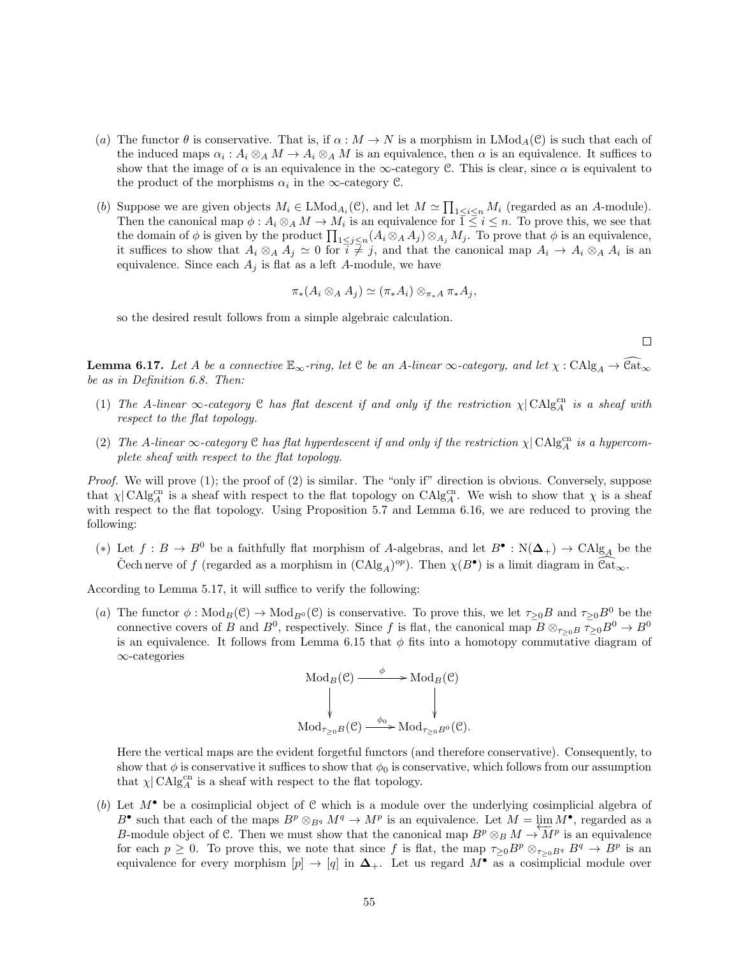- (a) The functor  $\theta$  is conservative. That is, if  $\alpha : M \to N$  is a morphism in LMod<sub>A</sub>(C) is such that each of the induced maps  $\alpha_i : A_i \otimes_A M \to A_i \otimes_A M$  is an equivalence, then  $\alpha$  is an equivalence. It suffices to show that the image of  $\alpha$  is an equivalence in the  $\infty$ -category C. This is clear, since  $\alpha$  is equivalent to the product of the morphisms  $\alpha_i$  in the  $\infty$ -category  $\mathcal{C}$ .
- (b) Suppose we are given objects  $M_i \in \text{LMod}_{A_i}(\mathcal{C})$ , and let  $M \simeq \prod_{1 \leq i \leq n} M_i$  (regarded as an A-module). Then the canonical map  $\phi: A_i \otimes_A M \to M_i$  is an equivalence for  $\overline{1} \leq i \leq n$ . To prove this, we see that the domain of  $\phi$  is given by the product  $\prod_{1 \leq j \leq n} (A_i \otimes_A A_j) \otimes_{A_j} M_j$ . To prove that  $\phi$  is an equivalence, it suffices to show that  $A_i \otimes_A A_j \simeq 0$  for  $i \neq j$ , and that the canonical map  $A_i \to A_i \otimes_A A_i$  is an equivalence. Since each  $A_j$  is flat as a left A-module, we have

$$
\pi_*(A_i \otimes_A A_j) \simeq (\pi_* A_i) \otimes_{\pi_* A} \pi_* A_j,
$$

so the desired result follows from a simple algebraic calculation.

 $\Box$ 

**Lemma 6.17.** Let A be a connective  $\mathbb{E}_{\infty}$ -ring, let C be an A-linear  $\infty$ -category, and let  $\chi : \mathrm{CAlg}_A \to \mathbb{C}$  $\overline{\mathrm{at}}_{\infty}$ be as in Definition 6.8. Then:

- (1) The A-linear  $\infty$ -category C has flat descent if and only if the restriction  $\chi$  CAlg<sub>A</sub><sup>cn</sup> is a sheaf with respect to the flat topology.
- (2) The A-linear  $\infty$ -category C has flat hyperdescent if and only if the restriction  $\chi$  CAlg<sub>A</sub><sup>cn</sup> is a hypercomplete sheaf with respect to the flat topology.

Proof. We will prove (1); the proof of (2) is similar. The "only if" direction is obvious. Conversely, suppose that  $\chi$  CAlg<sub>C</sub><sup>cn</sup> is a sheaf with respect to the flat topology on CAlg<sub>C</sub><sup>cn</sup>. We wish to show that  $\chi$  is a sheaf with respect to the flat topology. Using Proposition 5.7 and Lemma 6.16, we are reduced to proving the following:

(\*) Let  $f: B \to B^0$  be a faithfully flat morphism of A-algebras, and let  $B^{\bullet}: N(\Delta_{+}) \to \text{CAlg}_{A}$  be the Cech nerve of f (regarded as a morphism in  $(CAlg_A)^{op}$ ). Then  $\chi(B^{\bullet})$  is a limit diagram in  $\widehat{\text{Cat}}_{\infty}$ .

According to Lemma 5.17, it will suffice to verify the following:

(a) The functor  $\phi: \text{Mod}_B(\mathcal{C}) \to \text{Mod}_{B^0}(\mathcal{C})$  is conservative. To prove this, we let  $\tau_{\geq 0}B$  and  $\tau_{\geq 0}B^0$  be the connective covers of B and  $B^0$ , respectively. Since f is flat, the canonical map  $B \otimes_{\tau>0} B \to Z^0$ is an equivalence. It follows from Lemma 6.15 that  $\phi$  fits into a homotopy commutative diagram of ∞-categories

$$
\begin{array}{ccc}\n\operatorname{Mod}_B(\mathcal{C}) & \xrightarrow{\phi} & \operatorname{Mod}_B(\mathcal{C}) \\
\downarrow & & \downarrow \\
\operatorname{Mod}_{\tau_{\geq 0}B}(\mathcal{C}) & \xrightarrow{\phi_0} & \operatorname{Mod}_{\tau_{\geq 0}B^0}(\mathcal{C}).\n\end{array}
$$

Here the vertical maps are the evident forgetful functors (and therefore conservative). Consequently, to show that  $\phi$  is conservative it suffices to show that  $\phi_0$  is conservative, which follows from our assumption that  $\chi$  CAlg<sub>A</sub><sup>cn</sup> is a sheaf with respect to the flat topology.

(b) Let  $M^{\bullet}$  be a cosimplicial object of C which is a module over the underlying cosimplicial algebra of  $B^{\bullet}$  such that each of the maps  $B^p \otimes_{B^q} M^q \to M^p$  is an equivalence. Let  $M = \lim_{\Delta M^{\bullet}} M^{\bullet}$ , regarded as a B-module object of C. Then we must show that the canonical map  $B^p \otimes_B M \to \overline{M}^p$  is an equivalence for each  $p \geq 0$ . To prove this, we note that since f is flat, the map  $\tau_{\geq 0}B^p \otimes_{\tau_{\geq 0}B^q} B^q \to B^p$  is an equivalence for every morphism  $[p] \to [q]$  in  $\Delta_+$ . Let us regard  $M^{\bullet}$  as a cosimplicial module over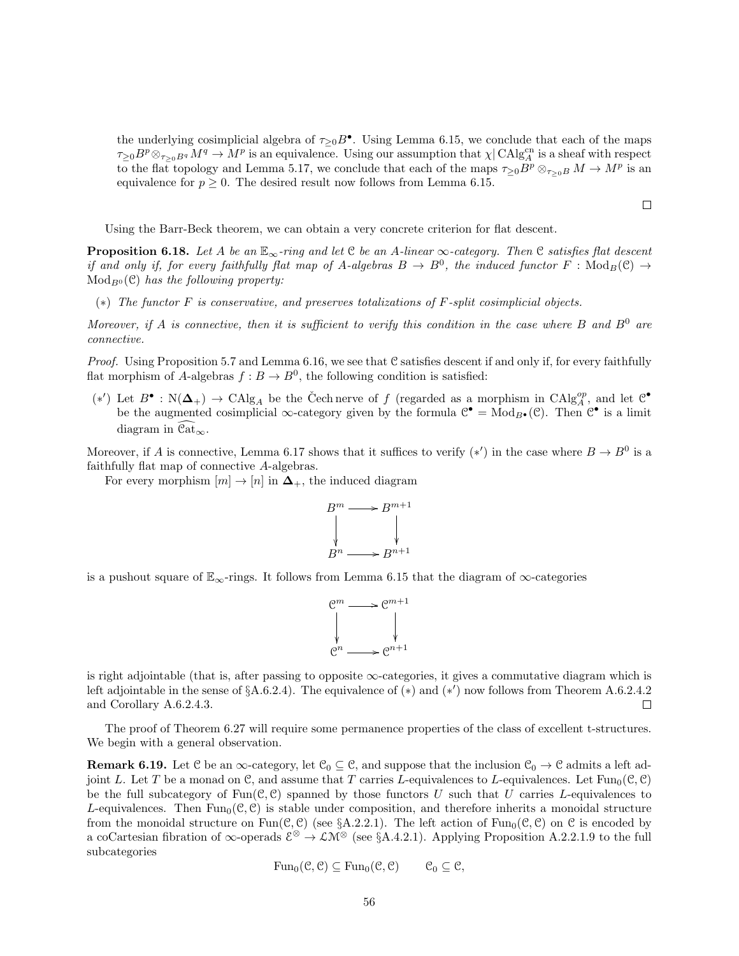the underlying cosimplicial algebra of  $\tau_{\geq 0} B^{\bullet}$ . Using Lemma 6.15, we conclude that each of the maps  $\tau_{\geq 0}B^p\otimes_{\tau_{\geq 0}B^q}M^q \to M^p$  is an equivalence. Using our assumption that  $\chi|\operatorname{CAlg}^{\text{cn}}_A$  is a sheaf with respect to the flat topology and Lemma 5.17, we conclude that each of the maps  $\tau_{\geq 0}B^p \otimes_{\tau_{\geq 0}B} M \to M^p$  is an equivalence for  $p \geq 0$ . The desired result now follows from Lemma 6.15.

 $\Box$ 

Using the Barr-Beck theorem, we can obtain a very concrete criterion for flat descent.

**Proposition 6.18.** Let A be an  $\mathbb{E}_{\infty}$ -ring and let C be an A-linear  $\infty$ -category. Then C satisfies flat descent if and only if, for every faithfully flat map of A-algebras  $B \to B^0$ , the induced functor  $F : \text{Mod}_B(\mathcal{C}) \to$  $Mod_{B<sup>0</sup>}(\mathcal{C})$  has the following property:

(∗) The functor F is conservative, and preserves totalizations of F-split cosimplicial objects.

Moreover, if A is connective, then it is sufficient to verify this condition in the case where B and  $B^0$  are connective.

*Proof.* Using Proposition 5.7 and Lemma 6.16, we see that C satisfies descent if and only if, for every faithfully flat morphism of A-algebras  $f : B \to B^0$ , the following condition is satisfied:

 $(*')$  Let  $B^{\bullet} : N(\Delta_{+}) \rightarrow \text{CAlg}_{A}$  be the Čech nerve of f (regarded as a morphism in  $\text{CAlg}_{A}^{op}$ , and let  $\mathcal{C}^{\bullet}$ be the augmented cosimplicial  $\infty$ -category given by the formula  $\mathcal{C}^{\bullet} = Mod_{B^{\bullet}}(\mathcal{C})$ . Then  $\mathcal{C}^{\bullet}$  is a limit diagram in  $\mathcal{C}at_{\infty}$ .

Moreover, if A is connective, Lemma 6.17 shows that it suffices to verify  $(*')$  in the case where  $B \to B^0$  is a faithfully flat map of connective A-algebras.

For every morphism  $[m] \to [n]$  in  $\Delta_+$ , the induced diagram



is a pushout square of  $\mathbb{E}_{\infty}$ -rings. It follows from Lemma 6.15 that the diagram of  $\infty$ -categories



is right adjointable (that is, after passing to opposite  $\infty$ -categories, it gives a commutative diagram which is left adjointable in the sense of  $\S A.6.2.4$ ). The equivalence of  $(*)$  and  $(*)'$  now follows from Theorem A.6.2.4.2 and Corollary A.6.2.4.3.  $\Box$ 

The proof of Theorem 6.27 will require some permanence properties of the class of excellent t-structures. We begin with a general observation.

**Remark 6.19.** Let C be an  $\infty$ -category, let  $\mathcal{C}_0 \subseteq \mathcal{C}$ , and suppose that the inclusion  $\mathcal{C}_0 \to \mathcal{C}$  admits a left adjoint L. Let T be a monad on C, and assume that T carries L-equivalences to L-equivalences. Let  $Fun_0(\mathcal{C}, \mathcal{C})$ be the full subcategory of  $Fun(\mathcal{C}, \mathcal{C})$  spanned by those functors U such that U carries L-equivalences to L-equivalences. Then  $Fun_0(\mathcal{C}, \mathcal{C})$  is stable under composition, and therefore inherits a monoidal structure from the monoidal structure on  $Fun(\mathcal{C}, \mathcal{C})$  (see §A.2.2.1). The left action of  $Fun_0(\mathcal{C}, \mathcal{C})$  on  $\mathcal{C}$  is encoded by a coCartesian fibration of  $\infty$ -operads  $\mathcal{E}^{\otimes} \to \mathcal{L} \mathcal{M}^{\otimes}$  (see §A.4.2.1). Applying Proposition A.2.2.1.9 to the full subcategories

$$
\operatorname{Fun}_0(\mathcal{C}, \mathcal{C}) \subseteq \operatorname{Fun}_0(\mathcal{C}, \mathcal{C}) \qquad \mathcal{C}_0 \subseteq \mathcal{C},
$$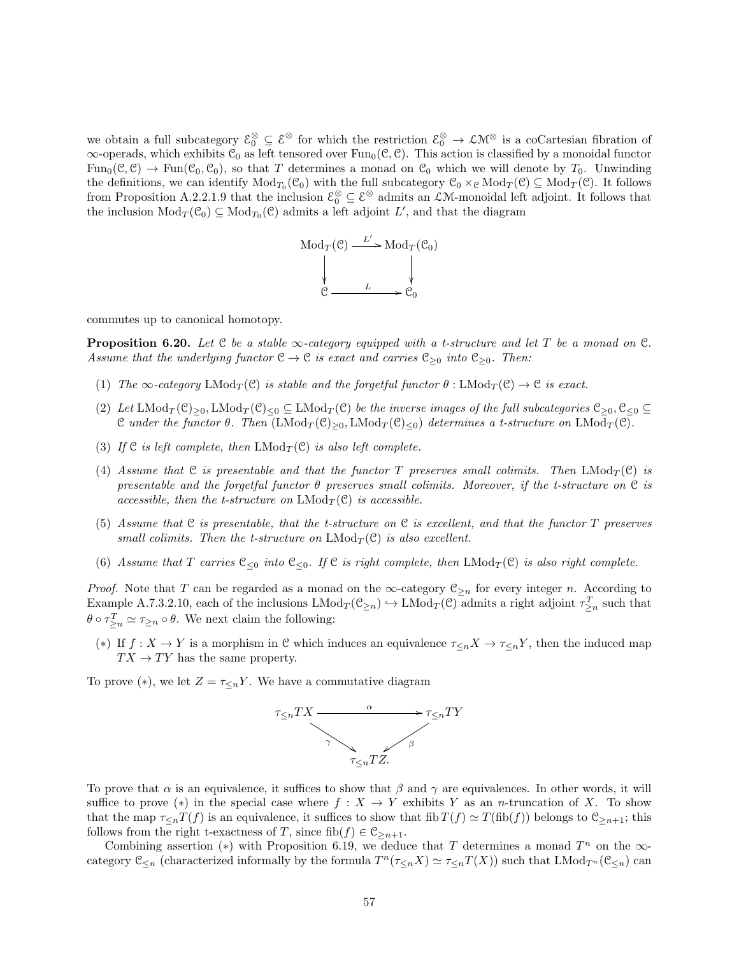we obtain a full subcategory  $\mathcal{E}_0^{\otimes} \subseteq \mathcal{E}^{\otimes}$  for which the restriction  $\mathcal{E}_0^{\otimes} \to \mathcal{L} \mathcal{M}^{\otimes}$  is a coCartesian fibration of  $\infty$ -operads, which exhibits  $C_0$  as left tensored over Fun<sub>0</sub>( $C, C$ ). This action is classified by a monoidal functor  $Func(\mathcal{C}, \mathcal{C}) \to Fun(\mathcal{C}_0, \mathcal{C}_0)$ , so that T determines a monad on  $\mathcal{C}_0$  which we will denote by  $T_0$ . Unwinding the definitions, we can identify  $Mod_{T_0}(\mathcal{C}_0)$  with the full subcategory  $\mathcal{C}_0 \times_{\mathcal{C}} Mod_T(\mathcal{C}) \subseteq Mod_T(\mathcal{C})$ . It follows from Proposition A.2.2.1.9 that the inclusion  $\mathcal{E}_0^{\otimes} \subseteq \mathcal{E}^{\otimes}$  admits an  $\mathcal{L}M$ -monoidal left adjoint. It follows that the inclusion  $Mod_T(\mathcal{C}_0) \subseteq Mod_{T_0}(\mathcal{C})$  admits a left adjoint L', and that the diagram



commutes up to canonical homotopy.

**Proposition 6.20.** Let  $C$  be a stable  $\infty$ -category equipped with a t-structure and let T be a monad on  $C$ . Assume that the underlying functor  $C \to C$  is exact and carries  $C_{\geq 0}$  into  $C_{\geq 0}$ . Then:

- (1) The  $\infty$ -category LMod<sub>T</sub>(C) is stable and the forgetful functor  $\theta$ : LMod<sub>T</sub>(C)  $\to$  C is exact.
- (2) Let  $\text{LMod}_T(\mathcal{C})_{\geq 0}$ ,  $\text{LMod}_T(\mathcal{C})_{\leq 0} \subseteq \text{LMod}_T(\mathcal{C})$  be the inverse images of the full subcategories  $\mathcal{C}_{\geq 0}, \mathcal{C}_{\leq 0} \subseteq$ C under the functor  $\theta$ . Then  $(LMod_T(\mathcal{C})_{>0}, LMod_T(\mathcal{C})_{<0})$  determines a t-structure on  $LMod_T(\mathcal{C})$ .
- (3) If C is left complete, then  $LMod_T(\mathcal{C})$  is also left complete.
- (4) Assume that C is presentable and that the functor T preserves small colimits. Then  $LMod<sub>T</sub>(C)$  is presentable and the forgetful functor  $\theta$  preserves small colimits. Moreover, if the t-structure on  $\mathfrak C$  is accessible, then the t-structure on  $LMod<sub>T</sub>(\mathcal{C})$  is accessible.
- (5) Assume that C is presentable, that the t-structure on C is excellent, and that the functor T preserves small colimits. Then the t-structure on  $LMod_T(\mathcal{C})$  is also excellent.
- (6) Assume that T carries  $\mathcal{C}_{\leq 0}$  into  $\mathcal{C}_{\leq 0}$ . If  $\mathcal{C}$  is right complete, then LMod<sub>T</sub>( $\mathcal{C}$ ) is also right complete.

*Proof.* Note that T can be regarded as a monad on the  $\infty$ -category  $\mathfrak{C}_{\geq n}$  for every integer n. According to Example A.7.3.2.10, each of the inclusions  $\text{LMod}_T(\mathcal{C}_{\geq n}) \hookrightarrow \text{LMod}_T(\mathcal{C})$  admits a right adjoint  $\tau_{\geq n}^T$  such that  $\theta \circ \tau_{\geq n}^T \simeq \tau_{\geq n} \circ \theta$ . We next claim the following:

(\*) If  $f: X \to Y$  is a morphism in C which induces an equivalence  $\tau_{\leq n} X \to \tau_{\leq n} Y$ , then the induced map  $TX \to TY$  has the same property.

To prove  $(*)$ , we let  $Z = \tau \leq_n Y$ . We have a commutative diagram



To prove that  $\alpha$  is an equivalence, it suffices to show that  $\beta$  and  $\gamma$  are equivalences. In other words, it will suffice to prove (\*) in the special case where  $f : X \to Y$  exhibits Y as an n-truncation of X. To show that the map  $\tau_{\leq n}T(f)$  is an equivalence, it suffices to show that fib  $T(f) \simeq T(fib(f))$  belongs to  $\mathfrak{S}_{\geq n+1}$ ; this follows from the right t-exactness of T, since fib $(f) \in \mathcal{C}_{\geq n+1}$ .

Combining assertion (\*) with Proposition 6.19, we deduce that T determines a monad  $T^n$  on the  $\infty$ category  $\mathfrak{C}_{\leq n}$  (characterized informally by the formula  $T^n(\tau_{\leq n}X) \simeq \tau_{\leq n}T(X)$ ) such that  $\text{LMod}_{T^n}(\mathfrak{C}_{\leq n})$  can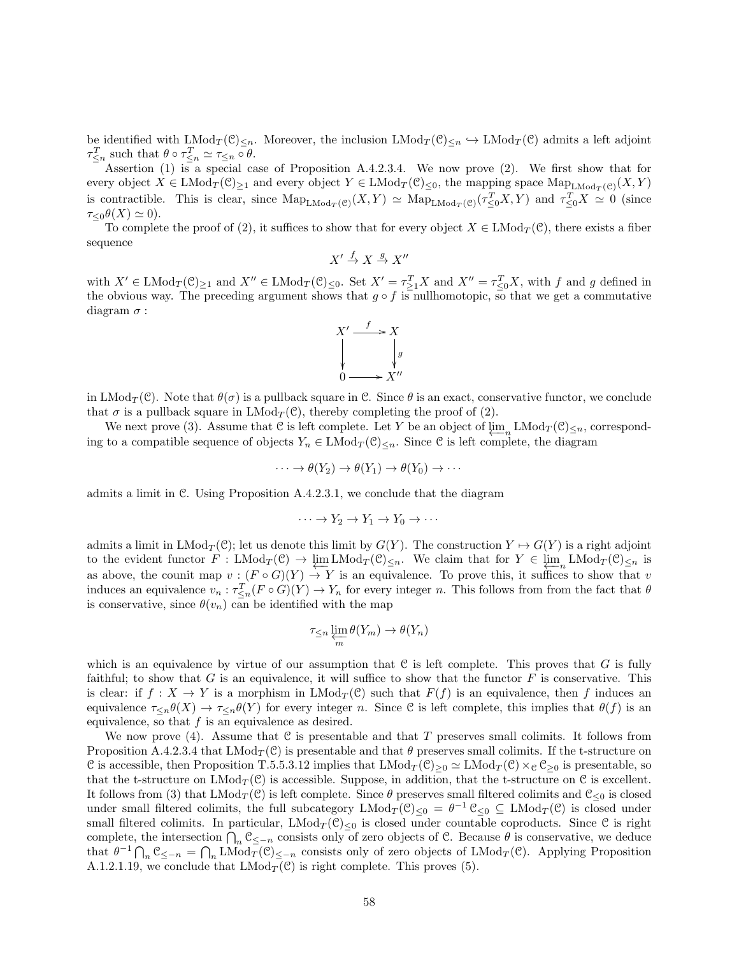be identified with  $\text{LMod}_T(\mathcal{C})_{\leq n}$ . Moreover, the inclusion  $\text{LMod}_T(\mathcal{C})_{\leq n} \hookrightarrow \text{LMod}_T(\mathcal{C})$  admits a left adjoint  $\tau_{\leq n}^T$  such that  $\theta \circ \tau_{\leq n}^T \simeq \tau_{\leq n} \circ \theta$ .

Assertion (1) is a special case of Proposition A.4.2.3.4. We now prove (2). We first show that for every object  $X \in \text{LMod}_T(\mathcal{C})_{\geq 1}$  and every object  $Y \in \text{LMod}_T(\mathcal{C})_{\leq 0}$ , the mapping space  $\text{Map}_{\text{LMod}_T(\mathcal{C})}(X, Y)$ is contractible. This is clear, since  $\text{Map}_{\text{LMod}_T(\mathcal{C})}(X, Y) \simeq \text{Map}_{\text{LMod}_T(\mathcal{C})}(\tau^T_{\leq 0}X, Y)$  and  $\tau^T_{\leq 0}X \simeq 0$  (since  $\tau_{\leq 0}\theta(X) \simeq 0$ .

To complete the proof of (2), it suffices to show that for every object  $X \in LMod_T(\mathcal{C})$ , there exists a fiber sequence

$$
X' \stackrel{f}{\to} X \stackrel{g}{\to} X''
$$

with  $X' \in \text{LMod}_T(\mathcal{C})_{\geq 1}$  and  $X'' \in \text{LMod}_T(\mathcal{C})_{\leq 0}$ . Set  $X' = \tau_{\geq 1}^T X$  and  $X'' = \tau_{\leq 0}^T X$ , with f and g defined in the obvious way. The preceding argument shows that  $g \circ f$  is nullhomotopic, so that we get a commutative diagram  $\sigma$  :



in LMod<sub>T</sub>(C). Note that  $\theta(\sigma)$  is a pullback square in C. Since  $\theta$  is an exact, conservative functor, we conclude that  $\sigma$  is a pullback square in  $\text{LMod}_{\mathcal{T}}(\mathcal{C})$ , thereby completing the proof of (2).

We next prove (3). Assume that C is left complete. Let Y be an object of  $\varprojlim_{n} \text{LMod}_{T}(\mathcal{C}) \leq n$ , corresponding to a compatible sequence of objects  $Y_n \in \text{LMod}_T(\mathcal{C})_{\leq n}$ . Since C is left complete, the diagram

$$
\cdots \to \theta(Y_2) \to \theta(Y_1) \to \theta(Y_0) \to \cdots
$$

admits a limit in C. Using Proposition A.4.2.3.1, we conclude that the diagram

$$
\cdots \to Y_2 \to Y_1 \to Y_0 \to \cdots
$$

admits a limit in  $\text{LMod}_{T}(\mathcal{C})$ ; let us denote this limit by  $G(Y)$ . The construction  $Y \mapsto G(Y)$  is a right adjoint to the evident functor  $F : \text{LMod}_T(\mathcal{C}) \to \varprojlim_{n} \text{LMod}_T(\mathcal{C}) \leq_n$ . We claim that for  $Y \in \varprojlim_{n} \text{LMod}_T(\mathcal{C}) \leq_n$  is as above, the counit map  $v : (F \circ G)(Y) \to Y$  is an equivalence. To prove this, it suffices to show that v induces an equivalence  $v_n : \tau_{\leq n}^T(F \circ G)(Y) \to Y_n$  for every integer n. This follows from from the fact that  $\theta$ is conservative, since  $\theta(v_n)$  can be identified with the map

$$
\tau_{\leq n} \varprojlim_m \theta(Y_m) \to \theta(Y_n)
$$

which is an equivalence by virtue of our assumption that  $C$  is left complete. This proves that  $G$  is fully faithful; to show that G is an equivalence, it will suffice to show that the functor  $F$  is conservative. This is clear: if  $f: X \to Y$  is a morphism in  $\text{LMod}_T(\mathcal{C})$  such that  $F(f)$  is an equivalence, then f induces an equivalence  $\tau_{\leq n}(\theta(X)) \to \tau_{\leq n}(\theta(Y))$  for every integer n. Since C is left complete, this implies that  $\theta(f)$  is an equivalence, so that  $f$  is an equivalence as desired.

We now prove (4). Assume that  $\mathcal C$  is presentable and that T preserves small colimits. It follows from Proposition A.4.2.3.4 that  $LMod_T(\mathcal{C})$  is presentable and that  $\theta$  preserves small colimits. If the t-structure on C is accessible, then Proposition T.5.5.3.12 implies that  $LMod_T(\mathcal{C})_{\geq 0} \simeq LMod_T(\mathcal{C}) \times_{\mathcal{C}} \mathcal{C}_{\geq 0}$  is presentable, so that the t-structure on  $\text{LMod}_T(\mathcal{C})$  is accessible. Suppose, in addition, that the t-structure on  $\mathcal{C}$  is excellent. It follows from (3) that  $\text{LMod}_T(\mathcal{C})$  is left complete. Since  $\theta$  preserves small filtered colimits and  $\mathcal{C}_{\leq 0}$  is closed under small filtered colimits, the full subcategory  $\text{LMod}_T(\mathcal{C})_{\leq 0} = \theta^{-1} \mathcal{C}_{\leq 0} \subseteq \text{LMod}_T(\mathcal{C})$  is closed under small filtered colimits. In particular,  $\text{LMod}_T(\mathcal{C})_{\leq 0}$  is closed under countable coproducts. Since  $\mathcal C$  is right complete, the intersection  $\bigcap_n \mathcal{C}_{\leq -n}$  consists only of zero objects of  $\mathcal{C}$ . Because  $\theta$  is conservative, we deduce that  $\theta^{-1} \bigcap_n \mathfrak{C}_{\leq -n} = \bigcap_n \text{LMod}_T(\mathfrak{C})_{\leq -n}$  consists only of zero objects of  $\text{LMod}_T(\mathfrak{C})$ . Applying Proposition A.1.2.1.19, we conclude that  $\text{LMod}_T(\mathcal{C})$  is right complete. This proves (5).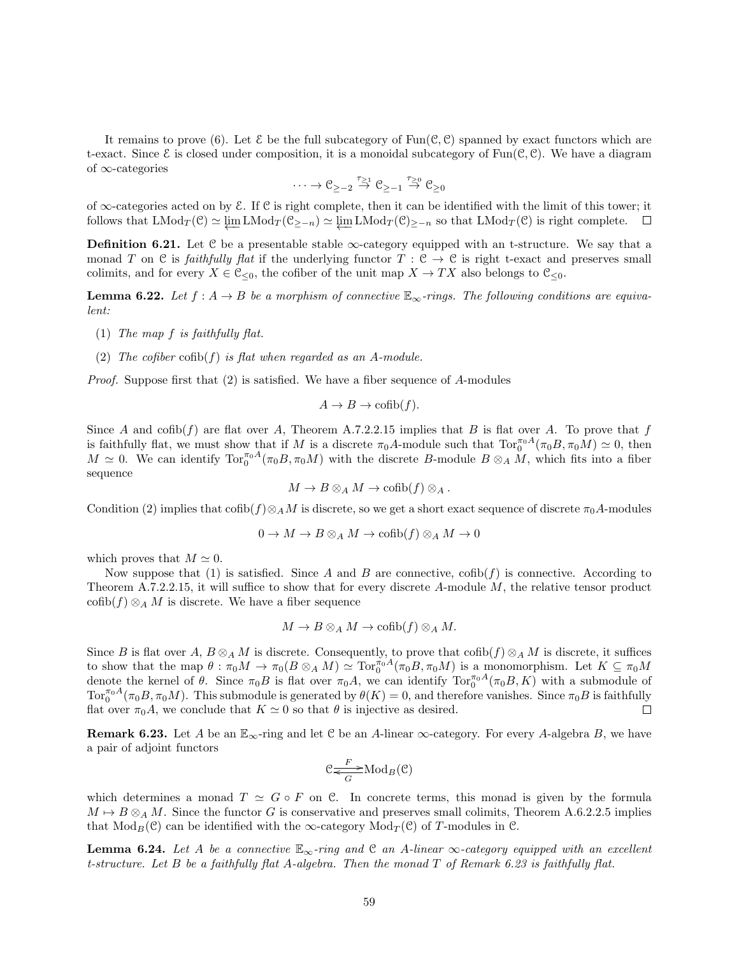It remains to prove (6). Let  $\mathcal E$  be the full subcategory of  $\text{Fun}(\mathcal C,\mathcal C)$  spanned by exact functors which are t-exact. Since  $\mathcal E$  is closed under composition, it is a monoidal subcategory of Fun( $\mathcal C, \mathcal C$ ). We have a diagram of ∞-categories

$$
\cdots \to \mathcal{C}_{\geq -2} \stackrel{\tau_{\geq 1}}{\to} \mathcal{C}_{\geq -1} \stackrel{\tau_{\geq 0}}{\to} \mathcal{C}_{\geq 0}
$$

of  $\infty$ -categories acted on by E. If C is right complete, then it can be identified with the limit of this tower; it follows that  $\text{LMod}_T(\mathcal{C}) \simeq \underleftarrow{\lim}_{n} \text{LMod}_T(\mathcal{C}_{\geq -n}) \simeq \underleftarrow{\lim}_{n} \text{LMod}_T(\mathcal{C})_{\geq -n}$  so that  $\text{LMod}_T(\mathcal{C})$  is right complete.

**Definition 6.21.** Let  $C$  be a presentable stable  $\infty$ -category equipped with an t-structure. We say that a monad T on C is faithfully flat if the underlying functor  $T: \mathcal{C} \to \mathcal{C}$  is right t-exact and preserves small colimits, and for every  $X \in \mathcal{C}_{\leq 0}$ , the cofiber of the unit map  $X \to TX$  also belongs to  $\mathcal{C}_{\leq 0}$ .

**Lemma 6.22.** Let  $f : A \rightarrow B$  be a morphism of connective  $\mathbb{E}_{\infty}$ -rings. The following conditions are equivalent:

- (1) The map f is faithfully flat.
- (2) The cofiber  $\text{cofib}(f)$  is flat when regarded as an A-module.

*Proof.* Suppose first that  $(2)$  is satisfied. We have a fiber sequence of A-modules

$$
A \to B \to \mathrm{cofib}(f).
$$

Since A and  $\text{cofb}(f)$  are flat over A, Theorem A.7.2.2.15 implies that B is flat over A. To prove that f is faithfully flat, we must show that if M is a discrete  $\pi_0 A$ -module such that  $\text{Tor}_0^{\pi_0 A}(\pi_0 B, \pi_0 M) \simeq 0$ , then  $M \simeq 0$ . We can identify  $\text{Tor}_{0}^{\pi_{0}A}(\pi_{0}B, \pi_{0}M)$  with the discrete B-module  $B \otimes_{A} M$ , which fits into a fiber sequence

$$
M \to B \otimes_A M \to \mathrm{cofib}(f) \otimes_A.
$$

Condition (2) implies that  $\coth(f) \otimes_A M$  is discrete, so we get a short exact sequence of discrete  $\pi_0 A$ -modules

$$
0 \to M \to B \otimes_A M \to \mathrm{cofib}(f) \otimes_A M \to 0
$$

which proves that  $M \simeq 0$ .

Now suppose that (1) is satisfied. Since A and B are connective,  $\text{cofib}(f)$  is connective. According to Theorem A.7.2.2.15, it will suffice to show that for every discrete  $A$ -module  $M$ , the relative tensor product  $\operatorname{cofib}(f) \otimes_A M$  is discrete. We have a fiber sequence

$$
M \to B \otimes_A M \to \mathrm{cofib}(f) \otimes_A M.
$$

Since B is flat over A,  $B \otimes_A M$  is discrete. Consequently, to prove that  $\operatorname{cofib}(f) \otimes_A M$  is discrete, it suffices to show that the map  $\theta : \pi_0 M \to \pi_0(B \otimes_A M) \simeq \text{Tor}_0^{\pi_0 A}(\pi_0 B, \pi_0 M)$  is a monomorphism. Let  $K \subseteq \pi_0 M$ denote the kernel of  $\theta$ . Since  $\pi_0 B$  is flat over  $\pi_0 A$ , we can identify  $\text{Tor}_0^{\pi_0 A}(\pi_0 B, K)$  with a submodule of  $\text{Tor}_0^{\pi_0 A}(\pi_0 B, \pi_0 M)$ . This submodule is generated by  $\theta(K) = 0$ , and therefore vanishes. Since  $\pi_0 B$  is faithfully flat over  $\pi_0 A$ , we conclude that  $K \simeq 0$  so that  $\theta$  is injective as desired.  $\Box$ 

**Remark 6.23.** Let A be an  $\mathbb{E}_{\infty}$ -ring and let C be an A-linear  $\infty$ -category. For every A-algebra B, we have a pair of adjoint functors

$$
\mathfrak{C} \underset{G}{\overset{F}{\Longleftarrow}} \operatorname{Mod}_B(\mathfrak{C})
$$

which determines a monad  $T \simeq G \circ F$  on C. In concrete terms, this monad is given by the formula  $M \mapsto B \otimes_A M$ . Since the functor G is conservative and preserves small colimits, Theorem A.6.2.2.5 implies that  $Mod_B(\mathcal{C})$  can be identified with the ∞-category  $Mod_T(\mathcal{C})$  of T-modules in  $\mathcal{C}$ .

**Lemma 6.24.** Let A be a connective  $\mathbb{E}_{\infty}$ -ring and C an A-linear  $\infty$ -category equipped with an excellent t-structure. Let B be a faithfully flat A-algebra. Then the monad T of Remark 6.23 is faithfully flat.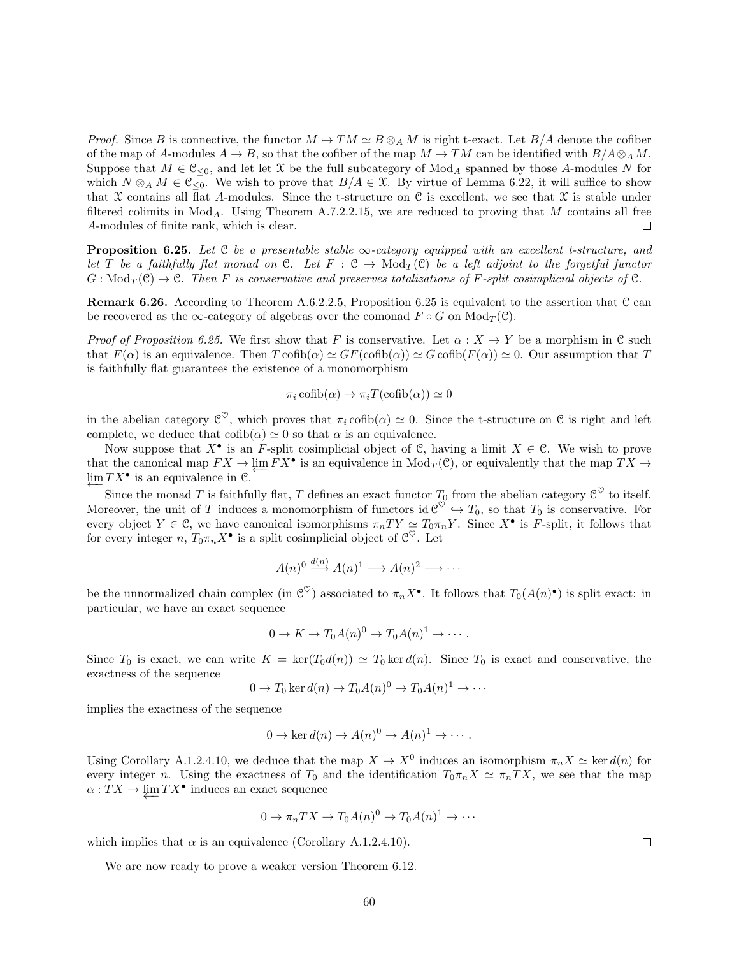*Proof.* Since B is connective, the functor  $M \mapsto TM \simeq B \otimes_A M$  is right t-exact. Let  $B/A$  denote the cofiber of the map of A-modules  $A \to B$ , so that the cofiber of the map  $M \to TM$  can be identified with  $B/A \otimes_A M$ . Suppose that  $M \in \mathcal{C}_{\leq 0}$ , and let let X be the full subcategory of Mod<sub>A</sub> spanned by those A-modules N for which  $N \otimes_A M \in \mathfrak{C}_{\leq 0}$ . We wish to prove that  $B/A \in \mathfrak{X}$ . By virtue of Lemma 6.22, it will suffice to show that X contains all flat A-modules. Since the t-structure on C is excellent, we see that X is stable under filtered colimits in  $Mod_A$ . Using Theorem A.7.2.2.15, we are reduced to proving that M contains all free A-modules of finite rank, which is clear.  $\Box$ 

**Proposition 6.25.** Let  $C$  be a presentable stable  $\infty$ -category equipped with an excellent t-structure, and let T be a faithfully flat monad on C. Let  $F : C \to \text{Mod}_T(\mathcal{C})$  be a left adjoint to the forgetful functor  $G: \text{Mod}_T(\mathcal{C}) \to \mathcal{C}$ . Then F is conservative and preserves totalizations of F-split cosimplicial objects of  $\mathcal{C}$ .

**Remark 6.26.** According to Theorem A.6.2.2.5, Proposition 6.25 is equivalent to the assertion that C can be recovered as the  $\infty$ -category of algebras over the comonad  $F \circ G$  on  $Mod_T(\mathcal{C})$ .

*Proof of Proposition 6.25.* We first show that F is conservative. Let  $\alpha: X \to Y$  be a morphism in C such that  $F(\alpha)$  is an equivalence. Then  $T \coth(\alpha) \simeq GF(\coth(\alpha)) \simeq G \coth(F(\alpha)) \simeq 0$ . Our assumption that T is faithfully flat guarantees the existence of a monomorphism

$$
\pi_i \operatorname{cofib}(\alpha) \to \pi_i T(\operatorname{cofib}(\alpha)) \simeq 0
$$

in the abelian category  $\mathcal{C}^{\heartsuit}$ , which proves that  $\pi_i$  cofib $(\alpha) \simeq 0$ . Since the t-structure on  $\mathcal C$  is right and left complete, we deduce that  $\text{cofib}(\alpha) \simeq 0$  so that  $\alpha$  is an equivalence.

Now suppose that  $X^{\bullet}$  is an F-split cosimplicial object of C, having a limit  $X \in \mathcal{C}$ . We wish to prove that the canonical map  $FX \to \varprojlim FX^{\bullet}$  is an equivalence in  $Mod_T(\mathcal{C})$ , or equivalently that the map  $TX \to \varprojlim Y$ .  $\varprojlim TX^{\bullet}$  is an equivalence in  $\mathcal{C}$ .

Since the monad T is faithfully flat, T defines an exact functor  $T_0$  from the abelian category  $\mathcal{C}^{\heartsuit}$  to itself. Moreover, the unit of T induces a monomorphism of functors id  $\mathcal{C}^{\heartsuit} \hookrightarrow T_0$ , so that  $T_0$  is conservative. For every object  $Y \in \mathcal{C}$ , we have canonical isomorphisms  $\pi_n T Y \simeq T_0 \pi_n Y$ . Since  $X^{\bullet}$  is F-split, it follows that for every integer  $n, T_0 \pi_n X^{\bullet}$  is a split cosimplicial object of  $\mathcal{C}^{\heartsuit}$ . Let

$$
A(n)^0 \xrightarrow{d(n)} A(n)^1 \longrightarrow A(n)^2 \longrightarrow \cdots
$$

be the unnormalized chain complex (in  $\mathcal{C}^{\heartsuit}$ ) associated to  $\pi_n X^{\bullet}$ . It follows that  $T_0(A(n)^{\bullet})$  is split exact: in particular, we have an exact sequence

$$
0 \to K \to T_0 A(n)^0 \to T_0 A(n)^1 \to \cdots.
$$

Since  $T_0$  is exact, we can write  $K = \text{ker}(T_0d(n)) \simeq T_0 \text{ker } d(n)$ . Since  $T_0$  is exact and conservative, the exactness of the sequence

$$
0 \to T_0 \ker d(n) \to T_0 A(n)^0 \to T_0 A(n)^1 \to \cdots
$$

implies the exactness of the sequence

$$
0 \to \ker d(n) \to A(n)^0 \to A(n)^1 \to \cdots
$$

Using Corollary A.1.2.4.10, we deduce that the map  $X \to X^0$  induces an isomorphism  $\pi_n X \simeq \ker d(n)$  for every integer n. Using the exactness of  $T_0$  and the identification  $T_0\pi_nX \simeq \pi_nTX$ , we see that the map  $\alpha: TX \to \varprojlim TX^\bullet$  induces an exact sequence

$$
0 \to \pi_n TX \to T_0 A(n)^0 \to T_0 A(n)^1 \to \cdots
$$

which implies that  $\alpha$  is an equivalence (Corollary A.1.2.4.10).

We are now ready to prove a weaker version Theorem 6.12.

 $\Box$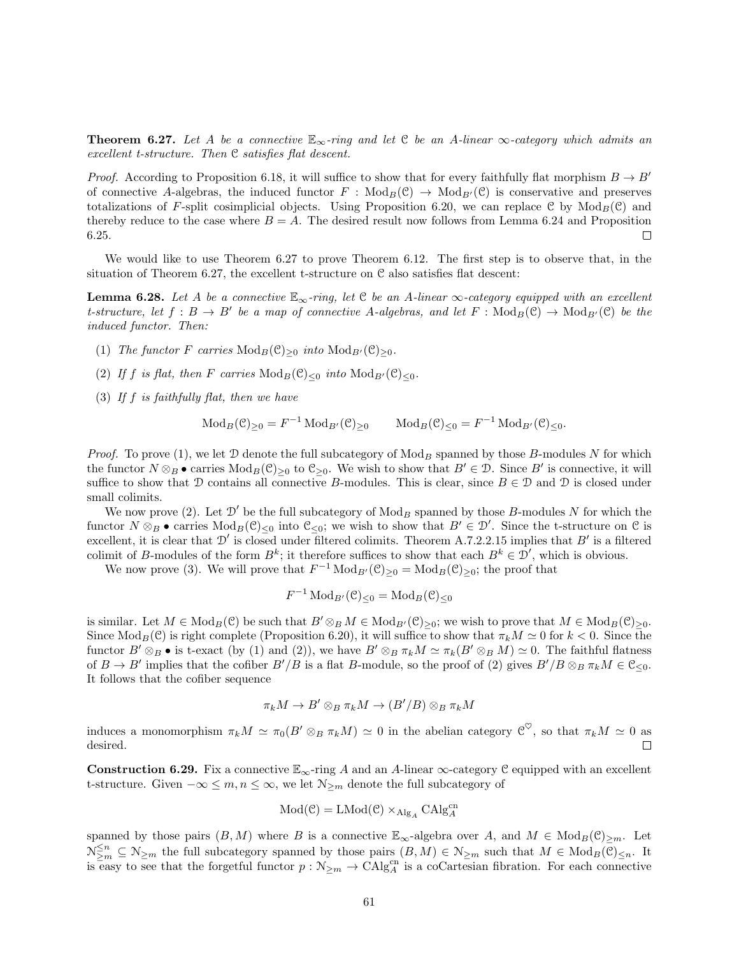**Theorem 6.27.** Let A be a connective  $\mathbb{E}_{\infty}$ -ring and let C be an A-linear  $\infty$ -category which admits an excellent t-structure. Then C satisfies flat descent.

*Proof.* According to Proposition 6.18, it will suffice to show that for every faithfully flat morphism  $B \to B'$ of connective A-algebras, the induced functor  $F : Mod_B(\mathcal{C}) \to Mod_{B'}(\mathcal{C})$  is conservative and preserves totalizations of F-split cosimplicial objects. Using Proposition 6.20, we can replace C by  $Mod_B(\mathcal{C})$  and thereby reduce to the case where  $B = A$ . The desired result now follows from Lemma 6.24 and Proposition 6.25.  $\Box$ 

We would like to use Theorem 6.27 to prove Theorem 6.12. The first step is to observe that, in the situation of Theorem 6.27, the excellent t-structure on C also satisfies flat descent:

**Lemma 6.28.** Let A be a connective  $\mathbb{E}_{\infty}$ -ring, let C be an A-linear  $\infty$ -category equipped with an excellent t-structure, let  $f : B \to B'$  be a map of connective A-algebras, and let  $F : Mod_B(\mathcal{C}) \to Mod_{B'}(\mathcal{C})$  be the induced functor. Then:

- (1) The functor F carries  $\text{Mod}_B(\mathcal{C})_{\geq 0}$  into  $\text{Mod}_{B'}(\mathcal{C})_{\geq 0}$ .
- (2) If f is flat, then F carries  $\text{Mod}_B(\mathcal{C})_{\leq 0}$  into  $\text{Mod}_{B'}(\mathcal{C})_{\leq 0}$ .
- (3) If  $f$  is faithfully flat, then we have

$$
\text{Mod}_B(\mathcal{C})_{\geq 0} = F^{-1} \text{Mod}_{B'}(\mathcal{C})_{\geq 0} \qquad \text{Mod}_B(\mathcal{C})_{\leq 0} = F^{-1} \text{Mod}_{B'}(\mathcal{C})_{\leq 0}.
$$

*Proof.* To prove (1), we let  $\mathcal D$  denote the full subcategory of  $\text{Mod}_B$  spanned by those B-modules N for which the functor  $N \otimes_B \bullet$  carries  $Mod_B(\mathcal{C})_{\geq 0}$  to  $\mathcal{C}_{\geq 0}$ . We wish to show that  $B' \in \mathcal{D}$ . Since  $B'$  is connective, it will suffice to show that D contains all connective B-modules. This is clear, since  $B \in \mathcal{D}$  and D is closed under small colimits.

We now prove (2). Let  $\mathcal{D}'$  be the full subcategory of  $\text{Mod}_B$  spanned by those B-modules N for which the functor  $N \otimes_B \bullet$  carries  $Mod_B(\mathcal{C})_{\leq 0}$  into  $\mathcal{C}_{\leq 0}$ ; we wish to show that  $B' \in \mathcal{D}'$ . Since the t-structure on  $\mathcal{C}$  is excellent, it is clear that  $\mathcal{D}'$  is closed under filtered colimits. Theorem A.7.2.2.15 implies that  $B'$  is a filtered colimit of B-modules of the form  $B^k$ ; it therefore suffices to show that each  $B^k \in \mathcal{D}'$ , which is obvious.

We now prove (3). We will prove that  $F^{-1} \text{Mod}_{B'}(\mathcal{C})_{\geq 0} = \text{Mod}_B(\mathcal{C})_{\geq 0}$ ; the proof that

$$
F^{-1}\operatorname{Mod}_{B'}(\mathcal{C})_{\leq 0} = \operatorname{Mod}_B(\mathcal{C})_{\leq 0}
$$

is similar. Let  $M \in Mod_B(\mathcal{C})$  be such that  $B' \otimes_B M \in Mod_B(\mathcal{C})_{>0}$ ; we wish to prove that  $M \in Mod_B(\mathcal{C})_{>0}$ . Since  $\text{Mod}_B(\mathcal{C})$  is right complete (Proposition 6.20), it will suffice to show that  $\pi_k M \simeq 0$  for  $k < 0$ . Since the functor  $B' \otimes_B \bullet$  is t-exact (by (1) and (2)), we have  $B' \otimes_B \pi_k M \simeq \pi_k(B' \otimes_B M) \simeq 0$ . The faithful flatness of  $B \to B'$  implies that the cofiber  $B'/B$  is a flat B-module, so the proof of (2) gives  $B'/B \otimes_B \pi_k M \in \mathfrak{C}_{\leq 0}$ . It follows that the cofiber sequence

$$
\pi_k M \to B' \otimes_B \pi_k M \to (B'/B) \otimes_B \pi_k M
$$

induces a monomorphism  $\pi_k M \simeq \pi_0 (B' \otimes_B \pi_k M) \simeq 0$  in the abelian category  $\mathcal{C}^{\heartsuit}$ , so that  $\pi_k M \simeq 0$  as desired.  $\Box$ 

**Construction 6.29.** Fix a connective  $\mathbb{E}_{\infty}$ -ring A and an A-linear  $\infty$ -category C equipped with an excellent t-structure. Given  $-\infty \leq m, n \leq \infty$ , we let  $\mathcal{N}_{\geq m}$  denote the full subcategory of

$$
Mod(\mathcal{C}) = LMod(\mathcal{C}) \times_{\mathrm{Alg}_A} CAlg_A^{cn}
$$

spanned by those pairs  $(B, M)$  where B is a connective  $\mathbb{E}_{\infty}$ -algebra over A, and  $M \in Mod_B(\mathcal{C})_{\geq m}$ . Let  $\mathcal{N}_{\geq m}^{\leq n} \subseteq \mathcal{N}_{\geq m}$  the full subcategory spanned by those pairs  $(B, M) \in \mathcal{N}_{\geq m}$  such that  $M \in Mod_B(\mathcal{C})_{\leq n}$ . It is easy to see that the forgetful functor  $p : \mathcal{N}_{\geq m} \to \text{CAlg}_{A}^{cn}$  is a coCartesian fibration. For each connective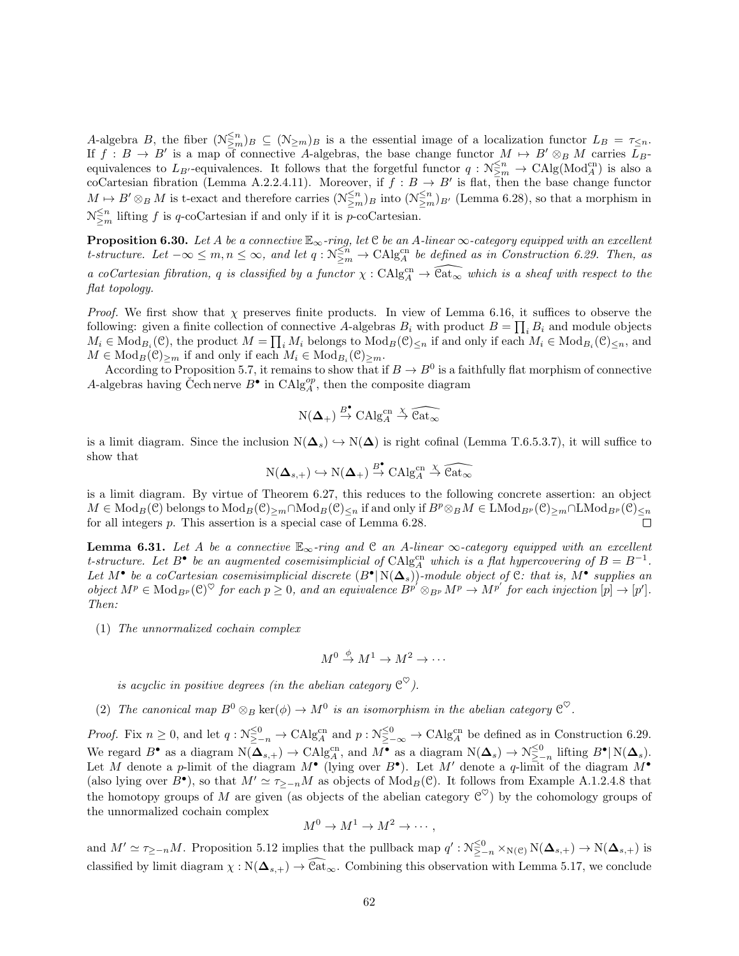A-algebra B, the fiber  $(\mathcal{N}_{\geq m}^{\leq n})_B \subseteq (\mathcal{N}_{\geq m})_B$  is a the essential image of a localization functor  $L_B = \tau_{\leq n}$ . If  $f : B \to B'$  is a map of connective A-algebras, the base change functor  $M \to B' \otimes_B M$  carries  $\overline{L}_B$ equivalences to  $L_{B'}$ -equivalences. It follows that the forgetful functor  $q : \mathcal{N}_{\geq m}^{\leq n} \to \mathrm{CAlg}(\mathrm{Mod}_{A}^{\mathrm{cn}})$  is also a coCartesian fibration (Lemma A.2.2.4.11). Moreover, if  $f : B \to B'$  is flat, then the base change functor  $M \mapsto B' \otimes_B M$  is t-exact and therefore carries  $(\mathcal{N}_{\geq m}^{\leq n})_B$  into  $(\mathcal{N}_{\geq m}^{\leq n})_{B'}$  (Lemma 6.28), so that a morphism in  $\mathcal{N}^{\leq n}_{\geq m}$  lifting f is q-coCartesian if and only if it is p-coCartesian.

**Proposition 6.30.** Let A be a connective  $\mathbb{E}_{\infty}$ -ring, let  $\mathcal C$  be an A-linear  $\infty$ -category equipped with an excellent t-structure. Let  $-\infty \leq m, n \leq \infty$ , and let  $q : \mathcal{N}_{\geq m}^{\leq n} \to \mathrm{CAlg}_{A}^{\mathrm{cn}}$  be defined as in Construction 6.29. Then, as a coCartesian fibration, q is classified by a functor  $\chi : CA \otimes_A^{\text{cn}} \to \widehat{\text{Cat}_{\infty}}$  which is a sheaf with respect to the flat topology.

*Proof.* We first show that  $\chi$  preserves finite products. In view of Lemma 6.16, it suffices to observe the following: given a finite collection of connective A-algebras  $B_i$  with product  $B = \prod_i B_i$  and module objects  $M_i \in \text{Mod}_{B_i}(\mathcal{C})$ , the product  $M = \prod_i M_i$  belongs to  $\text{Mod}_B(\mathcal{C})_{\leq n}$  if and only if each  $M_i \in \text{Mod}_{B_i}(\mathcal{C})_{\leq n}$ , and  $M \in \text{Mod}_B(\mathcal{C})_{\geq m}$  if and only if each  $M_i \in \text{Mod}_{B_i}(\mathcal{C})_{\geq m}$ .

According to Proposition 5.7, it remains to show that if  $B \to B^0$  is a faithfully flat morphism of connective A-algebras having Čech nerve  $B^{\bullet}$  in  $\mathrm{CAlg}_{A}^{op}$ , then the composite diagram

$$
N(\mathbf{\Delta}_{+}) \stackrel{B^{\bullet}}{\rightarrow} CAlg_{A}^{cn} \stackrel{\chi}{\rightarrow} \widehat{Cat}_{\infty}
$$

is a limit diagram. Since the inclusion  $N(\Delta_s) \hookrightarrow N(\Delta)$  is right cofinal (Lemma T.6.5.3.7), it will suffice to show that

 $N(\mathbf{\Delta}_{s,+}) \hookrightarrow N(\mathbf{\Delta}_{+}) \stackrel{B^{\bullet}}{\rightarrow} \mathrm{CAlg}_{A}^{\mathrm{cn}} \stackrel{\chi}{\rightarrow} \widehat{\mathrm{Cat}_{\infty}}$ 

is a limit diagram. By virtue of Theorem 6.27, this reduces to the following concrete assertion: an object  $M \in \text{Mod}_B(\mathcal{C})$  belongs to  $\text{Mod}_B(\mathcal{C})_{\geq m} \cap \text{Mod}_B(\mathcal{C})_{\leq n}$  if and only if  $B^p \otimes_B M \in \text{LMod}_{B^p}(\mathcal{C})_{\geq m} \cap \text{LMod}_{B^p}(\mathcal{C})_{\leq n}$ for all integers p. This assertion is a special case of Lemma 6.28.

**Lemma 6.31.** Let A be a connective  $\mathbb{E}_{\infty}$ -ring and C an A-linear  $\infty$ -category equipped with an excellent t-structure. Let  $B^{\bullet}$  be an augmented cosemisimplicial of CAlg<sup>cn</sup> which is a flat hypercovering of  $B = B^{-1}$ . Let M<sup>•</sup> be a coCartesian cosemisimplicial discrete  $(B^{\bullet} | N(\Delta_s))$ -module object of C: that is, M<sup>•</sup> supplies an object  $M^p \in \text{Mod}_{B^p}(\mathcal{C})^\heartsuit$  for each  $p \geq 0$ , and an equivalence  $B^{p'} \otimes_{B^p} M^p \to M^{p'}$  for each injection  $[p] \to [p']$ . Then:

(1) The unnormalized cochain complex

$$
M^0 \stackrel{\phi}{\to} M^1 \to M^2 \to \cdots
$$

is acyclic in positive degrees (in the abelian category  $\mathfrak{C}^\heartsuit$ ).

(2) The canonical map  $B^0 \otimes_B \ker(\phi) \to M^0$  is an isomorphism in the abelian category  $\mathcal{C}^{\heartsuit}$ .

*Proof.* Fix  $n \geq 0$ , and let  $q : \mathcal{N}^{\leq 0}_{\geq -n} \to \mathrm{CAlg}_{A}^{\mathrm{cn}}$  and  $p : \mathcal{N}^{\leq 0}_{\geq -\infty} \to \mathrm{CAlg}_{A}^{\mathrm{cn}}$  be defined as in Construction 6.29. We regard  $B^{\bullet}$  as a diagram  $\mathcal{N}(\mathbf{\Delta}_{s,+}) \to \mathrm{CAlg}_{A}^{\mathrm{cn}}$ , and  $M^{\bullet}$  as a diagram  $\mathcal{N}(\mathbf{\Delta}_{s}) \to \mathcal{N}_{\geq -n}^{\leq 0}$  lifting  $B^{\bullet} | \mathcal{N}(\mathbf{\Delta}_{s})$ . Let M denote a p-limit of the diagram  $M^{\bullet}$  (lying over  $B^{\bullet}$ ). Let M' denote a q-limit of the diagram  $M^{\bullet}$ (also lying over  $B^{\bullet}$ ), so that  $M' \simeq \tau_{\geq -n}M$  as objects of  $\text{Mod}_B(\mathcal{C})$ . It follows from Example A.1.2.4.8 that the homotopy groups of M are given (as objects of the abelian category  $\mathcal{C}^{\heartsuit}$ ) by the cohomology groups of the unnormalized cochain complex

$$
M^0 \to M^1 \to M^2 \to \cdots,
$$

and  $M' \simeq \tau_{\geq -n}M$ . Proposition 5.12 implies that the pullback map  $q' : \mathcal{N}_{\geq -n}^{\leq 0} \times_{\mathcal{N}(\mathcal{C})} \mathcal{N}(\mathbf{\Delta}_{s,+}) \to \mathcal{N}(\mathbf{\Delta}_{s,+})$  is classified by limit diagram  $\chi : N(\Delta_{s,+}) \to \widehat{\mathcal{C}at}_{\infty}$ . Combining this observation with Lemma 5.17, we conclude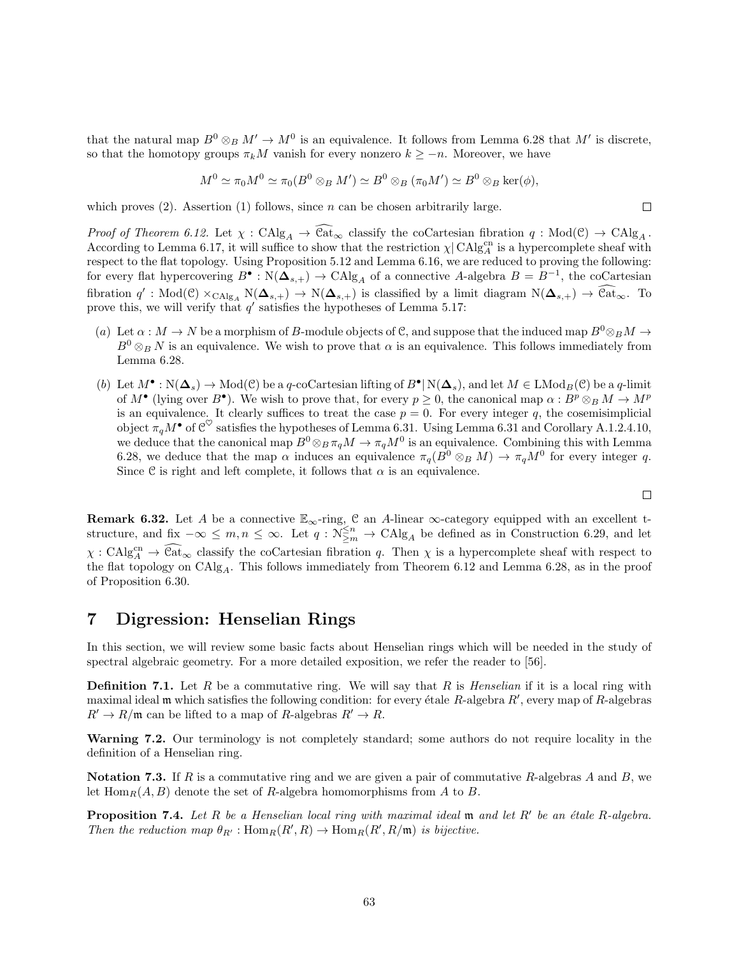that the natural map  $B^0 \otimes_B M' \to M^0$  is an equivalence. It follows from Lemma 6.28 that M' is discrete, so that the homotopy groups  $\pi_k M$  vanish for every nonzero  $k \geq -n$ . Moreover, we have

$$
M^0 \simeq \pi_0 M^0 \simeq \pi_0 (B^0 \otimes_B M') \simeq B^0 \otimes_B (\pi_0 M') \simeq B^0 \otimes_B \ker(\phi),
$$

which proves  $(2)$ . Assertion  $(1)$  follows, since n can be chosen arbitrarily large.

Proof of Theorem 6.12. Let  $\chi : \mathrm{CAlg}_A \to \widehat{\mathrm{Cat}}_{\infty}$  classify the coCartesian fibration  $q : \mathrm{Mod}(\mathcal{C}) \to \mathrm{CAlg}_A$ . According to Lemma 6.17, it will suffice to show that the restriction  $\chi$  CAlg<sub>A</sub><sup>cn</sup> is a hypercomplete sheaf with respect to the flat topology. Using Proposition 5.12 and Lemma 6.16, we are reduced to proving the following: for every flat hypercovering  $B^{\bullet}: \mathcal{N}(\Delta_{s,+}) \to \mathrm{CAlg}_A$  of a connective A-algebra  $B = B^{-1}$ , the coCartesian fibration  $q' : Mod(\mathcal{C}) \times_{\text{CAlg}_A} N(\mathbf{\Delta}_{s,+}) \to N(\mathbf{\Delta}_{s,+})$  is classified by a limit diagram  $N(\mathbf{\Delta}_{s,+}) \to \widehat{\text{Cat}}_{\infty}$ . To prove this, we will verify that  $q'$  satisfies the hypotheses of Lemma 5.17:

- (a) Let  $\alpha : M \to N$  be a morphism of B-module objects of C, and suppose that the induced map  $B^0 \otimes_B M \to$  $B^0 \otimes_B N$  is an equivalence. We wish to prove that  $\alpha$  is an equivalence. This follows immediately from Lemma 6.28.
- (b) Let  $M^{\bullet} : N(\mathbf{\Delta}_{s}) \to \text{Mod}(\mathcal{C})$  be a q-coCartesian lifting of  $B^{\bullet} \mid N(\mathbf{\Delta}_{s}),$  and let  $M \in \text{LMod}_{B}(\mathcal{C})$  be a q-limit of  $M^{\bullet}$  (lying over  $B^{\bullet}$ ). We wish to prove that, for every  $p \ge 0$ , the canonical map  $\alpha : B^p \otimes_B M \to M^p$ is an equivalence. It clearly suffices to treat the case  $p = 0$ . For every integer q, the cosemisimplicial object  $\pi_q M^{\bullet}$  of  $\mathcal{C}^{\heartsuit}$  satisfies the hypotheses of Lemma 6.31. Using Lemma 6.31 and Corollary A.1.2.4.10, we deduce that the canonical map  $B^0 \otimes_B \pi_q M \to \pi_q M^0$  is an equivalence. Combining this with Lemma 6.28, we deduce that the map  $\alpha$  induces an equivalence  $\pi_q(B^0 \otimes_B M) \to \pi_q M^0$  for every integer q. Since C is right and left complete, it follows that  $\alpha$  is an equivalence.

 $\Box$ 

 $\Box$ 

**Remark 6.32.** Let A be a connective  $\mathbb{E}_{\infty}$ -ring, C an A-linear  $\infty$ -category equipped with an excellent tstructure, and fix  $-\infty \leq m, n \leq \infty$ . Let  $q : \widetilde{\mathcal{N}}_{\geq m}^{\leq n} \to \text{CAlg}_A$  be defined as in Construction 6.29, and let  $\chi : \text{CAlg}_{A}^{\text{cn}} \to \widehat{\text{Cat}}_{\infty}$  classify the coCartesian fibration q. Then  $\chi$  is a hypercomplete sheaf with respect to the flat topology on  $CAlg_A$ . This follows immediately from Theorem 6.12 and Lemma 6.28, as in the proof of Proposition 6.30.

# 7 Digression: Henselian Rings

In this section, we will review some basic facts about Henselian rings which will be needed in the study of spectral algebraic geometry. For a more detailed exposition, we refer the reader to [56].

**Definition 7.1.** Let R be a commutative ring. We will say that R is Henselian if it is a local ring with maximal ideal  $\mathfrak m$  which satisfies the following condition: for every étale R-algebra  $R'$ , every map of R-algebras  $R' \to R/\mathfrak{m}$  can be lifted to a map of R-algebras  $R' \to R$ .

Warning 7.2. Our terminology is not completely standard; some authors do not require locality in the definition of a Henselian ring.

**Notation 7.3.** If R is a commutative ring and we are given a pair of commutative R-algebras A and B, we let  $\text{Hom}_R(A, B)$  denote the set of R-algebra homomorphisms from A to B.

**Proposition 7.4.** Let R be a Henselian local ring with maximal ideal  $\mathfrak{m}$  and let R' be an étale R-algebra. Then the reduction map  $\theta_{R'} : \text{Hom}_R(R',R) \to \text{Hom}_R(R',R/\mathfrak{m})$  is bijective.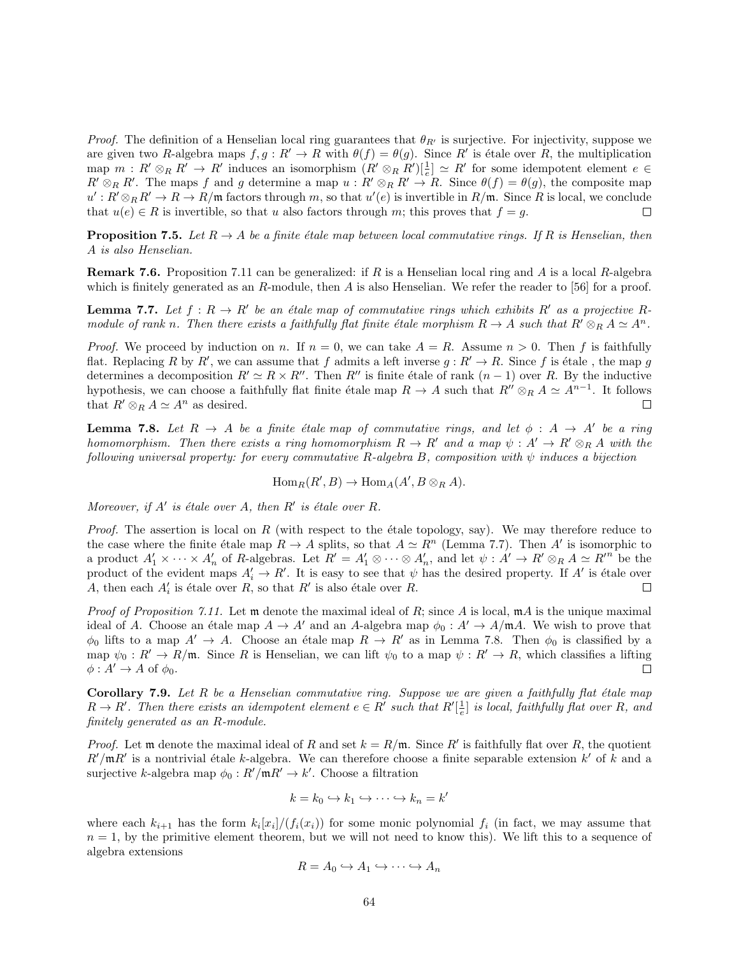*Proof.* The definition of a Henselian local ring guarantees that  $\theta_{R'}$  is surjective. For injectivity, suppose we are given two R-algebra maps  $f, g: R' \to R$  with  $\theta(f) = \theta(g)$ . Since R' is étale over R, the multiplication map  $m: R' \otimes_R R' \to R'$  induces an isomorphism  $(R' \otimes_R R')\left[\frac{1}{e}\right] \simeq R'$  for some idempotent element  $e \in$  $R' \otimes_R R'$ . The maps f and g determine a map  $u : R' \otimes_R R' \to R$ . Since  $\theta(f) = \theta(g)$ , the composite map  $u': R' \otimes_R R' \to R \to R/\mathfrak{m}$  factors through m, so that  $u'(e)$  is invertible in  $R/\mathfrak{m}$ . Since R is local, we conclude that  $u(e) \in R$  is invertible, so that u also factors through m; this proves that  $f = g$ .  $\Box$ 

**Proposition 7.5.** Let  $R \to A$  be a finite étale map between local commutative rings. If R is Henselian, then A is also Henselian.

**Remark 7.6.** Proposition 7.11 can be generalized: if R is a Henselian local ring and A is a local R-algebra which is finitely generated as an R-module, then A is also Henselian. We refer the reader to [56] for a proof.

**Lemma 7.7.** Let  $f: R \to R'$  be an étale map of commutative rings which exhibits R' as a projective Rmodule of rank n. Then there exists a faithfully flat finite étale morphism  $R \to A$  such that  $R' \otimes_R A \simeq A^n$ .

*Proof.* We proceed by induction on n. If  $n = 0$ , we can take  $A = R$ . Assume  $n > 0$ . Then f is faithfully flat. Replacing R by R', we can assume that f admits a left inverse  $g: R' \to R$ . Since f is étale, the map g determines a decomposition  $R' \simeq R \times R''$ . Then  $R''$  is finite étale of rank  $(n - 1)$  over R. By the inductive hypothesis, we can choose a faithfully flat finite étale map  $R \to A$  such that  $R'' \otimes_R A \simeq A^{n-1}$ . It follows that  $R' \otimes_R A \simeq A^n$  as desired.  $\Box$ 

**Lemma 7.8.** Let  $R \to A$  be a finite étale map of commutative rings, and let  $\phi : A \to A'$  be a ring homomorphism. Then there exists a ring homomorphism  $R \to R'$  and a map  $\psi : A' \to R' \otimes_R A$  with the following universal property: for every commutative R-algebra B, composition with  $\psi$  induces a bijection

$$
Hom_R(R', B) \to Hom_A(A', B \otimes_R A).
$$

Moreover, if  $A'$  is étale over  $A$ , then  $R'$  is étale over  $R$ .

*Proof.* The assertion is local on R (with respect to the étale topology, say). We may therefore reduce to the case where the finite étale map  $R \to A$  splits, so that  $A \simeq R^n$  (Lemma 7.7). Then A' is isomorphic to a product  $A'_1 \times \cdots \times A'_n$  of R-algebras. Let  $R' = A'_1 \otimes \cdots \otimes A'_n$ , and let  $\psi : A' \to R' \otimes_R A \simeq R'^n$  be the product of the evident maps  $A'_i \to R'$ . It is easy to see that  $\psi$  has the desired property. If A' is étale over A, then each  $A_i'$  is étale over R, so that R' is also étale over R.  $\Box$ 

*Proof of Proposition 7.11.* Let  $\mathfrak{m}$  denote the maximal ideal of R; since A is local,  $\mathfrak{m}A$  is the unique maximal ideal of A. Choose an étale map  $A \to A'$  and an A-algebra map  $\phi_0 : A' \to A/\mathfrak{m}A$ . We wish to prove that  $\phi_0$  lifts to a map  $A' \to A$ . Choose an étale map  $R \to R'$  as in Lemma 7.8. Then  $\phi_0$  is classified by a map  $\psi_0 : R' \to R/\mathfrak{m}$ . Since R is Henselian, we can lift  $\psi_0$  to a map  $\psi : R' \to R$ , which classifies a lifting  $\phi: A' \to A$  of  $\phi_0$ .  $\Box$ 

**Corollary 7.9.** Let  $R$  be a Henselian commutative ring. Suppose we are given a faithfully flat étale map  $R \to R'$ . Then there exists an idempotent element  $e \in R'$  such that  $R'[\frac{1}{e}]$  is local, faithfully flat over R, and finitely generated as an R-module.

*Proof.* Let m denote the maximal ideal of R and set  $k = R/\mathfrak{m}$ . Since R' is faithfully flat over R, the quotient  $R'/mR'$  is a nontrivial étale k-algebra. We can therefore choose a finite separable extension k' of k and a surjective k-algebra map  $\phi_0: R'/\mathfrak{m}R' \to k'$ . Choose a filtration

$$
k = k_0 \hookrightarrow k_1 \hookrightarrow \cdots \hookrightarrow k_n = k'
$$

where each  $k_{i+1}$  has the form  $k_i[x_i]/(f_i(x_i))$  for some monic polynomial  $f_i$  (in fact, we may assume that  $n = 1$ , by the primitive element theorem, but we will not need to know this). We lift this to a sequence of algebra extensions

$$
R = A_0 \hookrightarrow A_1 \hookrightarrow \cdots \hookrightarrow A_n
$$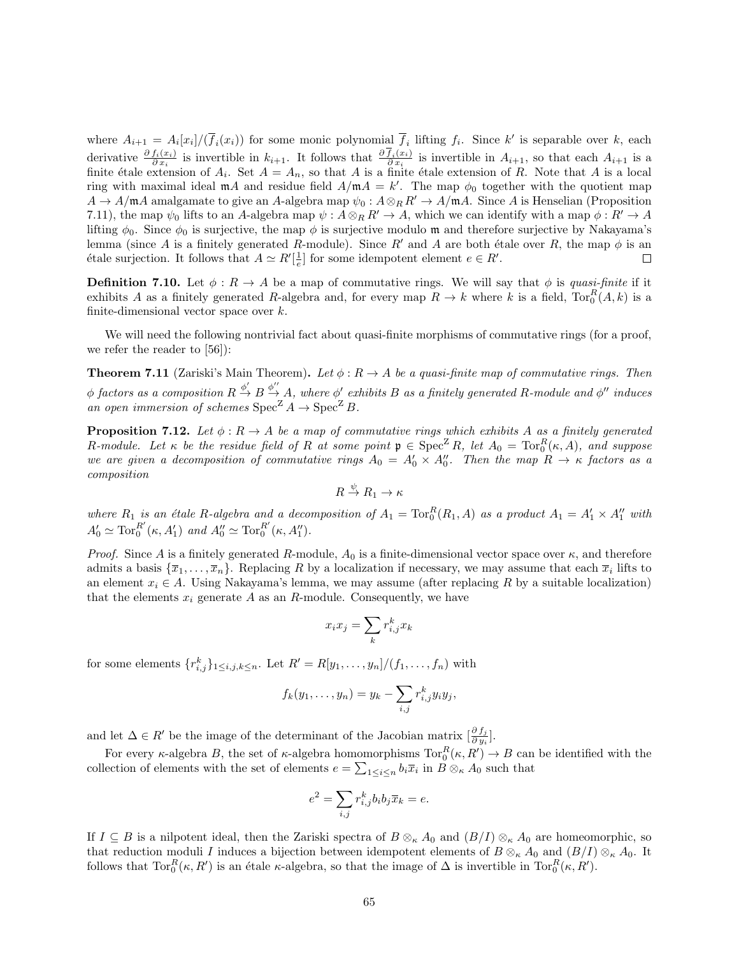where  $A_{i+1} = A_i[x_i]/(\overline{f}_i(x_i))$  for some monic polynomial  $\overline{f}_i$  lifting  $f_i$ . Since k' is separable over k, each derivative  $\frac{\partial f_i(x_i)}{\partial x_i}$  is invertible in  $k_{i+1}$ . It follows that  $\frac{\partial f_i(x_i)}{\partial x_i}$  $\frac{\partial I_i(x_i)}{\partial x_i}$  is invertible in  $A_{i+1}$ , so that each  $A_{i+1}$  is a finite étale extension of  $A_i$ . Set  $A = A_n$ , so that A is a finite étale extension of R. Note that A is a local ring with maximal ideal  $m\Lambda$  and residue field  $A/m\Lambda = k'$ . The map  $\phi_0$  together with the quotient map  $A \to A/\mathfrak{m}A$  amalgamate to give an A-algebra map  $\psi_0 : A \otimes_R R' \to A/\mathfrak{m}A$ . Since A is Henselian (Proposition 7.11), the map  $\psi_0$  lifts to an A-algebra map  $\psi : A \otimes_R R' \to A$ , which we can identify with a map  $\phi : R' \to A$ lifting  $\phi_0$ . Since  $\phi_0$  is surjective, the map  $\phi$  is surjective modulo m and therefore surjective by Nakayama's lemma (since A is a finitely generated R-module). Since R' and A are both étale over R, the map  $\phi$  is an étale surjection. It follows that  $A \simeq R'[\frac{1}{e}]$  for some idempotent element  $e \in R'$ .  $\Box$ 

**Definition 7.10.** Let  $\phi : R \to A$  be a map of commutative rings. We will say that  $\phi$  is quasi-finite if it exhibits A as a finitely generated R-algebra and, for every map  $R \to k$  where k is a field,  $\text{Tor}_0^R(A, k)$  is a finite-dimensional vector space over  $k$ .

We will need the following nontrivial fact about quasi-finite morphisms of commutative rings (for a proof, we refer the reader to [56]):

**Theorem 7.11** (Zariski's Main Theorem). Let  $\phi: R \to A$  be a quasi-finite map of commutative rings. Then  $\phi$  factors as a composition  $R\stackrel{\phi'}{\to}B\stackrel{\phi''}{\to}A,$  where  $\phi'$  exhibits  $B$  as a finitely generated  $R\text{-}module$  and  $\phi''$  induces an open immersion of schemes  $Spec^Z A \to Spec^Z B$ .

**Proposition 7.12.** Let  $\phi: R \to A$  be a map of commutative rings which exhibits A as a finitely generated R-module. Let  $\kappa$  be the residue field of R at some point  $\mathfrak{p} \in \text{Spec}^{\mathbb{Z}} R$ , let  $A_0 = \text{Tor}_0^R(\kappa, A)$ , and suppose we are given a decomposition of commutative rings  $A_0 = A'_0 \times A''_0$ . Then the map  $R \to \kappa$  factors as a composition

$$
R \stackrel{\psi}{\to} R_1 \to \kappa
$$

where  $R_1$  is an étale R-algebra and a decomposition of  $A_1 = \text{Tor}_0^R(R_1, A)$  as a product  $A_1 = A_1' \times A_1''$  with  $A'_0 \simeq \text{Tor}_0^{R'}$  $A_0^{R'}(\kappa, A_1')$  and  $A_0'' \simeq \text{Tor}_0^{R'}$  $_0^{R'}(\kappa, A_1'').$ 

*Proof.* Since A is a finitely generated R-module,  $A_0$  is a finite-dimensional vector space over  $\kappa$ , and therefore admits a basis  $\{\overline{x}_1,\ldots,\overline{x}_n\}$ . Replacing R by a localization if necessary, we may assume that each  $\overline{x}_i$  lifts to an element  $x_i \in A$ . Using Nakayama's lemma, we may assume (after replacing R by a suitable localization) that the elements  $x_i$  generate  $A$  as an  $R$ -module. Consequently, we have

$$
x_i x_j = \sum_k r_{i,j}^k x_k
$$

for some elements  $\{r_{i,j}^k\}_{1\leq i,j,k\leq n}$ . Let  $R'=R[y_1,\ldots,y_n]/(f_1,\ldots,f_n)$  with

$$
f_k(y_1,\ldots,y_n)=y_k-\sum_{i,j}r_{i,j}^ky_iy_j,
$$

and let  $\Delta \in R'$  be the image of the determinant of the Jacobian matrix  $\left[\frac{\partial f_j}{\partial y_i}\right]$ .

For every  $\kappa$ -algebra B, the set of  $\kappa$ -algebra homomorphisms  $Tor_0^R(\kappa, R') \to B$  can be identified with the collection of elements with the set of elements  $e = \sum_{1 \leq i \leq n} b_i \overline{x}_i$  in  $B \otimes_{\kappa} A_0$  such that

$$
e^2 = \sum_{i,j} r_{i,j}^k b_i b_j \overline{x}_k = e.
$$

If  $I \subseteq B$  is a nilpotent ideal, then the Zariski spectra of  $B \otimes_{\kappa} A_0$  and  $(B/I) \otimes_{\kappa} A_0$  are homeomorphic, so that reduction moduli I induces a bijection between idempotent elements of  $B \otimes_{\kappa} A_0$  and  $(B/I) \otimes_{\kappa} A_0$ . It follows that  $\text{Tor}_{0}^{R}(\kappa, R')$  is an étale  $\kappa$ -algebra, so that the image of  $\Delta$  is invertible in  $\text{Tor}_{0}^{R}(\kappa, R')$ .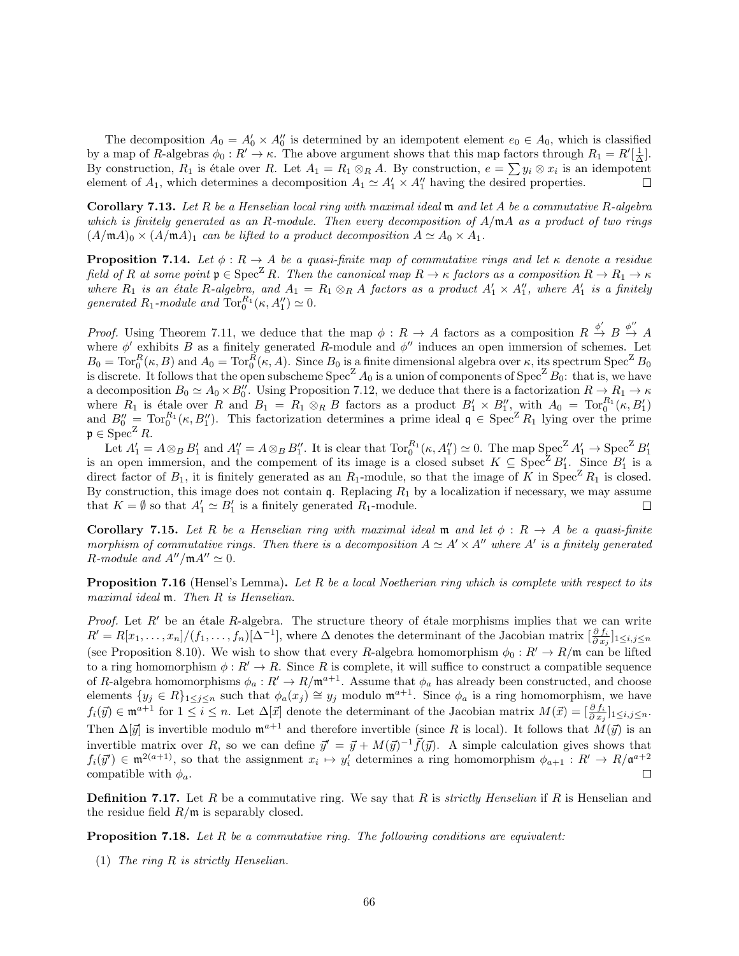The decomposition  $A_0 = A'_0 \times A''_0$  is determined by an idempotent element  $e_0 \in A_0$ , which is classified by a map of R-algebras  $\phi_0: R' \to \kappa$ . The above argument shows that this map factors through  $R_1 = R'[\frac{1}{\Delta}]$ . By construction,  $R_1$  is étale over R. Let  $A_1 = R_1 \otimes_R A$ . By construction,  $e = \sum y_i \otimes x_i$  is an idempotent element of  $A_1$ , which determines a decomposition  $A_1 \simeq A'_1 \times A''_1$  having the desired properties.  $\Box$ 

**Corollary 7.13.** Let R be a Henselian local ring with maximal ideal  $\mathfrak{m}$  and let A be a commutative R-algebra which is finitely generated as an R-module. Then every decomposition of  $A/\mathfrak{m}A$  as a product of two rings  $(A/\mathfrak{m}A)_0 \times (A/\mathfrak{m}A)_1$  can be lifted to a product decomposition  $A \simeq A_0 \times A_1$ .

**Proposition 7.14.** Let  $\phi: R \to A$  be a quasi-finite map of commutative rings and let  $\kappa$  denote a residue field of R at some point  $\mathfrak{p} \in \text{Spec}^{\mathbb{Z}} R$ . Then the canonical map  $R \to \kappa$  factors as a composition  $R \to R_1 \to \kappa$ where  $R_1$  is an étale R-algebra, and  $A_1 = R_1 \otimes_R A$  factors as a product  $A'_1 \times A''_1$ , where  $A'_1$  is a finitely generated  $R_1$ -module and  $\operatorname{Tor}_0^{R_1}(\kappa, A_1'') \simeq 0$ .

*Proof.* Using Theorem 7.11, we deduce that the map  $\phi: R \to A$  factors as a composition  $R \stackrel{\phi'}{\to} B \stackrel{\phi''}{\to} A$ where  $\phi'$  exhibits B as a finitely generated R-module and  $\phi''$  induces an open immersion of schemes. Let  $B_0 = \text{Tor}_0^R(\kappa, B)$  and  $A_0 = \text{Tor}_0^R(\kappa, A)$ . Since  $B_0$  is a finite dimensional algebra over  $\kappa$ , its spectrum  $\text{Spec}^Z B_0$ is discrete. It follows that the open subscheme  $Spec^Z A_0$  is a union of components of  $Spec^Z B_0$ : that is, we have a decomposition  $B_0 \simeq A_0 \times B_0''$ . Using Proposition 7.12, we deduce that there is a factorization  $R \to R_1 \to \kappa$ where  $R_1$  is étale over R and  $B_1 = R_1 \otimes_R B$  factors as a product  $B'_1 \times B''_1$ , with  $A_0 = \text{Tor}_0^{R_1}(\kappa, B'_1)$ and  $B_0'' = \text{Tor}_0^{R_1}(\kappa, B_1'')$ . This factorization determines a prime ideal  $\mathfrak{q} \in \text{Spec}^Z R_1$  lying over the prime  $\mathfrak{p} \in \mathrm{Spec}^{\mathbb{Z}} R$ .

Let  $A'_1 = A \otimes_B B'_1$  and  $A''_1 = A \otimes_B B''_1$ . It is clear that  $Tor_0^{R_1}(\kappa, A''_1) \simeq 0$ . The map  $Spec^Z A'_1 \rightarrow Spec^Z B'_1$ <br>is an open immersion, and the compement of its image is a closed subset  $K \subseteq Spec^Z B'_1$ . Since  $B'_1$  is a direct factor of  $B_1$ , it is finitely generated as an  $R_1$ -module, so that the image of K in Spec<sup>Z</sup>  $R_1$  is closed. By construction, this image does not contain  $\mathfrak{q}$ . Replacing  $R_1$  by a localization if necessary, we may assume that  $K = \emptyset$  so that  $A'_1 \simeq B'_1$  is a finitely generated  $R_1$ -module.  $\Box$ 

**Corollary 7.15.** Let R be a Henselian ring with maximal ideal m and let  $\phi : R \to A$  be a quasi-finite morphism of commutative rings. Then there is a decomposition  $A \simeq A' \times A''$  where A' is a finitely generated R-module and  $A''/\mathfrak{m}A'' \simeq 0$ .

**Proposition 7.16** (Hensel's Lemma). Let R be a local Noetherian ring which is complete with respect to its maximal ideal  $m$ . Then R is Henselian.

*Proof.* Let  $R'$  be an étale R-algebra. The structure theory of étale morphisms implies that we can write  $R' = R[x_1, \ldots, x_n]/(f_1, \ldots, f_n)[\Delta^{-1}]$ , where  $\Delta$  denotes the determinant of the Jacobian matrix  $\left[\frac{\partial f_i}{\partial x_j}\right]_{1 \le i, j \le n}$ (see Proposition 8.10). We wish to show that every R-algebra homomorphism  $\phi_0 : R' \to R/\mathfrak{m}$  can be lifted to a ring homomorphism  $\phi : R' \to R$ . Since R is complete, it will suffice to construct a compatible sequence of R-algebra homomorphisms  $\phi_a: R' \to R/\mathfrak{m}^{a+1}$ . Assume that  $\phi_a$  has already been constructed, and choose elements  $\{y_j \in R\}_{1 \leq j \leq n}$  such that  $\phi_a(x_j) \cong y_j$  modulo  $\mathfrak{m}^{a+1}$ . Since  $\phi_a$  is a ring homomorphism, we have  $f_i(\vec{y}) \in \mathfrak{m}^{a+1}$  for  $1 \leq i \leq n$ . Let  $\Delta[\vec{x}]$  denote the determinant of the Jacobian matrix  $M(\vec{x}) = \left[\frac{\partial f_i}{\partial x_j}\right]_{1 \leq i,j \leq n}$ . Then  $\Delta[\vec{y}]$  is invertible modulo  $\mathfrak{m}^{a+1}$  and therefore invertible (since R is local). It follows that  $M(\vec{y})$  is an invertible matrix over R, so we can define  $\vec{y}' = \vec{y} + M(\vec{y})^{-1} \vec{f}(\vec{y})$ . A simple calculation gives shows that  $f_i(\vec{y}') \in \mathfrak{m}^{2(a+1)}$ , so that the assignment  $x_i \mapsto y'_i$  determines a ring homomorphism  $\phi_{a+1}: R' \to R/\mathfrak{a}^{a+2}$ compatible with  $\phi_a$ .  $\Box$ 

**Definition 7.17.** Let R be a commutative ring. We say that R is *strictly Henselian* if R is Henselian and the residue field  $R/\mathfrak{m}$  is separably closed.

**Proposition 7.18.** Let  $R$  be a commutative ring. The following conditions are equivalent:

(1) The ring R is strictly Henselian.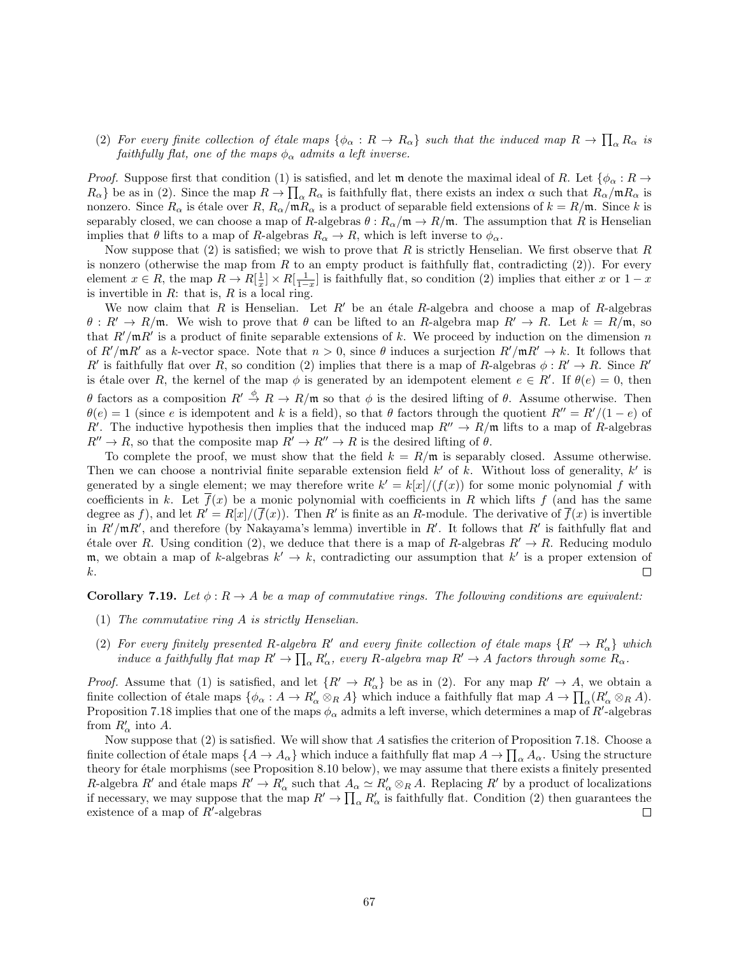(2) For every finite collection of étale maps  $\{\phi_\alpha: R \to R_\alpha\}$  such that the induced map  $R \to \prod_\alpha R_\alpha$  is faithfully flat, one of the maps  $\phi_{\alpha}$  admits a left inverse.

*Proof.* Suppose first that condition (1) is satisfied, and let  $\mathfrak{m}$  denote the maximal ideal of R. Let  $\{\phi_{\alpha}: R \to$  $R_{\alpha}$ } be as in (2). Since the map  $R \to \prod_{\alpha} R_{\alpha}$  is faithfully flat, there exists an index  $\alpha$  such that  $R_{\alpha}/mR_{\alpha}$  is nonzero. Since  $R_{\alpha}$  is étale over  $R, R_{\alpha}/mR_{\alpha}$  is a product of separable field extensions of  $k = R/m$ . Since k is separably closed, we can choose a map of R-algebras  $\theta : R_{\alpha}/m \to R/m$ . The assumption that R is Henselian implies that  $\theta$  lifts to a map of R-algebras  $R_{\alpha} \to R$ , which is left inverse to  $\phi_{\alpha}$ .

Now suppose that  $(2)$  is satisfied; we wish to prove that R is strictly Henselian. We first observe that R is nonzero (otherwise the map from  $R$  to an empty product is faithfully flat, contradicting  $(2)$ ). For every element  $x \in R$ , the map  $R \to R[\frac{1}{x}] \times R[\frac{1}{1-x}]$  is faithfully flat, so condition (2) implies that either x or  $1-x$ is invertible in  $R$ : that is,  $R$  is a local ring.

We now claim that R is Henselian. Let  $R'$  be an étale R-algebra and choose a map of R-algebras  $\theta: R' \to R/\mathfrak{m}$ . We wish to prove that  $\theta$  can be lifted to an R-algebra map  $R' \to R$ . Let  $k = R/\mathfrak{m}$ , so that  $R'/mR'$  is a product of finite separable extensions of k. We proceed by induction on the dimension n of  $R'/mR'$  as a k-vector space. Note that  $n > 0$ , since  $\theta$  induces a surjection  $R'/mR' \to k$ . It follows that R' is faithfully flat over R, so condition (2) implies that there is a map of R-algebras  $\phi: R' \to R$ . Since R' is étale over R, the kernel of the map  $\phi$  is generated by an idempotent element  $e \in R'$ . If  $\theta(e) = 0$ , then θ factors as a composition  $R' \stackrel{\phi}{\to} R \to R/\mathfrak{m}$  so that  $\phi$  is the desired lifting of θ. Assume otherwise. Then  $\theta(e) = 1$  (since e is idempotent and k is a field), so that  $\theta$  factors through the quotient  $R'' = R'/(1 - e)$  of R'. The inductive hypothesis then implies that the induced map  $R'' \to R/\mathfrak{m}$  lifts to a map of R-algebras  $R'' \to R$ , so that the composite map  $R' \to R'' \to R$  is the desired lifting of  $\theta$ .

To complete the proof, we must show that the field  $k = R/\mathfrak{m}$  is separably closed. Assume otherwise. Then we can choose a nontrivial finite separable extension field  $k'$  of k. Without loss of generality,  $k'$  is generated by a single element; we may therefore write  $k' = k|x|/(f(x))$  for some monic polynomial f with coefficients in k. Let  $\overline{f}(x)$  be a monic polynomial with coefficients in R which lifts f (and has the same degree as f), and let  $R' = R[x]/(\overline{f}(x))$ . Then R' is finite as an R-module. The derivative of  $\overline{f}(x)$  is invertible in  $R'/\mathfrak{m}R'$ , and therefore (by Nakayama's lemma) invertible in  $R'$ . It follows that  $R'$  is faithfully flat and étale over R. Using condition (2), we deduce that there is a map of R-algebras  $R' \rightarrow R$ . Reducing modulo m, we obtain a map of k-algebras  $k' \to k$ , contradicting our assumption that k' is a proper extension of k.  $\Box$ 

**Corollary 7.19.** Let  $\phi: R \to A$  be a map of commutative rings. The following conditions are equivalent:

- (1) The commutative ring A is strictly Henselian.
- (2) For every finitely presented R-algebra R' and every finite collection of étale maps  $\{R' \to R'_\alpha\}$  which induce a faithfully flat map  $R' \to \prod_{\alpha} R'_{\alpha}$ , every R-algebra map  $R' \to A$  factors through some  $R_{\alpha}$ .

*Proof.* Assume that (1) is satisfied, and let  $\{R' \to R'_\n\}$  be as in (2). For any map  $R' \to A$ , we obtain a finite collection of étale maps  $\{\phi_{\alpha} : A \to R'_{\alpha} \otimes_R A\}$  which induce a faithfully flat map  $A \to \prod_{\alpha} (R'_{\alpha} \otimes_R A)$ . Proposition 7.18 implies that one of the maps  $\phi_\alpha$  admits a left inverse, which determines a map of  $R'$ -algebras from  $R'_\alpha$  into A.

Now suppose that (2) is satisfied. We will show that A satisfies the criterion of Proposition 7.18. Choose a finite collection of étale maps  $\{A \to A_\alpha\}$  which induce a faithfully flat map  $A \to \prod_\alpha A_\alpha$ . Using the structure theory for étale morphisms (see Proposition 8.10 below), we may assume that there exists a finitely presented R-algebra R' and étale maps  $R' \to R'_\alpha$  such that  $A_\alpha \simeq R'_\alpha \otimes_R A$ . Replacing R' by a product of localizations if necessary, we may suppose that the map  $R' \to \prod_{\alpha} R'_{\alpha}$  is faithfully flat. Condition (2) then guarantees the existence of a map of  $R'$ -algebras  $\Box$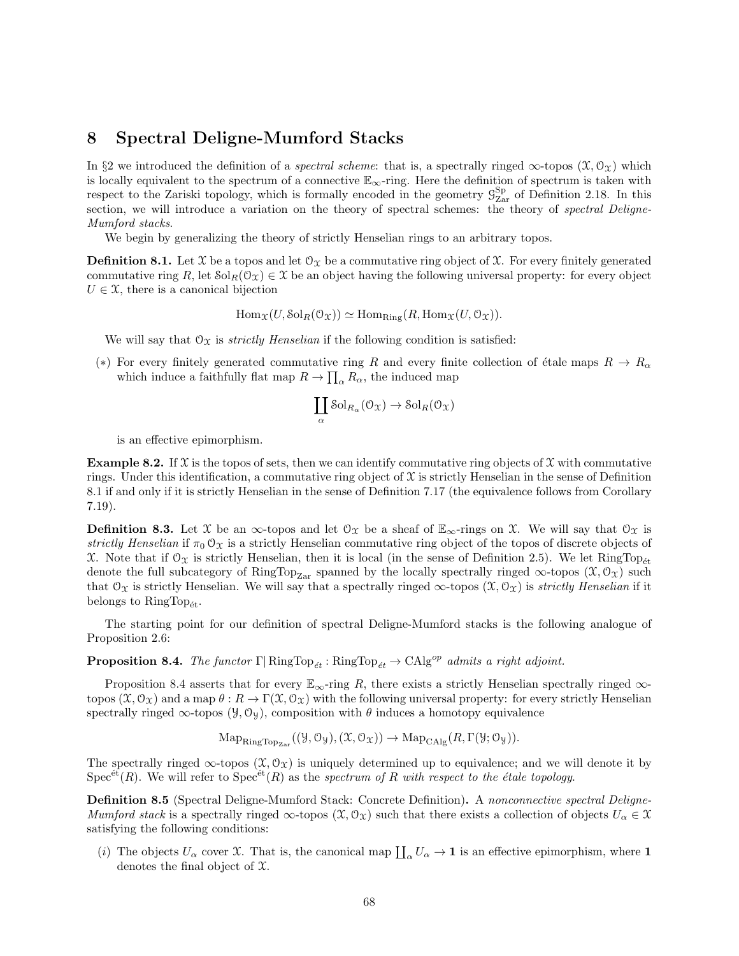## 8 Spectral Deligne-Mumford Stacks

In §2 we introduced the definition of a *spectral scheme*: that is, a spectrally ringed  $\infty$ -topos  $(\mathfrak{X}, \mathfrak{O}_{\mathfrak{X}})$  which is locally equivalent to the spectrum of a connective  $\mathbb{E}_{\infty}$ -ring. Here the definition of spectrum is taken with respect to the Zariski topology, which is formally encoded in the geometry  $\mathcal{G}_{\text{Zar}}^{\text{Sp}}$  of Definition 2.18. In this section, we will introduce a variation on the theory of spectral schemes: the theory of spectral Deligne-Mumford stacks.

We begin by generalizing the theory of strictly Henselian rings to an arbitrary topos.

**Definition 8.1.** Let X be a topos and let  $\mathcal{O}_\mathcal{X}$  be a commutative ring object of X. For every finitely generated commutative ring R, let  $\text{Sol}_R(\mathcal{O}_\mathfrak{X}) \in \mathfrak{X}$  be an object having the following universal property: for every object  $U \in \mathfrak{X}$ , there is a canonical bijection

$$
\text{Hom}_{\mathfrak{X}}(U, \text{Sol}_R(\mathcal{O}_{\mathfrak{X}})) \simeq \text{Hom}_{\text{Ring}}(R, \text{Hom}_{\mathfrak{X}}(U, \mathcal{O}_{\mathfrak{X}})).
$$

We will say that  $\mathcal{O}_{\mathfrak{X}}$  is *strictly Henselian* if the following condition is satisfied:

(\*) For every finitely generated commutative ring R and every finite collection of étale maps  $R \to R_{\alpha}$ which induce a faithfully flat map  $R \to \prod_{\alpha} R_{\alpha}$ , the induced map

$$
\coprod_{\alpha} \text{Sol}_{R_{\alpha}}(\mathcal{O}_{\mathfrak{X}}) \to \text{Sol}_{R}(\mathcal{O}_{\mathfrak{X}})
$$

is an effective epimorphism.

**Example 8.2.** If  $\mathcal{X}$  is the topos of sets, then we can identify commutative ring objects of  $\mathcal{X}$  with commutative rings. Under this identification, a commutative ring object of  $\mathfrak X$  is strictly Henselian in the sense of Definition 8.1 if and only if it is strictly Henselian in the sense of Definition 7.17 (the equivalence follows from Corollary 7.19).

**Definition 8.3.** Let X be an  $\infty$ -topos and let  $\mathcal{O}_\mathcal{X}$  be a sheaf of  $\mathbb{E}_{\infty}$ -rings on X. We will say that  $\mathcal{O}_\mathcal{X}$  is strictly Henselian if  $\pi_0 \mathcal{O}_\mathfrak{X}$  is a strictly Henselian commutative ring object of the topos of discrete objects of X. Note that if  $\mathcal{O}_X$  is strictly Henselian, then it is local (in the sense of Definition 2.5). We let RingTop<sub>et</sub> denote the full subcategory of RingTop<sub>Zar</sub> spanned by the locally spectrally ringed  $\infty$ -topos  $(\mathfrak{X}, \mathcal{O}_{\mathfrak{X}})$  such that  $\mathcal{O}_X$  is strictly Henselian. We will say that a spectrally ringed  $\infty$ -topos  $(\mathcal{X}, \mathcal{O}_X)$  is strictly Henselian if it belongs to  $\text{RingTop}_{\text{\'et}}$ .

The starting point for our definition of spectral Deligne-Mumford stacks is the following analogue of Proposition 2.6:

**Proposition 8.4.** The functor  $\Gamma | \text{RingTop}_{\acute{e}t} : \text{RingTop}_{\acute{e}t} \to \text{CAlg}^{op}$  admits a right adjoint.

Proposition 8.4 asserts that for every  $\mathbb{E}_{\infty}$ -ring R, there exists a strictly Henselian spectrally ringed  $\infty$ topos  $(\mathfrak{X}, \mathfrak{O}_{\mathfrak{X}})$  and a map  $\theta : R \to \Gamma(\mathfrak{X}, \mathfrak{O}_{\mathfrak{X}})$  with the following universal property: for every strictly Henselian spectrally ringed  $\infty$ -topos ( $\mathcal{Y}, \mathcal{O}_{\mathcal{Y}}$ ), composition with  $\theta$  induces a homotopy equivalence

$$
\mathrm{Map}_{\mathrm{RingTop}_{\mathrm{Zar}}}((\mathcal{Y}, \mathcal{O}_{\mathcal{Y}}), (\mathcal{X}, \mathcal{O}_{\mathcal{X}})) \to \mathrm{Map}_{\mathrm{CAlg}}(R, \Gamma(\mathcal{Y}; \mathcal{O}_{\mathcal{Y}})).
$$

The spectrally ringed  $\infty$ -topos  $(\mathfrak{X}, \mathcal{O}_{\mathfrak{X}})$  is uniquely determined up to equivalence; and we will denote it by  $Spec<sup>ét</sup>(R)$ . We will refer to  $Spec<sup>ét</sup>(R)$  as the spectrum of R with respect to the étale topology.

Definition 8.5 (Spectral Deligne-Mumford Stack: Concrete Definition). A nonconnective spectral Deligne-Mumford stack is a spectrally ringed  $\infty$ -topos  $(\mathfrak{X}, \mathfrak{O}_{\mathfrak{X}})$  such that there exists a collection of objects  $U_{\alpha} \in \mathfrak{X}$ satisfying the following conditions:

(i) The objects  $U_{\alpha}$  cover X. That is, the canonical map  $\prod_{\alpha} U_{\alpha} \to \mathbf{1}$  is an effective epimorphism, where  $\mathbf{1}$ denotes the final object of X.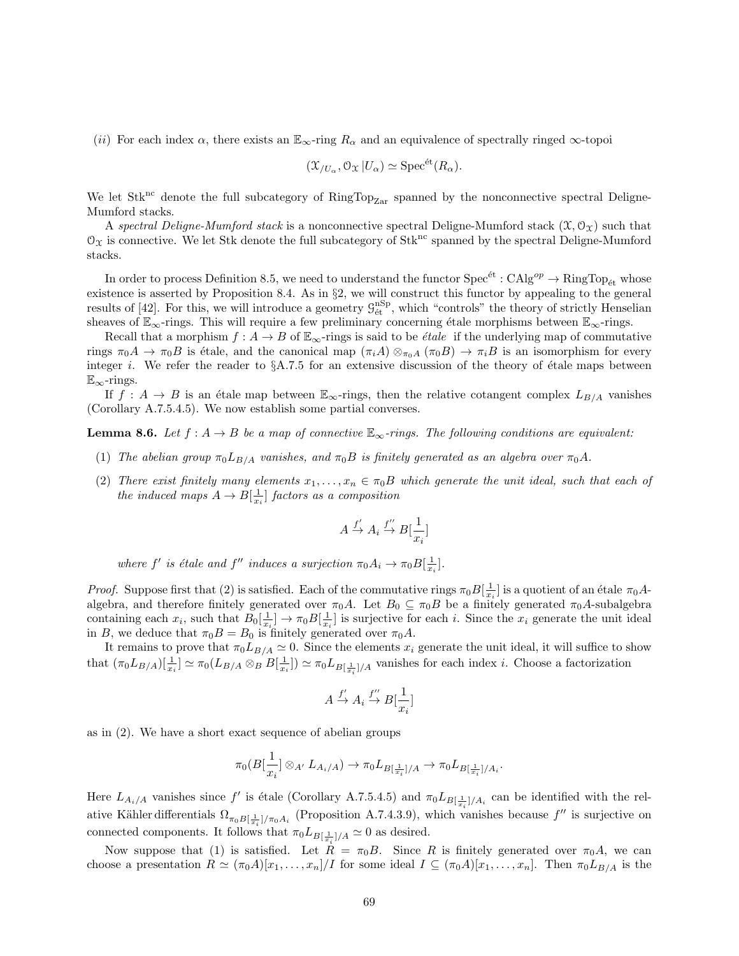(ii) For each index  $\alpha$ , there exists an  $\mathbb{E}_{\infty}$ -ring  $R_{\alpha}$  and an equivalence of spectrally ringed  $\infty$ -topoi

$$
(\mathfrak{X}_{/U_{\alpha}}, \mathfrak{O}_{\mathfrak{X}} | U_{\alpha}) \simeq \mathrm{Spec}^{\mathrm{\acute{e}t}}(R_{\alpha}).
$$

We let  $Stk^{nc}$  denote the full subcategory of  $RingTop_{Zar}$  spanned by the nonconnective spectral Deligne-Mumford stacks.

A spectral Deligne-Mumford stack is a nonconnective spectral Deligne-Mumford stack  $(\mathfrak{X}, \mathfrak{O}_{\mathfrak{X}})$  such that  $\mathcal{O}_X$  is connective. We let Stk denote the full subcategory of Stk<sup>nc</sup> spanned by the spectral Deligne-Mumford stacks.

In order to process Definition 8.5, we need to understand the functor  $Spec^{et}:CAlg^{op}\to RingTop_{\acute{e}t}$  whose existence is asserted by Proposition 8.4. As in §2, we will construct this functor by appealing to the general results of [42]. For this, we will introduce a geometry  $\mathcal{G}_{\text{\'et}}^{\text{nSp}}$ , which "controls" the theory of strictly Henselian sheaves of  $\mathbb{E}_{\infty}$ -rings. This will require a few preliminary concerning étale morphisms between  $\mathbb{E}_{\infty}$ -rings.

Recall that a morphism  $f : A \to B$  of  $\mathbb{E}_{\infty}$ -rings is said to be *étale* if the underlying map of commutative rings  $\pi_0 A \to \pi_0 B$  is étale, and the canonical map  $(\pi_i A) \otimes_{\pi_0 A} (\pi_0 B) \to \pi_i B$  is an isomorphism for every integer i. We refer the reader to  $\S$ A.7.5 for an extensive discussion of the theory of étale maps between  $\mathbb{E}_{\infty}$ -rings.

If  $f : A \to B$  is an étale map between  $\mathbb{E}_{\infty}$ -rings, then the relative cotangent complex  $L_{B/A}$  vanishes (Corollary A.7.5.4.5). We now establish some partial converses.

**Lemma 8.6.** Let  $f : A \to B$  be a map of connective  $\mathbb{E}_{\infty}$ -rings. The following conditions are equivalent:

- (1) The abelian group  $\pi_0 L_{B/A}$  vanishes, and  $\pi_0 B$  is finitely generated as an algebra over  $\pi_0 A$ .
- (2) There exist finitely many elements  $x_1, \ldots, x_n \in \pi_0 B$  which generate the unit ideal, such that each of the induced maps  $A \to B[\frac{1}{x_i}]$  factors as a composition

$$
A \xrightarrow{f'} A_i \xrightarrow{f''} B[\frac{1}{x_i}]
$$

where  $f'$  is étale and  $f''$  induces a surjection  $\pi_0 A_i \to \pi_0 B[\frac{1}{x_i}].$ 

*Proof.* Suppose first that (2) is satisfied. Each of the commutative rings  $\pi_0 B[\frac{1}{x_i}]$  is a quotient of an étale  $\pi_0 A$ algebra, and therefore finitely generated over  $\pi_0 A$ . Let  $B_0 \subseteq \pi_0 B$  be a finitely generated  $\pi_0 A$ -subalgebra containing each  $x_i$ , such that  $B_0[\frac{1}{x_i}] \to \pi_0 B[\frac{1}{x_i}]$  is surjective for each *i*. Since the  $x_i$  generate the unit ideal in B, we deduce that  $\pi_0B = B_0$  is finitely generated over  $\pi_0A$ .

It remains to prove that  $\pi_0 L_{B/A} \simeq 0$ . Since the elements  $x_i$  generate the unit ideal, it will suffice to show that  $(\pi_0 L_{B/A})[\frac{1}{x_i}] \simeq \pi_0(L_{B/A} \otimes_B B[\frac{1}{x_i}]) \simeq \pi_0 L_{B[\frac{1}{x_i}]/A}$  vanishes for each index *i*. Choose a factorization

$$
A\stackrel{f'}{\to}A_i\stackrel{f''}{\to}B[\frac{1}{x_i}]
$$

as in (2). We have a short exact sequence of abelian groups

$$
\pi_0(B[\frac{1}{x_i}]\otimes_{A'} L_{A_i/A}) \to \pi_0L_{B[\frac{1}{x_i}]/A} \to \pi_0L_{B[\frac{1}{x_i}]/A_i}.
$$

Here  $L_{A_i/A}$  vanishes since f' is étale (Corollary A.7.5.4.5) and  $\pi_0 L_{B[\frac{1}{x_i}]/A_i}$  can be identified with the relative Kähler differentials  $\Omega_{\pi_0B[\frac{1}{x_i}]/\pi_0A_i}$  (Proposition A.7.4.3.9), which vanishes because  $f''$  is surjective on connected components. It follows that  $\pi_0 L_{B[\frac{1}{x_i}]/A} \simeq 0$  as desired.

Now suppose that (1) is satisfied. Let  $R = \pi_0 B$ . Since R is finitely generated over  $\pi_0 A$ , we can choose a presentation  $R \simeq (\pi_0 A)[x_1, \ldots, x_n]/I$  for some ideal  $I \subseteq (\pi_0 A)[x_1, \ldots, x_n]$ . Then  $\pi_0 L_{B/A}$  is the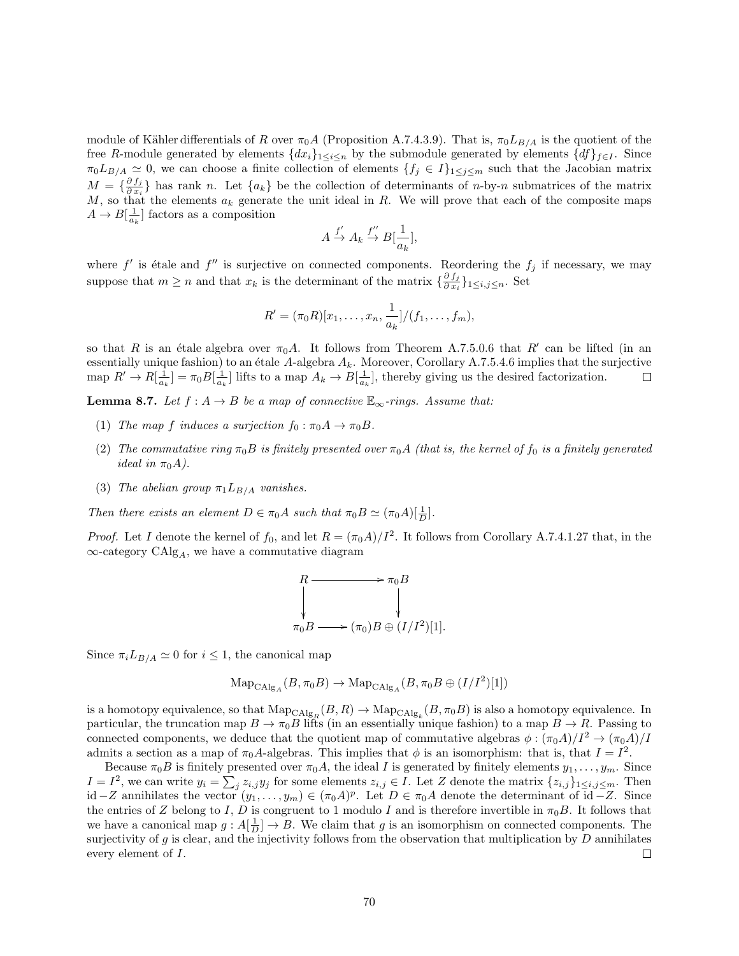module of Kähler differentials of R over  $\pi_0A$  (Proposition A.7.4.3.9). That is,  $\pi_0L_{B/A}$  is the quotient of the free R-module generated by elements  $\{dx_i\}_{1\leq i\leq n}$  by the submodule generated by elements  $\{df\}_{f\in I}$ . Since  $\pi_0 L_{B/A} \simeq 0$ , we can choose a finite collection of elements  $\{f_j \in I\}_{1 \leq j \leq m}$  such that the Jacobian matrix  $M = \frac{\partial f_j}{\partial x_i}$  $\frac{\partial J_i}{\partial x_i}$  has rank n. Let  $\{a_k\}$  be the collection of determinants of n-by-n submatrices of the matrix M, so that the elements  $a_k$  generate the unit ideal in R. We will prove that each of the composite maps  $A \to B[\frac{1}{a_k}]$  factors as a composition

$$
A \xrightarrow{f'} A_k \xrightarrow{f''} B[\frac{1}{a_k}],
$$

where  $f'$  is étale and  $f''$  is surjective on connected components. Reordering the  $f_j$  if necessary, we may suppose that  $m \geq n$  and that  $x_k$  is the determinant of the matrix  $\{\frac{\partial f_j}{\partial x_k}$  $\frac{\partial f_j}{\partial x_i}\}_{1\leq i,j\leq n}$ . Set

$$
R' = (\pi_0 R)[x_1, \dots, x_n, \frac{1}{a_k}]/(f_1, \dots, f_m),
$$

so that R is an étale algebra over  $\pi_0 A$ . It follows from Theorem A.7.5.0.6 that R' can be lifted (in an essentially unique fashion) to an étale A-algebra  $A_k$ . Moreover, Corollary A.7.5.4.6 implies that the surjective map  $R' \to R[\frac{1}{a_k}] = \pi_0 B[\frac{1}{a_k}]$  lifts to a map  $A_k \to B[\frac{1}{a_k}]$ , thereby giving us the desired factorization.  $\Box$ 

**Lemma 8.7.** Let  $f : A \to B$  be a map of connective  $\mathbb{E}_{\infty}$ -rings. Assume that:

- (1) The map f induces a surjection  $f_0 : \pi_0 A \to \pi_0 B$ .
- (2) The commutative ring  $\pi_0 B$  is finitely presented over  $\pi_0 A$  (that is, the kernel of  $f_0$  is a finitely generated ideal in  $\pi_0 A$ ).
- (3) The abelian group  $\pi_1 L_{B/A}$  vanishes.

Then there exists an element  $D \in \pi_0 A$  such that  $\pi_0 B \simeq (\pi_0 A)[\frac{1}{D}]$ .

*Proof.* Let I denote the kernel of  $f_0$ , and let  $R = (\pi_0 A)/I^2$ . It follows from Corollary A.7.4.1.27 that, in the  $\infty$ -category CAlg<sub>A</sub>, we have a commutative diagram

$$
R \longrightarrow \pi_0 B
$$
  
\n
$$
\downarrow
$$
  
\n
$$
\pi_0 B \longrightarrow (\pi_0) B \oplus (I/I^2)[1].
$$

Since  $\pi_i L_{B/A} \simeq 0$  for  $i \leq 1$ , the canonical map

$$
\text{Map}_{\text{CAlg}_A}(B, \pi_0 B) \to \text{Map}_{\text{CAlg}_A}(B, \pi_0 B \oplus (I/I^2)[1])
$$

is a homotopy equivalence, so that  $\mathrm{Map}_{\mathrm{CAlg}_R}(B, R) \to \mathrm{Map}_{\mathrm{CAlg}_k}(B, \pi_0 B)$  is also a homotopy equivalence. In particular, the truncation map  $B \to \pi_0 B$  lifts (in an essentially unique fashion) to a map  $B \to R$ . Passing to connected components, we deduce that the quotient map of commutative algebras  $\phi : (\pi_0 A)/I^2 \to (\pi_0 A)/I$ admits a section as a map of  $\pi_0 A$ -algebras. This implies that  $\phi$  is an isomorphism: that is, that  $I = I^2$ .

Because  $\pi_0B$  is finitely presented over  $\pi_0A$ , the ideal I is generated by finitely elements  $y_1, \ldots, y_m$ . Since  $I = I^2$ , we can write  $y_i = \sum_j z_{i,j} y_j$  for some elements  $z_{i,j} \in I$ . Let Z denote the matrix  $\{z_{i,j}\}_{1 \le i,j \le m}$ . Then id −Z annihilates the vector  $(y_1, \ldots, y_m) \in (\pi_0 A)^p$ . Let  $D \in \pi_0 A$  denote the determinant of id −Z. Since the entries of Z belong to I, D is congruent to 1 modulo I and is therefore invertible in  $\pi_0 B$ . It follows that we have a canonical map  $g: A[\frac{1}{D}] \to B$ . We claim that g is an isomorphism on connected components. The surjectivity of g is clear, and the injectivity follows from the observation that multiplication by  $D$  annihilates every element of I.  $\Box$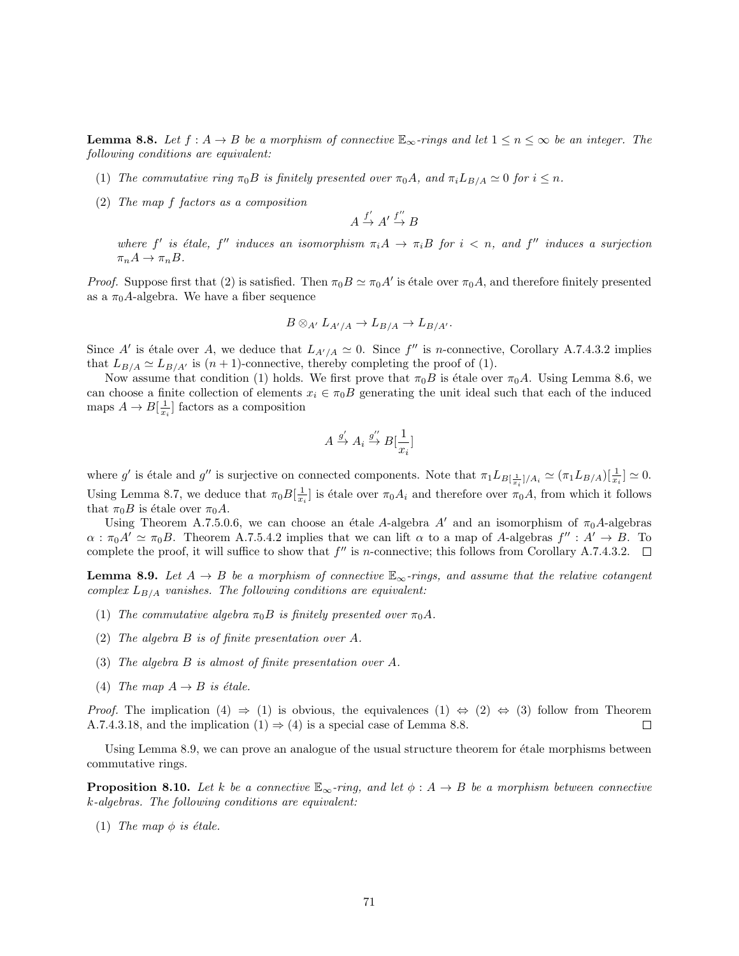**Lemma 8.8.** Let  $f : A \to B$  be a morphism of connective  $\mathbb{E}_{\infty}$ -rings and let  $1 \leq n \leq \infty$  be an integer. The following conditions are equivalent:

- (1) The commutative ring  $\pi_0 B$  is finitely presented over  $\pi_0 A$ , and  $\pi_i L_{B/A} \simeq 0$  for  $i \leq n$ .
- (2) The map f factors as a composition

$$
A \xrightarrow{f'} A' \xrightarrow{f''} B
$$

where f' is étale, f'' induces an isomorphism  $\pi_i A \to \pi_i B$  for  $i < n$ , and f'' induces a surjection  $\pi_n A \to \pi_n B$ .

*Proof.* Suppose first that (2) is satisfied. Then  $\pi_0 B \simeq \pi_0 A'$  is étale over  $\pi_0 A$ , and therefore finitely presented as a  $\pi_0A$ -algebra. We have a fiber sequence

$$
B\otimes_{A'} L_{A'/A} \to L_{B/A} \to L_{B/A'}.
$$

Since A' is étale over A, we deduce that  $L_{A'/A} \simeq 0$ . Since  $f''$  is *n*-connective, Corollary A.7.4.3.2 implies that  $L_{B/A} \simeq L_{B/A'}$  is  $(n+1)$ -connective, thereby completing the proof of (1).

Now assume that condition (1) holds. We first prove that  $\pi_0 B$  is étale over  $\pi_0 A$ . Using Lemma 8.6, we can choose a finite collection of elements  $x_i \in \pi_0B$  generating the unit ideal such that each of the induced maps  $A \to B[\frac{1}{x_i}]$  factors as a composition

$$
A \xrightarrow{g'} A_i \xrightarrow{g''} B[\frac{1}{x_i}]
$$

where g' is étale and g'' is surjective on connected components. Note that  $\pi_1 L_{B[\frac{1}{x_i}]/A_i} \simeq (\pi_1 L_{B/A})[\frac{1}{x_i}] \simeq 0$ . Using Lemma 8.7, we deduce that  $\pi_0 B[\frac{1}{x_i}]$  is étale over  $\pi_0 A_i$  and therefore over  $\pi_0 A$ , from which it follows that  $\pi_0 B$  is étale over  $\pi_0 A$ .

Using Theorem A.7.5.0.6, we can choose an étale A-algebra A' and an isomorphism of  $\pi_0A$ -algebras  $\alpha$ :  $\pi_0 A' \simeq \pi_0 B$ . Theorem A.7.5.4.2 implies that we can lift  $\alpha$  to a map of A-algebras  $f'' : A' \to B$ . To complete the proof, it will suffice to show that  $f''$  is n-connective; this follows from Corollary A.7.4.3.2.

**Lemma 8.9.** Let  $A \rightarrow B$  be a morphism of connective  $\mathbb{E}_{\infty}$ -rings, and assume that the relative cotangent complex  $L_{B/A}$  vanishes. The following conditions are equivalent:

- (1) The commutative algebra  $\pi_0 B$  is finitely presented over  $\pi_0 A$ .
- (2) The algebra B is of finite presentation over A.
- (3) The algebra B is almost of finite presentation over A.
- (4) The map  $A \rightarrow B$  is étale.

*Proof.* The implication (4)  $\Rightarrow$  (1) is obvious, the equivalences (1)  $\Leftrightarrow$  (2)  $\Leftrightarrow$  (3) follow from Theorem A.7.4.3.18, and the implication  $(1) \Rightarrow (4)$  is a special case of Lemma 8.8.  $\Box$ 

Using Lemma 8.9, we can prove an analogue of the usual structure theorem for étale morphisms between commutative rings.

**Proposition 8.10.** Let k be a connective  $\mathbb{E}_{\infty}$ -ring, and let  $\phi : A \to B$  be a morphism between connective k-algebras. The following conditions are equivalent:

(1) The map  $\phi$  is étale.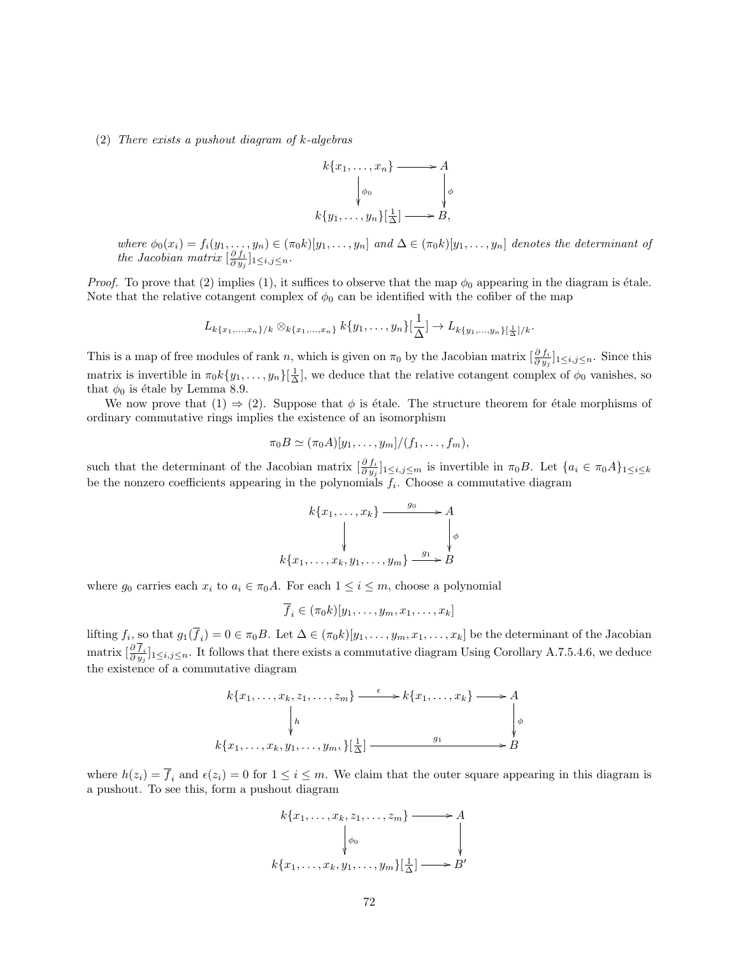#### (2) There exists a pushout diagram of k-algebras



where  $\phi_0(x_i) = f_i(y_1, \ldots, y_n) \in (\pi_0 k)[y_1, \ldots, y_n]$  and  $\Delta \in (\pi_0 k)[y_1, \ldots, y_n]$  denotes the determinant of the Jacobian matrix  $\left[\frac{\partial f_i}{\partial y_j}\right]_{1\leq i,j\leq n}$ .

*Proof.* To prove that (2) implies (1), it suffices to observe that the map  $\phi_0$  appearing in the diagram is étale. Note that the relative cotangent complex of  $\phi_0$  can be identified with the cofiber of the map

$$
L_{k\{x_1,\ldots,x_n\}/k} \otimes_{k\{x_1,\ldots,x_n\}} k\{y_1,\ldots,y_n\}[\frac{1}{\Delta}] \to L_{k\{y_1,\ldots,y_n\}[\frac{1}{\Delta}]/k}.
$$

This is a map of free modules of rank n, which is given on  $\pi_0$  by the Jacobian matrix  $\left[\frac{\partial f_i}{\partial y_j}\right]_{1\leq i,j\leq n}$ . Since this matrix is invertible in  $\pi_0 k \{y_1, \ldots, y_n\}[\frac{1}{\Delta}],$  we deduce that the relative cotangent complex of  $\phi_0$  vanishes, so that  $\phi_0$  is étale by Lemma 8.9.

We now prove that  $(1) \Rightarrow (2)$ . Suppose that  $\phi$  is étale. The structure theorem for étale morphisms of ordinary commutative rings implies the existence of an isomorphism

$$
\pi_0 B \simeq (\pi_0 A)[y_1,\ldots,y_m]/(f_1,\ldots,f_m),
$$

such that the determinant of the Jacobian matrix  $\left[\frac{\partial f_i}{\partial y_j}\right]_{1\leq i,j\leq m}$  is invertible in  $\pi_0B$ . Let  $\{a_i \in \pi_0A\}_{1\leq i\leq k}$ be the nonzero coefficients appearing in the polynomials  $f_i$ . Choose a commutative diagram

$$
k\{x_1, \ldots, x_k\} \xrightarrow{g_0} A
$$
  
\n
$$
\downarrow \qquad \qquad \downarrow
$$
  
\n
$$
k\{x_1, \ldots, x_k, y_1, \ldots, y_m\} \xrightarrow{g_1} B
$$

where  $g_0$  carries each  $x_i$  to  $a_i \in \pi_0 A$ . For each  $1 \leq i \leq m$ , choose a polynomial

 $\overline{f}_i \in (\pi_0 k)[y_1, \ldots, y_m, x_1, \ldots, x_k]$ 

lifting  $f_i$ , so that  $g_1(f_i) = 0 \in \pi_0 B$ . Let  $\Delta \in (\pi_0 k)[y_1, \ldots, y_m, x_1, \ldots, x_k]$  be the determinant of the Jacobian matrix  $\left[\frac{\partial f_i}{\partial y_j}\right]_{1\leq i,j\leq n}$ . It follows that there exists a commutative diagram Using Corollary A.7.5.4.6, we deduce the existence of a commutative diagram



where  $h(z_i) = \overline{f}_i$  and  $\epsilon(z_i) = 0$  for  $1 \leq i \leq m$ . We claim that the outer square appearing in this diagram is a pushout. To see this, form a pushout diagram

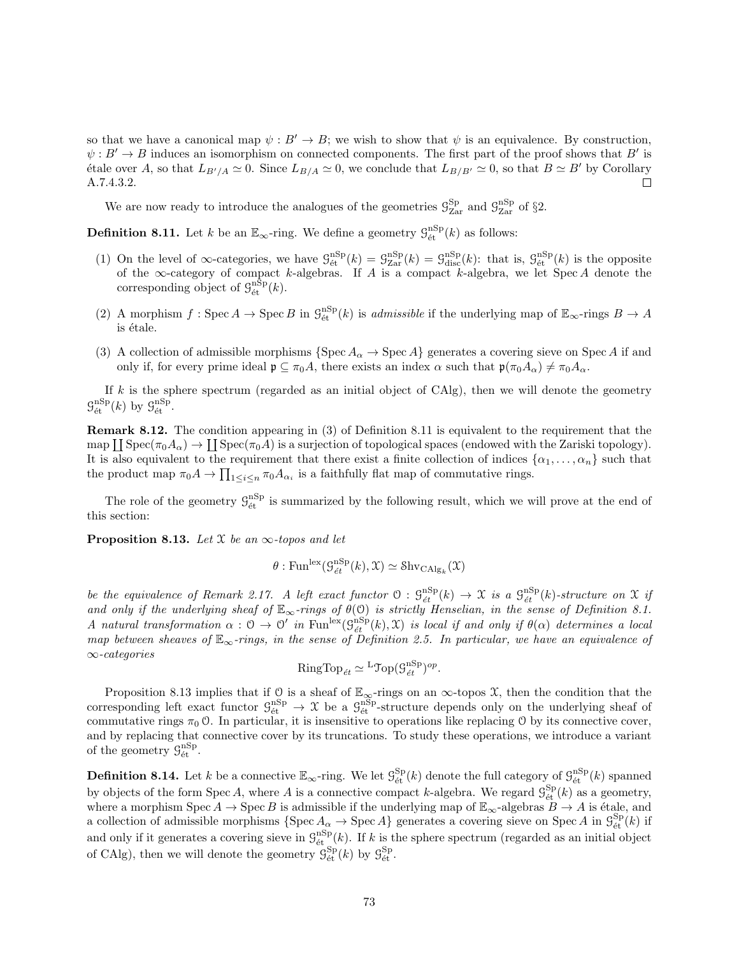so that we have a canonical map  $\psi : B' \to B$ ; we wish to show that  $\psi$  is an equivalence. By construction,  $\psi: B' \to B$  induces an isomorphism on connected components. The first part of the proof shows that B' is étale over A, so that  $L_{B'/A} \simeq 0$ . Since  $L_{B/A} \simeq 0$ , we conclude that  $L_{B/B'} \simeq 0$ , so that  $B \simeq B'$  by Corollary A.7.4.3.2.  $\Box$ 

We are now ready to introduce the analogues of the geometries  $\mathcal{G}_{Zar}^{Sp}$  and  $\mathcal{G}_{Zar}^{nSp}$  of §2.

**Definition 8.11.** Let k be an  $\mathbb{E}_{\infty}$ -ring. We define a geometry  $\mathcal{G}_{\text{\'et}}^{\text{nSp}}(k)$  as follows:

- (1) On the level of  $\infty$ -categories, we have  $\mathcal{G}_{\text{\'et}}^{\text{nSp}}(k) = \mathcal{G}_{\text{Zar}}^{\text{nSp}}(k) = \mathcal{G}_{\text{disc}}^{\text{nSp}}(k)$ : that is,  $\mathcal{G}_{\text{\'et}}^{\text{nSp}}(k)$  is the opposite of the  $\infty$ -category of compact k-algebras. If A is a compact k-algebra, we let Spec A denote the corresponding object of  $\mathcal{G}_{\text{\'et}}^{\text{nSp}}(k)$ .
- (2) A morphism  $f: \operatorname{Spec} A \to \operatorname{Spec} B$  in  $\mathcal{G}_{\text{\'et}}^{\text{nSp}}(k)$  is admissible if the underlying map of  $\mathbb{E}_{\infty}$ -rings  $B \to A$ is étale.
- (3) A collection of admissible morphisms  $\{Spec A_{\alpha} \to Spec A\}$  generates a covering sieve on Spec A if and only if, for every prime ideal  $\mathfrak{p} \subseteq \pi_0 A$ , there exists an index  $\alpha$  such that  $\mathfrak{p}(\pi_0 A_\alpha) \neq \pi_0 A_\alpha$ .

If  $k$  is the sphere spectrum (regarded as an initial object of CAlg), then we will denote the geometry  $\mathcal{G}_{\text{\'et}}^{\text{nSp}}(k)$  by  $\mathcal{G}_{\text{\'et}}^{\text{nSp}}$ .

Remark 8.12. The condition appearing in (3) of Definition 8.11 is equivalent to the requirement that the  $\text{map } \coprod \text{Spec}(\pi_0A_\alpha) \to \coprod \text{Spec}(\pi_0A)$  is a surjection of topological spaces (endowed with the Zariski topology). It is also equivalent to the requirement that there exist a finite collection of indices  $\{\alpha_1, \ldots, \alpha_n\}$  such that the product map  $\pi_0 A \to \prod_{1 \leq i \leq n} \pi_0 A_{\alpha_i}$  is a faithfully flat map of commutative rings.

The role of the geometry  $\mathcal{G}_{\text{\'et}}^{\text{nSp}}$  is summarized by the following result, which we will prove at the end of this section:

**Proposition 8.13.** Let  $X$  be an  $\infty$ -topos and let

$$
\theta: \mathrm{Fun}^{\mathrm{lex}}(\mathcal{G}^{\mathrm{nSp}}_{\acute{e}t}(k), \mathfrak{X}) \simeq \mathrm{Shv}_{\mathrm{CAlg}_k}(\mathfrak{X})
$$

be the equivalence of Remark 2.17. A left exact functor  $\mathcal{O}: \mathcal{G}^{\text{nSp}}_{\text{\'et}}(k) \to \mathcal{X}$  is a  $\mathcal{G}^{\text{nSp}}_{\text{\'et}}(k)$ -structure on  $\mathcal{X}$  if and only if the underlying sheaf of  $\mathbb{E}_{\infty}$ -rings of  $\theta(0)$  is strictly Henselian, in the sense of Definition 8.1. A natural transformation  $\alpha: \mathcal{O} \to \mathcal{O}'$  in Fun<sup>lex</sup> $(\mathcal{G}_{\acute{e}t}^{nSp}(k), \mathcal{X})$  is local if and only if  $\theta(\alpha)$  determines a local map between sheaves of  $\mathbb{E}_{\infty}$ -rings, in the sense of Definition 2.5. In particular, we have an equivalence of ∞-categories

RingTop<sub>ét</sub> 
$$
\simeq
$$
<sup>L</sup>Top $(\mathcal{G}_{\acute{e}t}^{nSp})^{op}$ .

Proposition 8.13 implies that if  $\mathcal{Q}$  is a sheaf of  $\mathbb{E}_{\infty}$ -rings on an  $\infty$ -topos  $\mathcal{X}$ , then the condition that the corresponding left exact functor  $\mathcal{G}_{\text{\'et}}^{\text{nSp}} \to \mathcal{X}$  be a  $\mathcal{G}_{\text{\'et}}^{\text{nSp}}$ -structure depends only on the underlying sheaf of commutative rings  $\pi_0$  O. In particular, it is insensitive to operations like replacing O by its connective cover, and by replacing that connective cover by its truncations. To study these operations, we introduce a variant of the geometry  $\mathcal{G}_{\text{\'et}}^{\text{nSp}}$ .

**Definition 8.14.** Let k be a connective  $\mathbb{E}_{\infty}$ -ring. We let  $\mathcal{G}_{\text{\'et}}^{\text{Sp}}(k)$  denote the full category of  $\mathcal{G}_{\text{\'et}}^{\text{nSp}}(k)$  spanned by objects of the form Spec A, where A is a connective compact k-algebra. We regard  $\mathcal{G}_{\text{\'et}}^{\text{Sp}}(k)$  as a geometry, where a morphism  $\operatorname{Spec} A \to \operatorname{Spec} B$  is admissible if the underlying map of  $\mathbb{E}_{\infty}$ -algebras  $B \to A$  is étale, and a collection of admissible morphisms  $\{\text{Spec } A_{\alpha} \to \text{Spec } A\}$  generates a covering sieve on  $\text{Spec } A$  in  $\mathcal{G}_{\text{\'et}}^{\text{Sp}}(k)$  if and only if it generates a covering sieve in  $\mathcal{G}_{\text{\'et}}^{\text{nSp}}(k)$ . If k is the sphere spectrum (regarded as an initial object of CAlg), then we will denote the geometry  $\mathcal{G}_{\text{\'et}}^{\text{Sp}}(k)$  by  $\mathcal{G}_{\text{\'et}}^{\text{Sp}}$ .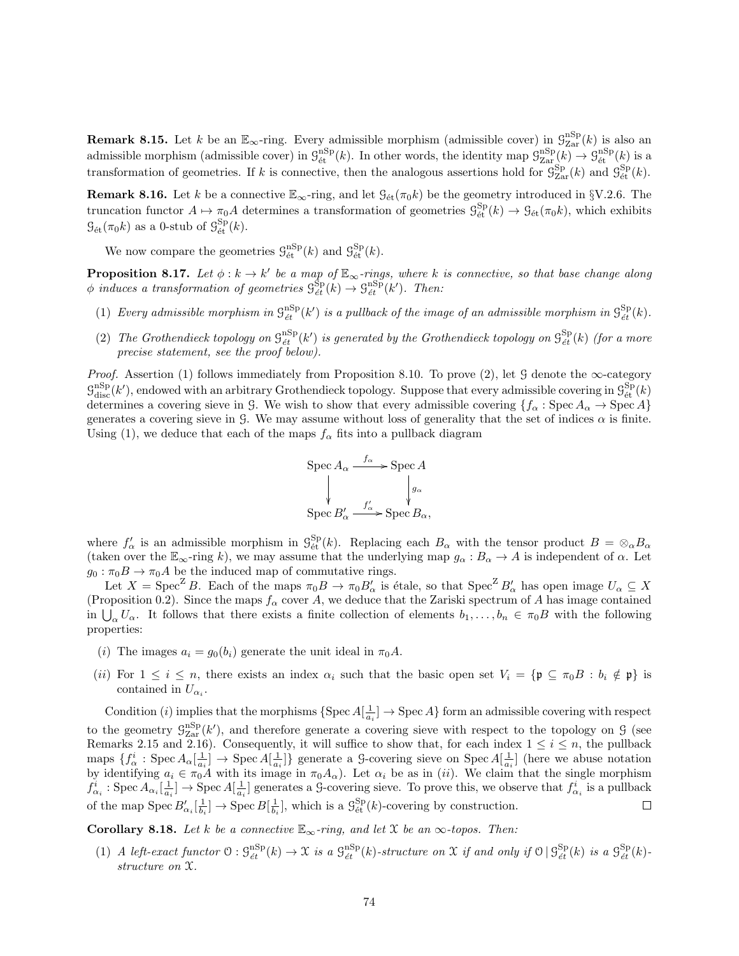**Remark 8.15.** Let k be an  $\mathbb{E}_{\infty}$ -ring. Every admissible morphism (admissible cover) in  $\mathcal{G}_{\text{Zar}}^{\text{nSp}}(k)$  is also an admissible morphism (admissible cover) in  $\mathcal{G}_{\text{\'et}}^{\text{nSp}}(k)$ . In other words, the identity map  $\mathcal{G}_{\text{Zar}}^{\text{nSp}}(k) \to \mathcal{G}_{\text{\'et}}^{\text{nSp}}(k)$  is a transformation of geometries. If k is connective, then the analogous assertions hold for  $\mathcal{G}_{\text{Zar}}^{\text{Sp}}(k)$  and  $\mathcal{G}_{\text{\'et}}^{\text{Sp}}(k)$ .

**Remark 8.16.** Let k be a connective  $\mathbb{E}_{\infty}$ -ring, and let  $\mathcal{G}_{\text{\'et}}(\pi_0k)$  be the geometry introduced in §V.2.6. The truncation functor  $A \mapsto \pi_0 A$  determines a transformation of geometries  $\mathcal{G}^{\text{Sp}}_{\text{\'et}}(k) \to \mathcal{G}_{\text{\'et}}(\pi_0 k)$ , which exhibits  $\mathcal{G}_{\text{\'et}}(\pi_0 k)$  as a 0-stub of  $\mathcal{G}_{\text{\'et}}^{\text{Sp}}(k)$ .

We now compare the geometries  $\mathcal{G}_{\text{\'et}}^{\text{nSp}}(k)$  and  $\mathcal{G}_{\text{\'et}}^{\text{Sp}}(k)$ .

**Proposition 8.17.** Let  $\phi : k \to k'$  be a map of  $\mathbb{E}_{\infty}$ -rings, where k is connective, so that base change along  $\phi$  induces a transformation of geometries  $\mathcal{G}^{\text{Sp}}_{\acute{e}t}(k) \to \mathcal{G}^{\text{nSp}}_{\acute{e}t}(k')$ . Then:

- (1) Every admissible morphism in  $\mathcal{G}^{\text{nSp}}_{\acute{e}t}(k')$  is a pullback of the image of an admissible morphism in  $\mathcal{G}^{\text{Sp}}_{\acute{e}t}(k)$ .
- (2) The Grothendieck topology on  $\mathcal{G}^{\text{nSp}}_{\epsilon t}(k')$  is generated by the Grothendieck topology on  $\mathcal{G}^{\text{Sp}}_{\epsilon t}(k)$  (for a more precise statement, see the proof below).

*Proof.* Assertion (1) follows immediately from Proposition 8.10. To prove (2), let G denote the  $\infty$ -category  $\mathcal{G}_{\text{disc}}^{\text{nSp}}(k')$ , endowed with an arbitrary Grothendieck topology. Suppose that every admissible covering in  $\mathcal{G}_{\text{\'et}}^{\text{Sp}}(k)$ determines a covering sieve in G. We wish to show that every admissible covering  $\{f_\alpha : \text{Spec } A_\alpha \to \text{Spec } A\}$ generates a covering sieve in G. We may assume without loss of generality that the set of indices  $\alpha$  is finite. Using (1), we deduce that each of the maps  $f_{\alpha}$  fits into a pullback diagram

$$
\operatorname{Spec} A_{\alpha} \xrightarrow{f_{\alpha}} \operatorname{Spec} A
$$
  
\n
$$
\downarrow \qquad \qquad \downarrow g_{\alpha}
$$
  
\n
$$
\operatorname{Spec} B'_{\alpha} \xrightarrow{f'_{\alpha}} \operatorname{Spec} B_{\alpha},
$$

where  $f'_{\alpha}$  is an admissible morphism in  $\mathcal{G}_{\text{\text{\'et}}}^{Sp}(k)$ . Replacing each  $B_{\alpha}$  with the tensor product  $B = \otimes_{\alpha} B_{\alpha}$ (taken over the  $\mathbb{E}_{\infty}$ -ring k), we may assume that the underlying map  $g_{\alpha}: B_{\alpha} \to A$  is independent of  $\alpha$ . Let  $g_0 : \pi_0 B \to \pi_0 A$  be the induced map of commutative rings.

Let  $X = \text{Spec}^Z B$ . Each of the maps  $\pi_0 B \to \pi_0 B'_\alpha$  is étale, so that  $\text{Spec}^Z B'_\alpha$  has open image  $U_\alpha \subseteq X$ (Proposition 0.2). Since the maps  $f_{\alpha}$  cover A, we deduce that the Zariski spectrum of A has image contained in  $\bigcup_{\alpha} U_{\alpha}$ . It follows that there exists a finite collection of elements  $b_1, \ldots, b_n \in \pi_0 B$  with the following properties:

- (i) The images  $a_i = g_0(b_i)$  generate the unit ideal in  $\pi_0 A$ .
- (ii) For  $1 \leq i \leq n$ , there exists an index  $\alpha_i$  such that the basic open set  $V_i = \{ \mathfrak{p} \subseteq \pi_0 B : b_i \notin \mathfrak{p} \}$  is contained in  $U_{\alpha_i}$ .

Condition (*i*) implies that the morphisms  $\{Spec A[\frac{1}{a_i}] \to \text{Spec } A\}$  form an admissible covering with respect to the geometry  $\mathcal{G}_{\text{Zar}}^{\text{nSp}}(k')$ , and therefore generate a covering sieve with respect to the topology on  $\mathcal{G}$  (see Remarks 2.15 and 2.16). Consequently, it will suffice to show that, for each index  $1 \leq i \leq n$ , the pullback maps  $\{f^i_\alpha : \text{Spec } A_\alpha[\frac{1}{a_i}] \to \text{Spec } A[\frac{1}{a_i}] \}$  generate a G-covering sieve on Spec  $A[\frac{1}{a_i}]$  (here we abuse notation  $\lim_{\alpha_i \to \infty} \sum_{\alpha_i} \sum_{\alpha_i} \sum_{i=1}^{\infty} \sum_{i=1}^{\infty} \sum_{a_i} \sum_{j=1}^{\infty} \sum_{\alpha_i} \sum_{j=1}^{\infty} \sum_{j=1}^{\infty} \sum_{a_i} \sum_{j=1}^{\infty} \sum_{j=1}^{\infty} \sum_{a_i} \sum_{j=1}^{\infty} \sum_{j=1}^{\infty} \sum_{j=1}^{\infty} \sum_{a_i} \sum_{j=1}^{\infty} \sum_{j=1}^{\infty} \sum_{j=1}^{\infty} \sum_{j=1}$  $f_{\alpha_i}^i : \text{Spec } A_{\alpha_i}[\frac{1}{a_i}] \to \text{Spec } A[\frac{1}{a_i}]$  generates a G-covering sieve. To prove this, we observe that  $f_{\alpha_i}^i$  is a pullback of the map  $Spec B'_{\alpha_i}[\frac{1}{b_i}] \to \operatorname{Spec} B[\frac{1}{b_i}]$ , which is a  $\mathcal{G}^{\text{Sp}}_{\text{\'et}}(k)$ -covering by construction.  $\Box$ 

Corollary 8.18. Let k be a connective  $\mathbb{E}_{\infty}$ -ring, and let X be an  $\infty$ -topos. Then:

(1) A left-exact functor  $\mathcal{O}: \mathcal{G}_{\acute{e}t}^{\mathrm{nSp}}(k) \to \mathfrak{X}$  is a  $\mathcal{G}_{\acute{e}t}^{\mathrm{nSp}}(k)$ -structure on  $\mathfrak{X}$  if and only if  $\mathcal{O} \mid \mathcal{G}_{\acute{e}t}^{\mathrm{Sp}}(k)$  is a  $\mathcal{G}_{\acute{e}t}^{\mathrm{Sp}}(k)$ structure on X.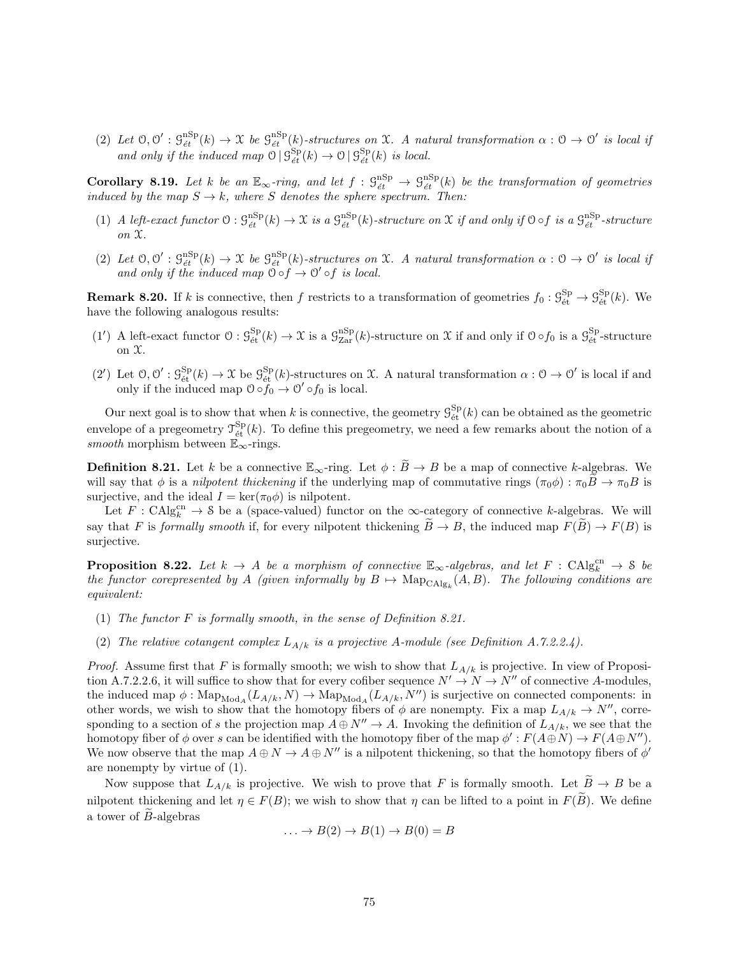(2) Let  $\mathcal{O}, \mathcal{O}' : \mathcal{G}_{\acute{e}t}^{\mathrm{nSp}}(k) \to \mathcal{X}$  be  $\mathcal{G}_{\acute{e}t}^{\mathrm{nSp}}(k)$ -structures on  $\mathcal{X}$ . A natural transformation  $\alpha : \mathcal{O} \to \mathcal{O}'$  is local if and only if the induced map  $\mathcal{O} \mid \mathcal{G}^{\text{Sp}}_{\acute{e}t}(k) \to \mathcal{O} \mid \mathcal{G}^{\text{Sp}}_{\acute{e}t}(k)$  is local.

Corollary 8.19. Let k be an  $\mathbb{E}_{\infty}$ -ring, and let  $f : \mathcal{G}_{\acute{e}t}^{\text{nSp}} \to \mathcal{G}_{\acute{e}t}^{\text{nSp}}(k)$  be the transformation of geometries induced by the map  $S \to k$ , where S denotes the sphere spectrum. Then:

- (1) A left-exact functor  $\mathcal{O}: \mathcal{G}_{\acute{e}t}^{\mathrm{nSp}}(k) \to \mathcal{X}$  is a  $\mathcal{G}_{\acute{e}t}^{\mathrm{nSp}}(k)$ -structure on  $\mathcal{X}$  if and only if  $\mathcal{O} \circ f$  is a  $\mathcal{G}_{\acute{e}t}^{\mathrm{nSp}}$ -structure on X.
- (2) Let  $\mathcal{O}, \mathcal{O}' : \mathcal{G}_{\acute{e}t}^{nSp}(k) \to \mathfrak{X}$  be  $\mathcal{G}_{\acute{e}t}^{nSp}(k)$ -structures on X. A natural transformation  $\alpha : \mathcal{O} \to \mathcal{O}'$  is local if and only if the induced map  $\ddot{\circ} \circ f \rightarrow \odot' \circ f$  is local.

**Remark 8.20.** If k is connective, then f restricts to a transformation of geometries  $f_0: \mathcal{G}_{\text{\text{\'et}}}^{\text{Sp}} \to \mathcal{G}_{\text{\text{\'et}}}^{\text{Sp}}(k)$ . We have the following analogous results:

- (1') A left-exact functor  $\mathcal{O}: \mathcal{G}_{\text{\'et}}^{\text{Sp}}(k) \to \mathcal{X}$  is a  $\mathcal{G}_{\text{Zar}}^{\text{nSp}}(k)$ -structure on  $\mathcal{X}$  if and only if  $\mathcal{O} \circ f_0$  is a  $\mathcal{G}_{\text{\'et}}^{\text{Sp}}$ -structure on  $\mathfrak{X}.$
- (2') Let  $\mathcal{O}, \mathcal{O}' : \mathcal{G}_{\text{\'et}}^{\text{Sp}}(k) \to \mathfrak{X}$  be  $\mathcal{G}_{\text{\'et}}^{\text{Sp}}(k)$ -structures on X. A natural transformation  $\alpha : \mathcal{O} \to \mathcal{O}'$  is local if and only if the induced map  $\mathcal{O} \circ f_0 \to \mathcal{O}' \circ f_0$  is local.

Our next goal is to show that when k is connective, the geometry  $\mathcal{G}_{\text{\'et}}^{\text{Sp}}(k)$  can be obtained as the geometric envelope of a pregeometry  $\mathcal{T}_{\text{\'et}}^{\text{Sp}}(k)$ . To define this pregeometry, we need a few remarks about the notion of a smooth morphism between  $\mathbb{E}_{\infty}$ -rings.

**Definition 8.21.** Let k be a connective  $\mathbb{E}_{\infty}$ -ring. Let  $\phi : \widetilde{B} \to B$  be a map of connective k-algebras. We will say that  $\phi$  is a *nilpotent thickening* if the underlying map of commutative rings  $(\pi_0 \phi) : \pi_0 B \to \pi_0 B$  is surjective, and the ideal  $I = \text{ker}(\pi_0 \phi)$  is nilpotent.

Let  $F: \text{CAlg}_{k}^{\text{cn}} \to \mathcal{S}$  be a (space-valued) functor on the  $\infty$ -category of connective k-algebras. We will say that F is formally smooth if, for every nilpotent thickening  $\widetilde{B} \to B$ , the induced map  $F(\widetilde{B}) \to F(B)$  is surjective.

**Proposition 8.22.** Let  $k \to A$  be a morphism of connective  $\mathbb{E}_{\infty}$ -algebras, and let  $F : CAlg_k^{cn} \to \mathcal{S}$  be the functor corepresented by A (given informally by  $B \mapsto \mathrm{Map}_{\mathrm{CAlg}_k}(A, B)$ . The following conditions are equivalent:

- (1) The functor F is formally smooth, in the sense of Definition 8.21.
- (2) The relative cotangent complex  $L_{A/k}$  is a projective A-module (see Definition A.7.2.2.4).

*Proof.* Assume first that F is formally smooth; we wish to show that  $L_{A/k}$  is projective. In view of Proposition A.7.2.2.6, it will suffice to show that for every cofiber sequence  $N' \to N \to N''$  of connective A-modules, the induced map  $\phi: \text{Map}_{\text{Mod}_A}(L_{A/k}, N) \to \text{Map}_{\text{Mod}_A}(L_{A/k}, N'')$  is surjective on connected components: in other words, we wish to show that the homotopy fibers of  $\phi$  are nonempty. Fix a map  $L_{A/k} \to N''$ , corresponding to a section of s the projection map  $A \oplus N'' \to A$ . Invoking the definition of  $L_{A/k}$ , we see that the homotopy fiber of  $\phi$  over s can be identified with the homotopy fiber of the map  $\phi': F(A \oplus N) \to F(A \oplus N'')$ . We now observe that the map  $A \oplus N \to A \oplus N''$  is a nilpotent thickening, so that the homotopy fibers of  $\phi'$ are nonempty by virtue of (1).

Now suppose that  $L_{A/k}$  is projective. We wish to prove that F is formally smooth. Let  $\widetilde{B} \to B$  be a nilpotent thickening and let  $\eta \in F(B)$ ; we wish to show that  $\eta$  can be lifted to a point in  $F(\widetilde{B})$ . We define a tower of  $\widetilde{B}$ -algebras

$$
\dots \to B(2) \to B(1) \to B(0) = B
$$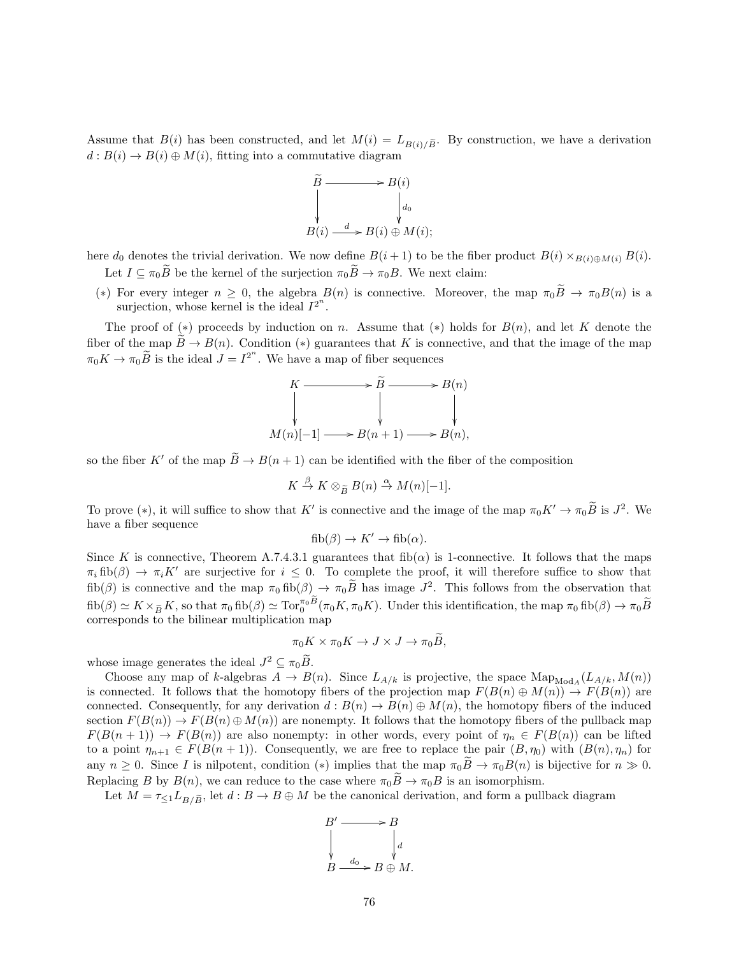Assume that  $B(i)$  has been constructed, and let  $M(i) = L_{B(i)/\tilde{B}}$ . By construction, we have a derivation  $d: B(i) \to B(i) \oplus M(i)$ , fitting into a commutative diagram



here  $d_0$  denotes the trivial derivation. We now define  $B(i + 1)$  to be the fiber product  $B(i) \times_{B(i) \oplus M(i)} B(i)$ . Let  $I \subseteq \pi_0 \widetilde{B}$  be the kernel of the surjection  $\pi_0 \widetilde{B} \to \pi_0 B$ . We next claim:

(\*) For every integer  $n \geq 0$ , the algebra  $B(n)$  is connective. Moreover, the map  $\pi_0 B \to \pi_0 B(n)$  is a surjection, whose kernel is the ideal  $I^{2^n}$ .

The proof of (\*) proceeds by induction on n. Assume that (\*) holds for  $B(n)$ , and let K denote the fiber of the map  $\tilde{B} \to B(n)$ . Condition (\*) guarantees that K is connective, and that the image of the map  $\pi_0 K \to \pi_0 \widetilde{B}$  is the ideal  $J = I^{2^n}$ . We have a map of fiber sequences

$$
K \longrightarrow \widetilde{B} \longrightarrow B(n)
$$
  
\n
$$
\downarrow \qquad \qquad \downarrow
$$
  
\n
$$
M(n)[-1] \longrightarrow B(n+1) \longrightarrow B(n),
$$

so the fiber K' of the map  $\widetilde{B} \to B(n+1)$  can be identified with the fiber of the composition

$$
K \stackrel{\beta}{\to} K \otimes_{\widetilde{B}} B(n) \stackrel{\alpha}{\to} M(n)[-1].
$$

To prove (\*), it will suffice to show that K' is connective and the image of the map  $\pi_0 K' \to \pi_0 \widetilde{B}$  is  $J^2$ . We have a fiber sequence

$$
fib(\beta) \to K' \to fib(\alpha).
$$

Since K is connective, Theorem A.7.4.3.1 guarantees that fib( $\alpha$ ) is 1-connective. It follows that the maps  $\pi_i$  fib( $\beta$ )  $\to \pi_i K'$  are surjective for  $i \leq 0$ . To complete the proof, it will therefore suffice to show that fib(β) is connective and the map  $\pi_0$  fib(β)  $\rightarrow \pi_0 \widetilde{B}$  has image  $J^2$ . This follows from the observation that  $fib(\beta) \simeq K \times_{\tilde{B}} K$ , so that  $\pi_0$  fib $(\beta) \simeq \text{Tor}_0^{\pi_0 B} (\pi_0 K, \pi_0 K)$ . Under this identification, the map  $\pi_0$  fib $(\beta) \to \pi_0 \tilde{B}$ corresponds to the bilinear multiplication map

$$
\pi_0 K \times \pi_0 K \to J \times J \to \pi_0 \widetilde{B},
$$

whose image generates the ideal  $J^2 \subseteq \pi_0 \widetilde{B}$ .

Choose any map of k-algebras  $A \to B(n)$ . Since  $L_{A/k}$  is projective, the space  $\text{Map}_{\text{Mod}_A}(L_{A/k}, M(n))$ is connected. It follows that the homotopy fibers of the projection map  $F(B(n) \oplus M(n)) \to F(B(n))$  are connected. Consequently, for any derivation  $d : B(n) \to B(n) \oplus M(n)$ , the homotopy fibers of the induced section  $F(B(n)) \to F(B(n) \oplus M(n))$  are nonempty. It follows that the homotopy fibers of the pullback map  $F(B(n + 1)) \to F(B(n))$  are also nonempty: in other words, every point of  $\eta_n \in F(B(n))$  can be lifted to a point  $\eta_{n+1} \in F(B(n+1))$ . Consequently, we are free to replace the pair  $(B, \eta_0)$  with  $(B(n), \eta_n)$  for any  $n \geq 0$ . Since I is nilpotent, condition (\*) implies that the map  $\pi_0 \tilde{B} \to \pi_0 B(n)$  is bijective for  $n \gg 0$ . Replacing B by  $B(n)$ , we can reduce to the case where  $\pi_0 \overline{B} \to \pi_0 B$  is an isomorphism.

Let  $M = \tau_{\leq 1} L_{B/\widetilde{B}}$ , let  $d : B \to B \oplus M$  be the canonical derivation, and form a pullback diagram

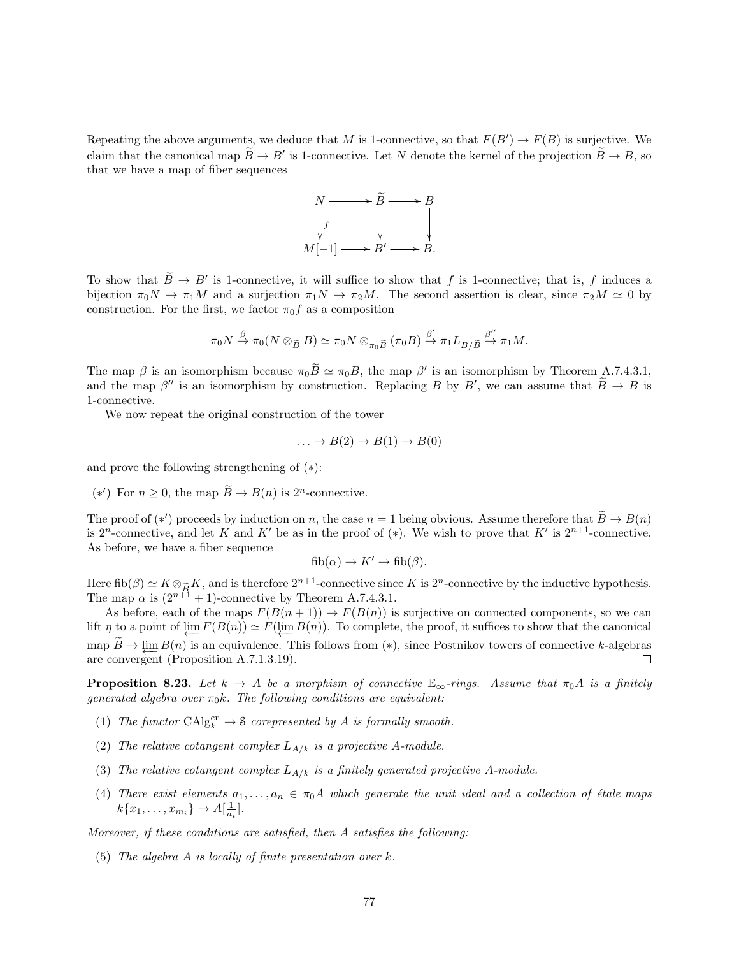Repeating the above arguments, we deduce that M is 1-connective, so that  $F(B') \to F(B)$  is surjective. We claim that the canonical map  $\widetilde{B} \to B'$  is 1-connective. Let N denote the kernel of the projection  $\widetilde{B} \to B$ , so that we have a map of fiber sequences



To show that  $\widetilde{B} \to B'$  is 1-connective, it will suffice to show that f is 1-connective; that is, f induces a bijection  $\pi_0 N \to \pi_1 M$  and a surjection  $\pi_1 N \to \pi_2 M$ . The second assertion is clear, since  $\pi_2 M \simeq 0$  by construction. For the first, we factor  $\pi_0 f$  as a composition

$$
\pi_0 N \xrightarrow{\beta} \pi_0 (N \otimes_{\widetilde{B}} B) \simeq \pi_0 N \otimes_{\pi_0 \widetilde{B}} (\pi_0 B) \xrightarrow{\beta'} \pi_1 L_{B/\widetilde{B}} \xrightarrow{\beta''} \pi_1 M.
$$

The map  $\beta$  is an isomorphism because  $\pi_0 \tilde{B} \simeq \pi_0 B$ , the map  $\beta'$  is an isomorphism by Theorem A.7.4.3.1, and the map  $\beta''$  is an isomorphism by construction. Replacing B by B', we can assume that  $\widetilde{B} \to B$  is 1-connective.

We now repeat the original construction of the tower

$$
\dots \to B(2) \to B(1) \to B(0)
$$

and prove the following strengthening of  $(*)$ :

(\*') For *n* ≥ 0, the map  $\widetilde{B} \to B(n)$  is 2<sup>*n*</sup>-connective.

The proof of (\*') proceeds by induction on n, the case  $n = 1$  being obvious. Assume therefore that  $B \to B(n)$ is 2<sup>n</sup>-connective, and let K and K' be as in the proof of (\*). We wish to prove that K' is  $2^{n+1}$ -connective. As before, we have a fiber sequence

$$
fib(\alpha) \to K' \to fib(\beta).
$$

Here fib( $\beta$ )  $\simeq K \otimes_{\tilde{B}} K$ , and is therefore  $2^{n+1}$ -connective since K is  $2^n$ -connective by the inductive hypothesis.<br>The map  $\alpha$  is  $(2^{n+1} + 1)$ -connective by Theorem A.7.4.3.1.

As before, each of the maps  $F(B(n + 1)) \to F(B(n))$  is surjective on connected components, so we can lift  $\eta$  to a point of  $\varprojlim F(B(n)) \simeq F(\varprojlim B(n))$ . To complete, the proof, it suffices to show that the canonical map  $B \to \varprojlim_{n} B(n)$  is an equivalence. This follows from (\*), since Postnikov towers of connective k-algebras are convergent (Proposition A.7.1.3.19).  $\Box$ 

**Proposition 8.23.** Let  $k \to A$  be a morphism of connective  $\mathbb{E}_{\infty}$ -rings. Assume that  $\pi_0 A$  is a finitely generated algebra over  $\pi_0 k$ . The following conditions are equivalent:

- (1) The functor  $\text{CAlg}_{k}^{\text{cn}} \to \mathcal{S}$  corepresented by A is formally smooth.
- (2) The relative cotangent complex  $L_{A/k}$  is a projective A-module.
- (3) The relative cotangent complex  $L_{A/k}$  is a finitely generated projective A-module.
- (4) There exist elements  $a_1, \ldots, a_n \in \pi_0 A$  which generate the unit ideal and a collection of étale maps  $k\{x_1, \ldots, x_{m_i}\} \to A[\frac{1}{a_i}].$

Moreover, if these conditions are satisfied, then A satisfies the following:

(5) The algebra A is locally of finite presentation over k.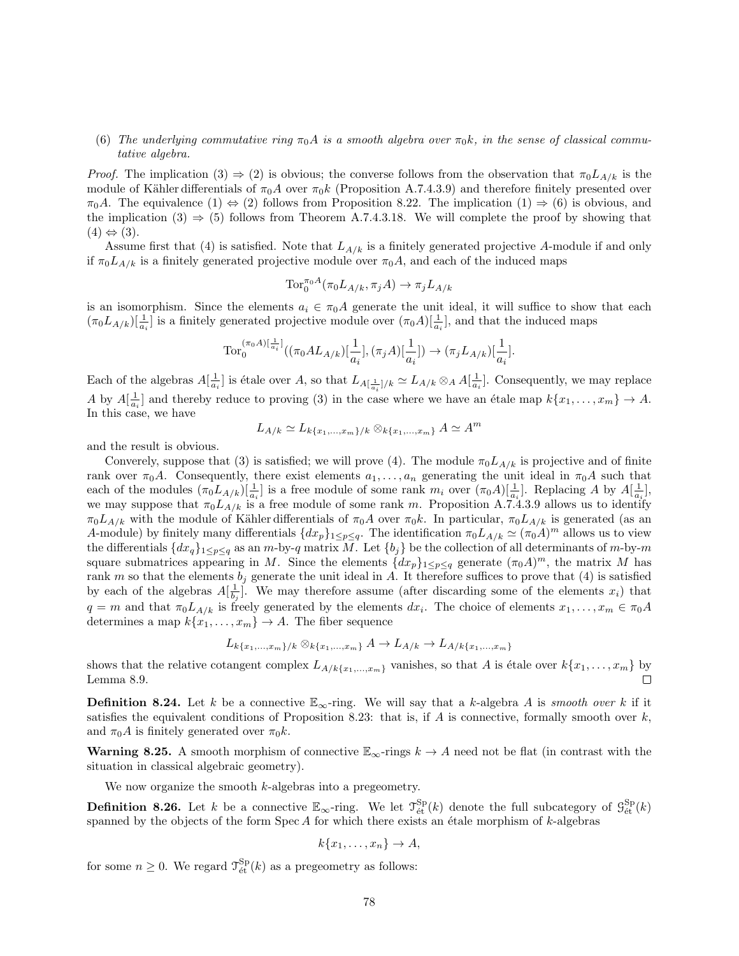## (6) The underlying commutative ring  $\pi_0 A$  is a smooth algebra over  $\pi_0 k$ , in the sense of classical commutative algebra.

*Proof.* The implication  $(3) \Rightarrow (2)$  is obvious; the converse follows from the observation that  $\pi_0 L_{A/k}$  is the module of Kähler differentials of  $\pi_0 A$  over  $\pi_0 k$  (Proposition A.7.4.3.9) and therefore finitely presented over  $\pi_0A$ . The equivalence  $(1) \Leftrightarrow (2)$  follows from Proposition 8.22. The implication  $(1) \Rightarrow (6)$  is obvious, and the implication (3)  $\Rightarrow$  (5) follows from Theorem A.7.4.3.18. We will complete the proof by showing that  $(4) \Leftrightarrow (3)$ .

Assume first that (4) is satisfied. Note that  $L_{A/k}$  is a finitely generated projective A-module if and only if  $\pi_0 L_{A/k}$  is a finitely generated projective module over  $\pi_0 A$ , and each of the induced maps

$$
\text{Tor}_0^{\pi_0 A}(\pi_0 L_{A/k}, \pi_j A) \to \pi_j L_{A/k}
$$

is an isomorphism. Since the elements  $a_i \in \pi_0 A$  generate the unit ideal, it will suffice to show that each  $(\pi_0 L_{A/k})[\frac{1}{a_i}]$  is a finitely generated projective module over  $(\pi_0 A)[\frac{1}{a_i}]$ , and that the induced maps

$$
\text{Tor}_0^{(\pi_0 A)[\frac{1}{a_i}]}((\pi_0 AL_{A/k})[\frac{1}{a_i}],(\pi_j A)[\frac{1}{a_i}])\to (\pi_j L_{A/k})[\frac{1}{a_i}].
$$

Each of the algebras  $A[\frac{1}{a_i}]$  is étale over A, so that  $L_{A[\frac{1}{a_i}]/k} \simeq L_{A/k} \otimes_A A[\frac{1}{a_i}]$ . Consequently, we may replace A by  $A[\frac{1}{a_i}]$  and thereby reduce to proving (3) in the case where we have an étale map  $k\{x_1, \ldots, x_m\} \to A$ . In this case, we have

$$
L_{A/k} \simeq L_{k\{x_1,\ldots,x_m\}/k} \otimes_{k\{x_1,\ldots,x_m\}} A \simeq A^m
$$

and the result is obvious.

Converely, suppose that (3) is satisfied; we will prove (4). The module  $\pi_0 L_{A/k}$  is projective and of finite rank over  $\pi_0 A$ . Consequently, there exist elements  $a_1, \ldots, a_n$  generating the unit ideal in  $\pi_0 A$  such that each of the modules  $(\pi_0 L_{A/k})[\frac{1}{a_i}]$  is a free module of some rank  $m_i$  over  $(\pi_0 A)[\frac{1}{a_i}]$ . Replacing A by  $A[\frac{1}{a_i}]$ , we may suppose that  $\pi_0 L_{A/k}$  is a free module of some rank m. Proposition A.7.4.3.9 allows us to identify  $\pi_0L_{A/k}$  with the module of Kähler differentials of  $\pi_0A$  over  $\pi_0k$ . In particular,  $\pi_0L_{A/k}$  is generated (as an A-module) by finitely many differentials  $\{dx_p\}_{1\leq p\leq q}$ . The identification  $\pi_0L_{A/k} \simeq (\pi_0A)^m$  allows us to view the differentials  $\{dx_q\}_{1\leq p\leq q}$  as an m-by-q matrix M. Let  $\{b_j\}$  be the collection of all determinants of m-by-m square submatrices appearing in M. Since the elements  $\{dx_p\}_{1\leq p\leq q}$  generate  $(\pi_0 A)^m$ , the matrix M has rank m so that the elements  $b_j$  generate the unit ideal in A. It therefore suffices to prove that (4) is satisfied by each of the algebras  $A[\frac{1}{b_j}]$ . We may therefore assume (after discarding some of the elements  $x_i$ ) that  $q = m$  and that  $\pi_0 L_{A/k}$  is freely generated by the elements  $dx_i$ . The choice of elements  $x_1, \ldots, x_m \in \pi_0 A$ determines a map  $k\{x_1, \ldots, x_m\} \rightarrow A$ . The fiber sequence

$$
L_{k\{x_1,...,x_m\}/k} \otimes_{k\{x_1,...,x_m\}} A \to L_{A/k} \to L_{A/k\{x_1,...,x_m\}}
$$

shows that the relative cotangent complex  $L_{A/k\{x_1,...,x_m\}}$  vanishes, so that A is étale over  $k\{x_1,...,x_m\}$  by Lemma 8.9.

**Definition 8.24.** Let k be a connective  $\mathbb{E}_{\infty}$ -ring. We will say that a k-algebra A is smooth over k if it satisfies the equivalent conditions of Proposition 8.23: that is, if A is connective, formally smooth over  $k$ , and  $\pi_0 A$  is finitely generated over  $\pi_0 k$ .

**Warning 8.25.** A smooth morphism of connective  $\mathbb{E}_{\infty}$ -rings  $k \to A$  need not be flat (in contrast with the situation in classical algebraic geometry).

We now organize the smooth  $k$ -algebras into a pregeometry.

**Definition 8.26.** Let k be a connective  $\mathbb{E}_{\infty}$ -ring. We let  $\mathcal{T}_{\text{\'et}}^{\text{Sp}}(k)$  denote the full subcategory of  $\mathcal{G}_{\text{\'et}}^{\text{Sp}}(k)$ spanned by the objects of the form  $Spec A$  for which there exists an étale morphism of  $k$ -algebras

$$
k\{x_1,\ldots,x_n\}\to A,
$$

for some  $n \geq 0$ . We regard  $\mathcal{T}_{\text{\'et}}^{\text{Sp}}(k)$  as a pregeometry as follows: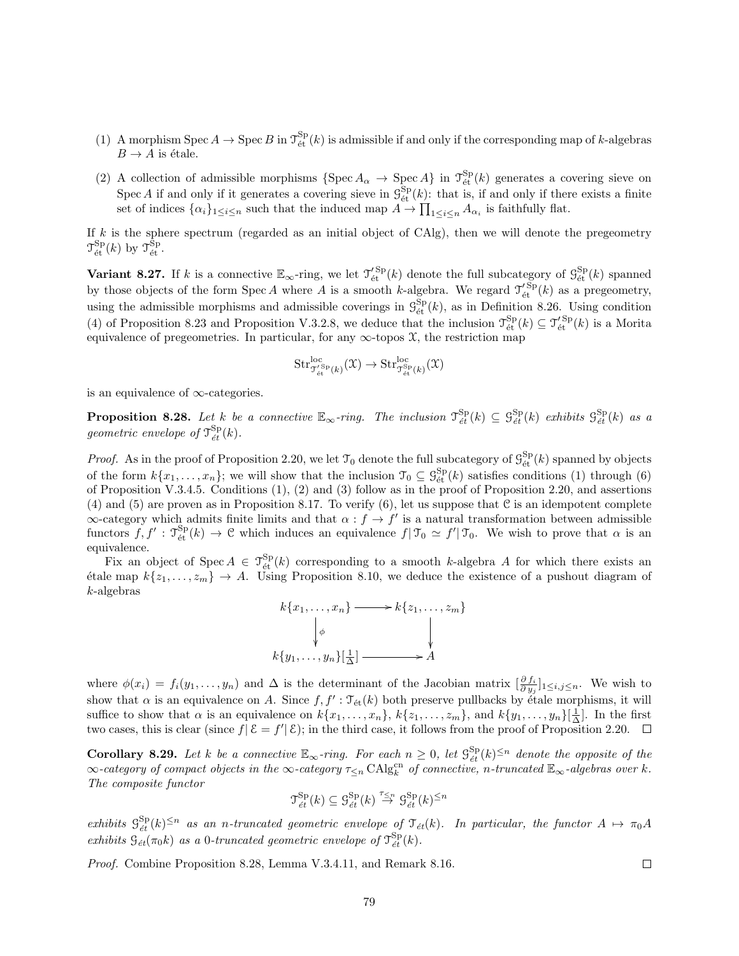- (1) A morphism Spec  $A \to \text{Spec } B$  in  $\mathcal{T}_{\text{\'et}}^{\text{Sp}}(k)$  is admissible if and only if the corresponding map of k-algebras  $B \to A$  is étale.
- (2) A collection of admissible morphisms  $\{\operatorname{Spec} A_{\alpha} \to \operatorname{Spec} A\}$  in  $\mathcal{T}_{\acute{e}t}^{\operatorname{Sp}}(k)$  generates a covering sieve on Spec A if and only if it generates a covering sieve in  $\mathcal{G}_{\text{\'et}}^{\text{Sp}}(k)$ : that is, if and only if there exists a finite set of indices  $\{\alpha_i\}_{1\leq i\leq n}$  such that the induced map  $A \to \prod_{1\leq i\leq n} A_{\alpha_i}$  is faithfully flat.

If  $k$  is the sphere spectrum (regarded as an initial object of CAlg), then we will denote the pregeometry  $\mathfrak{T}_{\text{\'et}}^{\text{Sp}}(k)$  by  $\mathfrak{T}_{\text{\'et}}^{\text{Sp}}$ .

Variant 8.27. If k is a connective  $\mathbb{E}_{\infty}$ -ring, we let  $\mathcal{T}'_{\text{\'et}}^{Sp}(k)$  denote the full subcategory of  $\mathcal{G}_{\text{\'et}}^{Sp}(k)$  spanned by those objects of the form Spec A where A is a smooth k-algebra. We regard  $\mathcal{T}'_{\text{\'et}}^{Sp}(k)$  as a pregeometry, using the admissible morphisms and admissible coverings in  $\mathcal{G}^{\text{Sp}}_{\text{\'et}}(k)$ , as in Definition 8.26. Using condition (4) of Proposition 8.23 and Proposition V.3.2.8, we deduce that the inclusion  $\mathcal{T}_{\text{\'et}}^{\text{Sp}}(k) \subseteq \mathcal{T}_{\text{\'et}}^{\text{Sp}}(k)$  is a Morita equivalence of pregeometries. In particular, for any  $\infty$ -topos  $\mathfrak{X}$ , the restriction map

$$
\mathrm{Str}^{\mathrm{loc}}_{\mathcal{T}'^{\mathrm{Sp}}_{\text{\'et}}(k)}(\mathfrak{X}) \to \mathrm{Str}^{\mathrm{loc}}_{\mathcal{T}^{\mathrm{Sp}}_{\text{\'et}}(k)}(\mathfrak{X})
$$

is an equivalence of ∞-categories.

**Proposition 8.28.** Let k be a connective  $\mathbb{E}_{\infty}$ -ring. The inclusion  $\mathcal{T}_{\acute{e}t}^{\text{Sp}}(k) \subseteq \mathcal{G}_{\acute{e}t}^{\text{Sp}}(k)$  exhibits  $\mathcal{G}_{\acute{e}t}^{\text{Sp}}(k)$  as a geometric envelope of  $\mathcal{T}_{\acute{e}t}^{\rm Sp}(k)$ .

*Proof.* As in the proof of Proposition 2.20, we let  $\mathcal{T}_0$  denote the full subcategory of  $\mathcal{G}_{\text{\'et}}^{Sp}(k)$  spanned by objects of the form  $k\{x_1,\ldots,x_n\}$ ; we will show that the inclusion  $\mathcal{T}_0 \subseteq \mathcal{G}_{\text{\'et}}^{Sp}(k)$  satisfies conditions (1) through (6) of Proposition V.3.4.5. Conditions (1), (2) and (3) follow as in the proof of Proposition 2.20, and assertions (4) and (5) are proven as in Proposition 8.17. To verify (6), let us suppose that  $\mathfrak C$  is an idempotent complete  $\infty$ -category which admits finite limits and that  $\alpha : f \to f'$  is a natural transformation between admissible functors  $f, f': \mathcal{T}_{\text{\text{\'et}}}^{\text{Sp}}(k) \to \mathcal{C}$  which induces an equivalence  $f | \mathcal{T}_0 \simeq f' | \mathcal{T}_0$ . We wish to prove that  $\alpha$  is an equivalence.

Fix an object of Spec  $A \in \mathcal{T}_{\text{\text{\'et}}}^{\text{Sp}}(k)$  corresponding to a smooth k-algebra A for which there exists an  $\text{\'etale map } k\{z_1,\ldots,z_m\} \to A.$  Using Proposition 8.10, we deduce the existence of a pushout diagram of k-algebras



where  $\phi(x_i) = f_i(y_1, \ldots, y_n)$  and  $\Delta$  is the determinant of the Jacobian matrix  $\left[\frac{\partial f_i}{\partial y_j}\right]_{1 \leq i,j \leq n}$ . We wish to show that  $\alpha$  is an equivalence on A. Since  $f, f': \mathfrak{T}_{\text{\'et}}(k)$  both preserve pullbacks by étale morphisms, it will suffice to show that  $\alpha$  is an equivalence on  $k\{x_1, \ldots, x_n\}$ ,  $k\{z_1, \ldots, z_m\}$ , and  $k\{y_1, \ldots, y_n\}[\frac{1}{\Delta}]$ . In the first two cases, this is clear (since  $f|\mathcal{E} = f'|\mathcal{E}$ ); in the third case, it follows from the proof of Proposition 2.20.

**Corollary 8.29.** Let k be a connective  $\mathbb{E}_{\infty}$ -ring. For each  $n \geq 0$ , let  $\mathcal{S}_{\acute{e}t}^{\text{Sp}}(k)^{\leq n}$  denote the opposite of the  $\infty$ -category of compact objects in the  $\infty$ -category  $\tau_{\leq n}$  CAlg<sup>cn</sup> of connective, n-truncated  $\mathbb{E}_{\infty}$ -algebras over k. The composite functor

$$
\mathfrak{T}_{\acute{e}t}^{\rm Sp}(k) \subseteq \mathfrak{G}_{\acute{e}t}^{\rm Sp}(k) \stackrel{\tau_{\leq n}}{\rightarrow} \mathfrak{G}_{\acute{e}t}^{\rm Sp}(k)^{\leq n}
$$

exhibits  $\mathcal{G}^{\text{Sp}}_{\text{\'et}}(k)^{\leq n}$  as an n-truncated geometric envelope of  $\mathcal{T}_{\text{\'et}}(k)$ . In particular, the functor  $A \mapsto \pi_0 A$ exhibits  $\mathcal{G}_{\acute{e}t}(\pi_0 k)$  as a 0-truncated geometric envelope of  $\mathcal{T}_{\acute{e}t}^{\text{Sp}}(k)$ .

Proof. Combine Proposition 8.28, Lemma V.3.4.11, and Remark 8.16.

 $\Box$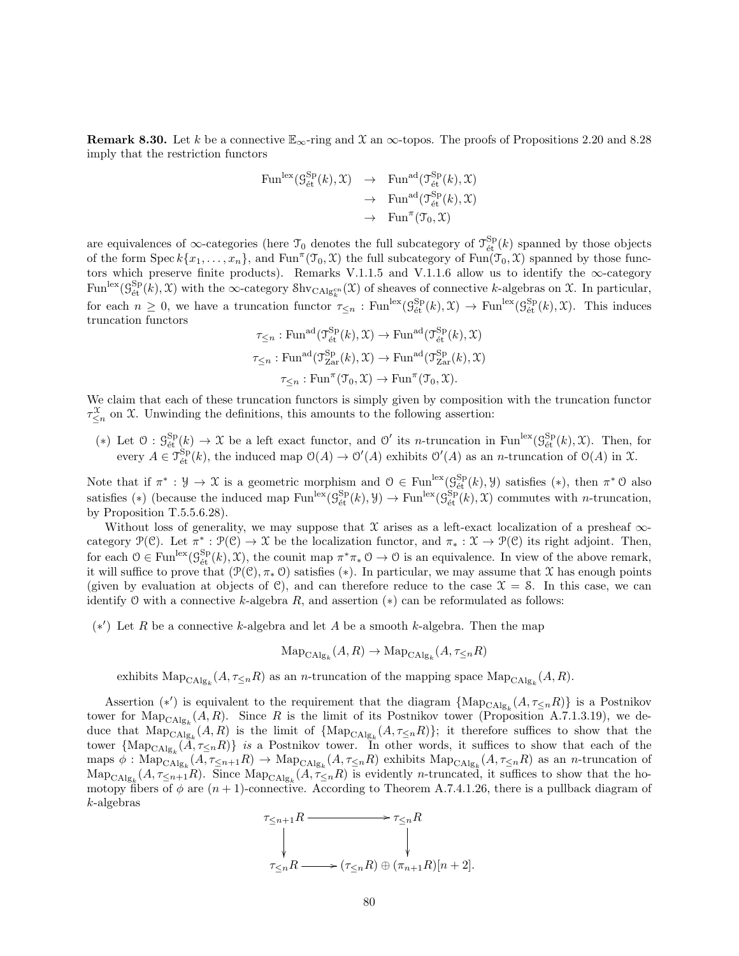**Remark 8.30.** Let k be a connective  $\mathbb{E}_{\infty}$ -ring and X an  $\infty$ -topos. The proofs of Propositions 2.20 and 8.28 imply that the restriction functors

$$
\begin{array}{rcl}\n\operatorname{Fun}^{\mathrm{lex}}(\mathcal{G}_{\text{\'et}}^{\mathrm{Sp}}(k), \mathfrak{X}) & \to & \operatorname{Fun}^{\mathrm{ad}}(\mathfrak{T}_{\text{\'et}}^{\mathrm{Sp}}(k), \mathfrak{X}) \\
& \to & \operatorname{Fun}^{\mathrm{ad}}(\mathfrak{T}_{\text{\'et}}^{\mathrm{Sp}}(k), \mathfrak{X}) \\
& \to & \operatorname{Fun}^{\mathrm{ad}}(\mathfrak{T}_{\text{\'et}}^{\mathrm{Sp}}(k), \mathfrak{X})\n\end{array}
$$

are equivalences of  $\infty$ -categories (here  $\mathcal{T}_0$  denotes the full subcategory of  $\mathcal{T}_{\text{\'et}}^{\text{Sp}}(k)$  spanned by those objects of the form  $\operatorname{Spec} k\{x_1,\ldots,x_n\}$ , and  $\operatorname{Fun}^{\pi}(\mathfrak{T}_0,\mathfrak{X})$  the full subcategory of  $\operatorname{Fun}(\mathfrak{T}_0,\mathfrak{X})$  spanned by those functors which preserve finite products). Remarks V.1.1.5 and V.1.1.6 allow us to identify the  $\infty$ -category  $\text{Fun}^{\text{lex}}(\mathcal{G}_{\text{\'et}}^{\text{Sp}}(k), \mathcal{X})$  with the  $\infty$ -category  $\text{Shv}_{\text{CAlg}_{k}^{\text{cn}}}(\mathcal{X})$  of sheaves of connective k-algebras on  $\mathcal{X}$ . In particular, for each  $n \geq 0$ , we have a truncation functor  $\tau_{\leq n} : \text{Fun}^{\text{lex}}(\mathcal{G}_{\text{\'et}}^{\text{Sp}}(k), \mathcal{X}) \to \text{Fun}^{\text{lex}}(\mathcal{G}_{\text{\'et}}^{\text{Sp}}(k), \mathcal{X})$ . This induces truncation functors s<br>Special

$$
\tau_{\leq n} : \mathrm{Fun}^{\mathrm{ad}}(\mathfrak{T}_{\mathrm{\acute{e}t}}^{\mathrm{Sp}}(k), \mathfrak{X}) \to \mathrm{Fun}^{\mathrm{ad}}(\mathfrak{T}_{\mathrm{\acute{e}t}}^{\mathrm{Sp}}(k), \mathfrak{X})
$$
  

$$
\tau_{\leq n} : \mathrm{Fun}^{\mathrm{ad}}(\mathfrak{T}_{\mathrm{Zar}}^{\mathrm{Sp}}(k), \mathfrak{X}) \to \mathrm{Fun}^{\mathrm{ad}}(\mathfrak{T}_{\mathrm{Zar}}^{\mathrm{Sp}}(k), \mathfrak{X})
$$
  

$$
\tau_{\leq n} : \mathrm{Fun}^{\pi}(\mathfrak{T}_{0}, \mathfrak{X}) \to \mathrm{Fun}^{\pi}(\mathfrak{T}_{0}, \mathfrak{X}).
$$

We claim that each of these truncation functors is simply given by composition with the truncation functor  $\tau_{\leq n}^{\mathfrak{X}}$  on X. Unwinding the definitions, this amounts to the following assertion:

(\*) Let  $\mathcal{O}: \mathcal{G}_{\text{\'et}}^{\text{Sp}}(k) \to \mathcal{X}$  be a left exact functor, and  $\mathcal{O}'$  its *n*-truncation in Fun<sup>lex</sup> $(\mathcal{G}_{\text{\'et}}^{\text{Sp}}(k), \mathcal{X})$ . Then, for every  $A \in \mathcal{T}_{\text{\'et}}^{\text{Sp}}(k)$ , the induced map  $\mathcal{O}(A) \to \mathcal{O}'(A)$  exhibits  $\mathcal{O}'(A)$  as an *n*-truncation of  $\mathcal{O}(A)$  in X.

Note that if  $\pi^*: \mathcal{Y} \to \mathcal{X}$  is a geometric morphism and  $\mathcal{O} \in \text{Fun}^{\text{lex}}(\mathcal{G}_{\text{\'et}}^{\text{Sp}}(k), \mathcal{Y})$  satisfies  $(*),$  then  $\pi^* \mathcal{O}$  also satisfies (\*) (because the induced map  $\text{Fun}^{\text{lex}}(\mathcal{G}_{\text{\'et}}^{\text{Sp}}(k), \mathcal{Y}) \to \text{Fun}^{\text{lex}}(\mathcal{G}_{\text{\'et}}^{\text{Sp}}(k), \mathcal{X})$  commutes with *n*-truncation, by Proposition T.5.5.6.28).

Without loss of generality, we may suppose that  $X$  arises as a left-exact localization of a presheaf  $\infty$ category  $\mathcal{P}(\mathcal{C})$ . Let  $\pi^*: \mathcal{P}(\mathcal{C}) \to \mathcal{X}$  be the localization functor, and  $\pi_*: \mathcal{X} \to \mathcal{P}(\mathcal{C})$  its right adjoint. Then, for each  $0 \in \text{Fun}^{\text{lex}}(\mathcal{G}_{\text{\'et}}^{\text{Sp}}(k), \mathcal{X})$ , the counit map  $\pi^*\pi_*0 \to 0$  is an equivalence. In view of the above remark, it will suffice to prove that  $(\mathcal{P}(\mathcal{C}), \pi_* \mathcal{O})$  satisfies (\*). In particular, we may assume that X has enough points (given by evaluation at objects of  $\mathcal{C}$ ), and can therefore reduce to the case  $\mathcal{X} = \mathcal{S}$ . In this case, we can identify O with a connective k-algebra  $R$ , and assertion  $(*)$  can be reformulated as follows:

 $(*')$  Let R be a connective k-algebra and let A be a smooth k-algebra. Then the map

 $\mathrm{Map}_{\mathrm{CAlg}_k}(A, R) \to \mathrm{Map}_{\mathrm{CAlg}_k}(A, \tau_{\leq n}R)$ 

exhibits  $\text{Map}_{\text{CAlg}_k}(A, \tau_{\leq n}R)$  as an *n*-truncation of the mapping space  $\text{Map}_{\text{CAlg}_k}(A, R)$ .

Assertion (\*') is equivalent to the requirement that the diagram  $\{\text{Map}_{\text{CAlg}_k}(A, \tau_{\leq n}R)\}\$ is a Postnikov tower for  $\text{Map}_{\text{CAlg}_k}(A, R)$ . Since R is the limit of its Postnikov tower (Proposition A.7.1.3.19), we deduce that  $\text{Map}_{\text{CAlg}_k}(A, R)$  is the limit of  $\{\text{Map}_{\text{CAlg}_k}(A, \tau_{\leq n}R)\}$ ; it therefore suffices to show that the tower  $\{\text{Map}_{\text{CAlg}_k}(A, \tau_{\leq n}R)\}\$  is a Postnikov tower. In other words, it suffices to show that each of the maps  $\phi: \text{Map}_{\text{CAlg}_k}(A, \tau_{\leq n+1}R) \to \text{Map}_{\text{CAlg}_k}(A, \tau_{\leq n}R)$  exhibits  $\text{Map}_{\text{CAlg}_k}(A, \tau_{\leq n}R)$  as an *n*-truncation of  $\text{Map}_{\text{CAlg}_k}(A, \tau_{\leq n+1}R)$ . Since  $\text{Map}_{\text{CAlg}_k}(A, \tau_{\leq n}R)$  is evidently *n*-truncated, it suffices to show that the homotopy fibers of  $\phi$  are  $(n + 1)$ -connective. According to Theorem A.7.4.1.26, there is a pullback diagram of k-algebras

$$
\tau_{\leq n+1}R \longrightarrow \tau_{\leq n}R
$$
  
\n
$$
\downarrow \qquad \qquad \downarrow
$$
  
\n
$$
\tau_{\leq n}R \longrightarrow (\tau_{\leq n}R) \oplus (\pi_{n+1}R)[n+2].
$$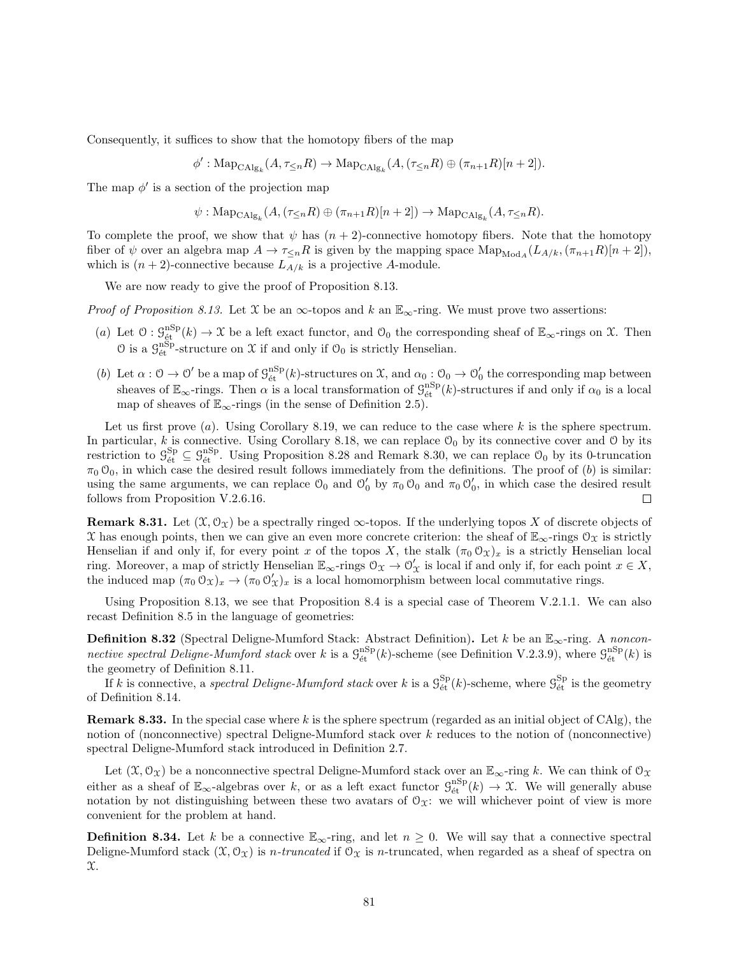Consequently, it suffices to show that the homotopy fibers of the map

 $\phi' : \text{Map}_{\text{CAlg}_k}(A, \tau_{\leq n}R) \to \text{Map}_{\text{CAlg}_k}(A, (\tau_{\leq n}R) \oplus (\pi_{n+1}R)[n+2]).$ 

The map  $\phi'$  is a section of the projection map

$$
\psi: \mathrm{Map}_{\mathrm{CAlg}_k}(A, (\tau_{\leq n}R) \oplus (\pi_{n+1}R)[n+2]) \to \mathrm{Map}_{\mathrm{CAlg}_k}(A, \tau_{\leq n}R).
$$

To complete the proof, we show that  $\psi$  has  $(n + 2)$ -connective homotopy fibers. Note that the homotopy fiber of  $\psi$  over an algebra map  $A \to \tau_{\leq n} R$  is given by the mapping space  $\text{Map}_{\text{Mod}_A}(L_{A/k}, (\pi_{n+1}R)[n+2]),$ which is  $(n+2)$ -connective because  $L_{A/k}$  is a projective A-module.

We are now ready to give the proof of Proposition 8.13.

*Proof of Proposition 8.13.* Let X be an  $\infty$ -topos and k an  $\mathbb{E}_{\infty}$ -ring. We must prove two assertions:

- (a) Let  $\mathcal{O}: \mathcal{G}_{\text{\'et}}^{\text{nSp}}(k) \to \mathcal{X}$  be a left exact functor, and  $\mathcal{O}_0$  the corresponding sheaf of  $\mathbb{E}_{\infty}$ -rings on  $\mathcal{X}$ . Then  $\mathcal{O}$  is a  $\mathcal{G}_{\text{\'et}}^{\text{nSp}}$ -structure on  $\mathcal X$  if and only if  $\mathcal{O}_0$  is strictly Henselian.
- (b) Let  $\alpha: \mathcal{O} \to \mathcal{O}'$  be a map of  $\mathcal{G}_{\text{\'et}}^{\text{nSp}}(k)$ -structures on X, and  $\alpha_0: \mathcal{O}_0 \to \mathcal{O}'_0$  the corresponding map between sheaves of  $\mathbb{E}_{\infty}$ -rings. Then  $\alpha$  is a local transformation of  $\mathcal{G}_{\text{\'et}}^{\text{nSp}}(k)$ -structures if and only if  $\alpha_0$  is a local map of sheaves of  $\mathbb{E}_{\infty}$ -rings (in the sense of Definition 2.5).

Let us first prove (a). Using Corollary 8.19, we can reduce to the case where k is the sphere spectrum. In particular, k is connective. Using Corollary 8.18, we can replace  $\mathcal{O}_0$  by its connective cover and  $\mathcal O$  by its restriction to  $\mathcal{G}_{\text{\'et}}^{\text{Sp}} \subseteq \mathcal{G}_{\text{\'et}}^{\text{nSp}}$ . Using Proposition 8.28 and Remark 8.30, we can replace  $\mathcal{O}_0$  by its 0-truncation  $\pi_0$  O<sub>0</sub>, in which case the desired result follows immediately from the definitions. The proof of (b) is similar: using the same arguments, we can replace  $\mathcal{O}_0$  and  $\mathcal{O}'_0$  by  $\pi_0 \mathcal{O}_0$  and  $\pi_0 \mathcal{O}'_0$ , in which case the desired result follows from Proposition V.2.6.16.  $\Box$ 

**Remark 8.31.** Let  $(\mathcal{X}, \mathcal{O}_{\mathcal{X}})$  be a spectrally ringed  $\infty$ -topos. If the underlying topos X of discrete objects of X has enough points, then we can give an even more concrete criterion: the sheaf of  $\mathbb{E}_{\infty}$ -rings  $\mathcal{O}_{\mathfrak{X}}$  is strictly Henselian if and only if, for every point x of the topos X, the stalk  $(\pi_0 \mathcal{O}_X)_x$  is a strictly Henselian local ring. Moreover, a map of strictly Henselian  $\mathbb{E}_{\infty}$ -rings  $\mathcal{O}_{\mathfrak{X}} \to \mathcal{O}'_{\mathfrak{X}}$  is local if and only if, for each point  $x \in X$ , the induced map  $(\pi_0 \mathcal{O}_x)_x \to (\pi_0 \mathcal{O}'_x)_x$  is a local homomorphism between local commutative rings.

Using Proposition 8.13, we see that Proposition 8.4 is a special case of Theorem V.2.1.1. We can also recast Definition 8.5 in the language of geometries:

**Definition 8.32** (Spectral Deligne-Mumford Stack: Abstract Definition). Let k be an  $\mathbb{E}_{\infty}$ -ring. A nonconnective spectral Deligne-Mumford stack over k is a  $\mathcal{G}_{\text{\'et}}^{\text{nSp}}(k)$ -scheme (see Definition V.2.3.9), where  $\mathcal{G}_{\text{\'et}}^{\text{nSp}}(k)$  is the geometry of Definition 8.11.

If k is connective, a spectral Deligne-Mumford stack over k is a  $\mathcal{G}_{\text{\'et}}^{\text{Sp}}(k)$ -scheme, where  $\mathcal{G}_{\text{\'et}}^{\text{Sp}}$  is the geometry of Definition 8.14.

**Remark 8.33.** In the special case where k is the sphere spectrum (regarded as an initial object of CAlg), the notion of (nonconnective) spectral Deligne-Mumford stack over k reduces to the notion of (nonconnective) spectral Deligne-Mumford stack introduced in Definition 2.7.

Let  $(\mathfrak{X}, \mathcal{O}_{\mathfrak{X}})$  be a nonconnective spectral Deligne-Mumford stack over an  $\mathbb{E}_{\infty}$ -ring k. We can think of  $\mathcal{O}_{\mathfrak{X}}$ either as a sheaf of  $\mathbb{E}_{\infty}$ -algebras over k, or as a left exact functor  $\mathcal{G}_{\text{\'et}}^{\text{nSp}}(k) \to \mathfrak{X}$ . We will generally abuse notation by not distinguishing between these two avatars of  $\mathcal{O}_\mathfrak{X}$ : we will whichever point of view is more convenient for the problem at hand.

**Definition 8.34.** Let k be a connective  $\mathbb{E}_{\infty}$ -ring, and let  $n \geq 0$ . We will say that a connective spectral Deligne-Mumford stack  $(\mathfrak{X}, \mathfrak{O}_{\mathfrak{X}})$  is *n*-truncated if  $\mathfrak{O}_{\mathfrak{X}}$  is *n*-truncated, when regarded as a sheaf of spectra on X.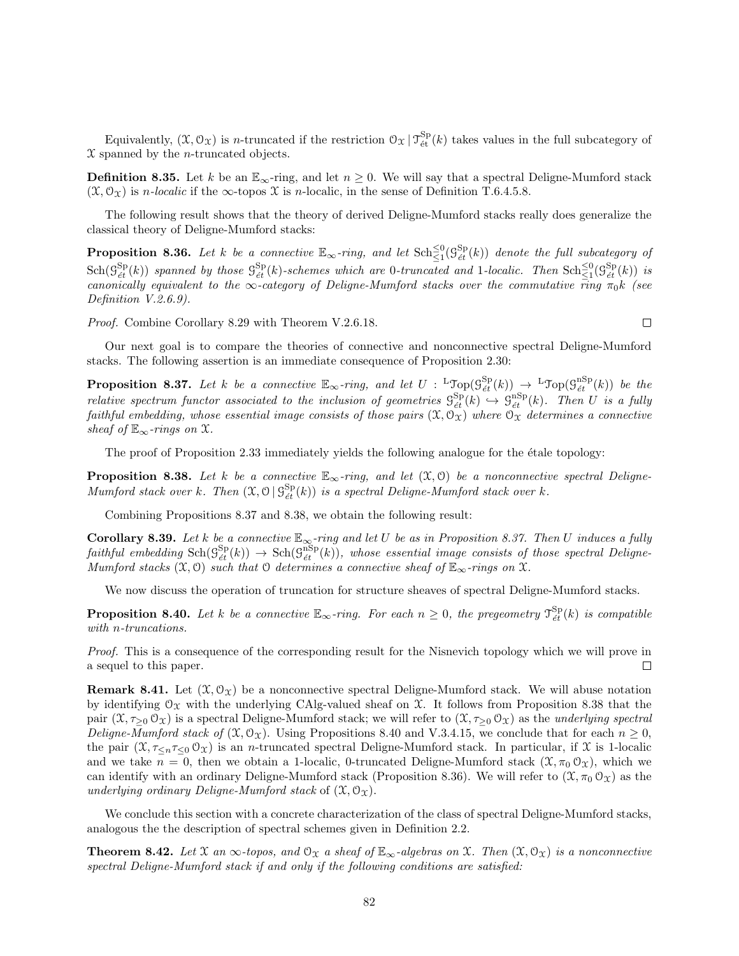Equivalently,  $(\mathfrak{X}, \mathcal{O}_{\mathfrak{X}})$  is *n*-truncated if the restriction  $\mathcal{O}_{\mathfrak{X}} | \mathcal{T}_{\mathrm{\acute{e}t}}^{\mathrm{Sp}}(k)$  takes values in the full subcategory of  $\mathfrak X$  spanned by the *n*-truncated objects.

**Definition 8.35.** Let k be an  $\mathbb{E}_{\infty}$ -ring, and let  $n \geq 0$ . We will say that a spectral Deligne-Mumford stack  $(\mathfrak{X}, \mathcal{O}_{\mathfrak{X}})$  is *n*-localic if the  $\infty$ -topos  $\mathfrak{X}$  is *n*-localic, in the sense of Definition T.6.4.5.8.

The following result shows that the theory of derived Deligne-Mumford stacks really does generalize the classical theory of Deligne-Mumford stacks:

**Proposition 8.36.** Let k be a connective  $\mathbb{E}_{\infty}$ -ring, and let  $\text{Sch}^{\leq 0}_{\leq 1}(\mathcal{G}^{\text{Sp}}_{\acute{e}t}(k))$  denote the full subcategory of  $\text{Sch}(\mathcal{G}_{\acute{e}t}^{\text{Sp}}(k))$  spanned by those  $\mathcal{G}_{\acute{e}t}^{\text{Sp}}(k)$ -schemes which are 0-truncated and 1-localic. Then  $\text{Sch}^{\leq 0}_{\leq 1}(\mathcal{G}_{\acute{e}t}^{\text{Sp}}(k))$  is canonically equivalent to the  $\infty$ -category of Deligne-Mumford stacks over the commutative ring  $\pi_0 k$  (see Definition V.2.6.9).

Proof. Combine Corollary 8.29 with Theorem V.2.6.18.

Our next goal is to compare the theories of connective and nonconnective spectral Deligne-Mumford stacks. The following assertion is an immediate consequence of Proposition 2.30:

**Proposition 8.37.** Let k be a connective  $\mathbb{E}_{\infty}$ -ring, and let  $U : L \text{Top}(\mathcal{G}_{\acute{e}t}^{\text{Sp}}(k)) \to L \text{Top}(\mathcal{G}_{\acute{e}t}^{\text{nSp}}(k))$  be the relative spectrum functor associated to the inclusion of geometries  $\mathcal{G}^{\text{Sp}}_{\text{\'et}}(k) \hookrightarrow \mathcal{G}^{\text{nSp}}_{\text{\'et}}(k)$ . Then U is a fully faithful embedding, whose essential image consists of those pairs  $(\mathfrak{X},\mathfrak{O}_\mathfrak{X})$  where  $\mathfrak{O}_\mathfrak{X}$  determines a connective sheaf of  $\mathbb{E}_{\infty}$ -rings on X.

The proof of Proposition 2.33 immediately yields the following analogue for the étale topology:

**Proposition 8.38.** Let k be a connective  $\mathbb{E}_{\infty}$ -ring, and let  $(\mathfrak{X}, \mathfrak{O})$  be a nonconnective spectral Deligne-Mumford stack over k. Then  $(\mathfrak{X}, \mathfrak{O} \mid \mathfrak{S}_{et}^{\mathsf{Sp}}(k))$  is a spectral Deligne-Mumford stack over k.

Combining Propositions 8.37 and 8.38, we obtain the following result:

**Corollary 8.39.** Let k be a connective  $\mathbb{E}_{\infty}$ -ring and let U be as in Proposition 8.37. Then U induces a fully  $\textit{faithful embedding } \operatorname{Sch}(\mathcal{G}^{\text{sp}}_{\textit{\'{e}t}}(k)) \rightarrow \operatorname{Sch}(\mathcal{G}^{\text{nSp}}_{\textit{\'{e}t}}(k)), \textit{ whose essential image consists of those spectral Deligne-}$ Mumford stacks  $(\mathfrak{X}, \mathfrak{O})$  such that  $\mathfrak{O}$  determines a connective sheaf of  $\mathbb{E}_{\infty}$ -rings on  $\mathfrak{X}$ .

We now discuss the operation of truncation for structure sheaves of spectral Deligne-Mumford stacks.

**Proposition 8.40.** Let k be a connective  $\mathbb{E}_{\infty}$ -ring. For each  $n \geq 0$ , the pregeometry  $\mathcal{T}_{\acute{e}t}^{\text{Sp}}(k)$  is compatible with n-truncations.

Proof. This is a consequence of the corresponding result for the Nisnevich topology which we will prove in a sequel to this paper.  $\Box$ 

**Remark 8.41.** Let  $(\mathcal{X}, \mathcal{O}_{\mathcal{X}})$  be a nonconnective spectral Deligne-Mumford stack. We will abuse notation by identifying  $\mathcal{O}_X$  with the underlying CAlg-valued sheaf on X. It follows from Proposition 8.38 that the pair  $(\mathfrak{X}, \tau_{\geq 0} \mathfrak{O}_{\mathfrak{X}})$  is a spectral Deligne-Mumford stack; we will refer to  $(\mathfrak{X}, \tau_{\geq 0} \mathfrak{O}_{\mathfrak{X}})$  as the *underlying spectral* Deligne-Mumford stack of  $(\mathfrak{X}, \mathcal{O}_\mathfrak{X})$ . Using Propositions 8.40 and V.3.4.15, we conclude that for each  $n \geq 0$ , the pair  $(\mathfrak{X}, \tau_{\leq n} \tau_{\leq 0} \mathfrak{O}_{\mathfrak{X}})$  is an *n*-truncated spectral Deligne-Mumford stack. In particular, if  $\mathfrak{X}$  is 1-localic and we take  $n = 0$ , then we obtain a 1-localic, 0-truncated Deligne-Mumford stack  $(\mathfrak{X}, \pi_0 \mathfrak{O}_\mathfrak{X})$ , which we can identify with an ordinary Deligne-Mumford stack (Proposition 8.36). We will refer to  $(\mathfrak{X}, \pi_0 \mathfrak{O}_{\mathfrak{X}})$  as the underlying ordinary Deligne-Mumford stack of  $(\mathfrak{X}, \mathfrak{O}_{\mathfrak{X}})$ .

We conclude this section with a concrete characterization of the class of spectral Deligne-Mumford stacks, analogous the the description of spectral schemes given in Definition 2.2.

**Theorem 8.42.** Let X an  $\infty$ -topos, and  $\mathcal{O}_X$  a sheaf of  $\mathbb{E}_{\infty}$ -algebras on X. Then  $(\mathcal{X}, \mathcal{O}_X)$  is a nonconnective spectral Deligne-Mumford stack if and only if the following conditions are satisfied:

 $\Box$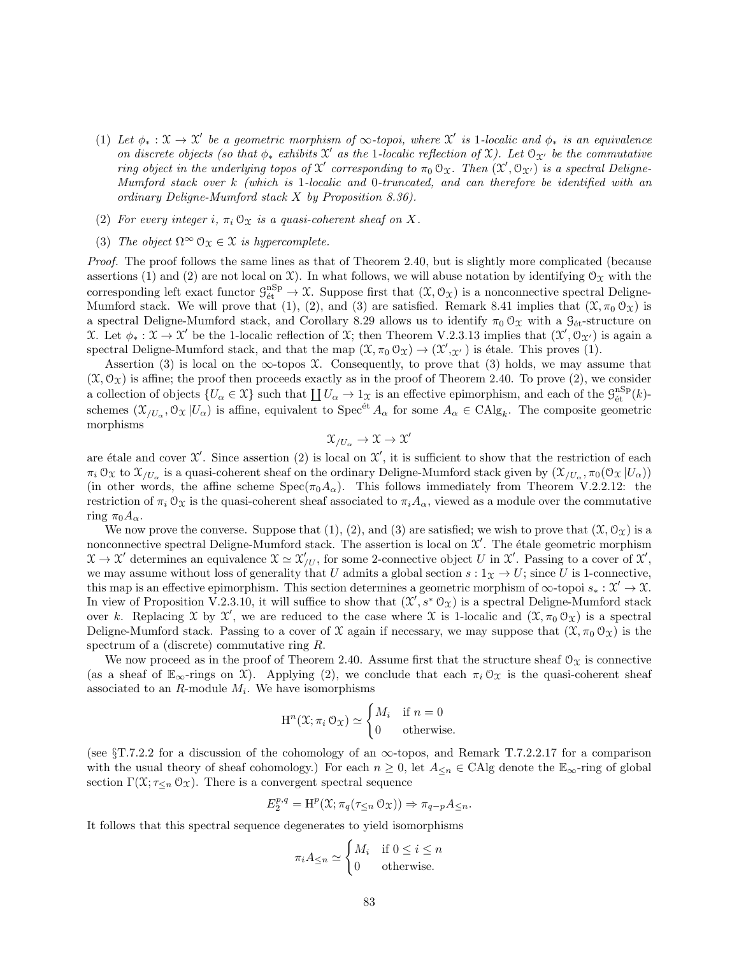- (1) Let  $\phi_* : \mathfrak{X} \to \mathfrak{X}'$  be a geometric morphism of  $\infty$ -topoi, where  $\mathfrak{X}'$  is 1-localic and  $\phi_*$  is an equivalence on discrete objects (so that  $\phi_*$  exhibits  $\mathcal{X}'$  as the 1-localic reflection of  $\mathcal{X}$ ). Let  $\mathcal{O}_{\mathcal{X}'}$  be the commutative ring object in the underlying topos of  $\mathfrak{X}'$  corresponding to  $\pi_0 \mathfrak{O}_{\mathfrak{X}}$ . Then  $(\mathfrak{X}', \mathfrak{O}_{\mathfrak{X}'})$  is a spectral Deligne-Mumford stack over k (which is 1-localic and 0-truncated, and can therefore be identified with an ordinary Deligne-Mumford stack X by Proposition 8.36).
- (2) For every integer i,  $\pi_i \mathcal{O}_{\mathfrak{X}}$  is a quasi-coherent sheaf on X.
- (3) The object  $\Omega^{\infty} \mathcal{O}_{\Upsilon} \in \mathcal{X}$  is hypercomplete.

Proof. The proof follows the same lines as that of Theorem 2.40, but is slightly more complicated (because assertions (1) and (2) are not local on X). In what follows, we will abuse notation by identifying  $\mathcal{O}_X$  with the corresponding left exact functor  $\mathcal{G}_{\text{\'et}}^{\text{nSp}} \to \mathfrak{X}$ . Suppose first that  $(\mathfrak{X}, \mathcal{O}_{\mathfrak{X}})$  is a nonconnective spectral Deligne-Mumford stack. We will prove that (1), (2), and (3) are satisfied. Remark 8.41 implies that  $(\mathfrak{X}, \pi_0 \mathfrak{O}_{\mathfrak{X}})$  is a spectral Deligne-Mumford stack, and Corollary 8.29 allows us to identify  $\pi_0 \mathcal{O}_X$  with a  $\mathcal{G}_{\text{\'et}}$ -structure on X. Let  $\phi_* : \mathfrak{X} \to \mathfrak{X}'$  be the 1-localic reflection of X; then Theorem V.2.3.13 implies that  $(\mathfrak{X}', \mathfrak{O}_{\mathfrak{X}'})$  is again a spectral Deligne-Mumford stack, and that the map  $(\mathfrak{X}, \pi_0 \mathfrak{O}_{\mathfrak{X}}) \to (\mathfrak{X}', \mathfrak{X}')$  is étale. This proves (1).

Assertion (3) is local on the  $\infty$ -topos X. Consequently, to prove that (3) holds, we may assume that  $(\mathfrak{X}, \mathfrak{O}_{\mathfrak{X}})$  is affine; the proof then proceeds exactly as in the proof of Theorem 2.40. To prove (2), we consider a collection of objects  $\{U_{\alpha} \in \mathfrak{X}\}\$  such that  $\coprod U_{\alpha} \to 1_{\mathfrak{X}}$  is an effective epimorphism, and each of the  $\mathcal{G}_{\text{\'et}}^{\text{nSp}}(k)$ schemes  $(\mathfrak{X}_{/U_{\alpha}}, \mathfrak{O}_{\mathfrak{X}} | U_{\alpha})$  is affine, equivalent to  $\text{Spec}^{\text{\'et}} A_{\alpha}$  for some  $A_{\alpha} \in \text{CAlg}_k$ . The composite geometric morphisms

$$
\mathfrak{X}_{/U_\alpha}\to \mathfrak{X}\to \mathfrak{X}'
$$

are étale and cover  $\mathfrak{X}'$ . Since assertion (2) is local on  $\mathfrak{X}'$ , it is sufficient to show that the restriction of each  $\pi_i \, \mathcal{O}_\mathfrak{X}$  to  $\mathfrak{X}_{/U_\alpha}$  is a quasi-coherent sheaf on the ordinary Deligne-Mumford stack given by  $(\mathfrak{X}_{/U_\alpha}, \pi_0(\mathcal{O}_\mathfrak{X} | U_\alpha))$ (in other words, the affine scheme  $Spec(\pi_0 A_\alpha)$ . This follows immediately from Theorem V.2.2.12: the restriction of  $\pi_i \mathcal{O}_\mathfrak{X}$  is the quasi-coherent sheaf associated to  $\pi_i A_\alpha$ , viewed as a module over the commutative ring  $\pi_0 A_\alpha$ .

We now prove the converse. Suppose that  $(1), (2),$  and  $(3)$  are satisfied; we wish to prove that  $(\mathcal{X}, \mathcal{O}_{\mathcal{X}})$  is a nonconnective spectral Deligne-Mumford stack. The assertion is local on  $\mathcal{X}'$ . The étale geometric morphism  $\mathfrak{X} \to \mathfrak{X}'$  determines an equivalence  $\mathfrak{X} \simeq \mathfrak{X}'_{/U}$ , for some 2-connective object U in  $\mathfrak{X}'$ . Passing to a cover of  $\mathfrak{X}'$ , we may assume without loss of generality that U admits a global section  $s: 1_X \to U$ ; since U is 1-connective, this map is an effective epimorphism. This section determines a geometric morphism of  $\infty$ -topoi  $s_* : \mathcal{X}' \to \mathcal{X}$ . In view of Proposition V.2.3.10, it will suffice to show that  $(\mathcal{X}', s^* \mathcal{O}_\mathcal{X})$  is a spectral Deligne-Mumford stack over k. Replacing X by X', we are reduced to the case where X is 1-localic and  $(\mathfrak{X}, \pi_0 \mathfrak{O}_{\mathfrak{X}})$  is a spectral Deligne-Mumford stack. Passing to a cover of X again if necessary, we may suppose that  $(\mathfrak{X}, \pi_0 \mathfrak{O}_\mathfrak{X})$  is the spectrum of a (discrete) commutative ring R.

We now proceed as in the proof of Theorem 2.40. Assume first that the structure sheaf  $\mathcal{O}_X$  is connective (as a sheaf of  $\mathbb{E}_{\infty}$ -rings on X). Applying (2), we conclude that each  $\pi_i \mathcal{O}_{\mathfrak{X}}$  is the quasi-coherent sheaf associated to an  $R$ -module  $M_i$ . We have isomorphisms

$$
H^{n}(\mathfrak{X}; \pi_{i} \mathfrak{O}_{\mathfrak{X}}) \simeq \begin{cases} M_{i} & \text{if } n = 0 \\ 0 & \text{otherwise.} \end{cases}
$$

(see  $\S T.7.2.2$  for a discussion of the cohomology of an  $\infty$ -topos, and Remark T.7.2.2.17 for a comparison with the usual theory of sheaf cohomology.) For each  $n \geq 0$ , let  $A_{\leq n} \in \text{CAlg}$  denote the  $\mathbb{E}_{\infty}$ -ring of global section  $\Gamma(\mathfrak{X}; \tau_{\leq n} \mathfrak{O}_{\mathfrak{X}})$ . There is a convergent spectral sequence

$$
E_2^{p,q} = \mathrm{H}^p(\mathfrak{X}; \pi_q(\tau_{\leq n} \mathfrak{O}_{\mathfrak{X}})) \Rightarrow \pi_{q-p} A_{\leq n}.
$$

It follows that this spectral sequence degenerates to yield isomorphisms

$$
\pi_i A_{\leq n} \simeq \begin{cases} M_i & \text{if } 0 \leq i \leq n \\ 0 & \text{otherwise.} \end{cases}
$$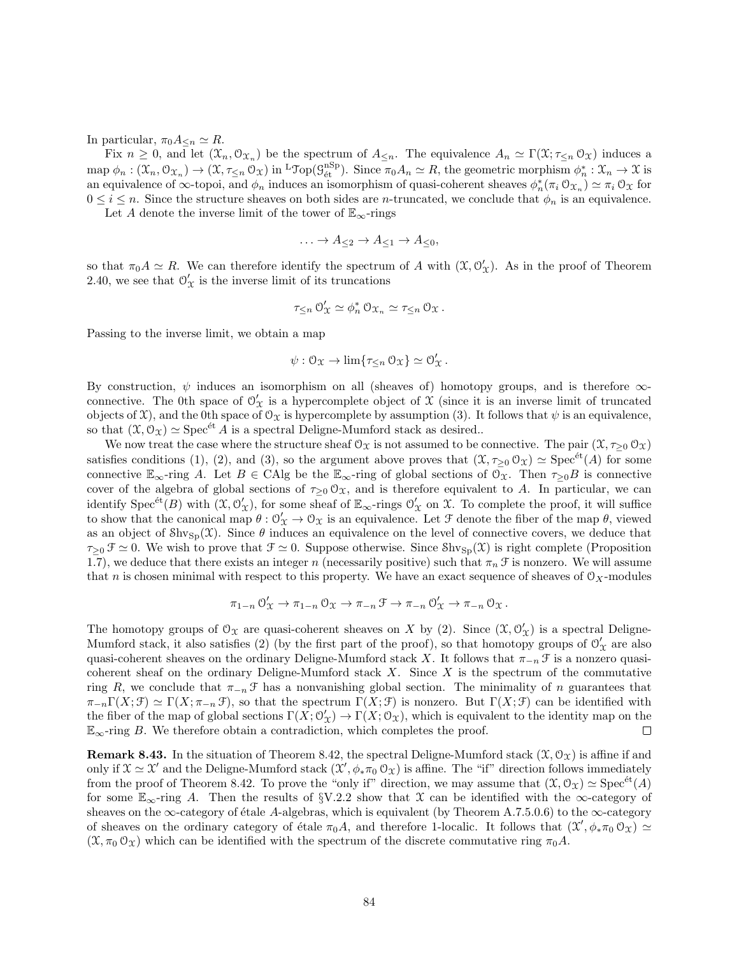In particular,  $\pi_0 A_{\leq n} \simeq R$ .

Fix  $n \geq 0$ , and let  $(\mathfrak{X}_n, \mathfrak{O}_{\mathfrak{X}_n})$  be the spectrum of  $A_{\leq n}$ . The equivalence  $A_n \simeq \Gamma(\mathfrak{X}; \tau_{\leq n} \mathfrak{O}_{\mathfrak{X}})$  induces a  $\text{map }\phi_n:(\mathfrak{X}_n,\mathfrak{O}_{\mathfrak{X}_n})\to(\mathfrak{X},\tau_{\leq n}\mathfrak{O}_{\mathfrak{X}})\text{ in }\text{LTop}(\mathcal{G}_{\text{\'{e}t}}^{\text{nSp}}).$  Since  $\pi_0A_n\simeq R$ , the geometric morphism  $\phi_n^*: \mathfrak{X}_n\to \mathfrak{X}$  is an equivalence of  $\infty$ -topoi, and  $\phi_n$  induces an isomorphism of quasi-coherent sheaves  $\phi_n^*(\pi_i \otimes_{\mathfrak{X}_n}) \simeq \pi_i \otimes_{\mathfrak{X}}$  for  $0 \leq i \leq n$ . Since the structure sheaves on both sides are *n*-truncated, we conclude that  $\phi_n$  is an equivalence. Let A denote the inverse limit of the tower of  $\mathbb{E}_{\infty}$ -rings

 $\ldots \to A_{\leq 2} \to A_{\leq 1} \to A_{\leq 0},$ 

so that  $\pi_0 A \simeq R$ . We can therefore identify the spectrum of A with  $(\mathfrak{X}, \mathcal{O}'_{\mathfrak{X}})$ . As in the proof of Theorem 2.40, we see that  $\mathcal{O}'_{\mathcal{X}}$  is the inverse limit of its truncations

$$
\tau_{\leq n} \, \mathcal{O}'_{\mathcal{X}} \simeq \phi_n^* \, \mathcal{O}_{\mathcal{X}_n} \simeq \tau_{\leq n} \, \mathcal{O}_{\mathcal{X}}.
$$

Passing to the inverse limit, we obtain a map

$$
\psi: \mathcal{O}_{\mathfrak{X}} \to \lim \{ \tau_{\leq n} \mathcal{O}_{\mathfrak{X}} \} \simeq \mathcal{O}_{\mathfrak{X}}'.
$$

By construction,  $\psi$  induces an isomorphism on all (sheaves of) homotopy groups, and is therefore  $\infty$ connective. The 0th space of  $\mathcal{O}'_{\mathcal{X}}$  is a hypercomplete object of  $\hat{\mathcal{X}}$  (since it is an inverse limit of truncated objects of  $\mathfrak{X}$ ), and the 0th space of  $\mathfrak{O}_{\mathfrak{X}}$  is hypercomplete by assumption (3). It follows that  $\psi$  is an equivalence, so that  $(\mathfrak{X}, \mathfrak{O}_{\mathfrak{X}}) \simeq \operatorname{Spec}^{\operatorname{\'et} } A$  is a spectral Deligne-Mumford stack as desired..

We now treat the case where the structure sheaf  $\mathcal{O}_\mathfrak{X}$  is not assumed to be connective. The pair  $(\mathfrak{X}, \tau_{\geq 0} \mathcal{O}_\mathfrak{X})$ satisfies conditions (1), (2), and (3), so the argument above proves that  $(\mathfrak{X}, \tau_{\geq 0} \mathfrak{O}_{\mathfrak{X}}) \simeq \text{Spec}^{\text{et}}(A)$  for some connective  $\mathbb{E}_{\infty}$ -ring A. Let  $B \in \text{CAlg}$  be the  $\mathbb{E}_{\infty}$ -ring of global sections of  $\mathcal{O}_{\mathfrak{X}}$ . Then  $\tau_{>0}B$  is connective cover of the algebra of global sections of  $\tau_{\geq 0} \mathcal{O}_X$ , and is therefore equivalent to A. In particular, we can identify  $Spec^{et}(B)$  with  $(\mathfrak{X}, \mathcal{O}'_{\mathfrak{X}})$ , for some sheaf of  $\mathbb{E}_{\infty}$ -rings  $\mathcal{O}'_{\mathfrak{X}}$  on  $\mathfrak{X}$ . To complete the proof, it will suffice to show that the canonical map  $\theta: \mathcal{O}'_{\mathcal{X}} \to \mathcal{O}_{\mathcal{X}}$  is an equivalence. Let  $\mathcal F$  denote the fiber of the map  $\theta$ , viewed as an object of  $\text{Shv}_{\text{Sp}}(\mathfrak{X})$ . Since  $\theta$  induces an equivalence on the level of connective covers, we deduce that  $\tau_{\geq 0}$   $\mathcal{F} \simeq 0$ . We wish to prove that  $\mathcal{F} \simeq 0$ . Suppose otherwise. Since  $\text{Shv}_{\text{Sp}}(\mathcal{X})$  is right complete (Proposition 1.7), we deduce that there exists an integer n (necessarily positive) such that  $\pi_n \mathcal{F}$  is nonzero. We will assume that n is chosen minimal with respect to this property. We have an exact sequence of sheaves of  $\mathcal{O}_X$ -modules

$$
\pi_{1-n} \circlearrowleft_{\mathcal{X}}' \to \pi_{1-n} \circlearrowleft_{\mathcal{X}} \to \pi_{-n} \circlearrowleft \to \pi_{-n} \circlearrowleft_{\mathcal{X}}' \to \pi_{-n} \circlearrowleft_{\mathcal{X}}.
$$

The homotopy groups of  $\mathcal{O}_{\mathfrak{X}}$  are quasi-coherent sheaves on X by (2). Since  $(\mathfrak{X}, \mathcal{O}'_{\mathfrak{X}})$  is a spectral Deligne-Mumford stack, it also satisfies (2) (by the first part of the proof), so that homotopy groups of  $\mathcal{O}'_{\mathcal{X}}$  are also quasi-coherent sheaves on the ordinary Deligne-Mumford stack X. It follows that  $\pi_{-n} \mathcal{F}$  is a nonzero quasicoherent sheaf on the ordinary Deligne-Mumford stack  $X$ . Since  $X$  is the spectrum of the commutative ring R, we conclude that  $\pi_{-n} \mathcal{F}$  has a nonvanishing global section. The minimality of n guarantees that  $\pi_{-n}\Gamma(X;\mathcal{F})\simeq \Gamma(X;\pi_{-n}\mathcal{F}),$  so that the spectrum  $\Gamma(X;\mathcal{F})$  is nonzero. But  $\Gamma(X;\mathcal{F})$  can be identified with the fiber of the map of global sections  $\Gamma(X; \mathcal{O}'_{X}) \to \Gamma(X; \mathcal{O}_{X})$ , which is equivalent to the identity map on the  $\mathbb{E}_{\infty}$ -ring B. We therefore obtain a contradiction, which completes the proof.  $\Box$ 

**Remark 8.43.** In the situation of Theorem 8.42, the spectral Deligne-Mumford stack  $(\mathcal{X}, \mathcal{O}_{\mathcal{X}})$  is affine if and only if  $\mathfrak{X} \simeq \mathfrak{X}'$  and the Deligne-Mumford stack  $(\mathfrak{X}', \phi_* \pi_0 \mathfrak{O}_{\mathfrak{X}})$  is affine. The "if" direction follows immediately from the proof of Theorem 8.42. To prove the "only if" direction, we may assume that  $(\mathfrak{X}, \mathfrak{O}_{\mathfrak{X}}) \simeq \mathrm{Spec}^{\mathrm{\'et}}(A)$ for some  $\mathbb{E}_{\infty}$ -ring A. Then the results of §V.2.2 show that X can be identified with the  $\infty$ -category of sheaves on the ∞-category of étale A-algebras, which is equivalent (by Theorem A.7.5.0.6) to the  $\infty$ -category of sheaves on the ordinary category of étale  $\pi_0 A$ , and therefore 1-localic. It follows that  $(\mathcal{X}', \phi_* \pi_0 \mathcal{O}_{\mathcal{X}}) \simeq$  $(\mathfrak{X}, \pi_0 \mathfrak{O}_{\mathfrak{X}})$  which can be identified with the spectrum of the discrete commutative ring  $\pi_0 A$ .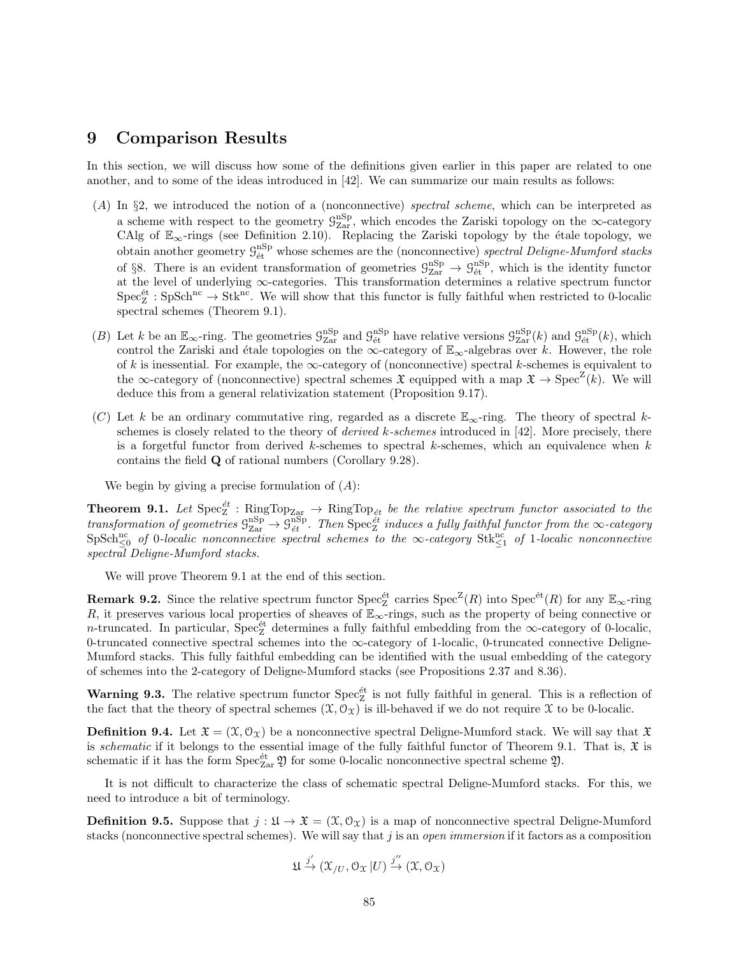## 9 Comparison Results

In this section, we will discuss how some of the definitions given earlier in this paper are related to one another, and to some of the ideas introduced in [42]. We can summarize our main results as follows:

- (A) In §2, we introduced the notion of a (nonconnective) spectral scheme, which can be interpreted as a scheme with respect to the geometry  $\mathcal{G}_{\rm Zar}^{\rm nSp}$ , which encodes the Zariski topology on the  $\infty$ -category CAlg of  $\mathbb{E}_{\infty}$ -rings (see Definition 2.10). Replacing the Zariski topology by the étale topology, we obtain another geometry  $\mathcal{G}_{\text{\'et}}^{\text{nSp}}$  whose schemes are the (nonconnective) spectral Deligne-Mumford stacks of §8. There is an evident transformation of geometries  $\mathcal{G}_{\text{Zar}}^{\text{nSp}} \to \mathcal{G}_{\text{\'et}}^{\text{nSp}}$ , which is the identity functor at the level of underlying ∞-categories. This transformation determines a relative spectrum functor  $Spec^{et}_{Z}: SpSch^{nc} \to Stk^{nc}$ . We will show that this functor is fully faithful when restricted to 0-localic spectral schemes (Theorem 9.1).
- (B) Let k be an  $\mathbb{E}_{\infty}$ -ring. The geometries  $\mathcal{G}_{\text{Zar}}^{\text{nSp}}$  and  $\mathcal{G}_{\text{\'et}}^{\text{nSp}}$  have relative versions  $\mathcal{G}_{\text{Zar}}^{\text{nSp}}(k)$  and  $\mathcal{G}_{\text{\'et}}^{\text{nSp}}(k)$ , which control the Zariski and étale topologies on the  $\infty$ -category of  $\mathbb{E}_{\infty}$ -algebras over k. However, the role of k is inessential. For example, the  $\infty$ -category of (nonconnective) spectral k-schemes is equivalent to the  $\infty$ -category of (nonconnective) spectral schemes  $\mathfrak X$  equipped with a map  $\mathfrak X \to \operatorname{Spec}^{\mathbb Z}(k)$ . We will deduce this from a general relativization statement (Proposition 9.17).
- (C) Let k be an ordinary commutative ring, regarded as a discrete  $\mathbb{E}_{\infty}$ -ring. The theory of spectral kschemes is closely related to the theory of *derived k-schemes* introduced in  $[42]$ . More precisely, there is a forgetful functor from derived k-schemes to spectral k-schemes, which an equivalence when  $k$ contains the field Q of rational numbers (Corollary 9.28).

We begin by giving a precise formulation of  $(A)$ :

**Theorem 9.1.** Let  $\text{Spec}^{\text{\'et}}_Z$ :  $\text{RingTop}_{\text{Zar}} \to \text{RingTop}_{\text{\'et}}$  be the relative spectrum functor associated to the transformation of geometries  $\mathcal{G}^{\text{nSp}}_{\text{Zar}} \to \mathcal{G}^{\text{nSp}}_{\text{\'et}}$ . Then  $\text{Spec}^{\text{\'et}}_Z$  induces a fully faithful functor from the  $\infty$ -category  $\text{SpSch}_{\leq 0}^{\text{nc}}$  of 0-localic nonconnective spectral schemes to the  $\infty$ -category  $\text{Stk}_{\leq 1}^{\text{nc}}$  of 1-localic nonconnective spectral Deligne-Mumford stacks.

We will prove Theorem 9.1 at the end of this section.

**Remark 9.2.** Since the relative spectrum functor  $\text{Spec}^{\text{\'et}}_Z$  carries  $\text{Spec}^Z(R)$  into  $\text{Spec}^{\text{\'et}}(R)$  for any  $\mathbb{E}_{\infty}$ -ring R, it preserves various local properties of sheaves of  $\mathbb{E}_{\infty}$ -rings, such as the property of being connective or n-truncated. In particular,  $Spec^{\text{\'et}}_Z$  determines a fully faithful embedding from the  $\infty$ -category of 0-localic, 0-truncated connective spectral schemes into the  $\infty$ -category of 1-localic, 0-truncated connective Deligne-Mumford stacks. This fully faithful embedding can be identified with the usual embedding of the category of schemes into the 2-category of Deligne-Mumford stacks (see Propositions 2.37 and 8.36).

**Warning 9.3.** The relative spectrum functor  $\text{Spec}^{\text{\'et}}_Z$  is not fully faithful in general. This is a reflection of the fact that the theory of spectral schemes  $(\mathfrak{X}, \mathcal{O}_{\mathfrak{X}})$  is ill-behaved if we do not require X to be 0-localic.

**Definition 9.4.** Let  $\mathfrak{X} = (\mathfrak{X}, \mathfrak{O}_\mathfrak{X})$  be a nonconnective spectral Deligne-Mumford stack. We will say that  $\mathfrak{X}$ is schematic if it belongs to the essential image of the fully faithful functor of Theorem 9.1. That is,  $\mathfrak X$  is schematic if it has the form  $Spec_{Zar}^{\text{\'et}} \mathfrak{Y}$  for some 0-localic nonconnective spectral scheme  $\mathfrak{Y}$ .

It is not difficult to characterize the class of schematic spectral Deligne-Mumford stacks. For this, we need to introduce a bit of terminology.

**Definition 9.5.** Suppose that  $j : \mathfrak{U} \to \mathfrak{X} = (\mathfrak{X}, \mathfrak{O}_\mathfrak{X})$  is a map of nonconnective spectral Deligne-Mumford stacks (nonconnective spectral schemes). We will say that j is an *open immersion* if it factors as a composition

$$
\mathfrak{U} \xrightarrow{j'} (\mathfrak{X}_{/U}, \mathfrak{O}_{\mathfrak{X}} |U) \xrightarrow{j''} (\mathfrak{X}, \mathfrak{O}_{\mathfrak{X}})
$$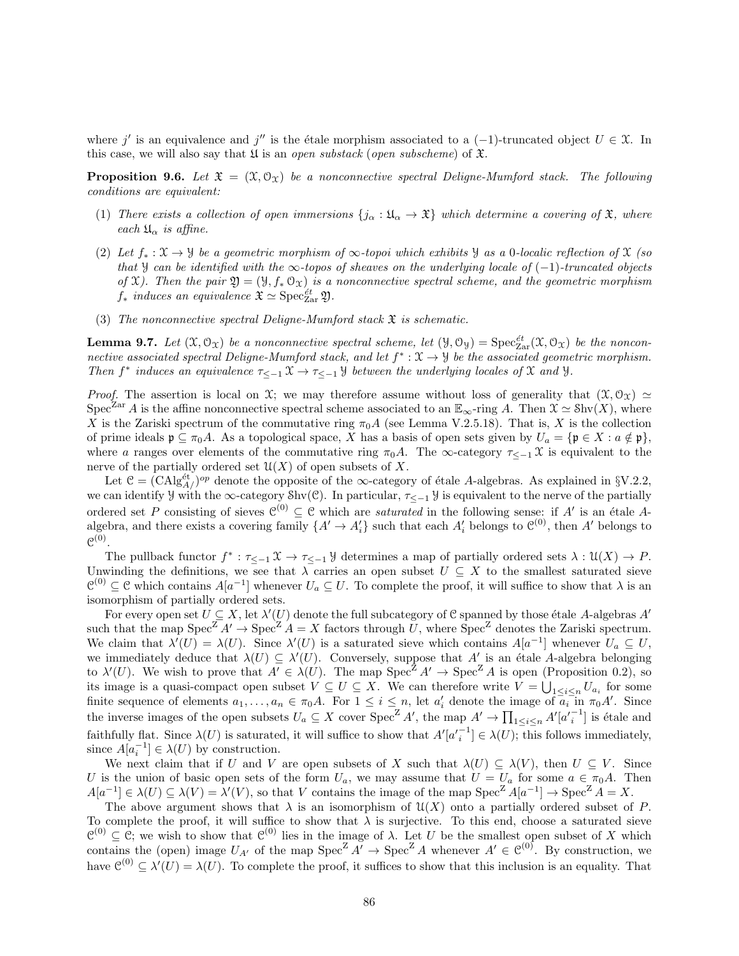where j' is an equivalence and j'' is the étale morphism associated to a  $(-1)$ -truncated object  $U \in \mathcal{X}$ . In this case, we will also say that  $\mathfrak U$  is an open substack (open subscheme) of  $\mathfrak X$ .

**Proposition 9.6.** Let  $\mathfrak{X} = (\mathfrak{X}, \mathfrak{O}_{\mathfrak{X}})$  be a nonconnective spectral Deligne-Mumford stack. The following conditions are equivalent:

- (1) There exists a collection of open immersions  $\{j_{\alpha} : \mathfrak{U}_{\alpha} \to \mathfrak{X}\}\$  which determine a covering of  $\mathfrak{X}$ , where each  $\mathfrak{U}_{\alpha}$  is affine.
- (2) Let  $f_* : \mathfrak{X} \to \mathfrak{Y}$  be a geometric morphism of  $\infty$ -topoi which exhibits  $\mathfrak{Y}$  as a 0-localic reflection of  $\mathfrak{X}$  (so that y can be identified with the  $\infty$ -topos of sheaves on the underlying locale of  $(-1)$ -truncated objects of X). Then the pair  $\mathfrak{Y} = (\mathfrak{Y}, f_* \mathfrak{O}_X)$  is a nonconnective spectral scheme, and the geometric morphism  $f_*$  induces an equivalence  $\mathfrak{X} \simeq \operatorname{Spec}^{\acute{e}t}_{\operatorname{Zar}} \mathfrak{Y}$ .
- (3) The nonconnective spectral Deligne-Mumford stack  $\mathfrak X$  is schematic.

**Lemma 9.7.** Let  $(\mathfrak{X}, \mathfrak{O}_{\mathfrak{X}})$  be a nonconnective spectral scheme, let  $(\mathfrak{Y}, \mathfrak{O}_{\mathfrak{Y}}) = \text{Spec}_{\text{Zar}}^{\text{\'et}}(\mathfrak{X}, \mathfrak{O}_{\mathfrak{X}})$  be the nonconnective associated spectral Deligne-Mumford stack, and let  $f^*: \mathfrak{X} \to \mathcal{Y}$  be the associated geometric morphism. Then  $f^*$  induces an equivalence  $\tau_{\leq -1} \mathfrak{X} \to \tau_{\leq -1} \mathfrak{Y}$  between the underlying locales of  $\mathfrak{X}$  and  $\mathfrak{Y}$ .

*Proof.* The assertion is local on X; we may therefore assume without loss of generality that  $(\mathfrak{X}, \mathcal{O}_{\mathfrak{X}}) \simeq$ Spec<sup>Zar</sup> A is the affine nonconnective spectral scheme associated to an  $\mathbb{E}_{\infty}$ -ring A. Then  $\mathfrak{X} \simeq \text{Shv}(X)$ , where X is the Zariski spectrum of the commutative ring  $\pi_0 A$  (see Lemma V.2.5.18). That is, X is the collection of prime ideals  $\mathfrak{p} \subseteq \pi_0 A$ . As a topological space, X has a basis of open sets given by  $U_a = {\mathfrak{p} \in X : a \notin \mathfrak{p}},$ where a ranges over elements of the commutative ring  $\pi_0 A$ . The ∞-category  $\tau \leq -1$  X is equivalent to the nerve of the partially ordered set  $\mathcal{U}(X)$  of open subsets of X.

Let  $C = (CAlg_{A}/^{op})$  denote the opposite of the  $\infty$ -category of étale A-algebras. As explained in §V.2.2, we can identify  $\mathcal Y$  with the ∞-category Shv(C). In particular,  $\tau_{\leq -1}$   $\mathcal Y$  is equivalent to the nerve of the partially ordered set P consisting of sieves  $\mathcal{C}^{(0)} \subseteq \mathcal{C}$  which are *saturated* in the following sense: if A' is an étale Aalgebra, and there exists a covering family  $\{A' \to A'_i\}$  such that each  $A'_i$  belongs to  $\mathcal{C}^{(0)}$ , then A' belongs to  $\mathfrak{C}^{(0)}.$ 

The pullback functor  $f^* : \tau_{\leq -1} \mathfrak{X} \to \tau_{\leq -1} \mathfrak{Y}$  determines a map of partially ordered sets  $\lambda : \mathfrak{U}(X) \to P$ . Unwinding the definitions, we see that  $\lambda$  carries an open subset  $U \subseteq X$  to the smallest saturated sieve  $\mathcal{C}^{(0)} \subseteq \mathcal{C}$  which contains  $A[a^{-1}]$  whenever  $U_a \subseteq U$ . To complete the proof, it will suffice to show that  $\lambda$  is an isomorphism of partially ordered sets.

For every open set  $U \subseteq X$ , let  $\lambda'(U)$  denote the full subcategory of C spanned by those étale A-algebras A' such that the map  $Spec^Z A' \to Spec^Z A = X$  factors through U, where  $Spec^Z$  denotes the Zariski spectrum. We claim that  $\lambda'(U) = \lambda(U)$ . Since  $\lambda'(U)$  is a saturated sieve which contains  $A[a^{-1}]$  whenever  $U_a \subseteq U$ , we immediately deduce that  $\lambda(U) \subseteq \lambda'(U)$ . Conversely, suppose that A' is an étale A-algebra belonging to  $\lambda'(U)$ . We wish to prove that  $A' \in \lambda(U)$ . The map  $Spec^Z A' \to Spec^Z A$  is open (Proposition 0.2), so its image is a quasi-compact open subset  $V \subseteq U \subseteq X$ . We can therefore write  $V = \bigcup_{1 \leq i \leq n} U_{a_i}$  for some finite sequence of elements  $a_1, \ldots, a_n \in \pi_0 A$ . For  $1 \leq i \leq n$ , let  $a'_i$  denote the image of  $\overline{a_i}$  in  $\pi_0 A'$ . Since the inverse images of the open subsets  $U_a \subseteq X$  cover  $Spec^Z A'$ , the map  $A' \to \prod_{1 \leq i \leq n} A'[a'_{i}^{-1}]$  is étale and faithfully flat. Since  $\lambda(U)$  is saturated, it will suffice to show that  $A'[a'_{i}^{-1}] \in \lambda(U)$ ; this follows immediately, since  $A[a_i^{-1}] \in \lambda(U)$  by construction.

We next claim that if U and V are open subsets of X such that  $\lambda(U) \subseteq \lambda(V)$ , then  $U \subseteq V$ . Since U is the union of basic open sets of the form  $U_a$ , we may assume that  $U = U_a$  for some  $a \in \pi_0 A$ . Then  $A[a^{-1}] \in \lambda(U) \subseteq \lambda(V) = \lambda'(V)$ , so that V contains the image of the map  $\text{Spec}^Z A[a^{-1}] \to \text{Spec}^Z A = X$ .

The above argument shows that  $\lambda$  is an isomorphism of  $\mathfrak{U}(X)$  onto a partially ordered subset of P. To complete the proof, it will suffice to show that  $\lambda$  is surjective. To this end, choose a saturated sieve  $\mathcal{C}^{(0)} \subseteq \mathcal{C}$ ; we wish to show that  $\mathcal{C}^{(0)}$  lies in the image of  $\lambda$ . Let U be the smallest open subset of X which contains the (open) image  $U_{A'}$  of the map  $Spec^Z A' \to Spec^Z A$  whenever  $A' \in \mathcal{C}^{(0)}$ . By construction, we have  $\mathcal{C}^{(0)} \subseteq \lambda'(U) = \lambda(U)$ . To complete the proof, it suffices to show that this inclusion is an equality. That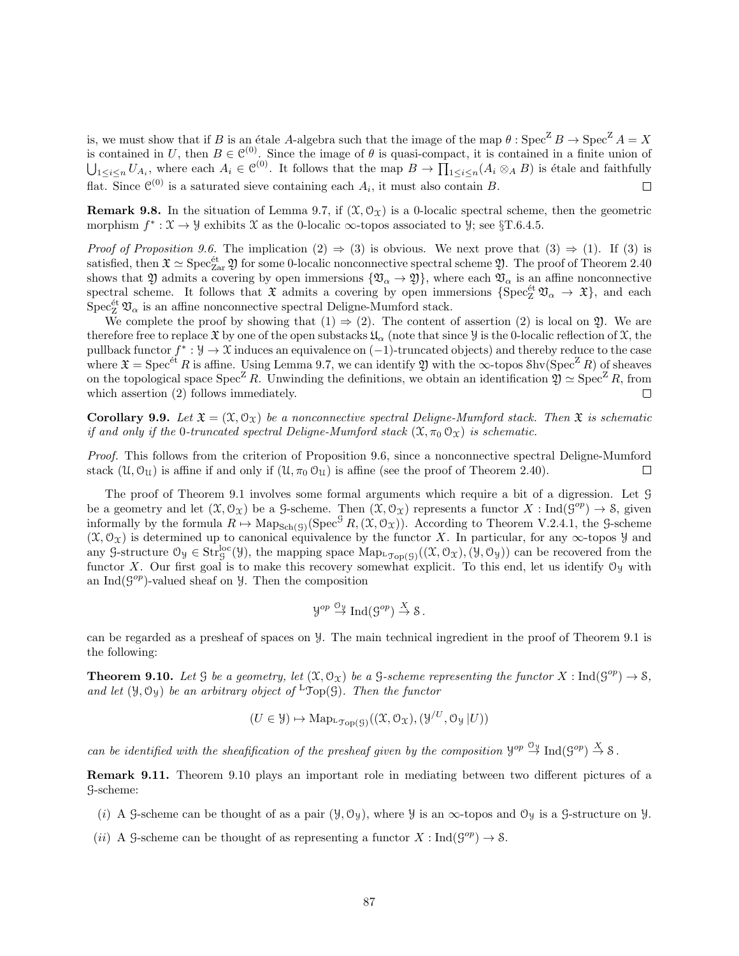is, we must show that if B is an étale A-algebra such that the image of the map  $\theta$  : Spec<sup>Z</sup> B  $\rightarrow$  Spec<sup>Z</sup> A = X is contained in U, then  $B \in \mathcal{C}^{(0)}$ . Since the image of  $\theta$  is quasi-compact, it is contained in a finite union of  $\bigcup_{1 \leq i \leq n} U_{A_i}$ , where each  $A_i \in \mathcal{C}^{(0)}$ . It follows that the map  $B \to \prod_{1 \leq i \leq n} (A_i \otimes_A B)$  is étale and faithfully flat. Since  $\mathcal{C}^{(0)}$  is a saturated sieve containing each  $A_i$ , it must also contain B.  $\Box$ 

**Remark 9.8.** In the situation of Lemma 9.7, if  $(\mathcal{X}, \mathcal{O}_\mathcal{X})$  is a 0-localic spectral scheme, then the geometric morphism  $f^* : \mathfrak{X} \to \mathcal{Y}$  exhibits  $\mathfrak{X}$  as the 0-localic  $\infty$ -topos associated to  $\mathcal{Y}$ ; see  $\S T.6.4.5$ .

*Proof of Proposition 9.6.* The implication  $(2) \Rightarrow (3)$  is obvious. We next prove that  $(3) \Rightarrow (1)$ . If  $(3)$  is satisfied, then  $\mathfrak{X} \simeq \mathrm{Spec}^{\mathrm{\acute{e}t}}_{\mathrm{Zar}}$   $\mathfrak{Y}$  for some 0-localic nonconnective spectral scheme  $\mathfrak{Y}$ . The proof of Theorem 2.40 shows that  $\mathfrak Y$  admits a covering by open immersions  $\{\mathfrak V_\alpha\to\mathfrak Y\}$ , where each  $\mathfrak V_\alpha$  is an affine nonconnective spectral scheme. It follows that  $\mathfrak X$  admits a covering by open immersions  $\{\text{Spec}^{\text{\'et}}_{\mathbf Z}\mathfrak V_\alpha\to\mathfrak X\}$ , and each  $\mathrm{Spec}^{\mathrm{\acute{e}t}}_{\mathrm{Z}}$   $\mathfrak{V}_{\alpha}$  is an affine nonconnective spectral Deligne-Mumford stack.

We complete the proof by showing that  $(1) \Rightarrow (2)$ . The content of assertion  $(2)$  is local on  $\mathfrak{Y}$ . We are therefore free to replace  $\mathfrak X$  by one of the open substacks  $\mathfrak{U}_\alpha$  (note that since  $\mathcal Y$  is the 0-localic reflection of  $\mathfrak X$ , the pullback functor  $f^*: \mathcal{Y} \to \mathcal{X}$  induces an equivalence on  $(-1)$ -truncated objects) and thereby reduce to the case where  $\mathfrak{X} = \mathrm{Spec}^{\acute{e}t} R$  is affine. Using Lemma 9.7, we can identify  $\mathfrak{Y}$  with the  $\infty$ -topos Shv(Spec<sup>Z</sup>R) of sheaves on the topological space  $\text{Spec}^Z R$ . Unwinding the definitions, we obtain an identification  $\mathfrak{Y} \simeq \text{Spec}^Z R$ , from which assertion (2) follows immediately.  $\Box$ 

**Corollary 9.9.** Let  $\mathfrak{X} = (\mathfrak{X}, \mathfrak{O}_\mathfrak{X})$  be a nonconnective spectral Deliane-Mumford stack. Then  $\mathfrak{X}$  is schematic if and only if the 0-truncated spectral Deligne-Mumford stack  $(\mathfrak{X}, \pi_0 \mathfrak{O}_{\mathfrak{X}})$  is schematic.

Proof. This follows from the criterion of Proposition 9.6, since a nonconnective spectral Deligne-Mumford stack  $(\mathcal{U}, \mathcal{O}_{\mathcal{U}})$  is affine if and only if  $(\mathcal{U}, \pi_0 \mathcal{O}_{\mathcal{U}})$  is affine (see the proof of Theorem 2.40).  $\Box$ 

The proof of Theorem 9.1 involves some formal arguments which require a bit of a digression. Let G be a geometry and let  $(\mathfrak{X}, \mathcal{O}_{\mathfrak{X}})$  be a G-scheme. Then  $(\mathfrak{X}, \mathcal{O}_{\mathfrak{X}})$  represents a functor  $X : \text{Ind}(\mathcal{G}^{op}) \to \mathcal{S}$ , given informally by the formula  $R \mapsto \text{Map}_{\text{Sch}(\mathcal{G})}(\text{Spec}^{\mathcal{G}} R, (\mathcal{X}, \mathcal{O}_{\mathcal{X}})).$  According to Theorem V.2.4.1, the G-scheme  $(\mathfrak{X}, \mathfrak{O}_{\mathfrak{X}})$  is determined up to canonical equivalence by the functor X. In particular, for any  $\infty$ -topos Y and any G-structure  $\mathcal{O}_y \in \text{Str}_g^{\text{loc}}(\mathcal{Y})$ , the mapping space  $\text{Map}_{\text{top}(G)}((\mathcal{X}, \mathcal{O}_\mathcal{X}), (\mathcal{Y}, \mathcal{O}_\mathcal{Y}))$  can be recovered from the functor X. Our first goal is to make this recovery somewhat explicit. To this end, let us identify  $\mathcal{O}_y$  with an Ind $(\mathcal{G}^{op})$ -valued sheaf on  $\mathcal{Y}$ . Then the composition

$$
\mathcal{Y}^{op} \stackrel{\mathcal{O}_\mathcal{Y}}{\to} \operatorname{Ind}(\mathcal{G}^{op}) \stackrel{X}{\to} \mathcal{S}.
$$

can be regarded as a presheaf of spaces on Y. The main technical ingredient in the proof of Theorem 9.1 is the following:

**Theorem 9.10.** Let  $\mathcal G$  be a geometry, let  $(\mathcal X, \mathcal O_{\mathcal X})$  be a  $\mathcal G$ -scheme representing the functor  $X : \text{Ind}(\mathcal G^{op}) \to \mathcal S$ , and let  $(\mathcal{Y}, \mathcal{O}_{\mathcal{Y}})$  be an arbitrary object of  ${}^{\mathsf{L}} \mathfrak{Top}(\mathcal{G})$ . Then the functor

$$
(U \in \mathcal{Y}) \mapsto \mathrm{Map}_{\mathcal{I}_{\mathrm{op}}(\mathcal{G})}((\mathcal{X}, \mathcal{O}_{\mathcal{X}}), (\mathcal{Y}^{/U}, \mathcal{O}_{\mathcal{Y}} | U))
$$

can be identified with the sheafification of the presheaf given by the composition  $\mathcal{Y}^{op} \stackrel{\circ \psi}{\to} \text{Ind}(\mathcal{G}^{op}) \stackrel{X}{\to} \mathcal{S}$ .

Remark 9.11. Theorem 9.10 plays an important role in mediating between two different pictures of a G-scheme:

- (i) A G-scheme can be thought of as a pair  $(\mathcal{Y}, \mathcal{O}_{\mathcal{Y}})$ , where  $\mathcal{Y}$  is an  $\infty$ -topos and  $\mathcal{O}_{\mathcal{Y}}$  is a G-structure on  $\mathcal{Y}$ .
- (*ii*) A G-scheme can be thought of as representing a functor  $X: \text{Ind}(G^{op}) \to \mathcal{S}$ .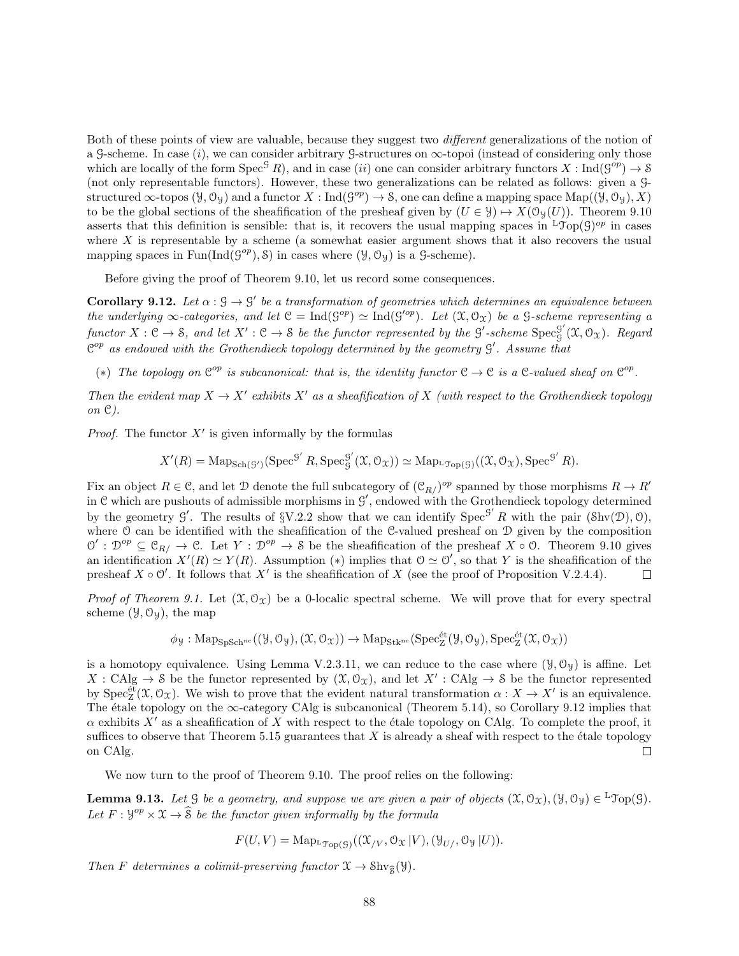Both of these points of view are valuable, because they suggest two different generalizations of the notion of a G-scheme. In case  $(i)$ , we can consider arbitrary G-structures on  $\infty$ -topoi (instead of considering only those which are locally of the form  $Spec^{\mathcal{G}} R$ , and in case *(ii)* one can consider arbitrary functors  $X: Ind(\mathcal{G}^{op}) \to \mathcal{S}$ (not only representable functors). However, these two generalizations can be related as follows: given a Gstructured  $\infty$ -topos  $(\mathcal{Y}, \mathcal{O}_{\mathcal{Y}})$  and a functor  $X : \text{Ind}( \mathcal{G}^{op}) \to \mathcal{S}$ , one can define a mapping space  $\text{Map}((\mathcal{Y}, \mathcal{O}_{\mathcal{Y}}), X)$ to be the global sections of the sheafification of the presheaf given by  $(U \in \mathcal{Y}) \rightarrow X(\mathcal{O}_{\mathcal{Y}}(U))$ . Theorem 9.10 asserts that this definition is sensible: that is, it recovers the usual mapping spaces in  ${}^L\mathcal{Top}(G)^{op}$  in cases where  $X$  is representable by a scheme (a somewhat easier argument shows that it also recovers the usual mapping spaces in  $Fun(Ind(g^{op}), \mathcal{S})$  in cases where  $(\mathcal{Y}, \mathcal{O}_{\mathcal{Y}})$  is a  $\mathcal{G}\text{-scheme}$ .

Before giving the proof of Theorem 9.10, let us record some consequences.

**Corollary 9.12.** Let  $\alpha$  :  $\beta \rightarrow \beta'$  be a transformation of geometries which determines an equivalence between the underlying  $\infty$ -categories, and let  $\mathfrak{C} = \text{Ind}(\mathfrak{G}^{op}) \simeq \text{Ind}(\mathfrak{G}'^{op})$ . Let  $(\mathfrak{X}, \mathfrak{O}_{\mathfrak{X}})$  be a  $\mathfrak{G}$ -scheme representing a functor  $X : \mathcal{C} \to \mathcal{S}$ , and let  $X' : \mathcal{C} \to \mathcal{S}$  be the functor represented by the  $\mathcal{G}'$ -scheme  $\text{Spec}^{\mathcal{G}'}_{\mathcal{C}}$  $\mathfrak{g}^{\mathfrak{g}}(\mathfrak{X},\mathfrak{O}_{\mathfrak{X}})$ . Regard  $\mathfrak{C}^{op}$  as endowed with the Grothendieck topology determined by the geometry  $\mathfrak{G}'$ . Assume that

(\*) The topology on  $\mathbb{C}^{op}$  is subcanonical: that is, the identity functor  $\mathbb{C} \to \mathbb{C}$  is a  $\mathbb{C}\text{-}valued$  sheaf on  $\mathbb{C}^{op}$ .

Then the evident map  $X \to X'$  exhibits X' as a sheafification of X (with respect to the Grothendieck topology on C).

*Proof.* The functor  $X'$  is given informally by the formulas

$$
X'(R) = \mathrm{Map}_{\mathrm{Sch}(\mathcal{G}')}(\mathrm{Spec}^{\mathcal{G}'} R, \mathrm{Spec}^{\mathcal{G}'}_{\mathcal{G}}(\mathfrak{X}, \mathcal{O}_{\mathfrak{X}})) \simeq \mathrm{Map}_{\mathrm{L}\mathfrak{Top}(\mathcal{G})}((\mathfrak{X}, \mathcal{O}_{\mathfrak{X}}), \mathrm{Spec}^{\mathcal{G}'} R).
$$

Fix an object  $R \in \mathcal{C}$ , and let D denote the full subcategory of  $(\mathcal{C}_{R}/)^{op}$  spanned by those morphisms  $R \to R'$ in  $C$  which are pushouts of admissible morphisms in  $G'$ , endowed with the Grothendieck topology determined by the geometry  $\mathcal{G}'$ . The results of  $\{V.2.2 \text{ show that we can identify } \text{Spec}^{\mathcal{G}'} R$  with the pair  $(\text{Shv}(\mathcal{D}), \mathcal{O})$ , where O can be identified with the sheafification of the C-valued presheaf on D given by the composition  $\mathcal{O}' : \mathcal{D}^{op} \subseteq \mathcal{C}_{R}/ \to \mathcal{C}$ . Let  $Y : \mathcal{D}^{op} \to \mathcal{S}$  be the sheafification of the presheaf  $X \circ \mathcal{O}$ . Theorem 9.10 gives an identification  $X'(R) \simeq Y(R)$ . Assumption (\*) implies that  $\mathcal{O} \simeq \mathcal{O}'$ , so that Y is the sheafification of the presheaf  $X \circ \mathcal{O}'$ . It follows that  $X'$  is the sheafification of X (see the proof of Proposition V.2.4.4).  $\Box$ 

*Proof of Theorem 9.1.* Let  $(\mathfrak{X}, \mathcal{O}_{\mathfrak{X}})$  be a 0-localic spectral scheme. We will prove that for every spectral scheme  $(\mathcal{Y}, \mathcal{O}_{\mathcal{Y}})$ , the map

$$
\phi_{\mathcal{Y}}: \mathrm{Map}_{\mathbf{SpSch^{nc}}}((\mathcal{Y}, \mathcal{O}_{\mathcal{Y}}), (\mathcal{X}, \mathcal{O}_{\mathcal{X}})) \to \mathrm{Map}_{\mathbf{Stk^{nc}}}(\mathbf{Spec}^{\text{\'et}}_{\mathbf{Z}}(\mathcal{Y}, \mathcal{O}_{\mathcal{Y}}), \mathbf{Spec}^{\text{\'et}}_{\mathbf{Z}}(\mathcal{X}, \mathcal{O}_{\mathcal{X}}))
$$

is a homotopy equivalence. Using Lemma V.2.3.11, we can reduce to the case where  $(\mathcal{Y}, \mathcal{O}_{\mathcal{Y}})$  is affine. Let  $X: \mathrm{CAlg} \to \mathcal{S}$  be the functor represented by  $(\mathfrak{X}, \mathcal{O}_{\mathfrak{X}})$ , and let  $X': \mathrm{CAlg} \to \mathcal{S}$  be the functor represented by  $Spec^{\'e}Z(\mathfrak{X}, \mathcal{O}_{\mathfrak{X}})$ . We wish to prove that the evident natural transformation  $\alpha : X \to X'$  is an equivalence. The étale topology on the  $\infty$ -category CAlg is subcanonical (Theorem 5.14), so Corollary 9.12 implies that  $\alpha$  exhibits X' as a sheafification of X with respect to the étale topology on CAlg. To complete the proof, it suffices to observe that Theorem 5.15 guarantees that  $X$  is already a sheaf with respect to the étale topology on CAlg.  $\Box$ 

We now turn to the proof of Theorem 9.10. The proof relies on the following:

**Lemma 9.13.** Let  $\mathcal G$  be a geometry, and suppose we are given a pair of objects  $(\mathfrak X, \mathcal O_{\mathfrak X}), (\mathcal Y, \mathcal O_{\mathcal Y}) \in {}^{\mathbb L} \mathfrak{Top}(\mathcal G)$ . Let  $F: \mathcal{Y}^{op} \times \mathcal{X} \to \widehat{\mathcal{S}}$  be the functor given informally by the formula

$$
F(U, V) = \mathrm{Map}_{\mathrm{L}\mathfrak{Top}(\mathcal{G})}((\mathfrak{X}_{/V}, \mathcal{O}_{\mathfrak{X}} | V), (\mathcal{Y}_{U/}, \mathcal{O}_{\mathcal{Y}} | U)).
$$

Then F determines a colimit-preserving functor  $\mathfrak{X} \to \text{Shv}_{\mathfrak{S}}(\mathcal{Y})$ .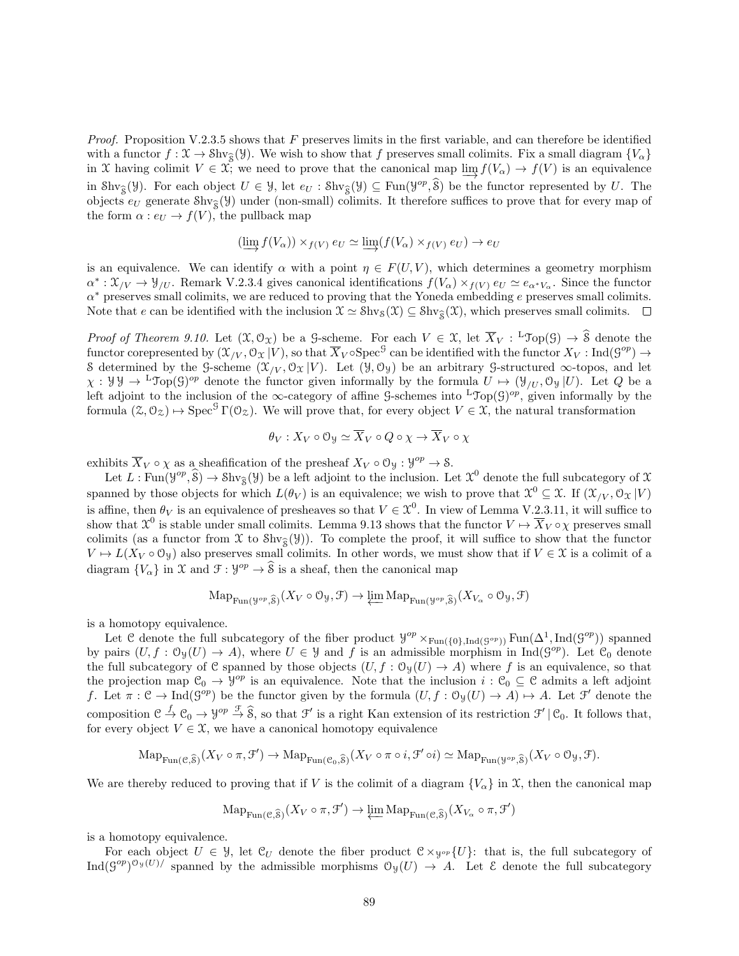*Proof.* Proposition V.2.3.5 shows that F preserves limits in the first variable, and can therefore be identified with a functor  $f: \mathfrak{X} \to \text{Shv}_{\mathfrak{X}}(\mathcal{Y})$ . We wish to show that f preserves small colimits. Fix a small diagram  $\{V_{\alpha}\}\$ in X having colimit  $V \in \mathfrak{X}$ ; we need to prove that the canonical map  $\lim_{\epsilon \to 0} f(V_\alpha) \to f(V)$  is an equivalence in Shv<sub>S</sub>(Y). For each object  $U \in \mathcal{Y}$ , let  $e_U$ : Shv<sub>S</sub>(Y)  $\subseteq$  Fun(Y<sup>op</sup>,  $\hat{S}$ ) be the functor represented by U. The objects  $e_U$  generate  $\text{Shv}_{\hat{S}}(\mathcal{Y})$  under (non-small) colimits. It therefore suffices to prove that for every map of the form  $\alpha: e_U \to f(V)$ , the pullback map

$$
(\varinjlim f(V_{\alpha})) \times_{f(V)} e_U \simeq \varinjlim (f(V_{\alpha}) \times_{f(V)} e_U) \to e_U
$$

is an equivalence. We can identify  $\alpha$  with a point  $\eta \in F(U, V)$ , which determines a geometry morphism  $\alpha^*: \mathfrak{X}_{/V} \to \mathcal{Y}_{/U}$ . Remark V.2.3.4 gives canonical identifications  $f(V_\alpha) \times_{f(V)} e_U \simeq e_{\alpha^*V_\alpha}$ . Since the functor  $\alpha^*$  preserves small colimits, we are reduced to proving that the Yoneda embedding e preserves small colimits. Note that e can be identified with the inclusion  $\mathfrak{X} \simeq \text{Shv}_{\mathfrak{S}}(\mathfrak{X}) \subseteq \text{Shv}_{\mathfrak{S}}(\mathfrak{X})$ , which preserves small colimits.  $\Box$ 

*Proof of Theorem 9.10.* Let  $(\mathfrak{X}, \mathcal{O}_{\mathfrak{X}})$  be a  $\mathcal{G}$ -scheme. For each  $V \in \mathfrak{X}$ , let  $\overline{X}_V : {}^{\mathsf{L}}\mathcal{J}\mathsf{op}(\mathcal{G}) \to \widehat{\mathcal{S}}$  denote the functor corepresented by  $(\mathfrak{X}_{/V},\mathfrak{O}_{\mathfrak{X}} | V)$ , so that  $\overline{X}_V \circ \text{Spec}^{\mathcal{G}}$  can be identified with the functor  $X_V: \text{Ind}(\mathcal{G}^{op}) \to$ S determined by the G-scheme  $(\mathfrak{X}_{/V}, \mathfrak{O}_{\mathfrak{X}} | V)$ . Let  $(\mathcal{Y}, \mathfrak{O}_{\mathcal{Y}})$  be an arbitrary G-structured  $\infty$ -topos, and let  $\chi: \mathcal{Y} \mathcal{Y} \to L^{\infty}(\mathcal{G})^{op}$  denote the functor given informally by the formula  $U \mapsto (\mathcal{Y}_{U}, \mathcal{O}_{\mathcal{Y}} | U)$ . Let Q be a left adjoint to the inclusion of the ∞-category of affine G-schemes into <sup>L</sup>Top(G)<sup>op</sup>, given informally by the formula  $(\mathcal{Z}, \mathcal{O}_{\mathcal{Z}}) \mapsto \text{Spec}^{\mathcal{G}} \Gamma(\mathcal{O}_{\mathcal{Z}})$ . We will prove that, for every object  $V \in \mathcal{X}$ , the natural transformation

$$
\theta_V:X_V\circ\mathcal{O}_\mathcal{Y}\simeq \overline{X}_V\circ Q\circ\chi\to\overline{X}_V\circ\chi
$$

exhibits  $\overline{X}_V \circ \chi$  as a sheafification of the presheaf  $X_V \circ \mathcal{O}_\mathcal{Y} : \mathcal{Y}^{op} \to \mathcal{S}$ .

Let  $L : \text{Fun}(\mathcal{Y}^{op}, \widehat{\mathcal{S}}) \to \text{Shv}_{\widehat{\mathcal{S}}}(\mathcal{Y})$  be a left adjoint to the inclusion. Let  $\mathcal{X}^0$  denote the full subcategory of  $\mathcal{X}$ spanned by those objects for which  $L(\theta_V)$  is an equivalence; we wish to prove that  $\mathcal{X}^0 \subseteq \mathcal{X}$ . If  $(\mathcal{X}_{/V}, \mathcal{O}_{\mathcal{X}} | V)$ is affine, then  $\theta_V$  is an equivalence of presheaves so that  $V \in \mathcal{X}^0$ . In view of Lemma V.2.3.11, it will suffice to show that  $\mathfrak{X}^0$  is stable under small colimits. Lemma 9.13 shows that the functor  $V \mapsto \overline{X}_V \circ \chi$  preserves small colimits (as a functor from X to  $\text{Shv}_{\mathcal{S}}(\mathcal{Y})$ ). To complete the proof, it will suffice to show that the functor  $V \mapsto L(X_V \circ \mathcal{O}_\mathcal{Y})$  also preserves small colimits. In other words, we must show that if  $V \in \mathcal{X}$  is a colimit of a diagram  $\{V_{\alpha}\}\$ in  $\mathfrak X$  and  $\mathfrak F: \mathcal Y^{op} \to \widehat{\mathcal S}$  is a sheaf, then the canonical map

$$
\mathrm{Map}_{\mathrm{Fun}(\mathcal{Y}^{op}, \widehat{\mathcal{S}})}(X_V \circ \mathcal{O}_{\mathcal{Y}}, \mathcal{F}) \to \varprojlim \mathrm{Map}_{\mathrm{Fun}(\mathcal{Y}^{op}, \widehat{\mathcal{S}})}(X_{V_\alpha} \circ \mathcal{O}_{\mathcal{Y}}, \mathcal{F})
$$

is a homotopy equivalence.

Let C denote the full subcategory of the fiber product  $\mathcal{Y}^{op} \times_{\text{Fun}(\{0\},\text{Ind}(\mathcal{G}^{op}))} \text{Fun}(\Delta^1,\text{Ind}(\mathcal{G}^{op}))$  spanned by pairs  $(U, f : \mathcal{O}_{\mathcal{Y}}(U) \to A)$ , where  $U \in \mathcal{Y}$  and f is an admissible morphism in Ind( $\mathcal{G}^{op}$ ). Let  $\mathcal{C}_0$  denote the full subcategory of C spanned by those objects  $(U, f : \mathcal{O}_{\mathcal{Y}}(U) \to A)$  where f is an equivalence, so that the projection map  $\mathfrak{C}_0 \to \mathfrak{Y}^{op}$  is an equivalence. Note that the inclusion  $i : \mathfrak{C}_0 \subseteq \mathfrak{C}$  admits a left adjoint f. Let  $\pi : \mathcal{C} \to \text{Ind}(\mathcal{G}^{op})$  be the functor given by the formula  $(U, f : \mathcal{O}_{\mathcal{Y}}(U) \to A) \mapsto A$ . Let  $\mathcal{F}'$  denote the composition  $\mathcal{C} \stackrel{f}{\to} \mathcal{C}_0 \to \mathcal{Y}^{op} \stackrel{\mathcal{F}}{\to} \widehat{\mathcal{S}}$ , so that  $\mathcal{F}'$  is a right Kan extension of its restriction  $\mathcal{F}' | \mathcal{C}_0$ . It follows that, for every object  $V \in \mathfrak{X}$ , we have a canonical homotopy equivalence

$$
\mathrm{Map}_{\mathrm{Fun}(\mathcal{C}, \widehat{\mathcal{S}})}(X_V \circ \pi, \mathcal{F}') \to \mathrm{Map}_{\mathrm{Fun}(\mathcal{C}_0, \widehat{\mathcal{S}})}(X_V \circ \pi \circ i, \mathcal{F}' \circ i) \simeq \mathrm{Map}_{\mathrm{Fun}(\mathcal{Y}^{op}, \widehat{\mathcal{S}})}(X_V \circ \mathcal{O}_{\mathcal{Y}}, \mathcal{F}).
$$

We are thereby reduced to proving that if V is the colimit of a diagram  ${V_\alpha}$  in X, then the canonical map

$$
\operatorname{Map}_{\operatorname{Fun}(\mathcal{C},\widehat{\mathcal{S}})}(X_V \circ \pi, \mathcal{F}') \to \varprojlim \operatorname{Map}_{\operatorname{Fun}(\mathcal{C},\widehat{\mathcal{S}})}(X_{V_\alpha} \circ \pi, \mathcal{F}')
$$

is a homotopy equivalence.

For each object  $U \in \mathcal{Y}$ , let  $\mathcal{C}_U$  denote the fiber product  $\mathcal{C} \times_{\mathcal{Y}^{op}} \{U\}$ : that is, the full subcategory of  $\text{Ind}(S^{op})^{\mathfrak{O}_{\mathfrak{P}}(U)}$  spanned by the admissible morphisms  $\mathfrak{O}_{\mathfrak{P}}(U) \to A$ . Let  $\mathcal E$  denote the full subcategory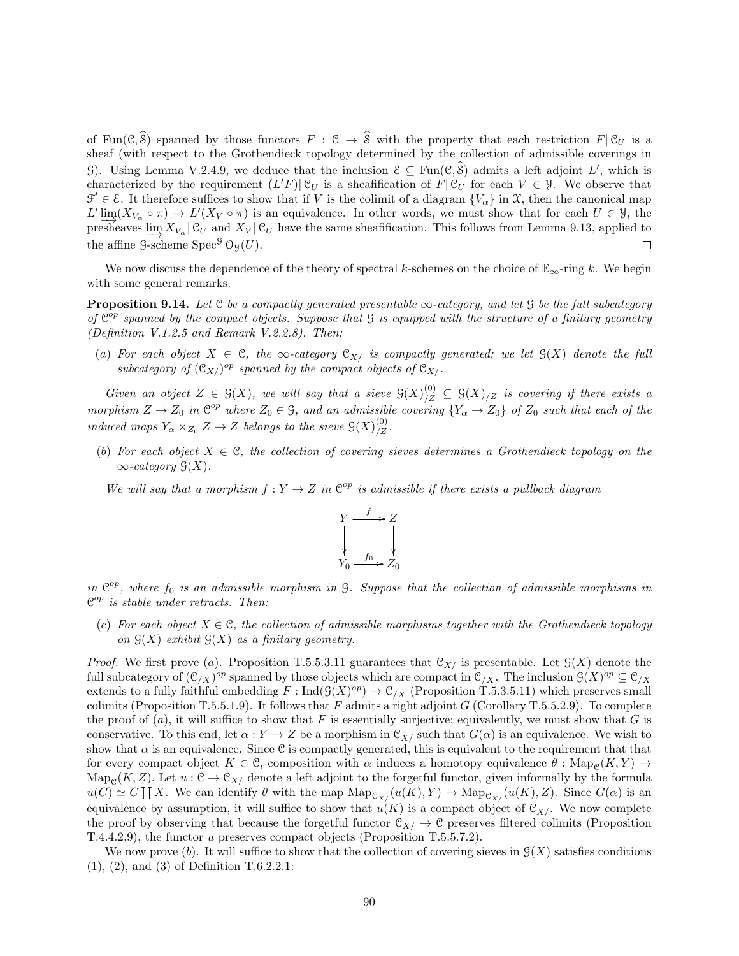of Fun( $\mathcal{C}, \widehat{\mathcal{S}}$ ) spanned by those functors  $F : \mathcal{C} \to \widehat{\mathcal{S}}$  with the property that each restriction  $F | \mathcal{C}_U$  is a sheaf (with respect to the Grothendieck topology determined by the collection of admissible coverings in G). Using Lemma V.2.4.9, we deduce that the inclusion  $\mathcal{E} \subseteq \text{Fun}(\mathcal{C}, \mathcal{S})$  admits a left adjoint L', which is characterized by the requirement  $(L'F)|\mathcal{C}_U$  is a sheafification of  $F|\mathcal{C}_U$  for each  $V \in \mathcal{Y}$ . We observe that  $\mathcal{F}' \in \mathcal{E}$ . It therefore suffices to show that if V is the colimit of a diagram  $\{V_{\alpha}\}\$ in X, then the canonical map  $L' \lim_{\longrightarrow} (X_{V_{\alpha}} \circ \pi) \to L'(X_V \circ \pi)$  is an equivalence. In other words, we must show that for each  $U \in \mathcal{Y}$ , the presheaves  $\lim_{N \to \infty} X_{V_\alpha}$  | C<sub>U</sub> and  $X_V$  | C<sub>U</sub> have the same sheafification. This follows from Lemma 9.13, applied to the affine  $\mathcal{G}\text{-scheme}$  Spec<sup>G</sup>  $\mathcal{O}_{\mathcal{Y}}(U)$ . П

We now discuss the dependence of the theory of spectral k-schemes on the choice of  $\mathbb{E}_{\infty}$ -ring k. We begin with some general remarks.

**Proposition 9.14.** Let C be a compactly generated presentable  $\infty$ -category, and let G be the full subcategory of  $\mathfrak{C}^{\overline{op}}$  spanned by the compact objects. Suppose that  $\mathfrak G$  is equipped with the structure of a finitary geometry (Definition V.1.2.5 and Remark V.2.2.8). Then:

(a) For each object  $X \in \mathcal{C}$ , the  $\infty$ -category  $\mathcal{C}_{X}$  is compactly generated; we let  $\mathcal{G}(X)$  denote the full subcategory of  $(\mathcal{C}_{X}/\mathcal{C}^p)$  spanned by the compact objects of  $\mathcal{C}_{X}/\mathcal{C}$ .

Given an object  $Z \in \mathcal{G}(X)$ , we will say that a sieve  $\mathcal{G}(X)/Z \subseteq \mathcal{G}(X)/Z$  is covering if there exists a morphism  $Z \to Z_0$  in  $\mathbb{C}^{op}$  where  $Z_0 \in \mathcal{G}$ , and an admissible covering  $\{Y_\alpha \to Z_0\}$  of  $Z_0$  such that each of the induced maps  $Y_{\alpha} \times_{Z_0} Z \to Z$  belongs to the sieve  $\mathfrak{S}(X)_{/Z}^{(0)}$ .

(b) For each object  $X \in \mathcal{C}$ , the collection of covering sieves determines a Grothendieck topology on the  $\infty$ -category  $\mathcal{G}(X)$ .

We will say that a morphism  $f: Y \to Z$  in  $\mathbb{C}^{op}$  is admissible if there exists a pullback diagram



in  $\mathbb{C}^{op}$ , where  $f_0$  is an admissible morphism in G. Suppose that the collection of admissible morphisms in  $\mathfrak{C}^{op}$  is stable under retracts. Then:

(c) For each object  $X \in \mathcal{C}$ , the collection of admissible morphisms together with the Grothendieck topology on  $\mathcal{G}(X)$  exhibit  $\mathcal{G}(X)$  as a finitary geometry.

*Proof.* We first prove (a). Proposition T.5.5.3.11 guarantees that  $\mathfrak{C}_{X}$  is presentable. Let  $\mathfrak{G}(X)$  denote the full subcategory of  $({\cal C}_{/X})^{op}$  spanned by those objects which are compact in  ${\cal C}_{/X}$ . The inclusion  $\mathcal{G}(X)^{op} \subseteq {\cal C}_{/X}$ extends to a fully faithful embedding  $F: \text{Ind}(\mathcal{G}(X)^{op}) \to \mathcal{C}_{/X}$  (Proposition T.5.3.5.11) which preserves small colimits (Proposition T.5.5.1.9). It follows that F admits a right adjoint  $G$  (Corollary T.5.5.2.9). To complete the proof of  $(a)$ , it will suffice to show that F is essentially surjective; equivalently, we must show that G is conservative. To this end, let  $\alpha: Y \to Z$  be a morphism in  $\mathcal{C}_{X}/$  such that  $G(\alpha)$  is an equivalence. We wish to show that  $\alpha$  is an equivalence. Since C is compactly generated, this is equivalent to the requirement that that for every compact object  $K \in \mathcal{C}$ , composition with  $\alpha$  induces a homotopy equivalence  $\theta$ : Map<sub>C</sub>(K, Y)  $\rightarrow$ Map<sub>C</sub>(K, Z). Let  $u : \mathcal{C} \to \mathcal{C}_{X}$  denote a left adjoint to the forgetful functor, given informally by the formula  $u(C) \simeq C \coprod X$ . We can identify  $\theta$  with the map  $\mathrm{Map}_{\mathcal{C}_{X/}}(u(K), Y) \to \mathrm{Map}_{\mathcal{C}_{X/}}(u(K), Z)$ . Since  $G(\alpha)$  is an equivalence by assumption, it will suffice to show that  $u(K)$  is a compact object of  $\mathcal{C}_{X}/$ . We now complete the proof by observing that because the forgetful functor  $\mathfrak{C}_{X}/\to\mathfrak{C}$  preserves filtered colimits (Proposition T.4.4.2.9), the functor u preserves compact objects (Proposition T.5.5.7.2).

We now prove  $(b)$ . It will suffice to show that the collection of covering sieves in  $\mathcal{G}(X)$  satisfies conditions (1), (2), and (3) of Definition T.6.2.2.1: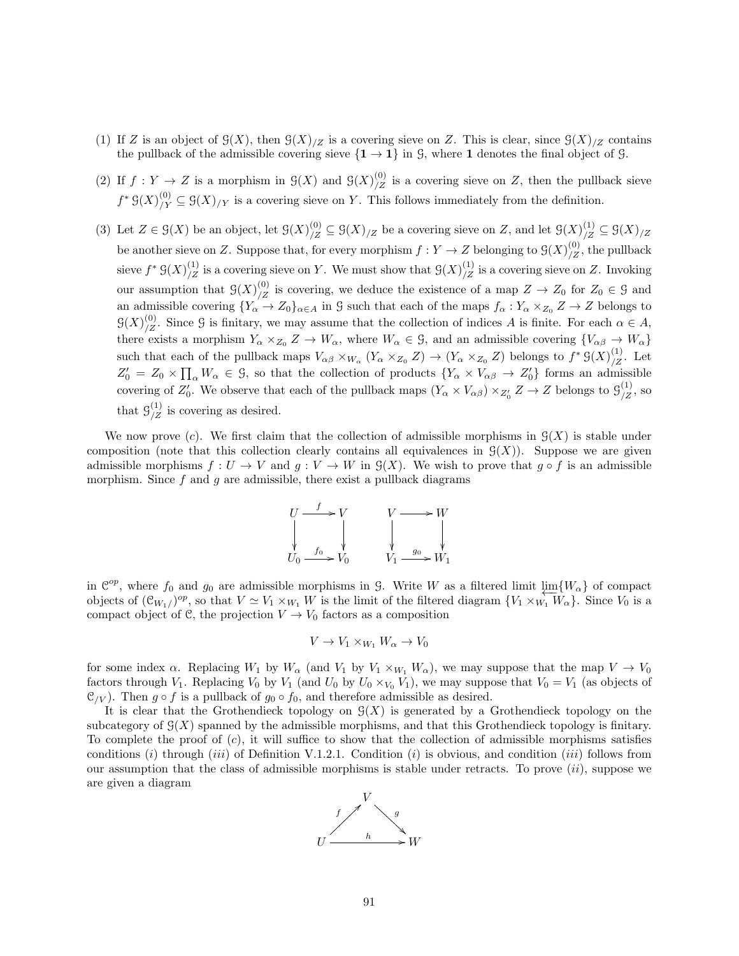- (1) If Z is an object of  $\mathcal{G}(X)$ , then  $\mathcal{G}(X)_{/Z}$  is a covering sieve on Z. This is clear, since  $\mathcal{G}(X)_{/Z}$  contains the pullback of the admissible covering sieve  $\{1 \rightarrow 1\}$  in G, where 1 denotes the final object of G.
- (2) If  $f: Y \to Z$  is a morphism in  $\mathcal{G}(X)$  and  $\mathcal{G}(X)_{/Z}^{(0)}$  is a covering sieve on Z, then the pullback sieve  $f^* \mathcal{G}(X)_{/Y}^{(0)} \subseteq \mathcal{G}(X)_{/Y}$  is a covering sieve on Y. This follows immediately from the definition.
- (3) Let  $Z \in \mathcal{G}(X)$  be an object, let  $\mathcal{G}(X)_{/Z}^{(0)} \subseteq \mathcal{G}(X)_{/Z}$  be a covering sieve on Z, and let  $\mathcal{G}(X)_{/Z}^{(1)} \subseteq \mathcal{G}(X)_{/Z}$ be another sieve on Z. Suppose that, for every morphism  $f: Y \to Z$  belonging to  $\mathcal{G}(X)_{/Z}^{(0)}$ , the pullback sieve  $f^* \mathcal{G}(X)_{/Z}^{(1)}$  is a covering sieve on Y. We must show that  $\mathcal{G}(X)_{/Z}^{(1)}$  is a covering sieve on Z. Invoking our assumption that  $\mathcal{G}(X)_{Z}^{(0)}$  is covering, we deduce the existence of a map  $Z \to Z_0$  for  $Z_0 \in \mathcal{G}$  and an admissible covering  ${Y_\alpha \to Z_0}_{\alpha \in A}$  in G such that each of the maps  $f_\alpha: Y_\alpha \times_{Z_0} Z \to Z$  belongs to  $\mathfrak{G}(X)_{/Z}^{(0)}$ . Since G is finitary, we may assume that the collection of indices A is finite. For each  $\alpha \in A$ , there exists a morphism  $Y_{\alpha} \times_{Z_0} Z \to W_{\alpha}$ , where  $W_{\alpha} \in \mathcal{G}$ , and an admissible covering  $\{V_{\alpha\beta} \to W_{\alpha}\}\$ such that each of the pullback maps  $V_{\alpha\beta} \times_{W_{\alpha}} (Y_{\alpha} \times_{Z_0} Z) \to (Y_{\alpha} \times_{Z_0} Z)$  belongs to  $f^* \mathcal{G}(X)_{Z}^{(1)}$ . Let  $Z'_0 = Z_0 \times \prod_{\alpha} W_{\alpha} \in \mathcal{G}$ , so that the collection of products  $\{Y_{\alpha} \times V_{\alpha\beta} \to Z'_0\}$  forms an admissible covering of  $Z'_0$ . We observe that each of the pullback maps  $(Y_\alpha \times V_{\alpha\beta}) \times_{Z'_0} Z \to Z$  belongs to  $\mathcal{G}_{/Z}^{(1)}$ , so that  $\mathcal{G}_{/Z}^{(1)}$  is covering as desired.

We now prove (c). We first claim that the collection of admissible morphisms in  $G(X)$  is stable under composition (note that this collection clearly contains all equivalences in  $\mathcal{G}(X)$ ). Suppose we are given admissible morphisms  $f: U \to V$  and  $g: V \to W$  in  $\mathcal{G}(X)$ . We wish to prove that  $g \circ f$  is an admissible morphism. Since f and q are admissible, there exist a pullback diagrams



in  $\mathcal{C}^{op}$ , where  $f_0$  and  $g_0$  are admissible morphisms in G. Write W as a filtered limit  $\varprojlim_{\alpha} \{W_{\alpha}\}$  of compact objects of  $(\mathcal{C}_{W_1})^{op}$ , so that  $V \simeq V_1 \times_{W_1} W$  is the limit of the filtered diagram  $\{V_1 \times_{W_1} W_\alpha\}$ . Since  $V_0$  is a compact object of C, the projection  $V \to V_0$  factors as a composition

$$
V \to V_1 \times_{W_1} W_\alpha \to V_0
$$

for some index  $\alpha$ . Replacing  $W_1$  by  $W_\alpha$  (and  $V_1$  by  $V_1 \times_{W_1} W_\alpha$ ), we may suppose that the map  $V \to V_0$ factors through  $V_1$ . Replacing  $V_0$  by  $V_1$  (and  $U_0$  by  $U_0 \times_{V_0} V_1$ ), we may suppose that  $V_0 = V_1$  (as objects of  $\mathcal{C}_V$ ). Then  $g \circ f$  is a pullback of  $g_0 \circ f_0$ , and therefore admissible as desired.

It is clear that the Grothendieck topology on  $\mathcal{G}(X)$  is generated by a Grothendieck topology on the subcategory of  $\mathcal{G}(X)$  spanned by the admissible morphisms, and that this Grothendieck topology is finitary. To complete the proof of  $(c)$ , it will suffice to show that the collection of admissible morphisms satisfies conditions  $(i)$  through  $(iii)$  of Definition V.1.2.1. Condition  $(i)$  is obvious, and condition  $(iii)$  follows from our assumption that the class of admissible morphisms is stable under retracts. To prove  $(ii)$ , suppose we are given a diagram

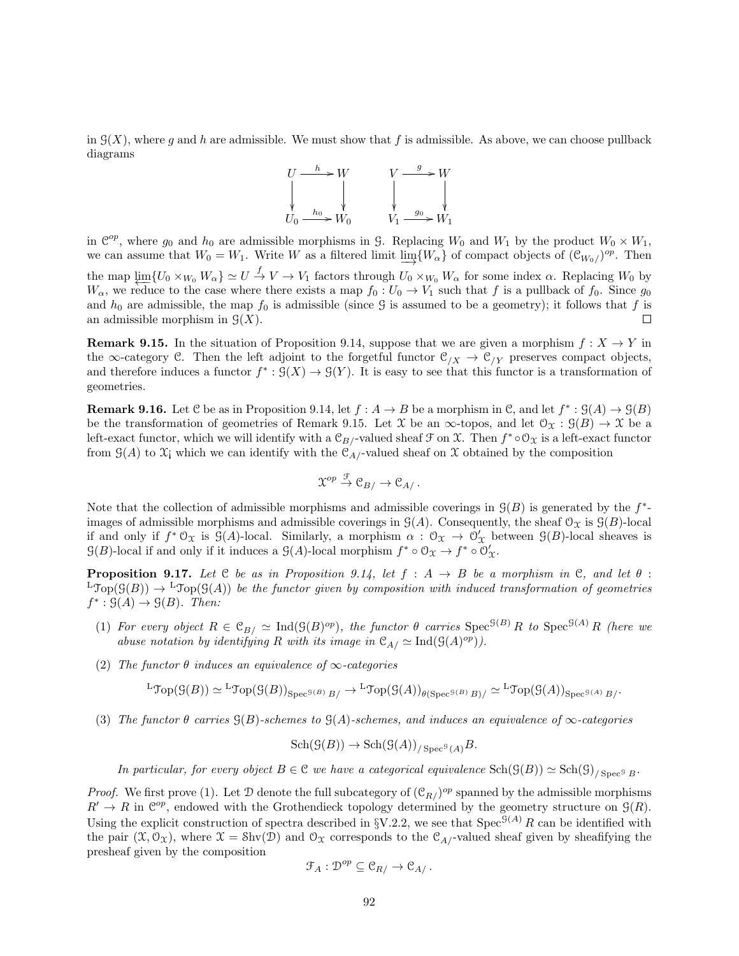in  $\mathcal{G}(X)$ , where g and h are admissible. We must show that f is admissible. As above, we can choose pullback diagrams



in  $\mathcal{C}^{op}$ , where  $g_0$  and  $h_0$  are admissible morphisms in G. Replacing  $W_0$  and  $W_1$  by the product  $W_0 \times W_1$ , we can assume that  $W_0 = W_1$ . Write W as a filtered limit  $\varinjlim\{W_\alpha\}$  of compact objects of  $(\mathcal{C}_{W_0})^{op}$ . Then the map  $\varprojlim \{U_0 \times_{W_0} W_\alpha\} \simeq U \stackrel{f}{\to} V \to V_1$  factors through  $U_0 \times_{W_0} W_\alpha$  for some index  $\alpha$ . Replacing  $W_0$  by  $W_{\alpha}$ , we reduce to the case where there exists a map  $f_0 : U_0 \to V_1$  such that f is a pullback of  $f_0$ . Since  $g_0$ and  $h_0$  are admissible, the map  $f_0$  is admissible (since G is assumed to be a geometry); it follows that f is an admissible morphism in  $\mathcal{G}(X)$ .  $\Box$ 

**Remark 9.15.** In the situation of Proposition 9.14, suppose that we are given a morphism  $f: X \to Y$  in the ∞-category C. Then the left adjoint to the forgetful functor  $\mathcal{C}_{/X} \to \mathcal{C}_{/Y}$  preserves compact objects, and therefore induces a functor  $f^*: \mathcal{G}(X) \to \mathcal{G}(Y)$ . It is easy to see that this functor is a transformation of geometries.

**Remark 9.16.** Let C be as in Proposition 9.14, let  $f : A \to B$  be a morphism in C, and let  $f^* : \mathcal{G}(A) \to \mathcal{G}(B)$ be the transformation of geometries of Remark 9.15. Let X be an  $\infty$ -topos, and let  $\mathcal{O}_{\mathfrak{X}} : \mathcal{G}(B) \to \mathcal{X}$  be a left-exact functor, which we will identify with a  $\mathcal{C}_{B/-}$ valued sheaf  $\mathcal{F}$  on  $\mathcal{X}$ . Then  $f^* \circ \mathcal{O}_{\mathcal{X}}$  is a left-exact functor from  $\mathcal{G}(A)$  to  $\mathcal{X}_i$  which we can identify with the  $\mathcal{C}_{A}$ -valued sheaf on X obtained by the composition

$$
\mathfrak{X}^{op} \stackrel{\mathcal{F}}{\rightarrow} \mathfrak{C}_{B} \rightarrow \mathfrak{C}_{A}.
$$

Note that the collection of admissible morphisms and admissible coverings in  $\mathcal{G}(B)$  is generated by the  $f^*$ images of admissible morphisms and admissible coverings in  $\mathcal{G}(A)$ . Consequently, the sheaf  $\mathcal{O}_X$  is  $\mathcal{G}(B)$ -local if and only if  $f^*\mathcal{O}_\mathfrak{X}$  is  $\mathcal{G}(A)$ -local. Similarly, a morphism  $\alpha : \mathcal{O}_\mathfrak{X} \to \mathcal{O}'_\mathfrak{X}$  between  $\mathcal{G}(B)$ -local sheaves is  $\mathcal{G}(B)$ -local if and only if it induces a  $\mathcal{G}(A)$ -local morphism  $f^* \circ \mathcal{O}_X \to f^* \circ \mathcal{O}'_X$ .

**Proposition 9.17.** Let  $C$  be as in Proposition 9.14, let  $f : A \rightarrow B$  be a morphism in  $C$ , and let  $\theta$ :  $L\text{Top}(\mathcal{G}(B)) \to L\text{Top}(\mathcal{G}(A))$  be the functor given by composition with induced transformation of geometries  $f^*: \mathcal{G}(A) \to \mathcal{G}(B)$ . Then:

- (1) For every object  $R \in \mathfrak{C}_{B} \simeq \mathrm{Ind}(\mathfrak{H}(B)^{op})$ , the functor  $\theta$  carries  $\mathrm{Spec}^{\mathfrak{G}(B)}R$  to  $\mathrm{Spec}^{\mathfrak{G}(A)}R$  (here we abuse notation by identifying R with its image in  $\mathcal{C}_{A}/\simeq \mathrm{Ind}(\mathcal{G}(A)^{op}).$
- (2) The functor  $\theta$  induces an equivalence of  $\infty$ -categories

$$
{}^{\mathbf{L}}\mathfrak{Top}(\mathfrak{G}(B)) \simeq {}^{\mathbf{L}}\mathfrak{Top}(\mathfrak{G}(B))_{\mathbf{Spec}^{\mathfrak{G}(B)}B/\mathbb{C}} \to {}^{\mathbf{L}}\mathfrak{Top}(\mathfrak{G}(A))_{\theta(\mathbf{Spec}^{\mathfrak{G}(B)}B)/\mathbb{C}} \simeq {}^{\mathbf{L}}\mathfrak{Top}(\mathfrak{G}(A))_{\mathbf{Spec}^{\mathfrak{G}(A)}B/\mathbb{C}}
$$

(3) The functor  $\theta$  carries  $\mathcal{G}(B)$ -schemes to  $\mathcal{G}(A)$ -schemes, and induces an equivalence of  $\infty$ -categories

$$
\operatorname{Sch}(\mathcal{G}(B)) \to \operatorname{Sch}(\mathcal{G}(A))_{/\operatorname{Spec}^{\mathcal{G}}(A)}B.
$$

In particular, for every object  $B \in \mathcal{C}$  we have a categorical equivalence  $\text{Sch}(\mathcal{G}(B)) \simeq \text{Sch}(\mathcal{G})_{/\text{Spec}^{\mathcal{G}} B}$ .

*Proof.* We first prove (1). Let  $D$  denote the full subcategory of  $(\mathcal{C}_{R}/p^{\circ p})$  spanned by the admissible morphisms  $R' \to R$  in  $\mathbb{C}^{op}$ , endowed with the Grothendieck topology determined by the geometry structure on  $\mathcal{G}(R)$ . Using the explicit construction of spectra described in §V.2.2, we see that  $Spec^{\mathfrak{F}(A)}R$  can be identified with the pair  $(\mathfrak{X}, \mathfrak{O}_{\mathfrak{X}})$ , where  $\mathfrak{X} = \text{Shv}(\mathfrak{D})$  and  $\mathfrak{O}_{\mathfrak{X}}$  corresponds to the  $\mathfrak{C}_A$ -valued sheaf given by sheafifying the presheaf given by the composition

$$
\mathfrak{F}_A: \mathcal{D}^{op} \subseteq \mathcal{C}_{R/} \to \mathcal{C}_{A/}.
$$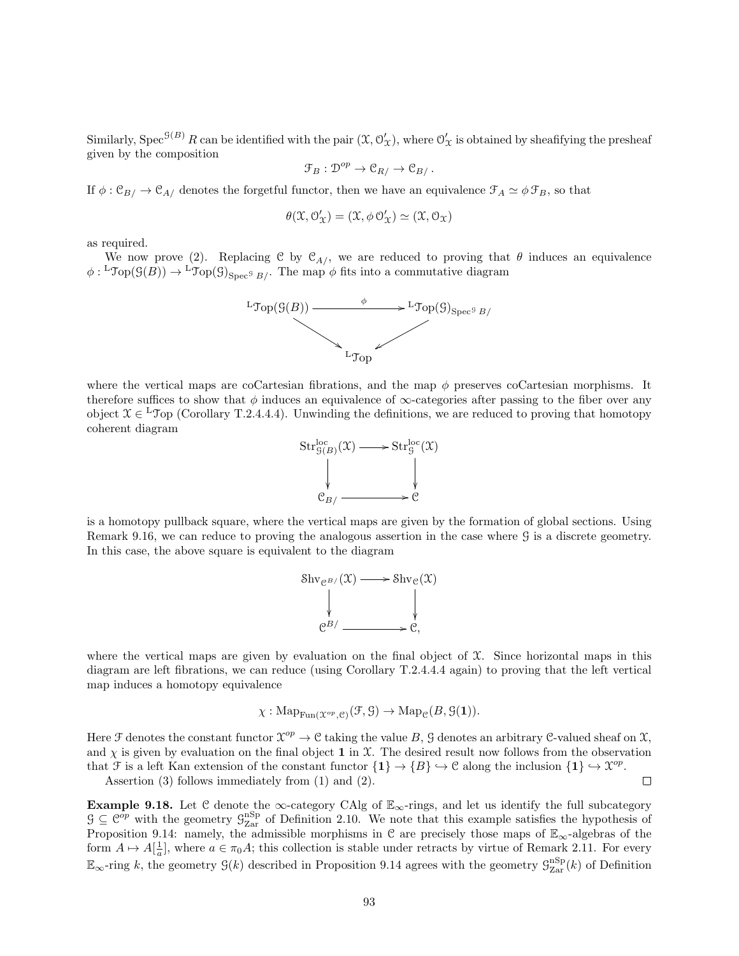Similarly, Spec<sup> $\mathcal{G}(B)$ </sup> R can be identified with the pair  $(\mathfrak{X}, \mathcal{O}_\mathfrak{X}')$ , where  $\mathcal{O}_\mathfrak{X}'$  is obtained by sheafifying the presheaf given by the composition

$$
\mathfrak{F}_B: \mathcal{D}^{op} \to \mathcal{C}_{R/} \to \mathcal{C}_{B/}.
$$

If  $\phi : \mathfrak{C}_{B}/ \to \mathfrak{C}_{A}/$  denotes the forgetful functor, then we have an equivalence  $\mathfrak{F}_A \simeq \phi \mathfrak{F}_B$ , so that

$$
\theta(\mathfrak{X},\mathcal{O}'_{\mathfrak{X}})=(\mathfrak{X},\phi\,\mathcal{O}'_{\mathfrak{X}})\simeq(\mathfrak{X},\mathcal{O}_{\mathfrak{X}})
$$

as required.

We now prove (2). Replacing C by  $\mathcal{C}_{A/}$ , we are reduced to proving that  $\theta$  induces an equivalence  $\phi: {}^L\text{Top}(\mathcal{G}(B)) \to {}^L\text{Top}(\mathcal{G})_{\text{Spec}^{\mathcal{G}} B}$ . The map  $\phi$  fits into a commutative diagram



where the vertical maps are coCartesian fibrations, and the map  $\phi$  preserves coCartesian morphisms. It therefore suffices to show that  $\phi$  induces an equivalence of  $\infty$ -categories after passing to the fiber over any object  $X \in L$  Top (Corollary T.2.4.4.4). Unwinding the definitions, we are reduced to proving that homotopy coherent diagram



is a homotopy pullback square, where the vertical maps are given by the formation of global sections. Using Remark 9.16, we can reduce to proving the analogous assertion in the case where G is a discrete geometry. In this case, the above square is equivalent to the diagram



where the vertical maps are given by evaluation on the final object of  $\mathfrak{X}$ . Since horizontal maps in this diagram are left fibrations, we can reduce (using Corollary T.2.4.4.4 again) to proving that the left vertical map induces a homotopy equivalence

$$
\chi: \mathrm{Map}_{\mathrm{Fun}(\mathfrak{X}^{op}, \mathfrak{S})}(\mathfrak{F}, \mathfrak{S}) \to \mathrm{Map}_{\mathfrak{S}}(B, \mathfrak{S}(1)).
$$

Here F denotes the constant functor  $\mathfrak{X}^{op} \to \mathfrak{C}$  taking the value B, G denotes an arbitrary C-valued sheaf on X, and  $\chi$  is given by evaluation on the final object 1 in X. The desired result now follows from the observation that F is a left Kan extension of the constant functor  $\{1\} \to \{B\} \hookrightarrow \mathcal{C}$  along the inclusion  $\{1\} \hookrightarrow \mathcal{X}^{op}$ .  $\Box$ 

Assertion (3) follows immediately from (1) and (2).

Example 9.18. Let C denote the  $\infty$ -category CAlg of  $\mathbb{E}_{\infty}$ -rings, and let us identify the full subcategory  $G \subseteq \mathcal{C}^{op}$  with the geometry  $\mathcal{G}_{\text{Zar}}^{\text{nSp}}$  of Definition 2.10. We note that this example satisfies the hypothesis of Proposition 9.14: namely, the admissible morphisms in  $\mathcal C$  are precisely those maps of  $\mathbb E_{\infty}$ -algebras of the form  $A \mapsto A[\frac{1}{a}]$ , where  $a \in \pi_0 A$ ; this collection is stable under retracts by virtue of Remark 2.11. For every  $\mathbb{E}_{\infty}$ -ring k, the geometry  $\mathcal{G}(k)$  described in Proposition 9.14 agrees with the geometry  $\mathcal{G}_{\text{Zar}}^{\text{nSp}}(k)$  of Definition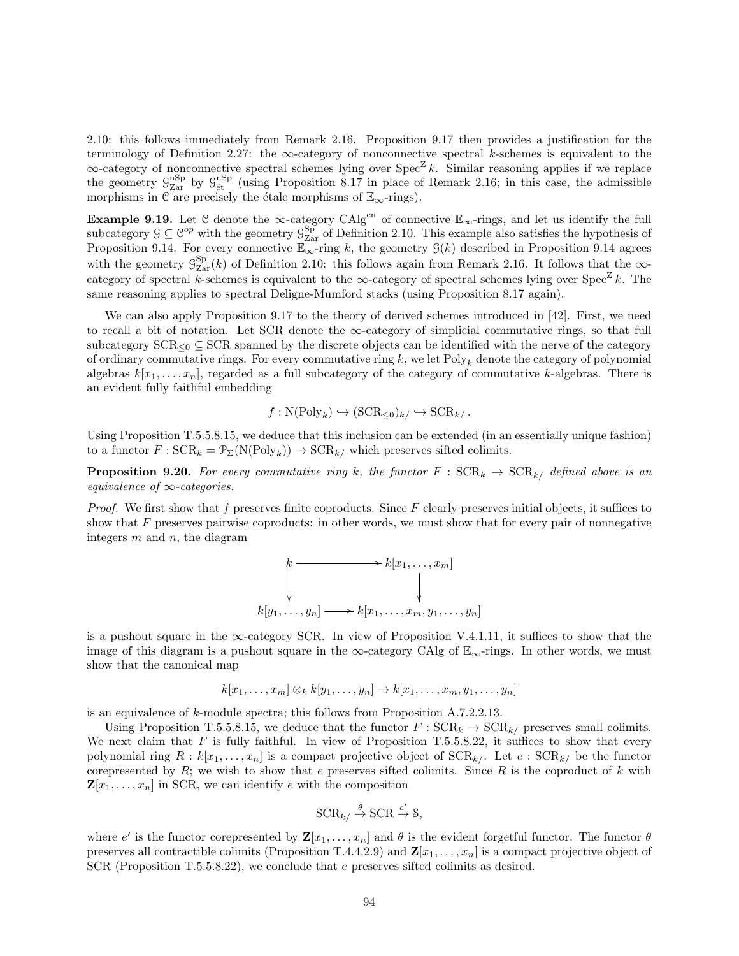2.10: this follows immediately from Remark 2.16. Proposition 9.17 then provides a justification for the terminology of Definition 2.27: the  $\infty$ -category of nonconnective spectral k-schemes is equivalent to the  $\infty$ -category of nonconnective spectral schemes lying over Spec<sup>Z</sup> k. Similar reasoning applies if we replace the geometry  $\mathcal{G}_{\text{Zar}}^{\text{nSp}}$  by  $\mathcal{G}_{\text{\'et}}^{\text{nSp}}$  (using Proposition 8.17 in place of Remark 2.16; in this case, the admissible morphisms in C are precisely the étale morphisms of  $\mathbb{E}_{\infty}$ -rings).

Example 9.19. Let C denote the  $\infty$ -category CAlg<sup>cn</sup> of connective  $\mathbb{E}_{\infty}$ -rings, and let us identify the full subcategory  $\mathcal{G} \subseteq \mathcal{C}^{op}$  with the geometry  $\mathcal{G}_{\text{Zar}}^{Sp}$  of Definition 2.10. This example also satisfies the hypothesis of Proposition 9.14. For every connective  $\mathbb{E}_{\infty}$ -ring k, the geometry  $\mathcal{G}(k)$  described in Proposition 9.14 agrees with the geometry  $\mathcal{G}^{\text{Sp}}_{\text{Zar}}(k)$  of Definition 2.10: this follows again from Remark 2.16. It follows that the  $\infty$ category of spectral k-schemes is equivalent to the  $\infty$ -category of spectral schemes lying over Spec<sup>Z</sup> k. The same reasoning applies to spectral Deligne-Mumford stacks (using Proposition 8.17 again).

We can also apply Proposition 9.17 to the theory of derived schemes introduced in [42]. First, we need to recall a bit of notation. Let SCR denote the  $\infty$ -category of simplicial commutative rings, so that full subcategory  $SCR<sub>0</sub> ⊆SCR$  spanned by the discrete objects can be identified with the nerve of the category of ordinary commutative rings. For every commutative ring  $k$ , we let Poly<sub>k</sub> denote the category of polynomial algebras  $k[x_1, \ldots, x_n]$ , regarded as a full subcategory of the category of commutative k-algebras. There is an evident fully faithful embedding

$$
f: \mathcal{N}(\text{Poly}_k) \hookrightarrow (\text{SCR}_{\leq 0})_{k/} \hookrightarrow \text{SCR}_{k/}
$$
.

Using Proposition T.5.5.8.15, we deduce that this inclusion can be extended (in an essentially unique fashion) to a functor  $F : \text{SCR}_k = \mathcal{P}_\Sigma(N(\text{Poly}_k)) \to \text{SCR}_{k}$ , which preserves sifted colimits.

**Proposition 9.20.** For every commutative ring k, the functor  $F : \text{SCR}_k \to \text{SCR}_{k/}$  defined above is an equivalence of  $\infty$ -categories.

Proof. We first show that  $f$  preserves finite coproducts. Since  $F$  clearly preserves initial objects, it suffices to show that  $F$  preserves pairwise coproducts: in other words, we must show that for every pair of nonnegative integers  $m$  and  $n$ , the diagram



is a pushout square in the  $\infty$ -category SCR. In view of Proposition V.4.1.11, it suffices to show that the image of this diagram is a pushout square in the  $\infty$ -category CAlg of  $\mathbb{E}_{\infty}$ -rings. In other words, we must show that the canonical map

$$
k[x_1,\ldots,x_m]\otimes_k k[y_1,\ldots,y_n]\to k[x_1,\ldots,x_m,y_1,\ldots,y_n]
$$

is an equivalence of k-module spectra; this follows from Proposition A.7.2.2.13.

Using Proposition T.5.5.8.15, we deduce that the functor  $F : \text{SCR}_k \to \text{SCR}_{k}$  preserves small colimits. We next claim that  $F$  is fully faithful. In view of Proposition T.5.5.8.22, it suffices to show that every polynomial ring  $R : k[x_1, \ldots, x_n]$  is a compact projective object of  $SCR_{k'}$ . Let  $e :SCR_{k'}$  be the functor corepresented by  $R$ ; we wish to show that e preserves sifted colimits. Since  $R$  is the coproduct of  $k$  with  $\mathbf{Z}[x_1,\ldots,x_n]$  in SCR, we can identify e with the composition

$$
\mathrm{SCR}_{k/} \stackrel{\theta}{\to} \mathrm{SCR} \stackrel{e'}{\to} \mathcal{S},
$$

where e' is the functor corepresented by  $\mathbf{Z}[x_1,\ldots,x_n]$  and  $\theta$  is the evident forgetful functor. The functor  $\theta$ preserves all contractible colimits (Proposition T.4.4.2.9) and  $\mathbf{Z}[x_1, \ldots, x_n]$  is a compact projective object of SCR (Proposition T.5.5.8.22), we conclude that e preserves sifted colimits as desired.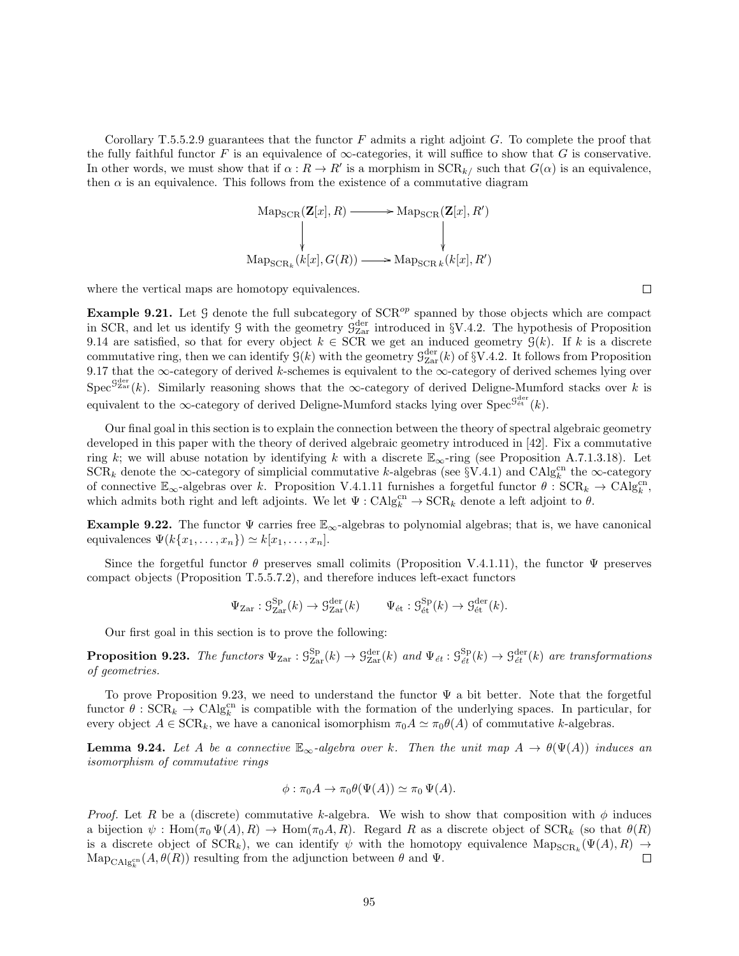Corollary T.5.5.2.9 guarantees that the functor  $F$  admits a right adjoint  $G$ . To complete the proof that the fully faithful functor F is an equivalence of  $\infty$ -categories, it will suffice to show that G is conservative. In other words, we must show that if  $\alpha: R \to R'$  is a morphism in  $SCR_{k/2}$  such that  $G(\alpha)$  is an equivalence, then  $\alpha$  is an equivalence. This follows from the existence of a commutative diagram

$$
\mathrm{Map_{SCR}}(\mathbf{Z}[x], R) \longrightarrow \mathrm{Map_{SCR}}(\mathbf{Z}[x], R')
$$
\n
$$
\downarrow \qquad \qquad \downarrow \qquad \qquad \downarrow
$$
\n
$$
\mathrm{Map_{SCR_k}}(k[x], G(R)) \longrightarrow \mathrm{Map_{SCR_k}}(k[x], R')
$$

where the vertical maps are homotopy equivalences.

**Example 9.21.** Let G denote the full subcategory of  $SCR^{op}$  spanned by those objects which are compact in SCR, and let us identify  $\mathcal{G}$  with the geometry  $\mathcal{G}^{\text{der}}_{\text{Zar}}$  introduced in §V.4.2. The hypothesis of Proposition 9.14 are satisfied, so that for every object  $k \in \text{SCR}$  we get an induced geometry  $\mathcal{G}(k)$ . If k is a discrete commutative ring, then we can identify  $\mathcal{G}(k)$  with the geometry  $\mathcal{G}_{\text{Zar}}^{\text{der}}(k)$  of §V.4.2. It follows from Proposition 9.17 that the ∞-category of derived k-schemes is equivalent to the ∞-category of derived schemes lying over  $Spec^{G_{\text{Zar}}^{der}}(k)$ . Similarly reasoning shows that the ∞-category of derived Deligne-Mumford stacks over k is equivalent to the  $\infty$ -category of derived Deligne-Mumford stacks lying over  $\text{Spec}^{\mathcal{G}^{\text{der}}}_{\text{\'et}}(k)$ .

Our final goal in this section is to explain the connection between the theory of spectral algebraic geometry developed in this paper with the theory of derived algebraic geometry introduced in [42]. Fix a commutative ring k; we will abuse notation by identifying k with a discrete  $\mathbb{E}_{\infty}$ -ring (see Proposition A.7.1.3.18). Let  $\text{SCR}_k$  denote the ∞-category of simplicial commutative k-algebras (see §V.4.1) and CAlg<sup>cn</sup> the ∞-category of connective  $\mathbb{E}_{\infty}$ -algebras over k. Proposition V.4.1.11 furnishes a forgetful functor  $\theta$ :  $SCR_k \to CAlg_k^{cn}$ , which admits both right and left adjoints. We let  $\Psi : \mathrm{CAlg}_{k}^{\mathrm{cn}} \to \mathrm{SCR}_{k}$  denote a left adjoint to  $\theta$ .

**Example 9.22.** The functor  $\Psi$  carries free  $\mathbb{E}_{\infty}$ -algebras to polynomial algebras; that is, we have canonical equivalences  $\Psi(k\{x_1,\ldots,x_n\}) \simeq k[x_1,\ldots,x_n].$ 

Since the forgetful functor  $\theta$  preserves small colimits (Proposition V.4.1.11), the functor  $\Psi$  preserves compact objects (Proposition T.5.5.7.2), and therefore induces left-exact functors

$$
\Psi_{\text{Zar}}: \mathcal{G}_{\text{Zar}}^{\text{Sp}}(k) \to \mathcal{G}_{\text{Zar}}^{\text{der}}(k) \qquad \Psi_{\text{\'et}}: \mathcal{G}_{\text{\'et}}^{\text{Sp}}(k) \to \mathcal{G}_{\text{\'et}}^{\text{der}}(k).
$$

Our first goal in this section is to prove the following:

**Proposition 9.23.** The functors  $\Psi_{\text{Zar}} : \mathcal{G}_{\text{Zar}}^{\text{Sp}}(k) \to \mathcal{G}_{\text{Zar}}^{\text{der}}(k)$  and  $\Psi_{\text{\'et}} : \mathcal{G}_{\text{\'et}}^{\text{Sp}}(k) \to \mathcal{G}_{\text{\'et}}^{\text{der}}(k)$  are transformations of geometries.

To prove Proposition 9.23, we need to understand the functor  $\Psi$  a bit better. Note that the forgetful functor  $\theta$ :  $SCR_k \rightarrow CAlg_k^{cn}$  is compatible with the formation of the underlying spaces. In particular, for every object  $A \in \text{SCR}_k$ , we have a canonical isomorphism  $\pi_0 A \simeq \pi_0 \theta(A)$  of commutative k-algebras.

**Lemma 9.24.** Let A be a connective  $\mathbb{E}_{\infty}$ -algebra over k. Then the unit map  $A \to \theta(\Psi(A))$  induces an isomorphism of commutative rings

$$
\phi: \pi_0 A \to \pi_0 \theta(\Psi(A)) \simeq \pi_0 \Psi(A).
$$

*Proof.* Let R be a (discrete) commutative k-algebra. We wish to show that composition with  $\phi$  induces a bijection  $\psi$ : Hom $(\pi_0 \Psi(A), R) \to \text{Hom}(\pi_0 A, R)$ . Regard R as a discrete object of  $\text{SCR}_k$  (so that  $\theta(R)$ ) is a discrete object of  $SCR_k$ ), we can identify  $\psi$  with the homotopy equivalence  $\text{Map}_{SCR_k}(\Psi(A), R) \to$  $\mathrm{Map}_{\mathrm{CAlg}_{k}^{\mathrm{cn}}}(A, \theta(R))$  resulting from the adjunction between  $\theta$  and  $\Psi$ .  $\Box$ 

 $\Box$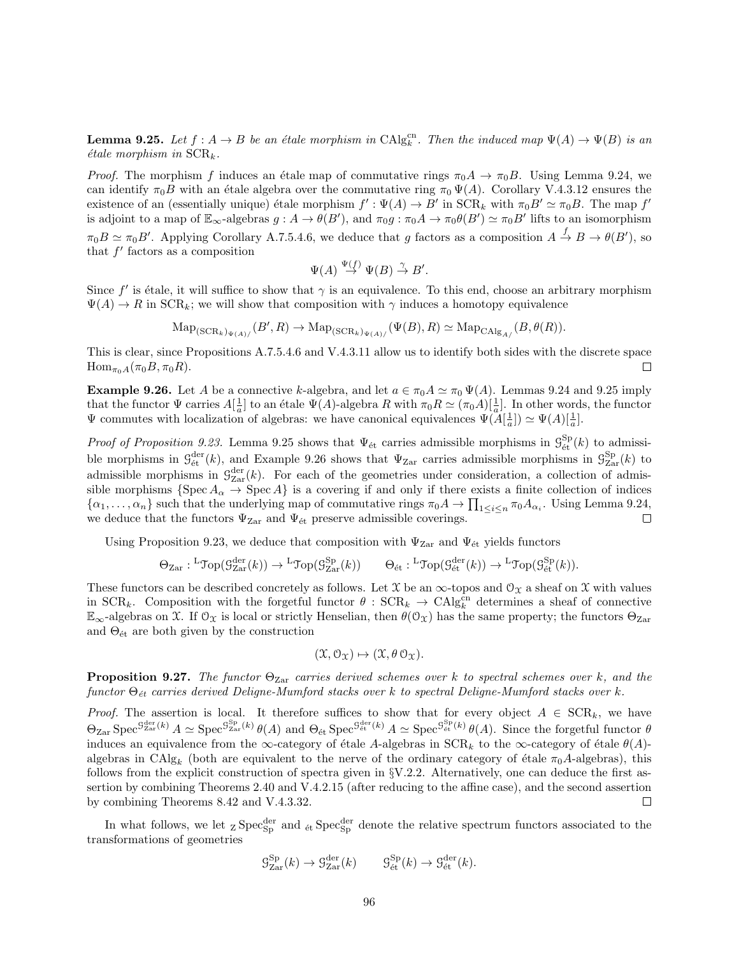**Lemma 9.25.** Let  $f : A \to B$  be an étale morphism in  $\text{CAlg}_{k}^{\text{cn}}$ . Then the induced map  $\Psi(A) \to \Psi(B)$  is an  $étele$  morphism in  $SCR_k$ .

*Proof.* The morphism f induces an étale map of commutative rings  $\pi_0 A \to \pi_0 B$ . Using Lemma 9.24, we can identify  $\pi_0 B$  with an étale algebra over the commutative ring  $\pi_0 \Psi(A)$ . Corollary V.4.3.12 ensures the existence of an (essentially unique) étale morphism  $f': \Psi(A) \to B'$  in  $SCR_k$  with  $\pi_0 B' \simeq \pi_0 B$ . The map  $f'$ is adjoint to a map of  $\mathbb{E}_{\infty}$ -algebras  $g: A \to \theta(B')$ , and  $\pi_0 g: \pi_0 A \to \pi_0 \theta(B') \simeq \pi_0 B'$  lifts to an isomorphism  $\pi_0 B \simeq \pi_0 B'$ . Applying Corollary A.7.5.4.6, we deduce that g factors as a composition  $A \stackrel{f}{\rightarrow} B \rightarrow \theta(B')$ , so that  $f'$  factors as a composition

$$
\Psi(A) \stackrel{\Psi(f)}{\to} \Psi(B) \stackrel{\gamma}{\to} B'.
$$

Since  $f'$  is étale, it will suffice to show that  $\gamma$  is an equivalence. To this end, choose an arbitrary morphism  $\Psi(A) \to R$  in SCR<sub>k</sub>; we will show that composition with  $\gamma$  induces a homotopy equivalence

$$
\mathrm{Map}_{(\mathrm{SCR}_k)_{\Psi(A)}/}(B', R) \to \mathrm{Map}_{(\mathrm{SCR}_k)_{\Psi(A)}/}(\Psi(B), R) \simeq \mathrm{Map}_{\mathrm{CAlg}_{A/}}(B, \theta(R)).
$$

This is clear, since Propositions A.7.5.4.6 and V.4.3.11 allow us to identify both sides with the discrete space  $\text{Hom}_{\pi_0A}(\pi_0B, \pi_0R).$  $\Box$ 

**Example 9.26.** Let A be a connective k-algebra, and let  $a \in \pi_0 A \simeq \pi_0 \Psi(A)$ . Lemmas 9.24 and 9.25 imply that the functor  $\Psi$  carries  $A[\frac{1}{a}]$  to an étale  $\Psi(A)$ -algebra R with  $\pi_0 R \simeq (\pi_0 A)[\frac{1}{a}]$ . In other words, the functor  $\Psi$  commutes with localization of algebras: we have canonical equivalences  $\Psi(\tilde{A}[\frac{1}{a}]) \simeq \Psi(A)[\frac{1}{a}]$ .

*Proof of Proposition 9.23.* Lemma 9.25 shows that  $\Psi_{\text{\'et}}$  carries admissible morphisms in  $\mathcal{G}_{\text{\'et}}^{Sp}(k)$  to admissible morphisms in  $\mathcal{G}^{\text{der}}_{\text{\'et}}(k)$ , and Example 9.26 shows that  $\Psi_{\text{Zar}}$  carries admissible morphisms in  $\mathcal{G}^{\text{Sp}}_{\text{Zar}}(k)$  to admissible morphisms in  $\mathcal{G}^{\text{der}}_{\text{Zar}}(k)$ . For each of the geometries under consideration, a collection of admissible morphisms  $\{Spec A_{\alpha} \to Spec A\}$  is a covering if and only if there exists a finite collection of indices  $\{\alpha_1,\ldots,\alpha_n\}$  such that the underlying map of commutative rings  $\pi_0 A \to \prod_{1 \leq i \leq n} \pi_0 A_{\alpha_i}$ . Using Lemma 9.24, we deduce that the functors  $\Psi_{\text{Zar}}$  and  $\Psi_{\text{\'et}}$  preserve admissible coverings.  $\Box$ 

Using Proposition 9.23, we deduce that composition with  $\Psi_{\text{Zar}}$  and  $\Psi_{\text{\'et}}$  yields functors

$$
\Theta_{\operatorname{Zar}}: {}^{\operatorname{L}}\operatorname{Top}(\mathcal{G}^{\operatorname{der}}_{\operatorname{Zar}}(k))\to {}^{\operatorname{L}}\operatorname{Top}(\mathcal{G}^{\operatorname{Sp}}_{\operatorname{Zar}}(k))\qquad \Theta_{\operatorname{\acute{e}t}}: {}^{\operatorname{L}}\operatorname{Top}(\mathcal{G}^{\operatorname{der}}_{\operatorname{\acute{e}t}}(k))\to {}^{\operatorname{L}}\operatorname{Top}(\mathcal{G}^{\operatorname{Sp}}_{\operatorname{\acute{e}t}}(k)).
$$

These functors can be described concretely as follows. Let  $\mathfrak X$  be an  $\infty$ -topos and  $\mathfrak O_{\mathfrak X}$  a sheaf on  $\mathfrak X$  with values in  $SCR_k$ . Composition with the forgetful functor  $\theta$ :  $SCR_k \rightarrow CAlg_k^{cn}$  determines a sheaf of connective  $\mathbb{E}_{\infty}$ -algebras on X. If  $\mathcal{O}_{\mathfrak{X}}$  is local or strictly Henselian, then  $\theta(\mathcal{O}_{\mathfrak{X}})$  has the same property; the functors  $\Theta_{\mathrm{Zar}}$ and  $\Theta_{\text{\'et}}$  are both given by the construction

$$
(\mathfrak{X},\mathcal{O}_{\mathfrak{X}})\mapsto (\mathfrak{X},\theta\,\mathcal{O}_{\mathfrak{X}}).
$$

**Proposition 9.27.** The functor  $\Theta_{\text{Zar}}$  carries derived schemes over k to spectral schemes over k, and the functor  $\Theta_{\epsilon t}$  carries derived Deligne-Mumford stacks over k to spectral Deligne-Mumford stacks over k.

*Proof.* The assertion is local. It therefore suffices to show that for every object  $A \in \text{SCR}_k$ , we have  $\Theta_{\mathrm{Zar}}$  Spec<sup> $\mathcal{G}_{\mathrm{Zar}}^{\mathrm{der}}(k)$ </sup>  $A \simeq \mathrm{Spec}^{\mathcal{G}_{\mathrm{Zar}}^{\mathrm{Sp}}(k)} \theta(A)$  and  $\Theta_{\mathrm{\acute{e}t}}$  Spec<sup> $\mathcal{G}_{\mathrm{\acute{e}t}}^{\mathrm{der}}(k)$   $A \simeq \mathrm{Spec}^{\mathcal{G}_{\mathrm{\acute{e}t}}^{\mathrm{Sp}}(k)} \theta(A)$ . Since the forgetful functor  $\theta$ </sup> induces an equivalence from the ∞-category of étale A-algebras in  $SCR_k$  to the ∞-category of étale  $\theta(A)$ algebras in  $\text{CAlg}_k$  (both are equivalent to the nerve of the ordinary category of étale  $\pi_0A$ -algebras), this follows from the explicit construction of spectra given in §V.2.2. Alternatively, one can deduce the first assertion by combining Theorems 2.40 and V.4.2.15 (after reducing to the affine case), and the second assertion by combining Theorems 8.42 and V.4.3.32.  $\Box$ 

In what follows, we let  ${}_{Z}$  Spec<sup>der</sup> and <sub>ét</sub> Spec<sup>der</sup> denote the relative spectrum functors associated to the transformations of geometries

$$
\mathcal{G}^{\mathrm{Sp}}_{\mathrm{Zar}}(k) \to \mathcal{G}^{\mathrm{der}}_{\mathrm{Zar}}(k) \qquad \mathcal{G}^{\mathrm{Sp}}_{\mathrm{\acute{e}t}}(k) \to \mathcal{G}^{\mathrm{der}}_{\mathrm{\acute{e}t}}(k).
$$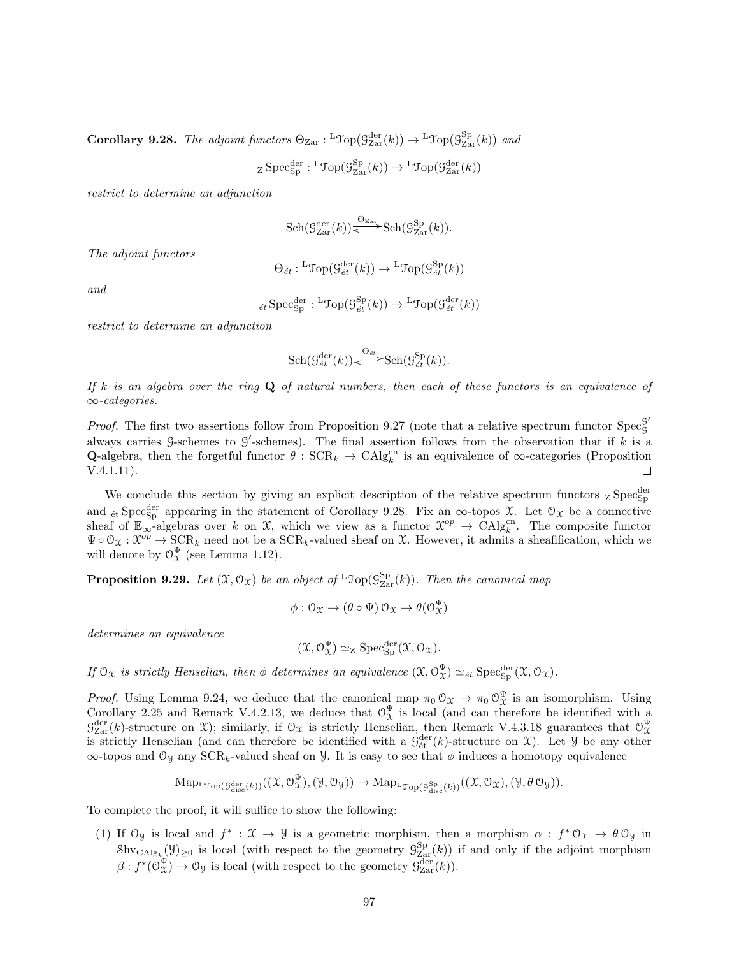Corollary 9.28. The adjoint functors  $\Theta_{\text{Zar}}: {}^{\text{L}}\text{Top}(\mathcal{G}_{\text{Zar}}^{\text{der}}(k)) \to {}^{\text{L}}\text{Top}(\mathcal{G}_{\text{Zar}}^{\text{Sp}}(k))$  and

$$
\operatorname{z}\operatorname{Spec}_{\operatorname{Sp}}^{\operatorname{der}}:\operatorname{LTop}(\mathcal{G}^{\operatorname{Sp}}_{\operatorname{Zar}}(k))\to\operatorname{LTop}(\mathcal{G}^{\operatorname{der}}_{\operatorname{Zar}}(k))
$$

restrict to determine an adjunction

$$
\mathrm{Sch}(\mathcal{G}_{\mathrm{Zar}}^{\mathrm{der}}(k))\overbrace{\Longleftrightarrow}^{\Theta_{\mathrm{Zar}}} \mathrm{Sch}(\mathcal{G}_{\mathrm{Zar}}^{\mathrm{Sp}}(k)).
$$

The adjoint functors

$$
\Theta_{\acute{e}t}: {}^{\mathbf{L}}\mathfrak{Top}(\mathcal{G}_{\acute{e}t}^{\text{der}}(k))\to {}^{\mathbf{L}}\mathfrak{Top}(\mathcal{G}_{\acute{e}t}^{\text{Sp}}(k))
$$

and

$$
{}_{\acute{e}t}\operatorname{Spec}^{\operatorname{der}}_{\operatorname{Sp}}:{}^{\mathbf{L}}\mathfrak{Top}(\mathcal{G}_{\acute{e}t}^{\operatorname{Sp}}(k))\to{}^{\mathbf{L}}\mathfrak{Top}(\mathcal{G}_{\acute{e}t}^{\operatorname{der}}(k))
$$

restrict to determine an adjunction

$$
\mathrm{Sch}(\mathcal{G}^{\mathrm{der}}_{\acute{e}t}(k))\overbrace{\Longleftrightarrow}^{\Theta_{\acute{e}t}}\mathrm{Sch}(\mathcal{G}^{\mathrm{Sp}}_{\acute{e}t}(k)).
$$

If k is an algebra over the ring  $Q$  of natural numbers, then each of these functors is an equivalence of ∞-categories.

*Proof.* The first two assertions follow from Proposition 9.27 (note that a relative spectrum functor Spec<sup>9</sup> G always carries G-schemes to G'-schemes). The final assertion follows from the observation that if k is a **Q-**algebra, then the forgetful functor  $\theta$ :  $SCR_k \rightarrow CAlg_k^{cn}$  is an equivalence of  $\infty$ -categories (Proposition V.4.1.11).  $\Box$ 

We conclude this section by giving an explicit description of the relative spectrum functors  ${}_{Z}$  Spec ${}_{Sp}^{der}$ and <sub>ét</sub> Spec<sup>der</sup> appearing in the statement of Corollary 9.28. Fix an  $\infty$ -topos X. Let  $\mathcal{O}_\mathfrak{X}$  be a connective sheaf of  $\mathbb{E}_{\infty}$ -algebras over k on X, which we view as a functor  $\mathcal{X}^{op} \to \mathrm{CAlg}_{k}^{\mathrm{cn}}$ . The composite functor  $\Psi \circ \mathcal{O}_{\mathfrak{X}}: \mathfrak{X}^{op} \to \text{SCR}_k$  need not be a  $\text{SCR}_k$ -valued sheaf on X. However, it admits a sheafification, which we will denote by  $\mathcal{O}_{\mathcal{X}}^{\Psi}$  (see Lemma 1.12).

**Proposition 9.29.** Let  $(\mathfrak{X}, \mathcal{O}_{\mathfrak{X}})$  be an object of  ${}^{\mathsf{L}} \mathfrak{Top}(\mathcal{G}_{\mathrm{Zar}}^{\mathrm{Sp}}(k))$ . Then the canonical map

$$
\phi: \mathcal{O}_{\mathfrak{X}} \to (\theta \circ \Psi) \mathcal{O}_{\mathfrak{X}} \to \theta(\mathcal{O}_{\mathfrak{X}}^{\Psi})
$$

determines an equivalence

$$
(\mathfrak{X}, \mathcal{O}_{\mathfrak{X}}^{\Psi}) \simeq_{Z} \mathrm{Spec}^{\mathrm{der}}_{\mathrm{Sp}} (\mathfrak{X}, \mathcal{O}_{\mathfrak{X}}).
$$

If  $\mathfrak{O}_{\mathfrak{X}}$  is strictly Henselian, then  $\phi$  determines an equivalence  $(\mathfrak{X}, \mathcal{O}_{\mathfrak{X}}^{\Psi}) \simeq_{\acute{e}t} \mathrm{Spec}_{\mathrm{Sp}}^{\mathrm{der}}(\mathfrak{X}, \mathcal{O}_{\mathfrak{X}})$ .

*Proof.* Using Lemma 9.24, we deduce that the canonical map  $\pi_0 \mathcal{O}_\mathfrak{X} \to \pi_0 \mathcal{O}_\mathfrak{X}^{\Psi}$  is an isomorphism. Using Corollary 2.25 and Remark V.4.2.13, we deduce that  $\mathcal{O}_X^{\Psi}$  is local (and can therefore be identified with a  $\mathcal{G}^{\text{der}}_{\text{Zar}}(k)$ -structure on X); similarly, if  $\mathcal{O}_{\mathcal{X}}$  is strictly Henselian, then Remark V.4.3.18 guarantees that  $\mathcal{O}_{\mathcal{X}}^{\Psi}$  is strictly Henselian (and can therefore be identified with a  $\mathcal{G}_{\text$  $\infty$ -topos and  $\mathcal{O}_y$  any SCR<sub>k</sub>-valued sheaf on *Y*. It is easy to see that  $\phi$  induces a homotopy equivalence

$$
\mathrm{Map}_{\mathrm{L}\mathfrak{Top}(\mathcal{G}_{\mathrm{disc}}^{\mathrm{der}}(k))}((\mathfrak{X},\mathcal{O}_{\mathfrak{X}}^{\Psi}),(\mathcal{Y},\mathcal{O}_{\mathcal{Y}})) \rightarrow \mathrm{Map}_{\mathrm{L}\mathfrak{Top}(\mathcal{G}_{\mathrm{disc}}^{\mathrm{Sp}}(k))}((\mathfrak{X},\mathcal{O}_{\mathfrak{X}}),(\mathcal{Y},\theta\,\mathcal{O}_{\mathcal{Y}})).
$$

To complete the proof, it will suffice to show the following:

(1) If  $\mathcal{O}_y$  is local and  $f^*: \mathcal{X} \to \mathcal{Y}$  is a geometric morphism, then a morphism  $\alpha : f^* \mathcal{O}_x \to \theta \mathcal{O}_y$  in  $\text{Shv}_{\text{CAlg}_k}(\mathcal{Y})_{\geq 0}$  is local (with respect to the geometry  $\mathcal{G}_{\text{Zar}}^{\text{Sp}}(k)$ ) if and only if the adjoint morphism  $\beta: f^*(\mathcal{O}^{\Psi}_{\mathfrak{X}}) \to \mathcal{O}_{\mathfrak{Y}}$  is local (with respect to the geometry  $\mathcal{G}^{\text{der}}_{\text{Zar}}(k)$ ).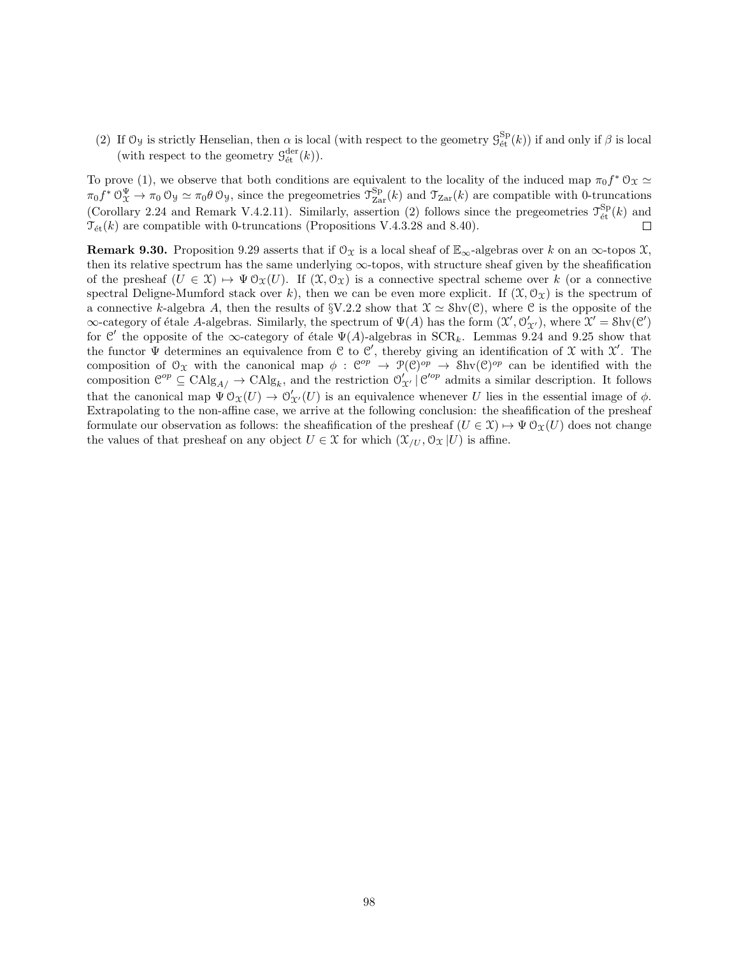(2) If  $\mathfrak{O}_y$  is strictly Henselian, then  $\alpha$  is local (with respect to the geometry  $\mathcal{G}_{\text{\'et}}^{Sp}(k)$ ) if and only if  $\beta$  is local (with respect to the geometry  $\mathcal{G}^{\text{der}}_{\text{\'et}}(k)$ ).

To prove (1), we observe that both conditions are equivalent to the locality of the induced map  $\pi_0 f^* \mathcal{O}_X \simeq$  $\pi_0 f^* \mathcal{O}_X^{\Psi} \to \pi_0 \mathcal{O}_Y \simeq \pi_0 \theta \mathcal{O}_Y$ , since the pregeometries  $\mathcal{T}_{\text{Zar}}^{\text{Sp}}(k)$  and  $\mathcal{T}_{\text{Zar}}(k)$  are compatible with 0-truncations (Corollary 2.24 and Remark V.4.2.11). Similarly, assertion (2) follows since the pregeometries  $\mathcal{T}_{\text{\'et}}^{\text{Sp}}(k)$  and  $\mathcal{T}_{\text{\'et}}(k)$  are compatible with 0-truncations (Propositions V.4.3.28 and 8.40).

**Remark 9.30.** Proposition 9.29 asserts that if  $\mathcal{O}_X$  is a local sheaf of  $\mathbb{E}_{\infty}$ -algebras over k on an  $\infty$ -topos X, then its relative spectrum has the same underlying ∞-topos, with structure sheaf given by the sheafification of the presheaf  $(U \in \mathfrak{X}) \mapsto \Psi \mathfrak{O}_{\mathfrak{X}}(U)$ . If  $(\mathfrak{X}, \mathfrak{O}_{\mathfrak{X}})$  is a connective spectral scheme over k (or a connective spectral Deligne-Mumford stack over k), then we can be even more explicit. If  $(\mathfrak{X}, \mathfrak{O}_\mathfrak{X})$  is the spectrum of a connective k-algebra A, then the results of  $\gamma$ .  $2.2$  show that  $\mathcal{X} \simeq \mathcal{S}$ hv $(\mathcal{C})$ , where  $\mathcal{C}$  is the opposite of the  $\infty$ -category of étale A-algebras. Similarly, the spectrum of  $\Psi(A)$  has the form  $(\mathfrak{X}', \mathfrak{O}'_{\mathfrak{X}'})$ , where  $\mathfrak{X}' = Shv(\mathfrak{C}')$ for C' the opposite of the  $\infty$ -category of étale  $\Psi(A)$ -algebras in SCR<sub>k</sub>. Lemmas 9.24 and 9.25 show that the functor  $\Psi$  determines an equivalence from C to C', thereby giving an identification of X with X'. The composition of  $\mathfrak{O}_{\mathfrak{X}}$  with the canonical map  $\phi : \mathfrak{C}^{op} \to \mathfrak{P}(\mathfrak{C})^{op} \to \mathfrak{Shv}(\mathfrak{C})^{op}$  can be identified with the composition  $\mathcal{C}^{op} \subseteq \text{CAlg}_{A/\rightarrow} \text{CAlg}_{k}$ , and the restriction  $\mathcal{O}'_{\mathcal{X}'}| \mathcal{C}'^{op}$  admits a similar description. It follows that the canonical map  $\Psi' \mathfrak{O}_\mathfrak{X}(U) \to \mathfrak{O}'_{\mathfrak{X}'}(U)$  is an equivalence whenever U lies in the essential image of  $\phi$ . Extrapolating to the non-affine case, we arrive at the following conclusion: the sheafification of the presheaf formulate our observation as follows: the sheafification of the presheaf  $(U \in \mathcal{X}) \mapsto \Psi \mathcal{O}_{\mathcal{X}}(U)$  does not change the values of that presheaf on any object  $U \in \mathcal{X}$  for which  $(\mathcal{X}_{U}, \mathcal{O}_{\mathcal{X}} | U)$  is affine.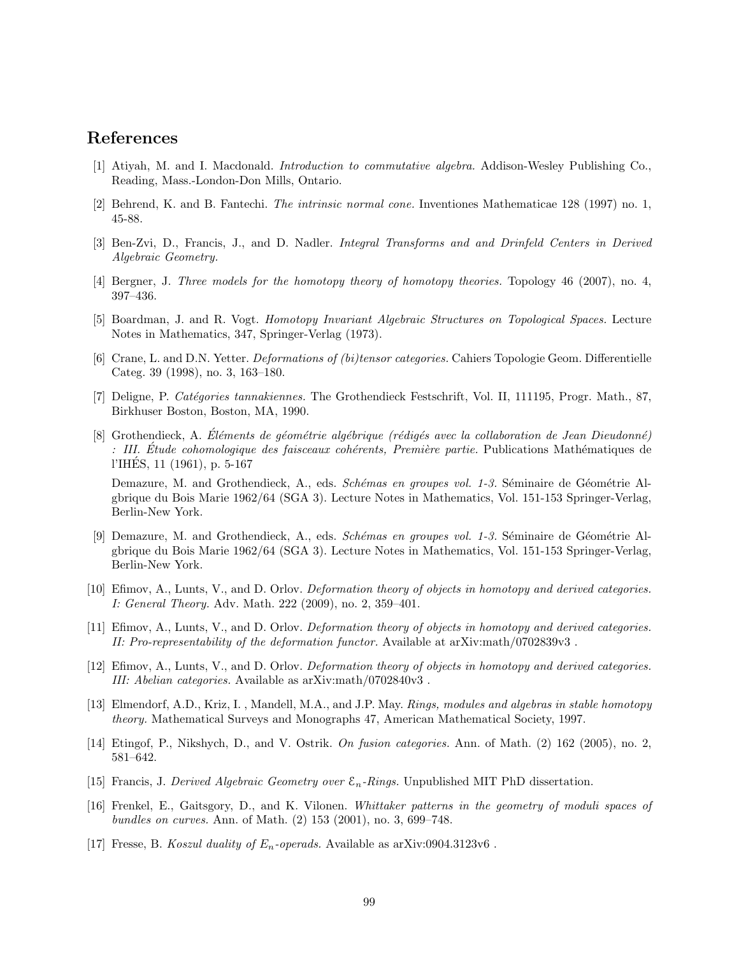## References

- [1] Atiyah, M. and I. Macdonald. Introduction to commutative algebra. Addison-Wesley Publishing Co., Reading, Mass.-London-Don Mills, Ontario.
- [2] Behrend, K. and B. Fantechi. The intrinsic normal cone. Inventiones Mathematicae 128 (1997) no. 1, 45-88.
- [3] Ben-Zvi, D., Francis, J., and D. Nadler. Integral Transforms and and Drinfeld Centers in Derived Algebraic Geometry.
- [4] Bergner, J. Three models for the homotopy theory of homotopy theories. Topology 46 (2007), no. 4, 397–436.
- [5] Boardman, J. and R. Vogt. Homotopy Invariant Algebraic Structures on Topological Spaces. Lecture Notes in Mathematics, 347, Springer-Verlag (1973).
- [6] Crane, L. and D.N. Yetter. Deformations of (bi)tensor categories. Cahiers Topologie Geom. Differentielle Categ. 39 (1998), no. 3, 163–180.
- [7] Deligne, P. Catégories tannakiennes. The Grothendieck Festschrift, Vol. II, 111195, Progr. Math., 87, Birkhuser Boston, Boston, MA, 1990.
- [8] Grothendieck, A. Eléments de géométrie algébrique (rédigés avec la collaboration de Jean Dieudonné) : III. Étude cohomologique des faisceaux cohérents, Première partie. Publications Mathématiques de l'IHES, 11 (1961), p. 5-167 ´

Demazure, M. and Grothendieck, A., eds. Schémas en groupes vol. 1-3. Séminaire de Géométrie Algbrique du Bois Marie 1962/64 (SGA 3). Lecture Notes in Mathematics, Vol. 151-153 Springer-Verlag, Berlin-New York.

- [9] Demazure, M. and Grothendieck, A., eds. Schémas en groupes vol. 1-3. Séminaire de Géométrie Algbrique du Bois Marie 1962/64 (SGA 3). Lecture Notes in Mathematics, Vol. 151-153 Springer-Verlag, Berlin-New York.
- [10] Efimov, A., Lunts, V., and D. Orlov. Deformation theory of objects in homotopy and derived categories. I: General Theory. Adv. Math. 222 (2009), no. 2, 359–401.
- [11] Efimov, A., Lunts, V., and D. Orlov. Deformation theory of objects in homotopy and derived categories. II: Pro-representability of the deformation functor. Available at arXiv:math/0702839v3 .
- [12] Efimov, A., Lunts, V., and D. Orlov. Deformation theory of objects in homotopy and derived categories. III: Abelian categories. Available as arXiv:math/0702840v3 .
- [13] Elmendorf, A.D., Kriz, I. , Mandell, M.A., and J.P. May. Rings, modules and algebras in stable homotopy theory. Mathematical Surveys and Monographs 47, American Mathematical Society, 1997.
- [14] Etingof, P., Nikshych, D., and V. Ostrik. On fusion categories. Ann. of Math. (2) 162 (2005), no. 2, 581–642.
- [15] Francis, J. Derived Algebraic Geometry over  $\mathcal{E}_n$ -Rings. Unpublished MIT PhD dissertation.
- [16] Frenkel, E., Gaitsgory, D., and K. Vilonen. Whittaker patterns in the geometry of moduli spaces of bundles on curves. Ann. of Math. (2) 153 (2001), no. 3, 699–748.
- [17] Fresse, B. Koszul duality of  $E_n$ -operads. Available as arXiv:0904.3123v6.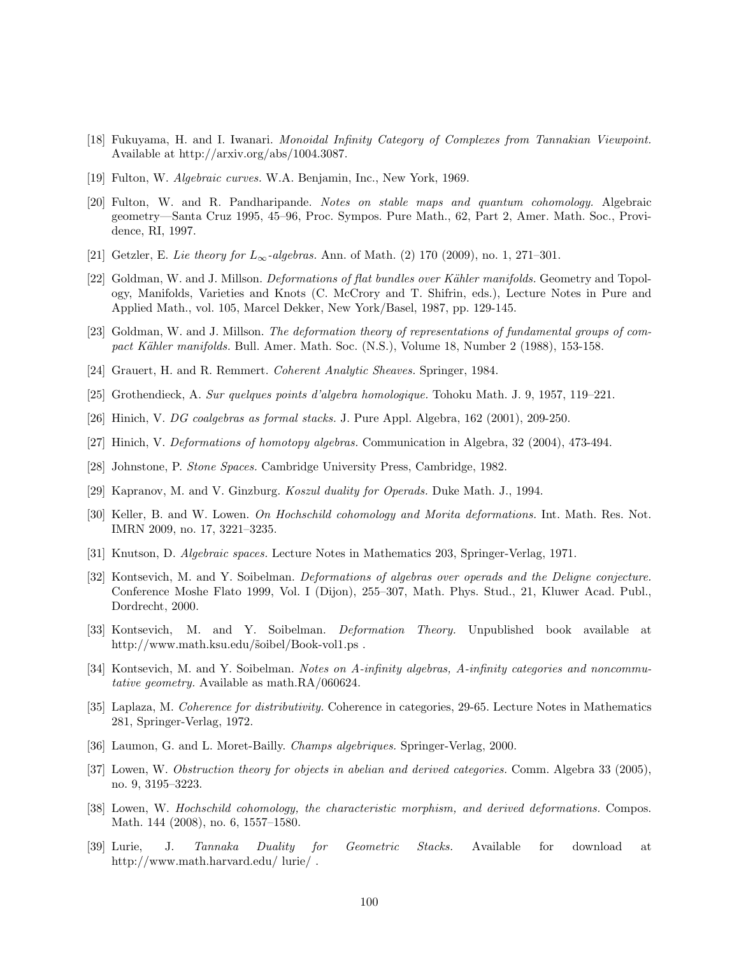- [18] Fukuyama, H. and I. Iwanari. Monoidal Infinity Category of Complexes from Tannakian Viewpoint. Available at http://arxiv.org/abs/1004.3087.
- [19] Fulton, W. Algebraic curves. W.A. Benjamin, Inc., New York, 1969.
- [20] Fulton, W. and R. Pandharipande. Notes on stable maps and quantum cohomology. Algebraic geometry—Santa Cruz 1995, 45–96, Proc. Sympos. Pure Math., 62, Part 2, Amer. Math. Soc., Providence, RI, 1997.
- [21] Getzler, E. Lie theory for  $L_{\infty}$ -algebras. Ann. of Math. (2) 170 (2009), no. 1, 271–301.
- [22] Goldman, W. and J. Millson. *Deformations of flat bundles over Kähler manifolds*. Geometry and Topology, Manifolds, Varieties and Knots (C. McCrory and T. Shifrin, eds.), Lecture Notes in Pure and Applied Math., vol. 105, Marcel Dekker, New York/Basel, 1987, pp. 129-145.
- [23] Goldman, W. and J. Millson. The deformation theory of representations of fundamental groups of compact Kähler manifolds. Bull. Amer. Math. Soc. (N.S.), Volume 18, Number 2 (1988), 153-158.
- [24] Grauert, H. and R. Remmert. Coherent Analytic Sheaves. Springer, 1984.
- [25] Grothendieck, A. Sur quelques points d'algebra homologique. Tohoku Math. J. 9, 1957, 119–221.
- [26] Hinich, V. DG coalgebras as formal stacks. J. Pure Appl. Algebra, 162 (2001), 209-250.
- [27] Hinich, V. Deformations of homotopy algebras. Communication in Algebra, 32 (2004), 473-494.
- [28] Johnstone, P. Stone Spaces. Cambridge University Press, Cambridge, 1982.
- [29] Kapranov, M. and V. Ginzburg. Koszul duality for Operads. Duke Math. J., 1994.
- [30] Keller, B. and W. Lowen. On Hochschild cohomology and Morita deformations. Int. Math. Res. Not. IMRN 2009, no. 17, 3221–3235.
- [31] Knutson, D. Algebraic spaces. Lecture Notes in Mathematics 203, Springer-Verlag, 1971.
- [32] Kontsevich, M. and Y. Soibelman. Deformations of algebras over operads and the Deligne conjecture. Conference Moshe Flato 1999, Vol. I (Dijon), 255–307, Math. Phys. Stud., 21, Kluwer Acad. Publ., Dordrecht, 2000.
- [33] Kontsevich, M. and Y. Soibelman. Deformation Theory. Unpublished book available at http://www.math.ksu.edu/ $\delta$ oibel/Book-vol1.ps.
- [34] Kontsevich, M. and Y. Soibelman. Notes on A-infinity algebras, A-infinity categories and noncommutative geometry. Available as math.RA/060624.
- [35] Laplaza, M. Coherence for distributivity. Coherence in categories, 29-65. Lecture Notes in Mathematics 281, Springer-Verlag, 1972.
- [36] Laumon, G. and L. Moret-Bailly. Champs algebriques. Springer-Verlag, 2000.
- [37] Lowen, W. Obstruction theory for objects in abelian and derived categories. Comm. Algebra 33 (2005), no. 9, 3195–3223.
- [38] Lowen, W. Hochschild cohomology, the characteristic morphism, and derived deformations. Compos. Math. 144 (2008), no. 6, 1557–1580.
- [39] Lurie, J. Tannaka Duality for Geometric Stacks. Available for download at http://www.math.harvard.edu/ lurie/ .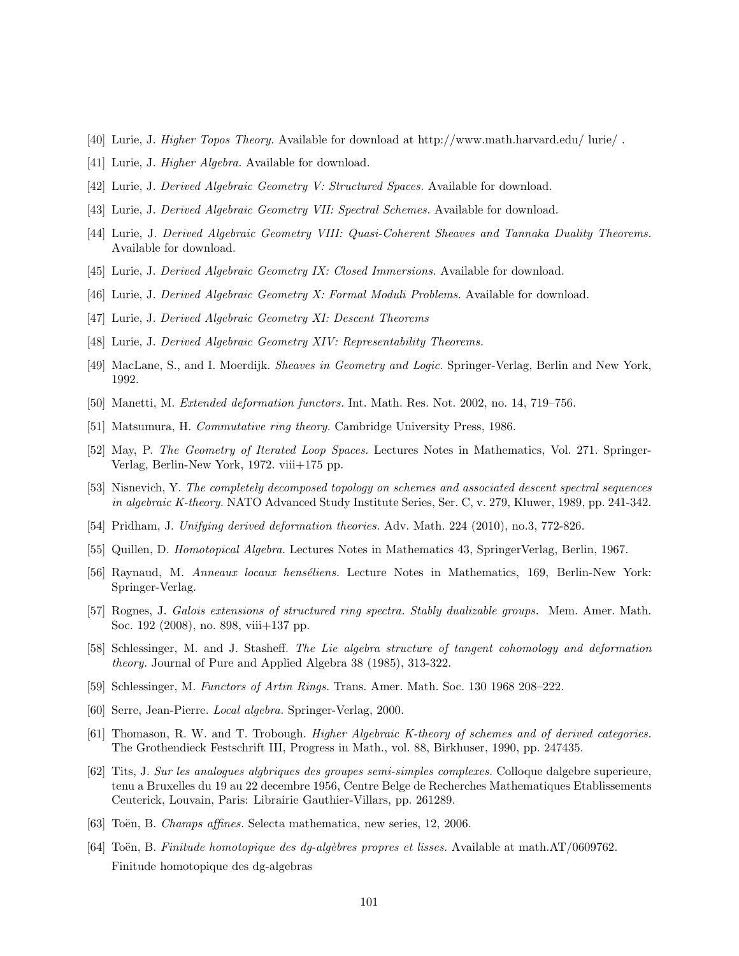- [40] Lurie, J. Higher Topos Theory. Available for download at http://www.math.harvard.edu/ lurie/ .
- [41] Lurie, J. *Higher Algebra*. Available for download.
- [42] Lurie, J. Derived Algebraic Geometry V: Structured Spaces. Available for download.
- [43] Lurie, J. Derived Algebraic Geometry VII: Spectral Schemes. Available for download.
- [44] Lurie, J. Derived Algebraic Geometry VIII: Quasi-Coherent Sheaves and Tannaka Duality Theorems. Available for download.
- [45] Lurie, J. Derived Algebraic Geometry IX: Closed Immersions. Available for download.
- [46] Lurie, J. Derived Algebraic Geometry X: Formal Moduli Problems. Available for download.
- [47] Lurie, J. Derived Algebraic Geometry XI: Descent Theorems
- [48] Lurie, J. Derived Algebraic Geometry XIV: Representability Theorems.
- [49] MacLane, S., and I. Moerdijk. Sheaves in Geometry and Logic. Springer-Verlag, Berlin and New York, 1992.
- [50] Manetti, M. Extended deformation functors. Int. Math. Res. Not. 2002, no. 14, 719–756.
- [51] Matsumura, H. Commutative ring theory. Cambridge University Press, 1986.
- [52] May, P. The Geometry of Iterated Loop Spaces. Lectures Notes in Mathematics, Vol. 271. Springer-Verlag, Berlin-New York, 1972. viii+175 pp.
- [53] Nisnevich, Y. The completely decomposed topology on schemes and associated descent spectral sequences in algebraic K-theory. NATO Advanced Study Institute Series, Ser. C, v. 279, Kluwer, 1989, pp. 241-342.
- [54] Pridham, J. Unifying derived deformation theories. Adv. Math. 224 (2010), no.3, 772-826.
- [55] Quillen, D. Homotopical Algebra. Lectures Notes in Mathematics 43, SpringerVerlag, Berlin, 1967.
- [56] Raynaud, M. Anneaux locaux henséliens. Lecture Notes in Mathematics, 169, Berlin-New York: Springer-Verlag.
- [57] Rognes, J. Galois extensions of structured ring spectra. Stably dualizable groups. Mem. Amer. Math. Soc. 192 (2008), no. 898, viii+137 pp.
- [58] Schlessinger, M. and J. Stasheff. The Lie algebra structure of tangent cohomology and deformation theory. Journal of Pure and Applied Algebra 38 (1985), 313-322.
- [59] Schlessinger, M. Functors of Artin Rings. Trans. Amer. Math. Soc. 130 1968 208–222.
- [60] Serre, Jean-Pierre. Local algebra. Springer-Verlag, 2000.
- [61] Thomason, R. W. and T. Trobough. Higher Algebraic K-theory of schemes and of derived categories. The Grothendieck Festschrift III, Progress in Math., vol. 88, Birkhuser, 1990, pp. 247435.
- [62] Tits, J. Sur les analogues algbriques des groupes semi-simples complexes. Colloque dalgebre superieure, tenu a Bruxelles du 19 au 22 decembre 1956, Centre Belge de Recherches Mathematiques Etablissements Ceuterick, Louvain, Paris: Librairie Gauthier-Villars, pp. 261289.
- [63] Toën, B. Champs affines. Selecta mathematica, new series, 12, 2006.
- [64] Toën, B. Finitude homotopique des dq-algèbres propres et lisses. Available at math.AT/0609762. Finitude homotopique des dg-algebras